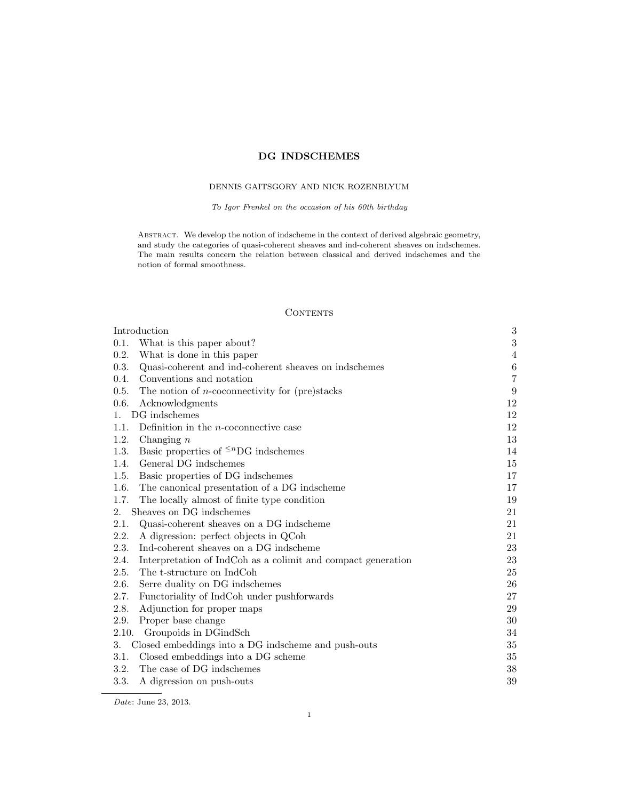# DG INDSCHEMES

# DENNIS GAITSGORY AND NICK ROZENBLYUM

To Igor Frenkel on the occasion of his 60th birthday

ABSTRACT. We develop the notion of indscheme in the context of derived algebraic geometry, and study the categories of quasi-coherent sheaves and ind-coherent sheaves on indschemes. The main results concern the relation between classical and derived indschemes and the notion of formal smoothness.

# **CONTENTS**

| Introduction                                                         | $\boldsymbol{3}$ |
|----------------------------------------------------------------------|------------------|
| 0.1.<br>What is this paper about?                                    | $\sqrt{3}$       |
| 0.2.<br>What is done in this paper                                   | 4                |
| 0.3.<br>Quasi-coherent and ind-coherent sheaves on indschemes        | $\,6\,$          |
| Conventions and notation<br>0.4.                                     | $\overline{7}$   |
| 0.5.<br>The notion of <i>n</i> -coconnectivity for (pre)stacks       | 9                |
| 0.6.<br>Acknowledgments                                              | 12               |
| DG indschemes<br>1.                                                  | 12               |
| Definition in the $n$ -coconnective case<br>1.1.                     | 12               |
| 1.2.<br>Changing $n$                                                 | 13               |
| Basic properties of $\leq^n$ DG indschemes<br>1.3.                   | 14               |
| General DG indschemes<br>1.4.                                        | 15               |
| Basic properties of DG indschemes<br>1.5.                            | 17               |
| 1.6.<br>The canonical presentation of a DG indscheme                 | 17               |
| The locally almost of finite type condition<br>1.7.                  | 19               |
| Sheaves on DG indschemes<br>2.                                       | 21               |
| 2.1.<br>Quasi-coherent sheaves on a DG indscheme                     | 21               |
| 2.2.<br>A digression: perfect objects in QCoh                        | 21               |
| 2.3.<br>Ind-coherent sheaves on a DG indscheme                       | 23               |
| 2.4.<br>Interpretation of IndCoh as a colimit and compact generation | 23               |
| The t-structure on IndCoh<br>2.5.                                    | 25               |
| 2.6.<br>Serre duality on DG indschemes                               | 26               |
| 2.7.<br>Functoriality of IndCoh under pushforwards                   | 27               |
| 2.8.<br>Adjunction for proper maps                                   | 29               |
| 2.9.<br>Proper base change                                           | 30               |
| 2.10.<br>Groupoids in DGindSch                                       | 34               |
| Closed embeddings into a DG indscheme and push-outs<br>3.            | 35               |
| Closed embeddings into a DG scheme<br>3.1.                           | 35               |
| The case of DG indschemes<br>3.2.                                    | $38\,$           |
| 3.3.<br>A digression on push-outs                                    | 39               |

Date: June 23, 2013.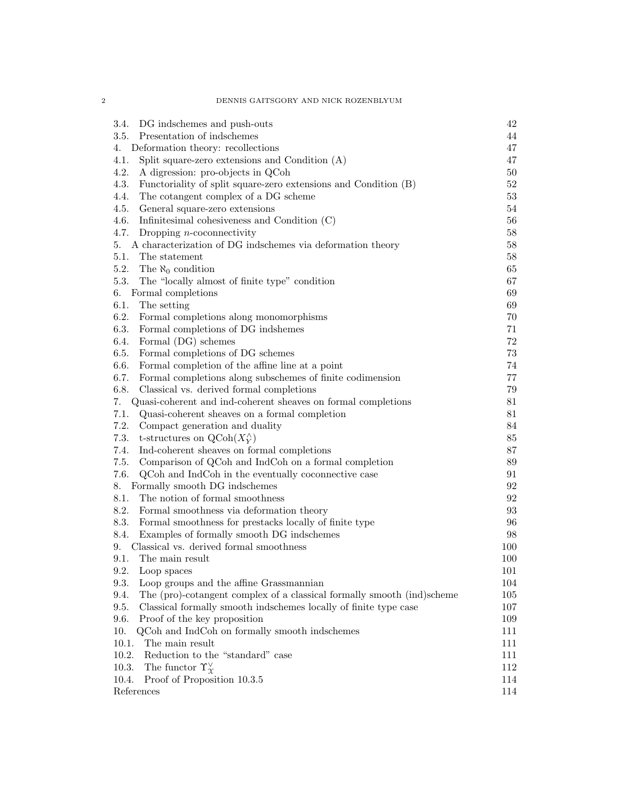| 3.4.<br>DG indschemes and push-outs                                            | 42      |
|--------------------------------------------------------------------------------|---------|
| Presentation of indschemes<br>3.5.                                             | 44      |
| Deformation theory: recollections<br>4.                                        | 47      |
| 4.1.<br>Split square-zero extensions and Condition $(A)$                       | 47      |
| 4.2.<br>A digression: pro-objects in QCoh                                      | 50      |
| 4.3.<br>Functoriality of split square-zero extensions and Condition (B)        | 52      |
| 4.4.<br>The cotangent complex of a DG scheme                                   | 53      |
| 4.5.<br>General square-zero extensions                                         | 54      |
| 4.6.<br>Infinitesimal cohesiveness and Condition $(C)$                         | 56      |
| 4.7.<br>Dropping $n$ -coconnectivity                                           | 58      |
| 5.<br>A characterization of DG indschemes via deformation theory               | 58      |
| 5.1.<br>The statement                                                          | 58      |
| 5.2.<br>The $\aleph_0$ condition                                               | 65      |
| 5.3.<br>The "locally almost of finite type" condition                          | 67      |
| 6. Formal completions                                                          | 69      |
| 6.1.<br>The setting                                                            | 69      |
| 6.2.<br>Formal completions along monomorphisms                                 | 70      |
| 6.3.<br>Formal completions of DG indshemes                                     | 71      |
| 6.4.<br>Formal (DG) schemes                                                    | 72      |
| 6.5.<br>Formal completions of DG schemes                                       | 73      |
| 6.6.<br>Formal completion of the affine line at a point                        | 74      |
| 6.7.<br>Formal completions along subschemes of finite codimension              | 77      |
| 6.8.<br>Classical vs. derived formal completions                               | 79      |
| Quasi-coherent and ind-coherent sheaves on formal completions<br>7.            | 81      |
| 7.1.<br>Quasi-coherent sheaves on a formal completion                          | 81      |
| 7.2.<br>Compact generation and duality                                         | 84      |
| 7.3.<br>t-structures on $\mathrm{QCoh}(X_Y^{\wedge})$                          | 85      |
| 7.4.<br>Ind-coherent sheaves on formal completions                             | 87      |
| 7.5.<br>Comparison of QCoh and IndCoh on a formal completion                   | 89      |
| 7.6.<br>QCoh and IndCoh in the eventually coconnective case                    | 91      |
| 8.<br>Formally smooth DG indschemes                                            | 92      |
| 8.1.<br>The notion of formal smoothness                                        | 92      |
| 8.2.<br>Formal smoothness via deformation theory                               | 93      |
| 8.3.<br>Formal smoothness for prestacks locally of finite type                 | 96      |
| 8.4.<br>Examples of formally smooth DG indschemes                              | 98      |
| Classical vs. derived formal smoothness<br>9.                                  | 100     |
| The main result<br>9.1.                                                        | 100     |
| 9.2. Loop spaces                                                               | $101\,$ |
| 9.3.<br>Loop groups and the affine Grassmannian                                | 104     |
| 9.4.<br>The (pro)-cotangent complex of a classical formally smooth (ind)scheme | 105     |
| 9.5.<br>Classical formally smooth indschemes locally of finite type case       | 107     |
| 9.6.<br>Proof of the key proposition                                           | 109     |
| 10.<br>QCoh and IndCoh on formally smooth indschemes                           | 111     |
| 10.1.<br>The main result                                                       | 111     |
| 10.2.<br>Reduction to the "standard" case                                      | 111     |
| The functor $\Upsilon_{\Upsilon}^{\vee}$<br>10.3.                              | 112     |
| Proof of Proposition 10.3.5<br>10.4.                                           | 114     |
| References                                                                     | 114     |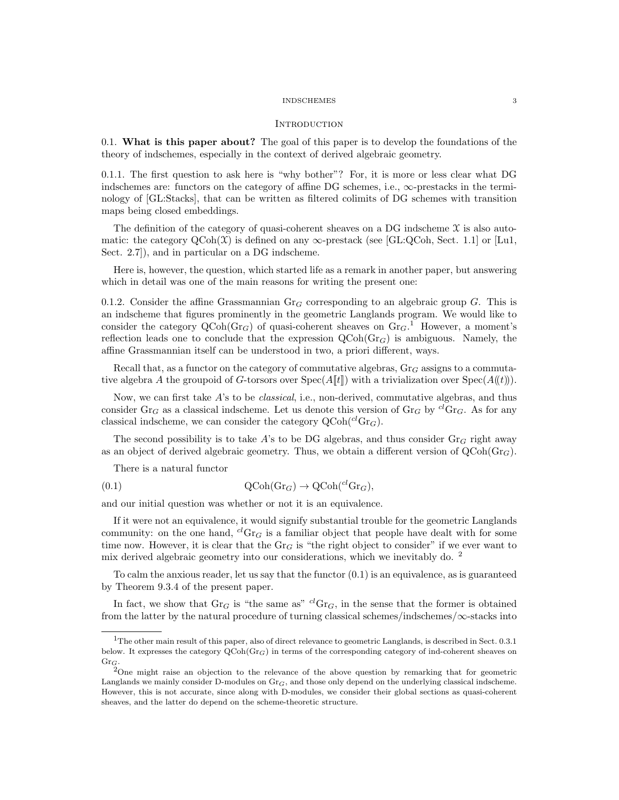#### **INTRODUCTION**

0.1. What is this paper about? The goal of this paper is to develop the foundations of the theory of indschemes, especially in the context of derived algebraic geometry.

0.1.1. The first question to ask here is "why bother"? For, it is more or less clear what DG indschemes are: functors on the category of affine DG schemes, i.e.,  $\infty$ -prestacks in the terminology of [GL:Stacks], that can be written as filtered colimits of DG schemes with transition maps being closed embeddings.

The definition of the category of quasi-coherent sheaves on a DG indscheme  $\mathfrak X$  is also automatic: the category  $QCoh(\mathcal{X})$  is defined on any  $\infty$ -prestack (see [GL:QCoh, Sect. 1.1] or [Lu1, Sect. 2.7]), and in particular on a DG indscheme.

Here is, however, the question, which started life as a remark in another paper, but answering which in detail was one of the main reasons for writing the present one:

0.1.2. Consider the affine Grassmannian  $Gr_G$  corresponding to an algebraic group G. This is an indscheme that figures prominently in the geometric Langlands program. We would like to consider the category  $Q\text{Coh}(Gr_G)$  of quasi-coherent sheaves on  $Gr_G$ .<sup>1</sup> However, a moment's reflection leads one to conclude that the expression  $QCoh(Gr_G)$  is ambiguous. Namely, the affine Grassmannian itself can be understood in two, a priori different, ways.

Recall that, as a functor on the category of commutative algebras,  $\text{Gr}_G$  assigns to a commutative algebra A the groupoid of G-torsors over  $Spec(A[\![t]\!])$  with a trivialization over  $Spec(A(\![t]\!)).$ 

Now, we can first take A's to be *classical*, i.e., non-derived, commutative algebras, and thus consider Gr<sub>G</sub> as a classical indscheme. Let us denote this version of Gr<sub>G</sub> by <sup>cl</sup>Gr<sub>G</sub>. As for any classical indscheme, we can consider the category  $Q\text{Coh}(^{cl}Gr_G)$ .

The second possibility is to take A's to be DG algebras, and thus consider  $Gr_G$  right away as an object of derived algebraic geometry. Thus, we obtain a different version of  $QCoh(Gr_G)$ .

There is a natural functor

(0.1) 
$$
\mathrm{QCoh}(\mathrm{Gr}_G) \to \mathrm{QCoh}({}^{cl}\mathrm{Gr}_G),
$$

and our initial question was whether or not it is an equivalence.

If it were not an equivalence, it would signify substantial trouble for the geometric Langlands community: on the one hand,  ${}^{cl}Gr_G$  is a familiar object that people have dealt with for some time now. However, it is clear that the  $Gr_G$  is "the right object to consider" if we ever want to mix derived algebraic geometry into our considerations, which we inevitably do. <sup>2</sup>

To calm the anxious reader, let us say that the functor (0.1) is an equivalence, as is guaranteed by Theorem 9.3.4 of the present paper.

In fact, we show that  $Gr_G$  is "the same as"  ${}^{cl}Gr_G$ , in the sense that the former is obtained from the latter by the natural procedure of turning classical schemes/indschemes/ $\infty$ -stacks into

<sup>1</sup>The other main result of this paper, also of direct relevance to geometric Langlands, is described in Sect. 0.3.1 below. It expresses the category  $QCoh(Gr_G)$  in terms of the corresponding category of ind-coherent sheaves on  $\mathrm{Gr}_G.$ 

<sup>&</sup>lt;sup>2</sup>One might raise an objection to the relevance of the above question by remarking that for geometric Langlands we mainly consider D-modules on  $Gr_G$ , and those only depend on the underlying classical indscheme. However, this is not accurate, since along with D-modules, we consider their global sections as quasi-coherent sheaves, and the latter do depend on the scheme-theoretic structure.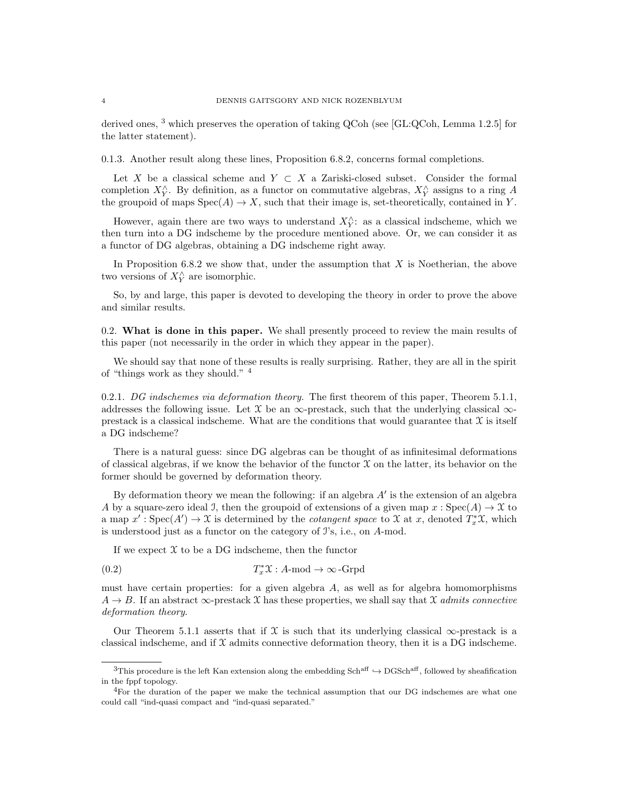derived ones, <sup>3</sup> which preserves the operation of taking QCoh (see [GL:QCoh, Lemma 1.2.5] for the latter statement).

0.1.3. Another result along these lines, Proposition 6.8.2, concerns formal completions.

Let X be a classical scheme and  $Y \subset X$  a Zariski-closed subset. Consider the formal completion  $X_Y^{\wedge}$ . By definition, as a functor on commutative algebras,  $X_Y^{\wedge}$  assigns to a ring A the groupoid of maps  $Spec(A) \to X$ , such that their image is, set-theoretically, contained in Y.

However, again there are two ways to understand  $X_Y^{\wedge}$ : as a classical indscheme, which we then turn into a DG indscheme by the procedure mentioned above. Or, we can consider it as a functor of DG algebras, obtaining a DG indscheme right away.

In Proposition 6.8.2 we show that, under the assumption that  $X$  is Noetherian, the above two versions of  $X_Y^{\wedge}$  are isomorphic.

So, by and large, this paper is devoted to developing the theory in order to prove the above and similar results.

0.2. What is done in this paper. We shall presently proceed to review the main results of this paper (not necessarily in the order in which they appear in the paper).

We should say that none of these results is really surprising. Rather, they are all in the spirit of "things work as they should." <sup>4</sup>

0.2.1. DG indschemes via deformation theory. The first theorem of this paper, Theorem 5.1.1, addresses the following issue. Let  $\mathfrak X$  be an  $\infty$ -prestack, such that the underlying classical  $\infty$ prestack is a classical indscheme. What are the conditions that would guarantee that  $\mathcal X$  is itself a DG indscheme?

There is a natural guess: since DG algebras can be thought of as infinitesimal deformations of classical algebras, if we know the behavior of the functor  $\mathfrak X$  on the latter, its behavior on the former should be governed by deformation theory.

By deformation theory we mean the following: if an algebra  $A'$  is the extension of an algebra A by a square-zero ideal J, then the groupoid of extensions of a given map  $x : Spec(A) \to \mathfrak{X}$  to a map  $x': Spec(A') \to \mathfrak{X}$  is determined by the *cotangent space* to  $\mathfrak{X}$  at x, denoted  $T_x^*\mathfrak{X}$ , which is understood just as a functor on the category of I's, i.e., on A-mod.

If we expect  $\mathfrak X$  to be a DG indscheme, then the functor

(0.2) 
$$
T_x^* \mathfrak{X}: A \text{-mod} \to \infty \text{-Grpd}
$$

must have certain properties: for a given algebra  $A$ , as well as for algebra homomorphisms  $A \rightarrow B$ . If an abstract  $\infty$ -prestack X has these properties, we shall say that X admits connective deformation theory.

Our Theorem 5.1.1 asserts that if X is such that its underlying classical  $\infty$ -prestack is a classical indscheme, and if  $\mathfrak X$  admits connective deformation theory, then it is a DG indscheme.

<sup>&</sup>lt;sup>3</sup>This procedure is the left Kan extension along the embedding Sch<sup>aff</sup>  $\rightarrow$  DGSch<sup>aff</sup>, followed by sheafification in the fppf topology.

<sup>4</sup>For the duration of the paper we make the technical assumption that our DG indschemes are what one could call "ind-quasi compact and "ind-quasi separated."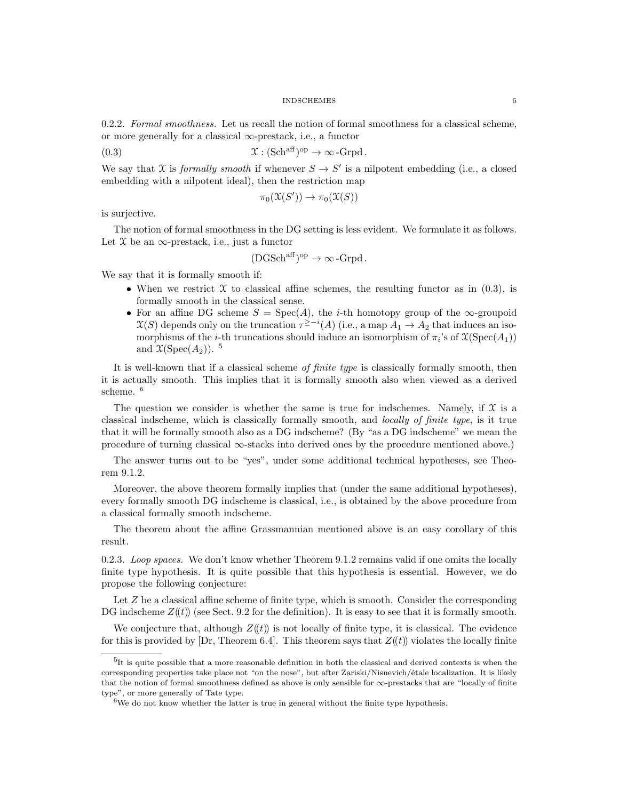0.2.2. Formal smoothness. Let us recall the notion of formal smoothness for a classical scheme, or more generally for a classical  $\infty$ -prestack, i.e., a functor

(0.3) 
$$
\mathfrak{X}: (\mathbf{Sch}^{\text{aff}})^{\text{op}} \to \infty\text{-}\mathbf{Grpd}.
$$

We say that X is *formally smooth* if whenever  $S \to S'$  is a nilpotent embedding (i.e., a closed embedding with a nilpotent ideal), then the restriction map

$$
\pi_0(\mathfrak{X}(S')) \to \pi_0(\mathfrak{X}(S))
$$

is surjective.

The notion of formal smoothness in the DG setting is less evident. We formulate it as follows. Let  $\mathfrak X$  be an  $\infty$ -prestack, i.e., just a functor

$$
(\mathrm{DGSch}^{\mathrm{aff}})^{\mathrm{op}} \to \infty\,\text{-}\mathrm{Grpd}\,.
$$

We say that it is formally smooth if:

- When we restrict  $\mathfrak X$  to classical affine schemes, the resulting functor as in (0.3), is formally smooth in the classical sense.
- For an affine DG scheme  $S = Spec(A)$ , the *i*-th homotopy group of the  $\infty$ -groupoid  $\mathfrak{X}(S)$  depends only on the truncation  $\tau^{\geq -i}(A)$  (i.e., a map  $A_1 \to A_2$  that induces an isomorphisms of the *i*-th truncations should induce an isomorphism of  $\pi_i$ 's of  $\mathfrak{X}(\mathrm{Spec}(A_1))$ and  $\mathfrak{X}(\mathrm{Spec}(A_2))$ .<sup>5</sup>

It is well-known that if a classical scheme of finite type is classically formally smooth, then it is actually smooth. This implies that it is formally smooth also when viewed as a derived scheme. <sup>6</sup>

The question we consider is whether the same is true for indschemes. Namely, if  $\mathfrak X$  is a classical indscheme, which is classically formally smooth, and locally of finite type, is it true that it will be formally smooth also as a DG indscheme? (By "as a DG indscheme" we mean the procedure of turning classical ∞-stacks into derived ones by the procedure mentioned above.)

The answer turns out to be "yes", under some additional technical hypotheses, see Theorem 9.1.2.

Moreover, the above theorem formally implies that (under the same additional hypotheses), every formally smooth DG indscheme is classical, i.e., is obtained by the above procedure from a classical formally smooth indscheme.

The theorem about the affine Grassmannian mentioned above is an easy corollary of this result.

0.2.3. Loop spaces. We don't know whether Theorem  $9.1.2$  remains valid if one omits the locally finite type hypothesis. It is quite possible that this hypothesis is essential. However, we do propose the following conjecture:

Let  $Z$  be a classical affine scheme of finite type, which is smooth. Consider the corresponding DG indscheme  $Z((t))$  (see Sect. 9.2 for the definition). It is easy to see that it is formally smooth.

We conjecture that, although  $Z(\ell t)$  is not locally of finite type, it is classical. The evidence for this is provided by [Dr, Theorem 6.4]. This theorem says that  $Z(\ell t)$  violates the locally finite

<sup>&</sup>lt;sup>5</sup>It is quite possible that a more reasonable definition in both the classical and derived contexts is when the corresponding properties take place not "on the nose", but after Zariski/Nisnevich/étale localization. It is likely that the notion of formal smoothness defined as above is only sensible for  $\infty$ -prestacks that are "locally of finite type", or more generally of Tate type.

 $6W$ e do not know whether the latter is true in general without the finite type hypothesis.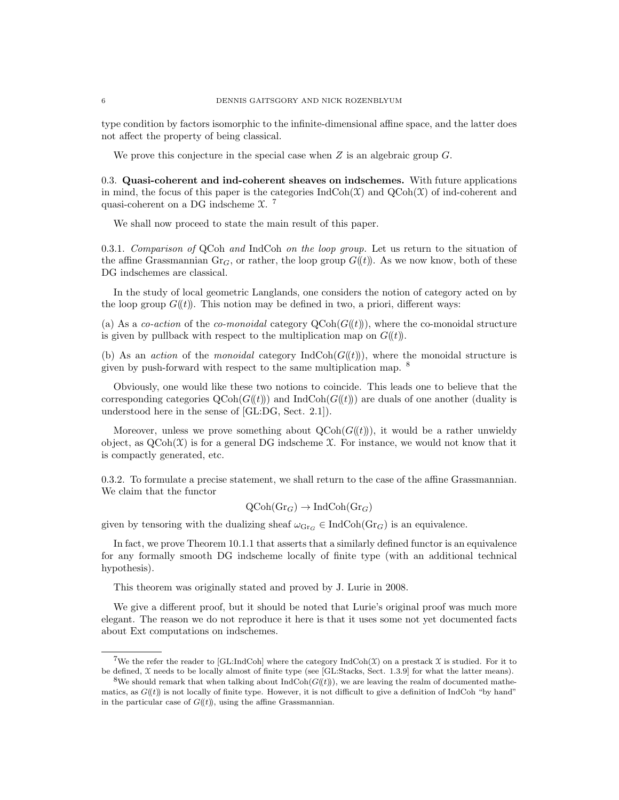type condition by factors isomorphic to the infinite-dimensional affine space, and the latter does not affect the property of being classical.

We prove this conjecture in the special case when  $Z$  is an algebraic group  $G$ .

0.3. Quasi-coherent and ind-coherent sheaves on indschemes. With future applications in mind, the focus of this paper is the categories  $\text{IndCoh}(\mathfrak{X})$  and  $\text{QCoh}(\mathfrak{X})$  of ind-coherent and quasi-coherent on a DG indscheme X. 7

We shall now proceed to state the main result of this paper.

0.3.1. Comparison of QCoh and IndCoh on the loop group. Let us return to the situation of the affine Grassmannian Gr<sub>G</sub>, or rather, the loop group  $G((t))$ . As we now know, both of these DG indschemes are classical.

In the study of local geometric Langlands, one considers the notion of category acted on by the loop group  $G(\ell t)$ . This notion may be defined in two, a priori, different ways:

(a) As a co-action of the co-monoidal category  $\text{QCoh}(G(\ell t))$ , where the co-monoidal structure is given by pullback with respect to the multiplication map on  $G(\ell)$ .

(b) As an *action* of the *monoidal* category  $\text{IndCoh}(G(\mathcal{U}))$ , where the monoidal structure is given by push-forward with respect to the same multiplication map. <sup>8</sup>

Obviously, one would like these two notions to coincide. This leads one to believe that the corresponding categories  $Q\text{Coh}(G(\mathcal{t}))$  and IndCoh( $G(\mathcal{t}))$ ) are duals of one another (duality is understood here in the sense of [GL:DG, Sect. 2.1]).

Moreover, unless we prove something about  $QCoh(G(\ell))$ , it would be a rather unwieldy object, as  $Q\text{Coh}(\mathcal{X})$  is for a general DG indscheme  $\mathcal{X}$ . For instance, we would not know that it is compactly generated, etc.

0.3.2. To formulate a precise statement, we shall return to the case of the affine Grassmannian. We claim that the functor

$$
\mathrm{QCoh}(\mathrm{Gr}_G) \to \mathrm{IndCoh}(\mathrm{Gr}_G)
$$

given by tensoring with the dualizing sheaf  $\omega_{\text{Gr}_G} \in \text{IndCoh}(\text{Gr}_G)$  is an equivalence.

In fact, we prove Theorem 10.1.1 that asserts that a similarly defined functor is an equivalence for any formally smooth DG indscheme locally of finite type (with an additional technical hypothesis).

This theorem was originally stated and proved by J. Lurie in 2008.

We give a different proof, but it should be noted that Lurie's original proof was much more elegant. The reason we do not reproduce it here is that it uses some not yet documented facts about Ext computations on indschemes.

<sup>&</sup>lt;sup>7</sup>We the refer the reader to [GL:IndCoh] where the category  $\text{IndCoh}(\mathfrak{X})$  on a prestack  $\mathfrak X$  is studied. For it to be defined, X needs to be locally almost of finite type (see [GL:Stacks, Sect. 1.3.9] for what the latter means).

<sup>&</sup>lt;sup>8</sup>We should remark that when talking about  $IndCoh(G(t)))$ , we are leaving the realm of documented mathematics, as  $G(\ell t)$  is not locally of finite type. However, it is not difficult to give a definition of IndCoh "by hand" in the particular case of  $G((t))$ , using the affine Grassmannian.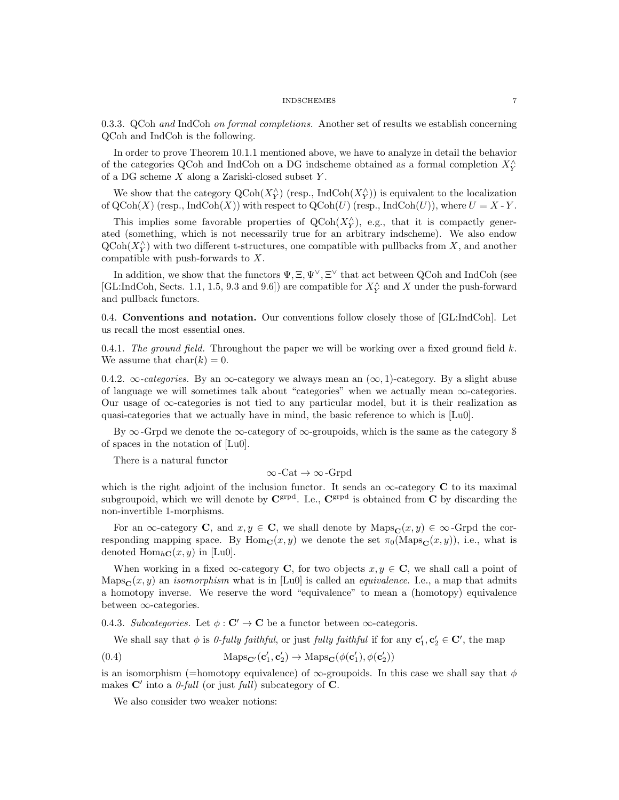0.3.3. QCoh and IndCoh on formal completions. Another set of results we establish concerning QCoh and IndCoh is the following.

In order to prove Theorem 10.1.1 mentioned above, we have to analyze in detail the behavior of the categories QCoh and IndCoh on a DG indscheme obtained as a formal completion  $X_{Y}^{\wedge}$ of a DG scheme  $X$  along a Zariski-closed subset  $Y$ .

We show that the category  $\text{QCoh}(X_Y^{\wedge})$  (resp., IndCoh $(X_Y^{\wedge})$ ) is equivalent to the localization of  $QCoh(X)$  (resp., IndCoh $(X)$ ) with respect to  $QCoh(U)$  (resp., IndCoh $(U)$ ), where  $U = X - Y$ .

This implies some favorable properties of  $Q\text{Coh}(X_Y^{\wedge})$ , e.g., that it is compactly generated (something, which is not necessarily true for an arbitrary indscheme). We also endow  $\operatorname{QCoh}(X_Y^{\wedge})$  with two different t-structures, one compatible with pullbacks from X, and another compatible with push-forwards to X.

In addition, we show that the functors  $\Psi, \Xi, \Psi^{\vee}, \Xi^{\vee}$  that act between QCoh and IndCoh (see [GL:IndCoh, Sects. 1.1, 1.5, 9.3 and 9.6]) are compatible for  $X_{Y}^{\wedge}$  and X under the push-forward and pullback functors.

0.4. Conventions and notation. Our conventions follow closely those of [GL:IndCoh]. Let us recall the most essential ones.

0.4.1. The ground field. Throughout the paper we will be working over a fixed ground field  $k$ . We assume that  $char(k) = 0$ .

0.4.2.  $\infty$ -categories. By an  $\infty$ -category we always mean an  $(\infty, 1)$ -category. By a slight abuse of language we will sometimes talk about "categories" when we actually mean  $\infty$ -categories. Our usage of  $\infty$ -categories is not tied to any particular model, but it is their realization as quasi-categories that we actually have in mind, the basic reference to which is [Lu0].

By  $\infty$ -Grpd we denote the  $\infty$ -category of  $\infty$ -groupoids, which is the same as the category S of spaces in the notation of [Lu0].

There is a natural functor

$$
\infty\text{-}\mathrm{Cat}\to\infty\text{-}\mathrm{Grpd}
$$

which is the right adjoint of the inclusion functor. It sends an  $\infty$ -category C to its maximal subgroupoid, which we will denote by  $\mathbf{C}^{\text{grpd}}$ . I.e.,  $\mathbf{C}^{\text{grpd}}$  is obtained from  $\overline{\mathbf{C}}$  by discarding the non-invertible 1-morphisms.

For an  $\infty$ -category **C**, and  $x, y \in \mathbf{C}$ , we shall denote by Maps $_{\mathbf{C}}(x, y) \in \infty$ -Grpd the corresponding mapping space. By Hom<sub>C</sub> $(x, y)$  we denote the set  $\pi_0(\text{Maps}_C(x, y))$ , i.e., what is denoted  $\text{Hom}_{h\mathbf{C}}(x, y)$  in [Lu0].

When working in a fixed  $\infty$ -category **C**, for two objects  $x, y \in \mathbf{C}$ , we shall call a point of Maps<sub>C</sub> $(x, y)$  an *isomorphism* what is in [Lu0] is called an *equivalence*. I.e., a map that admits a homotopy inverse. We reserve the word "equivalence" to mean a (homotopy) equivalence between ∞-categories.

0.4.3. Subcategories. Let  $\phi : \mathbf{C}' \to \mathbf{C}$  be a functor between  $\infty$ -categoris.

We shall say that  $\phi$  is *0-fully faithful*, or just *fully faithful* if for any  $\mathbf{c}'_1, \mathbf{c}'_2 \in \mathbf{C}'$ , the map

(0.4) 
$$
\text{Maps}_{\mathbf{C}'}(\mathbf{c}'_1, \mathbf{c}'_2) \to \text{Maps}_{\mathbf{C}}(\phi(\mathbf{c}'_1), \phi(\mathbf{c}'_2))
$$

is an isomorphism (=homotopy equivalence) of  $\infty$ -groupoids. In this case we shall say that  $\phi$ makes  $\mathbf{C}'$  into a *0-full* (or just *full*) subcategory of  $\mathbf{C}$ .

We also consider two weaker notions: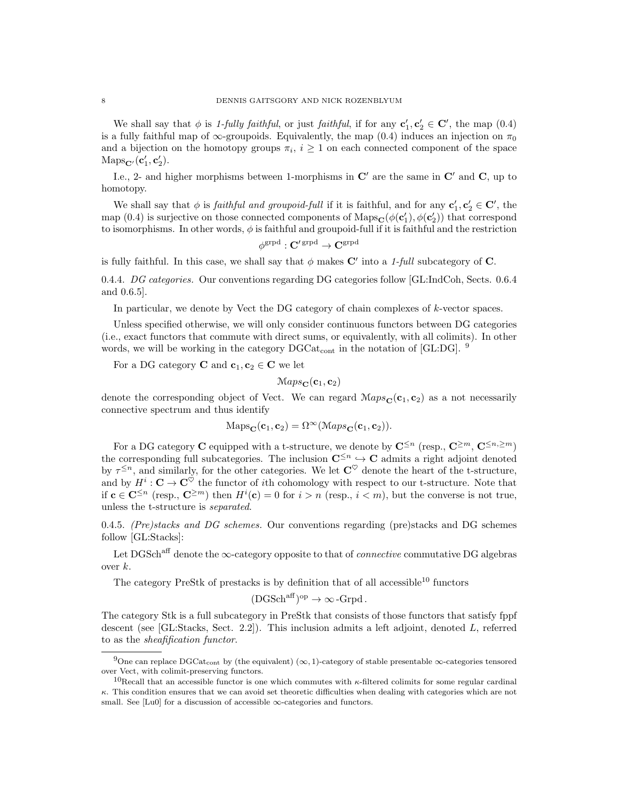We shall say that  $\phi$  is 1-fully faithful, or just faithful, if for any  $\mathbf{c}'_1, \mathbf{c}'_2 \in \mathbf{C}'$ , the map  $(0.4)$ is a fully faithful map of  $\infty$ -groupoids. Equivalently, the map (0.4) induces an injection on  $\pi_0$ and a bijection on the homotopy groups  $\pi_i$ ,  $i \geq 1$  on each connected component of the space  $\mathrm{Maps}_{\mathbf{C}'}(\mathbf{c}'_1, \mathbf{c}'_2).$ 

I.e., 2- and higher morphisms between 1-morphisms in  $\mathbb{C}'$  are the same in  $\mathbb{C}'$  and  $\mathbb{C}$ , up to homotopy.

We shall say that  $\phi$  is *faithful and groupoid-full* if it is faithful, and for any  $\mathbf{c}'_1, \mathbf{c}'_2 \in \mathbf{C}'$ , the map (0.4) is surjective on those connected components of  $\text{Maps}_{\mathbf{C}}(\phi(\mathbf{c}'_1), \phi(\mathbf{c}'_2))$  that correspond to isomorphisms. In other words,  $\phi$  is faithful and groupoid-full if it is faithful and the restriction

$$
\phi^{\mathrm{grpd}}: \mathbf{C}'^{\mathrm{grpd}} \to \mathbf{C}^{\mathrm{grpd}}
$$

is fully faithful. In this case, we shall say that  $\phi$  makes C' into a 1-full subcategory of C.

0.4.4. DG categories. Our conventions regarding DG categories follow [GL:IndCoh, Sects. 0.6.4 and 0.6.5].

In particular, we denote by Vect the DG category of chain complexes of  $k$ -vector spaces.

Unless specified otherwise, we will only consider continuous functors between DG categories (i.e., exact functors that commute with direct sums, or equivalently, with all colimits). In other words, we will be working in the category  $DGCat_{cont}$  in the notation of [GL:DG]. <sup>9</sup>

For a DG category **C** and  $c_1, c_2 \in \mathbb{C}$  we let

$$
Maps_{\mathbf{C}}(\mathbf{c}_1, \mathbf{c}_2)
$$

denote the corresponding object of Vect. We can regard  $\mathcal{M}ap_{\mathcal{S}_{\mathbf{C}}}(\mathbf{c}_1, \mathbf{c}_2)$  as a not necessarily connective spectrum and thus identify

$$
Maps_{\mathbf{C}}(\mathbf{c}_1, \mathbf{c}_2) = \Omega^{\infty} (Maps_{\mathbf{C}}(\mathbf{c}_1, \mathbf{c}_2)).
$$

For a DG category C equipped with a t-structure, we denote by  $\mathbb{C}^{\leq n}$  (resp.,  $\mathbb{C}^{\geq m}$ ,  $\mathbb{C}^{\leq n,\geq m}$ ) the corresponding full subcategories. The inclusion  $\mathbb{C}^{\leq n} \hookrightarrow \mathbb{C}$  admits a right adjoint denoted by  $\tau^{\leq n}$ , and similarly, for the other categories. We let  $\mathbb{C}^{\heartsuit}$  denote the heart of the t-structure, and by  $H^i$ :  $\mathbf{C} \to \mathbf{C}^\heartsuit$  the functor of *i*th cohomology with respect to our t-structure. Note that if  $\mathbf{c} \in \mathbf{C}^{\leq n}$  (resp.,  $\mathbf{C}^{\geq m}$ ) then  $H^i(\mathbf{c}) = 0$  for  $i > n$  (resp.,  $i < m$ ), but the converse is not true, unless the t-structure is separated.

0.4.5. (Pre)stacks and DG schemes. Our conventions regarding (pre)stacks and DG schemes follow [GL:Stacks]:

Let DGSch<sup>aff</sup> denote the  $\infty$ -category opposite to that of *connective* commutative DG algebras over k.

The category PreStk of prestacks is by definition that of all accessible<sup>10</sup> functors

$$
(\text{DGSch}^{\text{aff}})^{\text{op}} \to \infty\text{-}\text{Grpd}.
$$

The category Stk is a full subcategory in PreStk that consists of those functors that satisfy fppf descent (see [GL:Stacks, Sect. 2.2]). This inclusion admits a left adjoint, denoted L, referred to as the sheafification functor.

<sup>&</sup>lt;sup>9</sup>One can replace DGCat<sub>cont</sub> by (the equivalent) (∞, 1)-category of stable presentable ∞-categories tensored over Vect, with colimit-preserving functors.

<sup>&</sup>lt;sup>10</sup>Recall that an accessible functor is one which commutes with  $\kappa$ -filtered colimits for some regular cardinal κ. This condition ensures that we can avoid set theoretic difficulties when dealing with categories which are not small. See [Lu0] for a discussion of accessible  $\infty$ -categories and functors.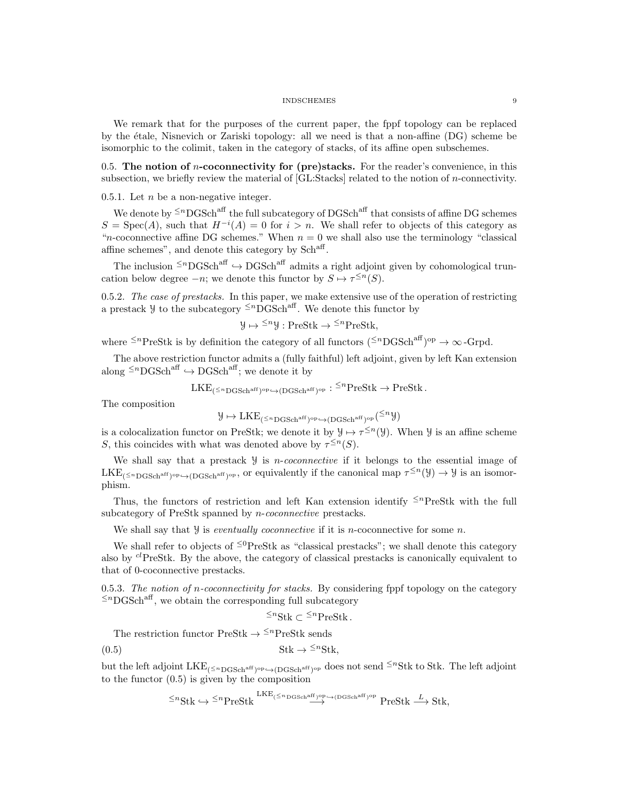We remark that for the purposes of the current paper, the fppf topology can be replaced by the ´etale, Nisnevich or Zariski topology: all we need is that a non-affine (DG) scheme be isomorphic to the colimit, taken in the category of stacks, of its affine open subschemes.

0.5. The notion of  $n$ -coconnectivity for (pre)stacks. For the reader's convenience, in this subsection, we briefly review the material of [GL:Stacks] related to the notion of n-connectivity.

0.5.1. Let  $n$  be a non-negative integer.

We denote by  $\leq^n$ DGSch<sup>aff</sup> the full subcategory of DGSch<sup>aff</sup> that consists of affine DG schemes  $S = \text{Spec}(A)$ , such that  $H^{-i}(A) = 0$  for  $i > n$ . We shall refer to objects of this category as "*n*-coconnective affine DG schemes." When  $n = 0$  we shall also use the terminology "classical" affine schemes", and denote this category by Sch<sup>aff</sup>.

The inclusion  $\leq^n\mathrm{DGSch}^{\mathrm{aff}}\hookrightarrow \mathrm{DGSch}^{\mathrm{aff}}$  admits a right adjoint given by cohomological truncation below degree  $-n$ ; we denote this functor by  $S \mapsto \tau^{\leq n}(S)$ .

0.5.2. The case of prestacks. In this paper, we make extensive use of the operation of restricting a prestack  $\mathcal{Y}$  to the subcategory  $\leq^n$ DGSch<sup>aff</sup>. We denote this functor by

$$
y \mapsto \leq^n y : \text{PreStk} \to \leq^n \text{PreStk},
$$

where  $\leq^n$ PreStk is by definition the category of all functors  $($  $\leq^n$ DGSch<sup>aff</sup> $)$ <sup>op</sup>  $\rightarrow \infty$ -Grpd.

The above restriction functor admits a (fully faithful) left adjoint, given by left Kan extension along  $\leq^n$ DGSch<sup>aff</sup>  $\hookrightarrow$  DGSch<sup>aff</sup>; we denote it by

$$
\mathrm{LKE}_{(\leq^n \mathrm{DGSch}^{\mathrm{aff}})^{\mathrm{op}} \leftrightarrow (\mathrm{DGSch}^{\mathrm{aff}})^{\mathrm{op}}} : {}^{\leq n}\mathrm{PreStk} \to \mathrm{PreStk} \, .
$$

The composition

$$
\mathcal{Y}\mapsto \mathrm{LKE}_{(\leq^n\mathrm{DGSch}^{\mathrm{aff}})^{\mathrm{op}}\hookrightarrow (\mathrm{DGSch}^{\mathrm{aff}})^{\mathrm{op}}}(\leq^n \mathcal{Y})
$$

is a colocalization functor on PreStk; we denote it by  $\mathcal{Y} \mapsto \tau^{\leq n}(\mathcal{Y})$ . When  $\mathcal{Y}$  is an affine scheme S, this coincides with what was denoted above by  $\tau^{\leq n}(S)$ .

We shall say that a prestack  $\mathcal{Y}$  is *n*-coconnective if it belongs to the essential image of  $LKE_{(\leq nDGSch^{aff})^{op}} \rightarrow (DGSch^{aff})^{op}$ , or equivalently if the canonical map  $\tau^{\leq n}(\mathcal{Y}) \rightarrow \mathcal{Y}$  is an isomorphism.

Thus, the functors of restriction and left Kan extension identify  $\leq^{n}$ PreStk with the full subcategory of PreStk spanned by *n*-coconnective prestacks.

We shall say that  $\mathcal Y$  is *eventually coconnective* if it is *n*-coconnective for some *n*.

We shall refer to objects of  $\leq^0$ PreStk as "classical prestacks"; we shall denote this category also by  $\alpha$  PreStk. By the above, the category of classical prestacks is canonically equivalent to that of 0-coconnective prestacks.

0.5.3. The notion of n-coconnectivity for stacks. By considering fppf topology on the category  $\leq$ <sup>n</sup>DGSch<sup>aff</sup>, we obtain the corresponding full subcategory

$$
\leq^n \text{Stk} \subset \leq^n \text{PreStk}.
$$

The restriction functor PreStk  $\rightarrow \leq^n$ PreStk sends

(0.5) Stk → <sup>≤</sup><sup>n</sup>Stk,

but the left adjoint  $LKE_{(\leq nDGSch^{aff})^{op}} \hookrightarrow (DGSch^{aff})^{op}}$  does not send  $\leq^nStk$  to Stk. The left adjoint to the functor  $(0.5)$  is given by the composition

$$
\leq^n \text{Stk} \hookrightarrow \leq^n \text{PreStk} \xrightarrow{\text{LKE}_{(\leq^n \text{DGSch}^{\text{aff}})^{\text{op}} \hookrightarrow (\text{DGSch}^{\text{aff}})^{\text{op}}}} \text{PreStk} \xrightarrow{L} \text{Stk},
$$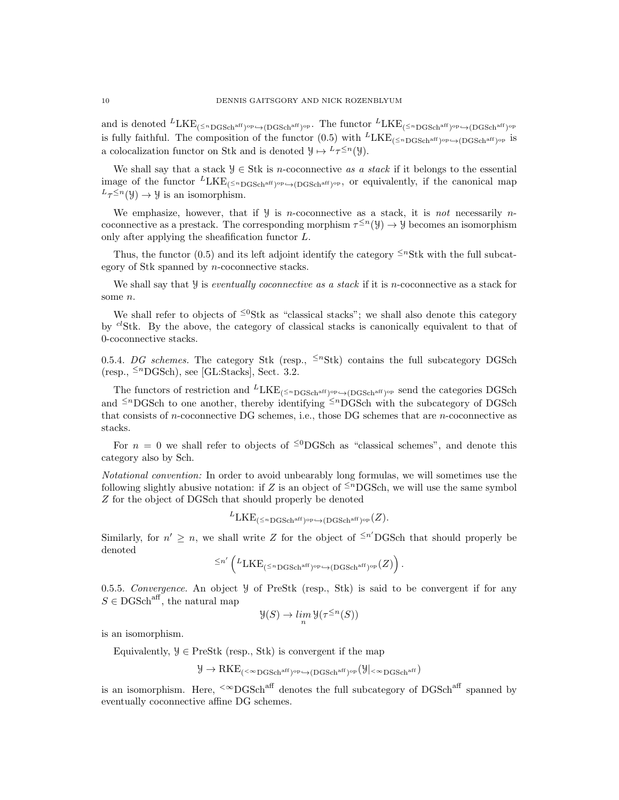and is denoted  ${}^L \text{LKE}_{(\leq n\text{DGSch}^\text{aff})^\text{op}} \rightarrow (\text{DGSch}^\text{aff})^\text{op}}$ . The functor  ${}^L \text{LKE}_{(\leq n\text{DGSch}^\text{aff})^\text{op}} \rightarrow (\text{DGSch}^\text{aff})^\text{op}}$ is fully faithful. The composition of the functor  $(0.5)$  with  ${}^L LKE_{(\leq nDGSch^{aff})^{op} \rightarrow (DGSch^{aff})^{op}}$  is a colocalization functor on Stk and is denoted  $\mathcal{Y} \mapsto L_{\tau} \leq n(\mathcal{Y})$ .

We shall say that a stack  $\mathcal{Y} \in \text{Stk}$  is *n*-coconnective as a stack if it belongs to the essential image of the functor  ${}^L LKE_{(\leq n_{\text{DGSch}}^{aff})^{\text{op}}} \rightarrow (DGSch^{aff})^{\text{op}}$ , or equivalently, if the canonical map  $L_{\tau} \leq n(\mathcal{Y}) \to \mathcal{Y}$  is an isomorphism.

We emphasize, however, that if  $\mathcal{Y}$  is *n*-coconnective as a stack, it is *not* necessarily *n*coconnective as a prestack. The corresponding morphism  $\tau^{\leq n}(\mathcal{Y}) \to \mathcal{Y}$  becomes an isomorphism only after applying the sheafification functor L.

Thus, the functor (0.5) and its left adjoint identify the category  $\leq^n$ Stk with the full subcategory of Stk spanned by n-coconnective stacks.

We shall say that  $\mathcal Y$  is *eventually coconnective as a stack* if it is *n*-coconnective as a stack for some n.

We shall refer to objects of  $\leq^0$ Stk as "classical stacks"; we shall also denote this category by  ${}^{cl}$ Stk. By the above, the category of classical stacks is canonically equivalent to that of 0-coconnective stacks.

0.5.4. DG schemes. The category Stk (resp.,  $\leq^n$ Stk) contains the full subcategory DGSch  $(resp., \leq^n \text{DGSch}$ , see [GL:Stacks], Sect. 3.2.

The functors of restriction and  ${}^{L}LKE_{(\leq n)}$ <sub>GSch<sup>aff</sup>)<sup>op</sup> $\leftrightarrow$ (DGSch<sup>aff</sup>)<sup>op</sup> send the categories DGSch</sub> and  $\leq n$ DGSch to one another, thereby identifying  $\leq n$ DGSch with the subcategory of DGSch that consists of n-coconnective DG schemes, i.e., those DG schemes that are n-coconnective as stacks.

For  $n = 0$  we shall refer to objects of <sup>≤0</sup>DGSch as "classical schemes", and denote this category also by Sch.

Notational convention: In order to avoid unbearably long formulas, we will sometimes use the following slightly abusive notation: if Z is an object of  $\leq^{n}$ DGSch, we will use the same symbol Z for the object of DGSch that should properly be denoted

$$
{}^L \mathrm{LKE}_{(\leq n\,\mathrm{DGSch}^{\mathrm{aff}})^{\mathrm{op}} \leftrightarrow (\mathrm{DGSch}^{\mathrm{aff}})^{\mathrm{op}}} (Z).
$$

Similarly, for  $n' \geq n$ , we shall write Z for the object of <sup> $\leq n'$ </sup>DGSch that should properly be denoted

$$
\leq n' \left( {}^L \mathrm{LKE}_{(\leq^n \mathrm{DGSch}^{\mathrm{aff}})^{\mathrm{op}}} \rightarrow (\mathrm{DGSch}^{\mathrm{aff}})^{\mathrm{op}}(Z) \right).
$$

0.5.5. Convergence. An object  $\mathcal Y$  of PreStk (resp., Stk) is said to be convergent if for any  $S \in \text{DGSch}^{\text{aff}}$ , the natural map

$$
\mathcal{Y}(S) \to \lim_{n} \mathcal{Y}(\tau^{\leq n}(S))
$$

is an isomorphism.

Equivalently,  $\mathcal{Y} \in \text{PreStk}$  (resp., Stk) is convergent if the map

$$
\mathcal{Y} \rightarrow \mathrm{RKE}_{(<^{\infty}DGSch^{aff})^{op} \hookrightarrow (DGSch^{aff})^{op}}(\mathcal{Y}|_{<^{\infty}DGSch^{aff}})
$$

is an isomorphism. Here,  $\leq^{\infty}$ DGSch<sup>aff</sup> denotes the full subcategory of DGSch<sup>aff</sup> spanned by eventually coconnective affine DG schemes.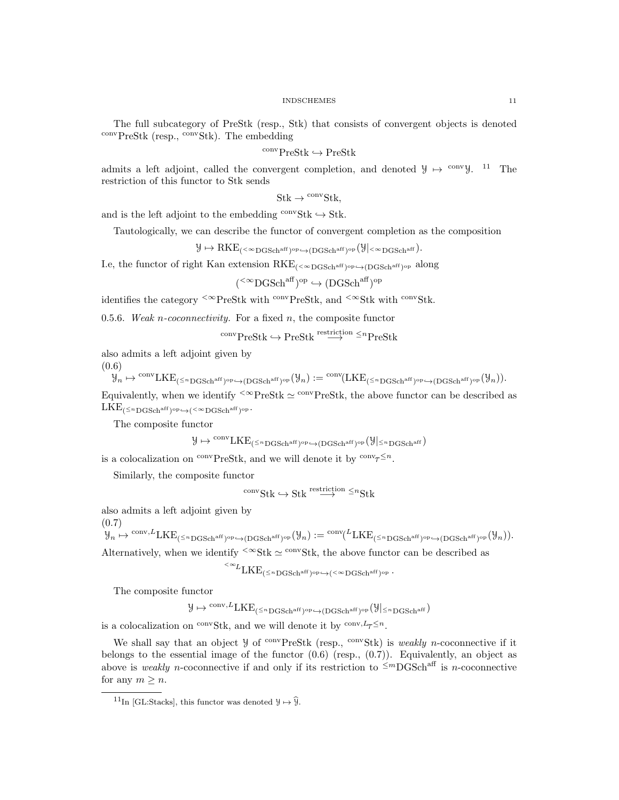The full subcategory of PreStk (resp., Stk) that consists of convergent objects is denoted  $\frac{\text{conv}}{\text{PreStk}}$  (resp.,  $\frac{\text{conv}}{\text{Stk}}$ ). The embedding

 $\operatorname{conv}\mathsf{PreStk}\hookrightarrow\mathsf{PreStk}$ 

admits a left adjoint, called the convergent completion, and denoted  $\mathcal{Y} \mapsto$  <sup>conv</sup>y. <sup>11</sup> The restriction of this functor to Stk sends

$$
Stk \to \rm ^{conv}Stk,
$$

and is the left adjoint to the embedding  $\text{conv}Stk \hookrightarrow Stk$ .

Tautologically, we can describe the functor of convergent completion as the composition

 $\mathcal{Y} \mapsto \mathrm{RKE}_{(<^{\infty} \mathrm{DGSch}^{\mathrm{aff}})^{\mathrm{op}} \hookrightarrow (\mathrm{DGSch}^{\mathrm{aff}})^{\mathrm{op}}}(\mathcal{Y}|_{<^{\infty} \mathrm{DGSch}^{\mathrm{aff}}}).$ 

Le, the functor of right Kan extension  $RKE_{( $\infty$ DGSch<sup>aff</sup>)^{op} \rightarrow (DGSch<sup>aff</sup>)^{op}}$  along

 $({}^{<\infty} {\rm DGSch}^{\rm aff})^{\rm op} \hookrightarrow ({\rm DGSch}^{\rm aff})^{\rm op}$ 

identifies the category  $\leq \infty$ PreStk with  $\leq \infty$ Stk, and  $\leq \infty$ Stk with  $\leq \infty$ Stk.

0.5.6. Weak n-coconnectivity. For a fixed n, the composite functor

 $\text{conv}\text{PreStk} \hookrightarrow \text{PreStk} \overset{\text{restriction of } n}{\longrightarrow} \text{PreStk}$ 

also admits a left adjoint given by

(0.6)

$$
\mathcal{Y}_n \mapsto \overset{\mathrm{conv}}{\longmapsto} \mathrm{LKE}_{(\leq^n\mathrm{DGSch}^{\mathrm{aff}})^{\mathrm{op}} \leftrightarrow (\mathrm{DGSch}^{\mathrm{aff}})^{\mathrm{op}}}(\mathcal{Y}_n) := \overset{\mathrm{conv}}{\longmapsto} (\mathrm{LKE}_{(\leq^n\mathrm{DGSch}^{\mathrm{aff}})^{\mathrm{op}} \leftrightarrow (\mathrm{DGSch}^{\mathrm{aff}})^{\mathrm{op}}}(\mathcal{Y}_n)).
$$

Equivalently, when we identify  $\leq \infty$ PreStk  $\simeq$  convPreStk, the above functor can be described as  $\text{LKE}_{(\leq n\,\text{DGSch}^{\text{aff}})^{\text{op}} \hookrightarrow (<^{\infty}\text{DGSch}^{\text{aff}})^{\text{op}}}.$ 

The composite functor

 $\mathcal{Y} \mapsto \frac{\mathrm{conv}_\text{LKE}(\leq n_\text{DGSch}^\text{aff})^\text{op} \hookrightarrow (\text{DGSch}^\text{aff})^\text{op}}{(\mathcal{Y}|\leq n_\text{DGSch}^\text{aff})}$ 

is a colocalization on <sup>conv</sup>PreStk, and we will denote it by  $\text{conv}_{\tau} \leq n$ .

Similarly, the composite functor

$$
{}^{\mathrm{conv}}\mathrm{Stk} \hookrightarrow \mathrm{Stk} \stackrel{\mathrm{restriction}}{\longrightarrow} {}^{\leq n}\mathrm{Stk}
$$

also admits a left adjoint given by

(0.7)

 $\mathcal{Y}_n \mapsto \frac{\mathrm{conv},L}{\mathrm{LKE}}_{(\leq n\mathrm{DGSch}^{\mathrm{aff}})^{\mathrm{op}} \hookrightarrow (\mathrm{DGSch}^{\mathrm{aff}})^{\mathrm{op}}}(\mathcal{Y}_n) := \frac{\mathrm{conv}(L_{\mathrm{LKE}}_{(\leq n\mathrm{DGSch}^{\mathrm{aff}})^{\mathrm{op}} \hookrightarrow (\mathrm{DGSch}^{\mathrm{aff}})^{\mathrm{op}}}(\mathcal{Y}_n))}{\mathrm{cov}}.$ Alternatively, when we identify  $\frac{<\infty}{s}$ tk  $\simeq$  convStk, the above functor can be described as

$$
{}^{<\infty}{\rm LKE}_{(\leq n\,{\rm DGSch}^{\rm aff})^{\rm op}\hookrightarrow ({}^{<\infty}{\rm DGSch}^{\rm aff})^{\rm op}}\cdot
$$

The composite functor

 $\mathcal{Y} \mapsto \frac{\mathrm{conv},L}{\mathrm{LKE}}(\leq n\mathrm{DGSch}^{\mathrm{aff}})^\mathrm{op} \hookrightarrow (\mathrm{DGSch}^{\mathrm{aff}})^\mathrm{op} \big(\mathcal{Y} \big| \leq n\mathrm{DGSch}^{\mathrm{aff}}\big)$ 

is a colocalization on <sup>conv</sup>Stk, and we will denote it by <sup>conv,  $L_{\tau} \leq n$ </sup>.

We shall say that an object  $\mathcal Y$  of <sup>conv</sup>PreStk (resp., <sup>conv</sup>Stk) is *weakly n*-coconnective if it belongs to the essential image of the functor  $(0.6)$  (resp.,  $(0.7)$ ). Equivalently, an object as above is weakly n-coconnective if and only if its restriction to  $\leq^m$ DGSch<sup>aff</sup> is n-coconnective for any  $m \geq n$ .

<sup>&</sup>lt;sup>11</sup>In [GL:Stacks], this functor was denoted  $\mathcal{Y} \mapsto \hat{\mathcal{Y}}$ .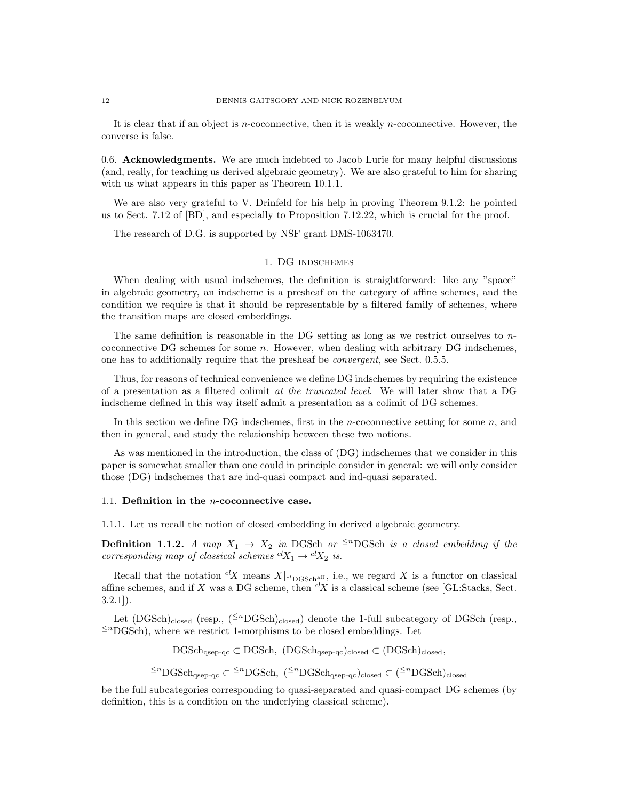It is clear that if an object is n-coconnective, then it is weakly n-coconnective. However, the converse is false.

0.6. Acknowledgments. We are much indebted to Jacob Lurie for many helpful discussions (and, really, for teaching us derived algebraic geometry). We are also grateful to him for sharing with us what appears in this paper as Theorem 10.1.1.

We are also very grateful to V. Drinfeld for his help in proving Theorem 9.1.2: he pointed us to Sect. 7.12 of [BD], and especially to Proposition 7.12.22, which is crucial for the proof.

The research of D.G. is supported by NSF grant DMS-1063470.

# 1. DG indschemes

When dealing with usual indschemes, the definition is straightforward: like any "space" in algebraic geometry, an indscheme is a presheaf on the category of affine schemes, and the condition we require is that it should be representable by a filtered family of schemes, where the transition maps are closed embeddings.

The same definition is reasonable in the DG setting as long as we restrict ourselves to  $n$ coconnective DG schemes for some  $n$ . However, when dealing with arbitrary DG indschemes, one has to additionally require that the presheaf be convergent, see Sect. 0.5.5.

Thus, for reasons of technical convenience we define DG indschemes by requiring the existence of a presentation as a filtered colimit at the truncated level. We will later show that a DG indscheme defined in this way itself admit a presentation as a colimit of DG schemes.

In this section we define DG indschemes, first in the *n*-coconnective setting for some  $n$ , and then in general, and study the relationship between these two notions.

As was mentioned in the introduction, the class of (DG) indschemes that we consider in this paper is somewhat smaller than one could in principle consider in general: we will only consider those (DG) indschemes that are ind-quasi compact and ind-quasi separated.

### 1.1. Definition in the n-coconnective case.

1.1.1. Let us recall the notion of closed embedding in derived algebraic geometry.

**Definition 1.1.2.** A map  $X_1 \rightarrow X_2$  in DGSch or <sup> $\leq n$ </sup>DGSch is a closed embedding if the corresponding map of classical schemes  ${}^{cl}X_1 \rightarrow {}^{cl}X_2$  is.

Recall that the notation <sup>cl</sup>X means  $X|_{c}$  of  $C_{\text{DGSch}}$  and  $C_{\text{DGSch}}$  is a functor on classical affine schemes, and if X was a DG scheme, then  ${}^{cl}X$  is a classical scheme (see [GL:Stacks, Sect. 3.2.1]).

Let  $(DGSch)_{closed}$  (resp.,  $({}^{2n}DGSch)_{closed}$ ) denote the 1-full subcategory of DGSch (resp.,  $\leq$ <sup>n</sup>DGSch), where we restrict 1-morphisms to be closed embeddings. Let

 $\rm DGSch_{\rm (sep-qc)} \subset DGSch$ ,  $(DGSch_{\rm (sep-qc)})_{closed} \subset (DGSch)_{closed}$ ,

<sup>≤n</sup>DGSch<sub>qsep-qc</sub> ⊂ <sup>≤n</sup>DGSch, (<sup>≤n</sup>DGSch<sub>qsep-qc</sub>)<sub>closed</sub> ⊂ (<sup>≤n</sup>DGSch)<sub>closed</sub>

be the full subcategories corresponding to quasi-separated and quasi-compact DG schemes (by definition, this is a condition on the underlying classical scheme).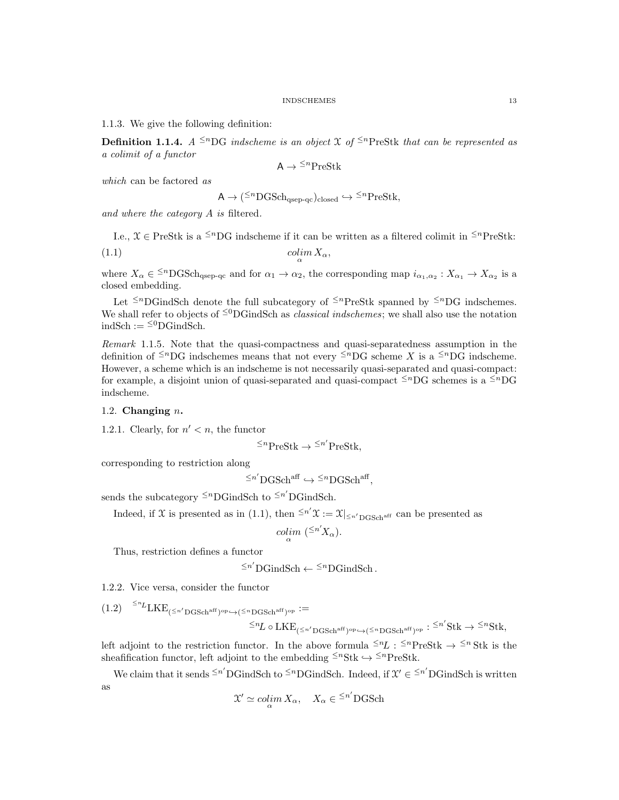1.1.3. We give the following definition:

**Definition 1.1.4.** A <sup>≤n</sup>DG indscheme is an object X of <sup>≤n</sup>PreStk that can be represented as a colimit of a functor

$$
A \to {}^{\leq n} \mathrm{PreStk}
$$

which can be factored as

$$
A \to ({}^{\leq n}D{\rm GSch}_{\rm qsep\text{-}qc})_{\rm closed} \hookrightarrow {}^{\leq n}{\rm PreStk},
$$

and where the category A is filtered.

I.e.,  $\mathcal{X} \in \text{PreStk}$  is a <sup> $\leq n$ </sup>DG indscheme if it can be written as a filtered colimit in  $\leq^n$ PreStk: (1.1) colim  $X_{\alpha}$ ,

where  $X_{\alpha} \in {}^{\leq n} {\rm DGSch}_{qsep-qc}$  and for  $\alpha_1 \to \alpha_2$ , the corresponding map  $i_{\alpha_1,\alpha_2}: X_{\alpha_1} \to X_{\alpha_2}$  is a closed embedding.

Let  $\leq^{n}$ DGindSch denote the full subcategory of  $\leq^{n}$ PreStk spanned by  $\leq^{n}$ DG indschemes. We shall refer to objects of  $\leq^0$ DGindSch as *classical indschemes*; we shall also use the notation  $\operatorname{indSch} := {}^{\leq 0}\mathbf{DGindSch}.$ 

Remark 1.1.5. Note that the quasi-compactness and quasi-separatedness assumption in the definition of <sup> $\leq n$ </sup>DG indschemes means that not every  $\leq n$ DG scheme X is a  $\leq n$ DG indscheme. However, a scheme which is an indscheme is not necessarily quasi-separated and quasi-compact: for example, a disjoint union of quasi-separated and quasi-compact  $\leq^{n}$ DG schemes is a  $\leq^{n}$ DG indscheme.

## 1.2. Changing  $n$ .

1.2.1. Clearly, for  $n' < n$ , the functor

 $\leq^n$ PreStk  $\rightarrow \leq^{n'}$ PreStk,

corresponding to restriction along

$$
\leq^{n'}\mathbf{DGSch}^{\text{aff}} \hookrightarrow \leq^{n}\mathbf{DGSch}^{\text{aff}},
$$

sends the subcategory  $\leq^n$ DGindSch to  $\leq^n$ <sup>'</sup>DGindSch.

Indeed, if X is presented as in (1.1), then  $\leq n'$   $\mathfrak{X} := \mathfrak{X}|_{\leq n' \text{DGSch}^{\text{aff}}}$  can be presented as

$$
colim_{\alpha} \; ({}^{\leq n'}X_{\alpha}).
$$

Thus, restriction defines a functor

$$
\leq^{n'}\!\operatorname{DGindSch}\nolimits \leftarrow \leq^n\!\operatorname{DGindSch}\nolimits.
$$

1.2.2. Vice versa, consider the functor

 $(1.2) \quad \leq^{\scriptscriptstyle nL} \text{LKE}_{(\leq n'\text{DGSch}^{\text{aff}})^{\text{op}} \hookrightarrow (\leq^{\scriptscriptstyle n}\text{DGSch}^{\text{aff}})^{\text{op}}} :=$ 

$$
\leq^n L \circ \mathrm{LKE}_{(\leq n' \mathrm{DGSch}^{\mathrm{aff}})^{\mathrm{op}}} \hookrightarrow (\leq^n \mathrm{DGSch}^{\mathrm{aff}})^{\mathrm{op}} : \leq^{n'} \mathrm{Stk} \to \leq^n \mathrm{Stk},
$$

left adjoint to the restriction functor. In the above formula  $\leq nL : \leq^n$  Presk  $\rightarrow \leq^n$ Stk is thesheafification functor, left adjoint to the embedding  $\leq^n \text{Stk} \hookrightarrow \leq^n \text{PreStk}$ .

We claim that it sends  $\leq n'$ DGindSch to  $\leq n$ DGindSch. Indeed, if  $\mathcal{X}' \in \leq n'$ DGindSch is written as

$$
\mathfrak{X}' \simeq \operatornamewithlimits{colim}_{\alpha} X_{\alpha}, \quad X_{\alpha} \in {}^{\leq n'}\mathbf{DGSch}
$$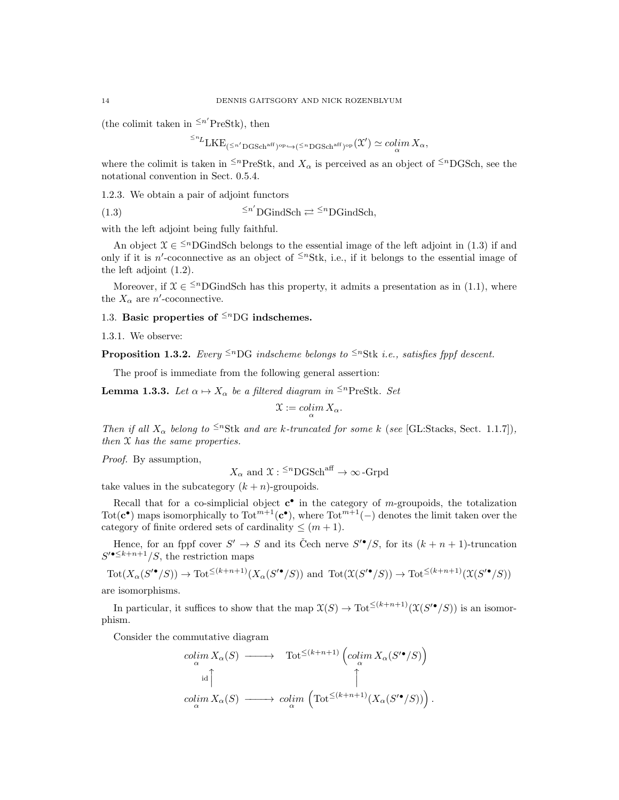(the colimit taken in  $\leq n'$ PreStk), then

$$
{}^{\leq n}L\textnormal{LKE}_{(\leq n'\textnormal{DGSch}^{\textnormal{aff}})^{\textnormal{op}} \hookrightarrow (\leq^n\textnormal{DGSch}^{\textnormal{aff}})^{\textnormal{op}}}(\mathcal{X}')\simeq \operatorname*{colim}_\alpha X_\alpha,
$$

where the colimit is taken in <sup> $\leq n$ </sup>PreStk, and  $X_\alpha$  is perceived as an object of  $\leq n$ DGSch, see the notational convention in Sect. 0.5.4.

1.2.3. We obtain a pair of adjoint functors

 $(1.3)$   $\leq n$  $\overleftrightarrow{D}$ GindSch  $\rightleftarrows$   $\leq$ <sup>n</sup>DGindSch,

with the left adjoint being fully faithful.

An object  $\mathcal{X} \in \leq^{n}$ DGindSch belongs to the essential image of the left adjoint in (1.3) if and only if it is n'-coconnective as an object of  $\leq^n$ Stk, i.e., if it belongs to the essential image of the left adjoint (1.2).

Moreover, if  $\mathcal{X} \in \leq^{n}$ DGindSch has this property, it admits a presentation as in (1.1), where the  $X_{\alpha}$  are *n'*-coconnective.

# 1.3. Basic properties of  $\leq^{n}$ DG indschemes.

1.3.1. We observe:

**Proposition 1.3.2.** Every <sup> $\leq n$ </sup>DG indscheme belongs to  $\leq^n$ Stk i.e., satisfies fppf descent.

The proof is immediate from the following general assertion:

**Lemma 1.3.3.** Let  $\alpha \mapsto X_{\alpha}$  be a filtered diagram in <sup> $\leq n$ </sup>PreStk. Set

$$
\mathfrak{X} := \operatornamewithlimits{colim}_\alpha X_\alpha.
$$

Then if all  $X_{\alpha}$  belong to <sup> $\leq n$ </sup>Stk and are k-truncated for some k (see [GL:Stacks, Sect. 1.1.7]), then X has the same properties.

Proof. By assumption,

$$
X_{\alpha}
$$
 and  $\mathfrak{X}: \leq^{n} {\mathrm{DGSch}}^{\mathrm{aff}} \to \infty$ -Grpd

take values in the subcategory  $(k + n)$ -groupoids.

Recall that for a co-simplicial object  $\mathbf{c}^{\bullet}$  in the category of *m*-groupoids, the totalization Tot( $c^{\bullet}$ ) maps isomorphically to Tot<sup> $m+1$ </sup>( $c^{\bullet}$ ), where Tot $m+1$ <sup>-1</sup>(-) denotes the limit taken over the category of finite ordered sets of cardinality  $\leq (m+1)$ .

Hence, for an fppf cover  $S' \to S$  and its Čech nerve  $S' \bullet / S$ , for its  $(k + n + 1)$ -truncation  $S'^{\bullet \leq k+n+1}/S$ , the restriction maps

 $\operatorname{Tot}(X_\alpha(S'^{\bullet}/S)) \to \operatorname{Tot}^{\leq (k+n+1)}(X_\alpha(S'^{\bullet}/S))$  and  $\operatorname{Tot}(\mathfrak{X}(S'^{\bullet}/S)) \to \operatorname{Tot}^{\leq (k+n+1)}(\mathfrak{X}(S'^{\bullet}/S))$ 

are isomorphisms.

In particular, it suffices to show that the map  $\mathfrak{X}(S) \to \text{Tot}^{\leq (k+n+1)}(\mathfrak{X}(S^{\prime\bullet}/S))$  is an isomorphism.

Consider the commutative diagram

$$
\begin{array}{ccc}\n\operatorname{colim}_{\alpha} X_{\alpha}(S) & \longrightarrow & \operatorname{Tot}^{\leq (k+n+1)} \left( \operatorname{colim}_{\alpha} X_{\alpha}(S'^{\bullet}/S) \right) \\
\qquad \qquad \text{id} \uparrow & & \uparrow \\
\operatorname{colim}_{\alpha} X_{\alpha}(S) & \longrightarrow & \operatorname{colim}_{\alpha} \left( \operatorname{Tot}^{\leq (k+n+1)} (X_{\alpha}(S'^{\bullet}/S)) \right).\n\end{array}
$$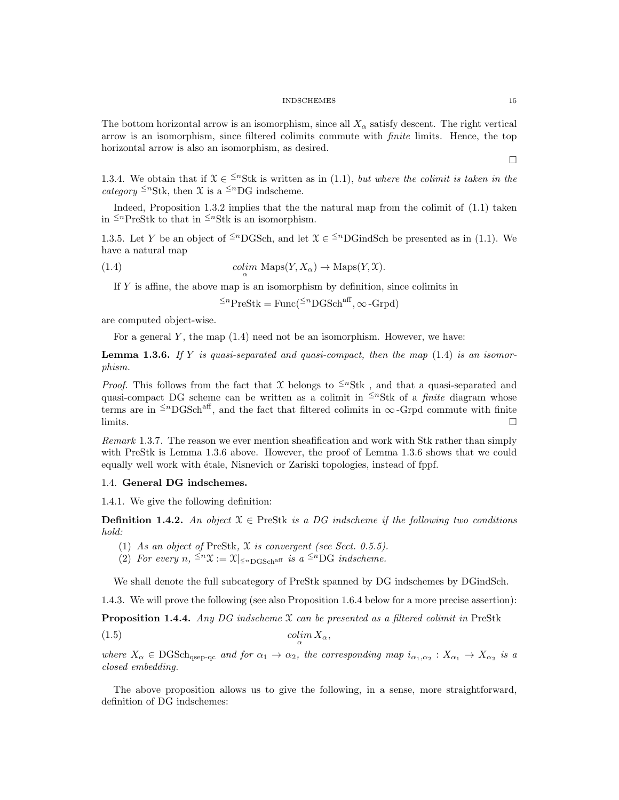The bottom horizontal arrow is an isomorphism, since all  $X_\alpha$  satisfy descent. The right vertical arrow is an isomorphism, since filtered colimits commute with finite limits. Hence, the top horizontal arrow is also an isomorphism, as desired.

1.3.4. We obtain that if  $\mathcal{X} \in \frac{1}{n}$  is written as in (1.1), but where the colimit is taken in the category  $\leq^n$ Stk, then X is a  $\leq^n$ DG indscheme.

Indeed, Proposition 1.3.2 implies that the the natural map from the colimit of (1.1) taken in  $\leq^n$ PreStk to that in  $\leq^n$ Stk is an isomorphism.

1.3.5. Let Y be an object of <sup> $\leq n$ </sup>DGSch, and let  $\mathfrak{X} \in \leq^n$ DGindSch be presented as in (1.1). We have a natural map

(1.4) 
$$
\operatorname{colim}_{\alpha} \operatorname{Maps}(Y, X_{\alpha}) \to \operatorname{Maps}(Y, \mathfrak{X}).
$$

If  $Y$  is affine, the above map is an isomorphism by definition, since colimits in

 $\leq^n \text{PreStk} = \text{Func}(\leq^n \text{DGSch}^{\text{aff}}, \infty \text{-Grpd})$ 

are computed object-wise.

For a general  $Y$ , the map  $(1.4)$  need not be an isomorphism. However, we have:

**Lemma 1.3.6.** If Y is quasi-separated and quasi-compact, then the map  $(1.4)$  is an isomorphism.

*Proof.* This follows from the fact that X belongs to  $\leq^n$ Stk, and that a quasi-separated and quasi-compact DG scheme can be written as a colimit in  $\leq^n$ Stk of a *finite* diagram whose terms are in  $\leq nDGSch^{aff}$ , and the fact that filtered colimits in  $\infty$ -Grpd commute with finite  $\Box$ 

Remark 1.3.7. The reason we ever mention sheafification and work with Stk rather than simply with PreStk is Lemma 1.3.6 above. However, the proof of Lemma 1.3.6 shows that we could equally well work with étale, Nisnevich or Zariski topologies, instead of fppf.

# 1.4. General DG indschemes.

1.4.1. We give the following definition:

**Definition 1.4.2.** An object  $X \in \text{PreStk}$  is a DG indscheme if the following two conditions hold:

- (1) As an object of PreStk, X is convergent (see Sect. 0.5.5).
- (2) For every  $n, \leq^n \mathfrak{X} := \mathfrak{X}|_{\leq^n \text{DGSch}^{\text{aff}}}$  is a  $\leq^n \text{DG}$  indscheme.

We shall denote the full subcategory of PreStk spanned by DG indschemes by DGindSch.

1.4.3. We will prove the following (see also Proposition 1.6.4 below for a more precise assertion):

**Proposition 1.4.4.** Any DG indscheme  $X$  can be presented as a filtered colimit in PreStk

$$
(1.5)\qquad \qquad \text{colim}\, X_{\alpha},
$$

where  $X_{\alpha} \in \text{DGSch}_{qsep-qc}$  and for  $\alpha_1 \to \alpha_2$ , the corresponding map  $i_{\alpha_1,\alpha_2}: X_{\alpha_1} \to X_{\alpha_2}$  is a closed embedding.

The above proposition allows us to give the following, in a sense, more straightforward, definition of DG indschemes:

 $\Box$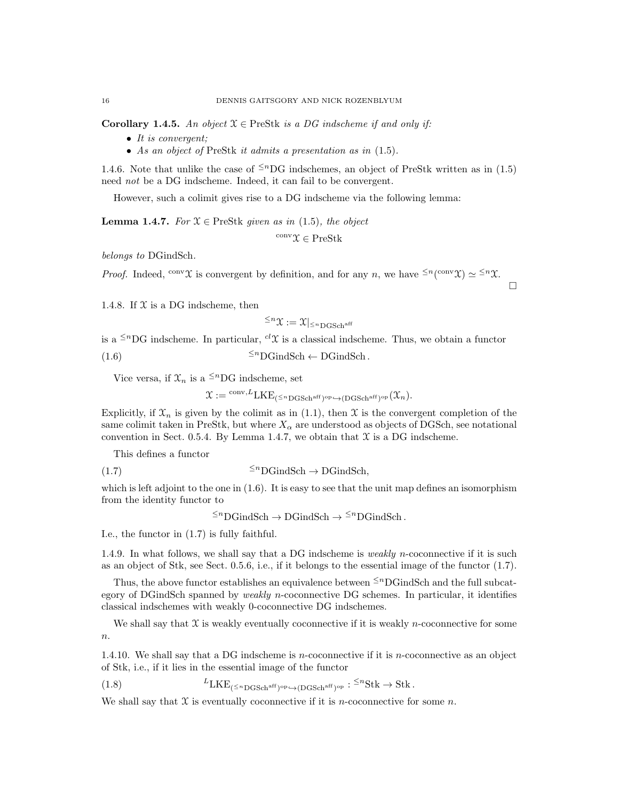**Corollary 1.4.5.** An object  $X \in \text{PreStk}$  is a DG indscheme if and only if:

- It is convergent;
- As an object of PreStk it admits a presentation as in (1.5).

1.4.6. Note that unlike the case of  $\leq^n DG$  indschemes, an object of PreStk written as in (1.5) need *not* be a DG indscheme. Indeed, it can fail to be convergent.

However, such a colimit gives rise to a DG indscheme via the following lemma:

**Lemma 1.4.7.** For  $X \in \text{PreStk}$  given as in (1.5), the object

 $\text{conv}\,\Upsilon\in\mathsf{PreStk}$ 

belongs to DGindSch.

*Proof.* Indeed, <sup>conv</sup> $\mathcal{X}$  is convergent by definition, and for any n, we have  $\leq^{n}(\text{conv}\mathcal{X}) \simeq \leq^{n}\mathcal{X}$ .

1.4.8. If  $X$  is a DG indscheme, then

$$
^{\leq n}\mathfrak{X}:=\mathfrak{X}|_{^{\leq n}\mathrm{DGSch}^{\mathrm{aff}}}
$$

 $\Box$ 

is a  $\leq$ <sup>n</sup>DG indscheme. In particular, <sup>cl</sup>X is a classical indscheme. Thus, we obtain a functor

(1.6)  $\leq^n$ DGindSch ← DGindSch.

Vice versa, if  $\mathfrak{X}_n$  is a <sup> $\leq n$ </sup>DG indscheme, set

 $\mathfrak{X}:=\frac{\mathrm{conv},L}{\mathrm{LKE}}\left(\leq^n\mathrm{DGSch}^{\mathrm{aff}}\right)^{\mathrm{op}}\hookrightarrow\left(\mathrm{DGSch}^{\mathrm{aff}}\right)^{\mathrm{op}}(\mathfrak{X}_n).$ 

Explicitly, if  $\mathfrak{X}_n$  is given by the colimit as in (1.1), then  $\mathfrak X$  is the convergent completion of the same colimit taken in PreStk, but where  $X_\alpha$  are understood as objects of DGSch, see notational convention in Sect. 0.5.4. By Lemma 1.4.7, we obtain that  $\mathfrak X$  is a DG indscheme.

This defines a functor

$$
\leq^{n} D\text{GindSch} \to D\text{GindSch},
$$

which is left adjoint to the one in (1.6). It is easy to see that the unit map defines an isomorphism from the identity functor to

 $\leq^n$ DGindSch  $\rightarrow$  DGindSch  $\rightarrow \leq^n$ DGindSch.

I.e., the functor in (1.7) is fully faithful.

1.4.9. In what follows, we shall say that a DG indscheme is *weakly n*-coconnective if it is such as an object of Stk, see Sect. 0.5.6, i.e., if it belongs to the essential image of the functor (1.7).

Thus, the above functor establishes an equivalence between  $\leq^n$ DGindSch and the full subcategory of DGindSch spanned by weakly n-coconnective DG schemes. In particular, it identifies classical indschemes with weakly 0-coconnective DG indschemes.

We shall say that  $\mathfrak X$  is weakly eventually coconnective if it is weakly n-coconnective for some  $\boldsymbol{n}.$ 

1.4.10. We shall say that a DG indscheme is *n*-coconnective if it is *n*-coconnective as an object of Stk, i.e., if it lies in the essential image of the functor

(1.8)  ${}^{L}LKE_{(\leq n_{\text{DGSch}}^{aff})^{op}\to(\text{DGSch}^{aff})^{op}}: {}^{\leq n}Stk \to Stk.$ 

We shall say that  $\mathfrak X$  is eventually coconnective if it is *n*-coconnective for some *n*.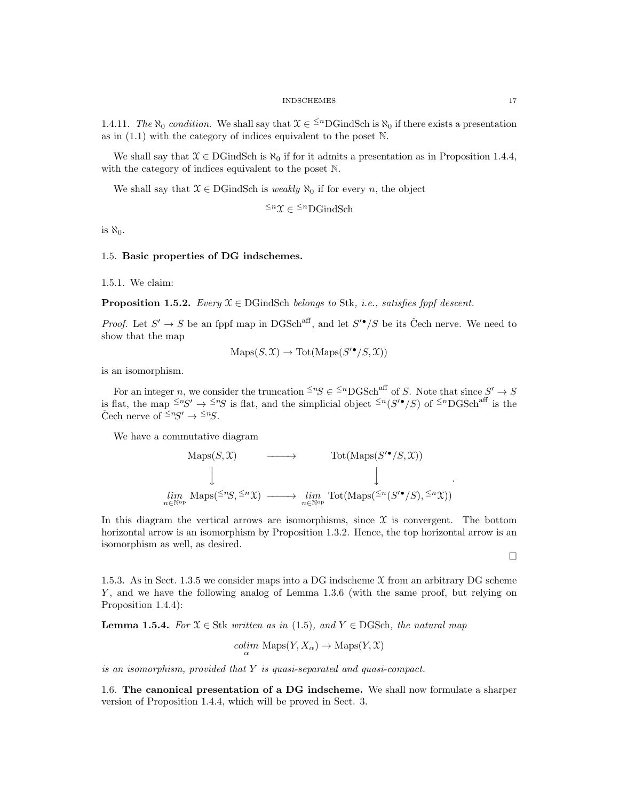1.4.11. The  $\aleph_0$  condition. We shall say that  $\mathfrak{X} \in \leq^n$ DGindSch is  $\aleph_0$  if there exists a presentation as in (1.1) with the category of indices equivalent to the poset N.

We shall say that  $\mathcal{X} \in \text{DGindSch}$  is  $\aleph_0$  if for it admits a presentation as in Proposition 1.4.4, with the category of indices equivalent to the poset N.

We shall say that  $X \in \text{DGindSch}$  is *weakly*  $\aleph_0$  if for every *n*, the object

 $\leq^n$ X ∈  $\leq^n$ DGindSch

is  $\aleph_0$ .

# 1.5. Basic properties of DG indschemes.

1.5.1. We claim:

**Proposition 1.5.2.** Every  $\mathcal{X} \in \text{DGindSch}$  belongs to Stk, i.e., satisfies fppf descent.

*Proof.* Let  $S' \to S$  be an fppf map in DGSch<sup>aff</sup>, and let  $S'^{\bullet}/S$  be its Čech nerve. We need to show that the map

$$
Maps(S, \mathcal{X}) \to Tot(Maps(S'^{\bullet}/S, \mathcal{X}))
$$

is an isomorphism.

For an integer n, we consider the truncation  $\leq^n S \in \leq^n \text{DGSch}^{\text{aff}}$  of S. Note that since  $S' \to S$ is flat, the map  $\leq^{n}S' \to \leq^{n}S$  is flat, and the simplicial object  $\leq^{n}(S' \bullet / S)$  of  $\leq^{n}DGSch^{aff}$  is the Čech nerve of  $\leq^n S' \to \leq^n S$ .

We have a commutative diagram

$$
\text{Maps}(S, \mathfrak{X}) \longrightarrow \text{Tot}(\text{Maps}(S'^{\bullet}/S, \mathfrak{X}))
$$
\n
$$
\downarrow \qquad \qquad \downarrow
$$
\n
$$
\downarrow \qquad \qquad \downarrow
$$
\n
$$
\lim_{n \in \mathbb{N}^{\text{op}}} \text{Maps}(\leq^n S, \leq^n \mathfrak{X}) \longrightarrow \lim_{n \in \mathbb{N}^{\text{op}}} \text{Tot}(\text{Maps}(\leq^n (S'^{\bullet}/S), \leq^n \mathfrak{X}))
$$

In this diagram the vertical arrows are isomorphisms, since  $\mathfrak X$  is convergent. The bottom horizontal arrow is an isomorphism by Proposition 1.3.2. Hence, the top horizontal arrow is an isomorphism as well, as desired.

 $\Box$ 

.

1.5.3. As in Sect. 1.3.5 we consider maps into a DG indscheme  $\mathfrak X$  from an arbitrary DG scheme Y, and we have the following analog of Lemma 1.3.6 (with the same proof, but relying on Proposition 1.4.4):

**Lemma 1.5.4.** For  $X \in \text{Stk}$  written as in (1.5), and  $Y \in \text{DGSch}$ , the natural map

$$
\underset{\alpha}{colim} \text{ Maps}(Y, X_{\alpha}) \to \text{Maps}(Y, \mathcal{X})
$$

is an isomorphism, provided that Y is quasi-separated and quasi-compact.

1.6. The canonical presentation of a DG indscheme. We shall now formulate a sharper version of Proposition 1.4.4, which will be proved in Sect. 3.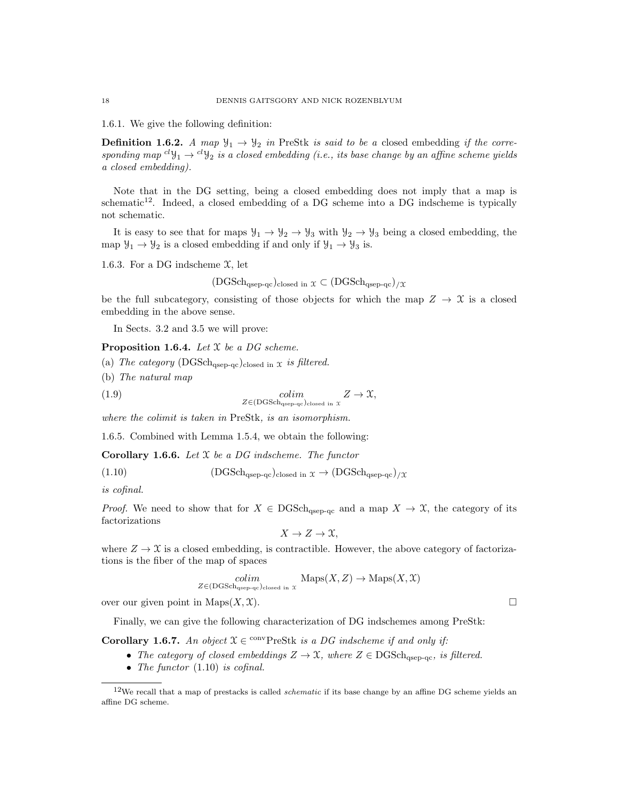1.6.1. We give the following definition:

**Definition 1.6.2.** A map  $\mathcal{Y}_1 \to \mathcal{Y}_2$  in PreStk is said to be a closed embedding if the corresponding map  ${}^{cl}y_1 \rightarrow {}^{cl}y_2$  is a closed embedding (i.e., its base change by an affine scheme yields a closed embedding).

Note that in the DG setting, being a closed embedding does not imply that a map is schematic<sup>12</sup>. Indeed, a closed embedding of a DG scheme into a DG indscheme is typically not schematic.

It is easy to see that for maps  $\mathcal{Y}_1 \to \mathcal{Y}_2 \to \mathcal{Y}_3$  with  $\mathcal{Y}_2 \to \mathcal{Y}_3$  being a closed embedding, the map  $\mathcal{Y}_1 \rightarrow \mathcal{Y}_2$  is a closed embedding if and only if  $\mathcal{Y}_1 \rightarrow \mathcal{Y}_3$  is.

1.6.3. For a DG indscheme  $\mathfrak{X}$ , let

$$
(\text{DGSch}_{\text{qsep-qc}})_{\text{closed in } \mathfrak{X}} \subset (\text{DGSch}_{\text{qsep-qc}})_{/\mathfrak{X}}
$$

be the full subcategory, consisting of those objects for which the map  $Z \to \mathcal{X}$  is a closed embedding in the above sense.

In Sects. 3.2 and 3.5 we will prove:

**Proposition 1.6.4.** Let  $X$  be a DG scheme.

- (a) The category  $(DGSch<sub>qsep-qc</sub>)<sub>closed in</sub> x is filtered.$
- (b) The natural map

(1.9) colim  $Z \to \mathfrak{X},$ <br>  $Z \in (\text{DGSch}_{\text{agep-qc})}\text{closed in } \mathfrak{X}$ 

where the colimit is taken in PreStk, is an isomorphism.

1.6.5. Combined with Lemma 1.5.4, we obtain the following:

**Corollary 1.6.6.** Let  $X$  be a DG indscheme. The functor

(1.10)  $(DGSch<sub>asep-ac</sub>)_{closed in } \mathfrak{X} \rightarrow (DGSch<sub>asep-ac</sub>)_{/\mathfrak{X}}$ 

is cofinal.

*Proof.* We need to show that for  $X \in \text{DGSch}_{\text{qsep-qc}}$  and a map  $X \to \mathcal{X}$ , the category of its factorizations

$$
X \to Z \to \mathfrak{X},
$$

where  $Z \to \mathfrak{X}$  is a closed embedding, is contractible. However, the above category of factorizations is the fiber of the map of spaces

$$
\underset{Z \in (\text{DGSch}_{\text{qsep-qc}})_{\text{closed in } \mathcal{X}}}{\text{colin}} \ \ \text{Maps}(X, Z) \to \text{Maps}(X, \mathcal{X})
$$

over our given point in Maps $(X, \mathcal{X})$ .

Finally, we can give the following characterization of DG indschemes among PreStk:

**Corollary 1.6.7.** An object  $X \in \text{convPreStk}$  is a DG indscheme if and only if:

- The category of closed embeddings  $Z \to \mathfrak{X}$ , where  $Z \in \text{DGSch}_{\text{asep-ac}}$ , is filtered.
- The functor  $(1.10)$  is cofinal.

 $12$ We recall that a map of prestacks is called *schematic* if its base change by an affine DG scheme yields an affine DG scheme.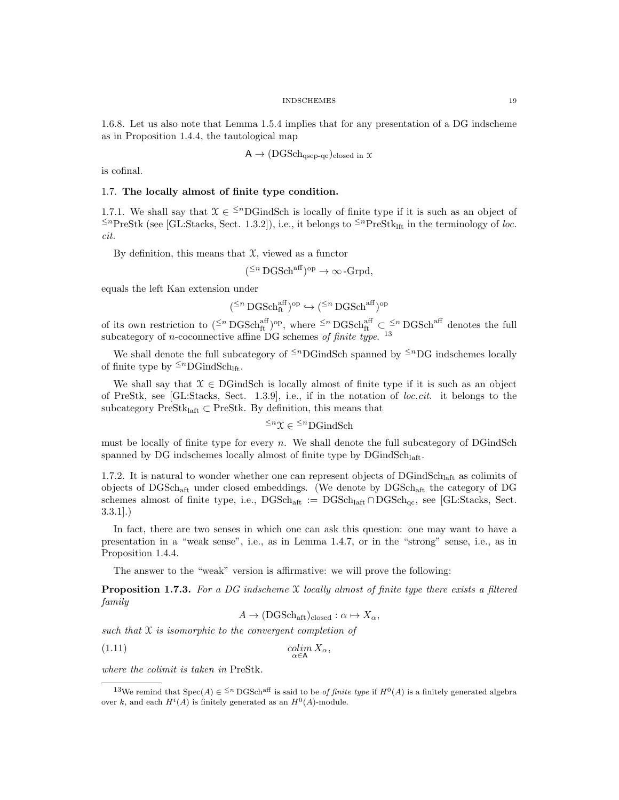1.6.8. Let us also note that Lemma 1.5.4 implies that for any presentation of a DG indscheme as in Proposition 1.4.4, the tautological map

$$
A \to (DGSch_{qsep-qc})_{closed in} x
$$

is cofinal.

## 1.7. The locally almost of finite type condition.

1.7.1. We shall say that  $\mathfrak{X} \in \frac{1}{n}$  Sch is locally of finite type if it is such as an object of  $≤<sup>n</sup>PreStk$  (see [GL:Stacks, Sect. 1.3.2]), i.e., it belongs to  $≤<sup>n</sup>PreStk<sub>lft</sub>$  in the terminology of loc. cit.

By definition, this means that  $\mathfrak{X}$ , viewed as a functor

$$
(^{\leq n} \operatorname{DGSch}^{\operatorname{aff}})^{\operatorname{op}} \to \infty
$$
-Grpd,

equals the left Kan extension under

$$
(\mathbf{M}^n\operatorname{DGSch}^{\operatorname{aff}}_{\operatorname{ft}})^\mathrm{op}\hookrightarrow (\mathbf{M}^n\operatorname{DGSch}^{\operatorname{aff}})^\mathrm{op}
$$

of its own restriction to  $($ ≤n DGSch<sub>aff</sub><sup>op</sup>, where <sup>≤n</sup> DGSch<sub>aff</sub><sup>or</sup>  $\subset$  ≤n DGSch<sup>aff</sup> denotes the full subcategory of *n*-coconnective affine DG schemes of finite type.<sup>13</sup>

We shall denote the full subcategory of  $\leq^n$ DGindSch spanned by  $\leq^n$ DG indschemes locally of finite type by  $\leq^n$ DGindSch<sub>lft</sub>.

We shall say that  $\mathcal{X} \in \text{DGindSch}$  is locally almost of finite type if it is such as an object of PreStk, see [GL:Stacks, Sect. 1.3.9], i.e., if in the notation of loc.cit. it belongs to the subcategory PreSt $k_{\text{left}} \subset \text{PreStk}$ . By definition, this means that

 $\leq^n$ X ∈  $\leq^n$ DGindSch

must be locally of finite type for every  $n$ . We shall denote the full subcategory of DGindSch spanned by DG indschemes locally almost of finite type by  $\rm DGindSch_{laff}.$ 

1.7.2. It is natural to wonder whether one can represent objects of  $\rm DGindSch<sub>laff</sub>$  as colimits of objects of DGSchaft under closed embeddings. (We denote by DGSchaft the category of DG schemes almost of finite type, i.e.,  $DGSch_{\text{aft}} := DGSch_{\text{laft}} \cap DGSch_{\text{qc}}$ , see [GL:Stacks, Sect. 3.3.1].)

In fact, there are two senses in which one can ask this question: one may want to have a presentation in a "weak sense", i.e., as in Lemma 1.4.7, or in the "strong" sense, i.e., as in Proposition 1.4.4.

The answer to the "weak" version is affirmative: we will prove the following:

**Proposition 1.7.3.** For a DG indscheme  $X$  locally almost of finite type there exists a filtered family

$$
A \to (\text{DGSch}_{\text{aft}})_{\text{closed}} : \alpha \mapsto X_{\alpha},
$$

such that  $\mathfrak X$  is isomorphic to the convergent completion of

$$
\underset{\alpha \in \mathsf{A}}{\text{colim}} X_{\alpha},
$$

where the colimit is taken in PreStk.

<sup>&</sup>lt;sup>13</sup>We remind that Spec(A)  $\in \leq^n$  DGSch<sup>aff</sup> is said to be *of finite type* if  $H^0(A)$  is a finitely generated algebra over k, and each  $H^{i}(A)$  is finitely generated as an  $H^{0}(A)$ -module.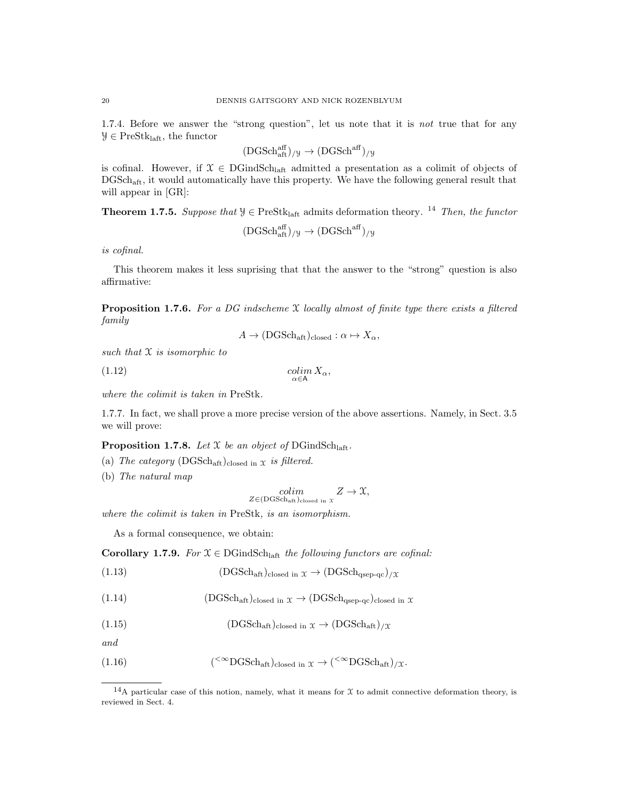1.7.4. Before we answer the "strong question", let us note that it is not true that for any  $\mathcal{Y} \in \text{PreStk}_{\text{laft}}$ , the functor

$$
(DGSch_{aft}^{aff})_{/\mathcal{Y}}\rightarrow (DGSch^{aff})_{/\mathcal{Y}}
$$

is cofinal. However, if  $\mathfrak{X} \in \mathrm{DGindSch}_{\mathrm{laff}}$  admitted a presentation as a colimit of objects of DGSchaft, it would automatically have this property. We have the following general result that will appear in [GR]:

**Theorem 1.7.5.** Suppose that  $\mathcal{Y} \in \text{PreStk}_{\text{left}}$  admits deformation theory. <sup>14</sup> Then, the functor

$$
(DGSch_{aft}^{aff})_{/\mathcal{Y}}\rightarrow (DGSch^{aff})_{/\mathcal{Y}}
$$

is cofinal.

This theorem makes it less suprising that that the answer to the "strong" question is also affirmative:

**Proposition 1.7.6.** For a DG indscheme  $X$  locally almost of finite type there exists a filtered family

$$
A \to (\text{DGSch}_{\text{aff}})_{\text{closed}} : \alpha \mapsto X_{\alpha},
$$

such that  $\mathfrak X$  is isomorphic to

$$
\underset{\alpha \in \mathsf{A}}{\text{colim}} X_{\alpha},
$$

where the colimit is taken in PreStk.

1.7.7. In fact, we shall prove a more precise version of the above assertions. Namely, in Sect. 3.5 we will prove:

**Proposition 1.7.8.** Let  $X$  be an object of DGindSch<sub>laft</sub>.

- (a) The category  $(DGSch_{\text{aff}})_{closed \text{ in } X}$  is filtered.
- (b) The natural map

$$
\underset{Z \in (\text{DGSch}_{\text{aft}})_{\text{closed in } \mathcal{X}}}{\text{colim}} Z \to \mathcal{X},
$$

where the colimit is taken in PreStk, is an isomorphism.

As a formal consequence, we obtain:

Corollary 1.7.9. For  $\mathfrak{X} \in \mathrm{DGindSch}_{\mathrm{laff}}$  the following functors are cofinal:

(1.13) 
$$
(DGSch_{\text{aft}})_{\text{closed in } \mathfrak{X}} \to (DGSch_{\text{qsep-qc}})_{/\mathfrak{X}}
$$

(1.14) 
$$
(DGSch_{\text{aff}})_{\text{closed in } \mathcal{X}} \to (DGSch_{\text{qsep-qc}})_{\text{closed in } \mathcal{X}}
$$

(1.15) 
$$
(DGSch_{\text{aft}})_{\text{closed in } \mathfrak{X}} \to (DGSch_{\text{aft}})_{/\mathfrak{X}}
$$

and

(1.16) 
$$
(^{<\infty}DGSch_{\text{aft}})_{\text{closed in } \mathfrak{X}} \to (^{<\infty}DGSch_{\text{aft}})_{/\mathfrak{X}}.
$$

<sup>&</sup>lt;sup>14</sup>A particular case of this notion, namely, what it means for  $\mathfrak X$  to admit connective deformation theory, is reviewed in Sect. 4.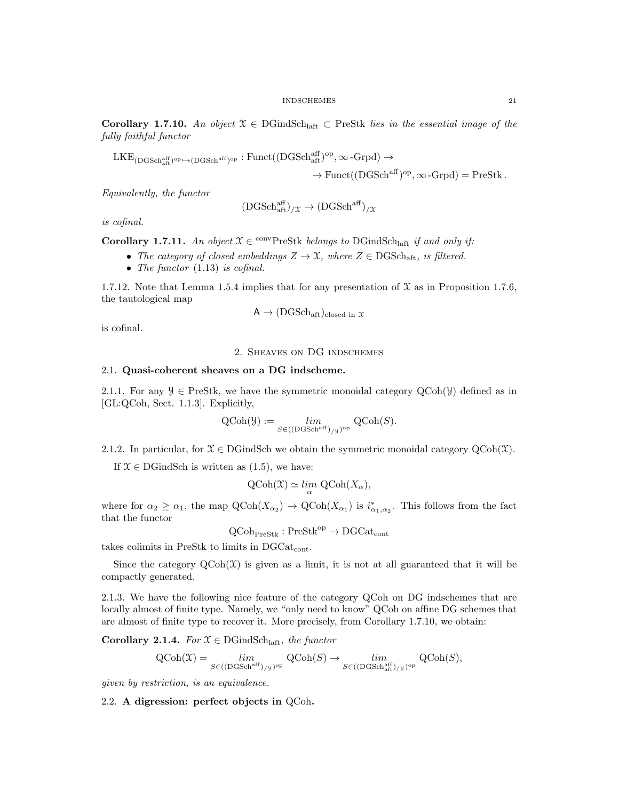Corollary 1.7.10. An object  $X \in \text{DGindSch}_{\text{laff}} \subset \text{PreStk}$  lies in the essential image of the fully faithful functor

 $\mathrm{LKE}_\mathrm{(DGSch^{aff}_{aff})^{op}\rightarrow(DGSch^{aff})^{op}}: \mathrm{Funct}((\mathrm{DGSch^{aff}_{aff})^{op}, \infty\text{-}Grpd)\rightarrow$ 

$$
\to \text{Funct}((\text{DGSch}^{\text{aff}})^{\text{op}}, \infty\text{-}\text{Grpd}) = \text{PreStk}.
$$

Equivalently, the functor

$$
(\text{DGSch}^{\text{aff}}_{\text{aff}})_{/\mathfrak{X}} \to (\text{DGSch}^{\text{aff}})_{/\mathfrak{X}}
$$

is cofinal.

**Corollary 1.7.11.** An object  $\mathcal{X} \in \text{convPrestk belongs to DGindSch<sub>laff</sub> if and only if:$ 

- The category of closed embeddings  $Z \to \mathfrak{X}$ , where  $Z \in \text{DGSch}_{\text{aff}}$ , is filtered.
- The functor  $(1.13)$  is cofinal.

1.7.12. Note that Lemma 1.5.4 implies that for any presentation of  $\mathfrak X$  as in Proposition 1.7.6, the tautological map

$$
A \to (\text{DGSch}_{\text{aft}})_{\text{closed in } \mathcal{X}}
$$

is cofinal.

# 2. Sheaves on DG indschemes

## 2.1. Quasi-coherent sheaves on a DG indscheme.

2.1.1. For any  $\mathcal{Y} \in \text{PreStk}$ , we have the symmetric monoidal category  $\text{QCoh}(\mathcal{Y})$  defined as in [GL:QCoh, Sect. 1.1.3]. Explicitly,

$$
\text{QCoh}(\mathcal{Y}) := \lim_{S \in (\text{(DGSchaff})_{/\mathcal{Y}})^{\text{op}}} \text{QCoh}(S).
$$

2.1.2. In particular, for  $\mathcal{X} \in \text{DGindSch}$  we obtain the symmetric monoidal category  $\text{QCoh}(\mathcal{X})$ .

If  $\mathcal{X} \in \text{DGindSch}$  is written as  $(1.5)$ , we have:

$$
\text{QCoh}(\mathfrak{X}) \simeq \lim_{\alpha} \text{QCoh}(X_{\alpha}),
$$

where for  $\alpha_2 \ge \alpha_1$ , the map  $\mathrm{QCoh}(X_{\alpha_2}) \to \mathrm{QCoh}(X_{\alpha_1})$  is  $i_{\alpha_1,\alpha_2}^*$ . This follows from the fact that the functor

 $QCoh_{\text{PreStk}}: \text{PreStk}^{\text{op}} \to \text{DGCat}_{\text{cont}}$ 

takes colimits in PreStk to limits in  $DGCat_{cont}$ .

Since the category  $Q\text{Coh}(\mathcal{X})$  is given as a limit, it is not at all guaranteed that it will be compactly generated.

2.1.3. We have the following nice feature of the category QCoh on DG indschemes that are locally almost of finite type. Namely, we "only need to know" QCoh on affine DG schemes that are almost of finite type to recover it. More precisely, from Corollary 1.7.10, we obtain:

Corollary 2.1.4. For  $\mathfrak{X} \in \text{DGindSch}_{\text{laff}},$  the functor

$$
\mathrm{QCoh}(\mathfrak{X}) = \lim_{S \in (\mathrm{DGSch}^{\mathrm{aff}})_{/\mathfrak{Y}})^{\mathrm{op}}} \mathrm{QCoh}(S) \to \lim_{S \in (\mathrm{DGSch}^{\mathrm{aff}}_{\mathrm{aff}})_{/\mathfrak{Y}})^{\mathrm{op}}} \mathrm{QCoh}(S),
$$

given by restriction, is an equivalence.

2.2. A digression: perfect objects in QCoh.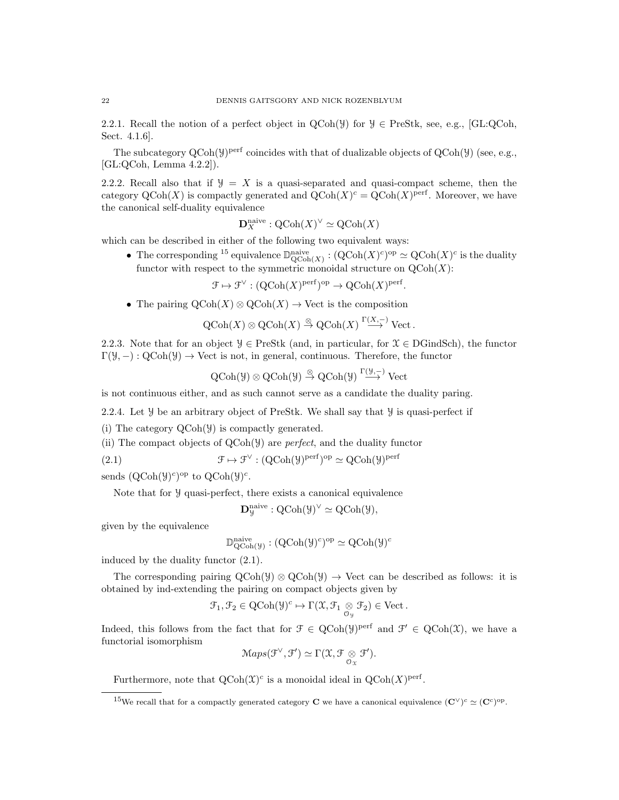2.2.1. Recall the notion of a perfect object in  $QCoh(\mathcal{Y})$  for  $\mathcal{Y} \in \text{PreStk}$ , see, e.g., [GL:QCoh, Sect. 4.1.6].

The subcategory  $QCoh(\mathcal{Y})^{perf}$  coincides with that of dualizable objects of  $QCoh(\mathcal{Y})$  (see, e.g., [GL:QCoh, Lemma 4.2.2]).

2.2.2. Recall also that if  $\mathcal{Y} = X$  is a quasi-separated and quasi-compact scheme, then the category  $\mathrm{QCoh}(X)$  is compactly generated and  $\mathrm{QCoh}(X)^c = \mathrm{QCoh}(X)^{\mathrm{perf}}$ . Moreover, we have the canonical self-duality equivalence

$$
\mathbf{D}^{\text{naive}}_X : \text{QCoh}(X)^\vee \simeq \text{QCoh}(X)
$$

which can be described in either of the following two equivalent ways:

• The corresponding <sup>15</sup> equivalence  $\mathbb{D}_{\text{QCoh}(X)}^{\text{naive}} : (\text{QCoh}(X)^c)^{\text{op}} \simeq \text{QCoh}(X)^c$  is the duality functor with respect to the symmetric monoidal structure on  $\mathrm{QCoh}(X)$ :

$$
\mathcal{F} \mapsto \mathcal{F}^{\vee} : (\mathrm{QCoh}(X)^{\mathrm{perf}})^{\mathrm{op}} \to \mathrm{QCoh}(X)^{\mathrm{perf}}.
$$

• The pairing  $\mathrm{QCoh}(X) \otimes \mathrm{QCoh}(X) \to \mathrm{Vect}$  is the composition

$$
Q\text{Coh}(X) \otimes Q\text{Coh}(X) \stackrel{\otimes}{\to} Q\text{Coh}(X) \stackrel{\Gamma(X,-)}{\longrightarrow} \text{Vect}.
$$

2.2.3. Note that for an object  $\mathcal{Y} \in \text{PreStk}$  (and, in particular, for  $\mathcal{X} \in \text{DGindSch}$ ), the functor  $\Gamma(\mathcal{Y}, -): \text{QCoh}(\mathcal{Y}) \to \text{Vect}$  is not, in general, continuous. Therefore, the functor

$$
\text{QCoh}(\mathcal{Y}) \otimes \text{QCoh}(\mathcal{Y}) \stackrel{\otimes}{\to} \text{QCoh}(\mathcal{Y}) \stackrel{\Gamma(\mathcal{Y}, -)}{\longrightarrow} \text{Vect}
$$

is not continuous either, and as such cannot serve as a candidate the duality paring.

2.2.4. Let *y* be an arbitrary object of PreStk. We shall say that *y* is quasi-perfect if

(i) The category QCoh(Y) is compactly generated.

(ii) The compact objects of QCoh(Y) are perfect, and the duality functor

(2.1) 
$$
\mathcal{F} \mapsto \mathcal{F}^{\vee} : (\mathrm{QCoh}(\mathcal{Y})^{\mathrm{perf}})^{\mathrm{op}} \simeq \mathrm{QCoh}(\mathcal{Y})^{\mathrm{perf}}
$$

sends  $(QCoh(\mathcal{Y})^c)^\text{op}$  to  $QCoh(\mathcal{Y})^c$ .

Note that for y quasi-perfect, there exists a canonical equivalence

$$
\mathbf{D}^{\mathrm{naive}}_\mathcal{Y}: \mathrm{QCoh}(\mathcal{Y})^\vee \simeq \mathrm{QCoh}(\mathcal{Y}),
$$

given by the equivalence

$$
\mathbb{D}^{\text{naive}}_{\text{QCoh}(\mathcal{Y})}: (\text{QCoh}(\mathcal{Y})^c)^{\text{op}} \simeq \text{QCoh}(\mathcal{Y})^c
$$

induced by the duality functor (2.1).

The corresponding pairing  $QCoh(\mathcal{Y}) \otimes QCoh(\mathcal{Y}) \rightarrow$  Vect can be described as follows: it is obtained by ind-extending the pairing on compact objects given by

$$
\mathcal{F}_1, \mathcal{F}_2 \in \mathrm{QCoh}(\mathcal{Y})^c \mapsto \Gamma(\mathcal{X}, \mathcal{F}_1 \underset{\mathcal{O}_{\mathcal{Y}}}{\otimes} \mathcal{F}_2) \in \mathrm{Vect}.
$$

Indeed, this follows from the fact that for  $\mathcal{F} \in \text{QCoh}(\mathcal{Y})^{\text{perf}}$  and  $\mathcal{F}' \in \text{QCoh}(\mathcal{X})$ , we have a functorial isomorphism

$$
Maps(\mathcal{F}^{\vee}, \mathcal{F}') \simeq \Gamma(\mathfrak{X}, \mathcal{F} \underset{\mathcal{O}_{\mathfrak{X}}}{\otimes} \mathcal{F}').
$$

Furthermore, note that  $\mathrm{QCoh}(\mathfrak{X})^c$  is a monoidal ideal in  $\mathrm{QCoh}(X)^\mathrm{perf}$ .

<sup>&</sup>lt;sup>15</sup>We recall that for a compactly generated category **C** we have a canonical equivalence  $(\mathbf{C}^{\vee})^c \simeq (\mathbf{C}^c)^{op}$ .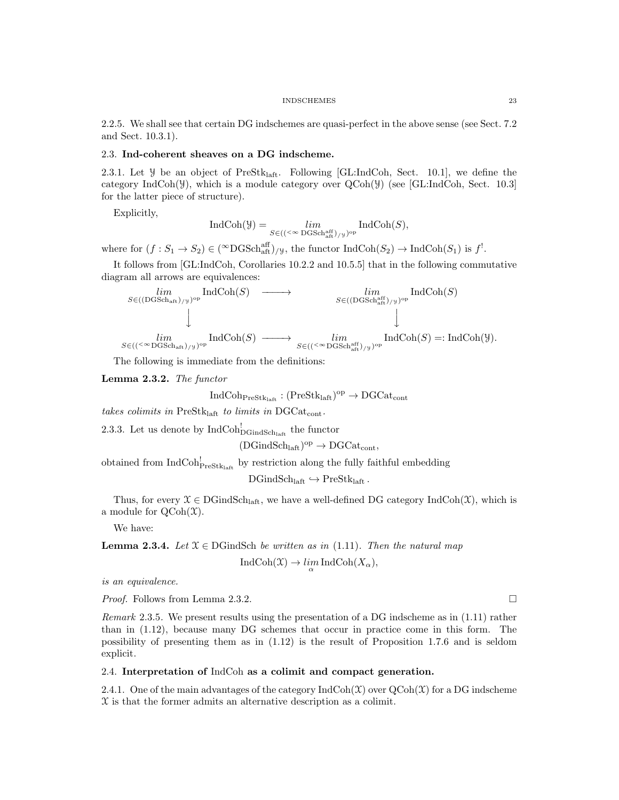2.2.5. We shall see that certain DG indschemes are quasi-perfect in the above sense (see Sect. 7.2 and Sect. 10.3.1).

## 2.3. Ind-coherent sheaves on a DG indscheme.

2.3.1. Let  $\mathcal Y$  be an object of PreStk<sub>laft</sub>. Following [GL:IndCoh, Sect. 10.1], we define the category IndCoh( $\mathcal{Y}$ ), which is a module category over QCoh( $\mathcal{Y}$ ) (see [GL:IndCoh, Sect. 10.3] for the latter piece of structure).

Explicitly,

$$
\operatorname{IndCoh}(\mathcal{Y})=\lim_{S\in (({}^{\scriptscriptstyle{< \infty}\operatorname{DGSch}^{\operatorname{aff}}_{\operatorname{aff}}) / \mathcal{Y}})^{\operatorname{op}}} \operatorname{IndCoh}(S),
$$

where for  $(f: S_1 \to S_2) \in (\infty \text{DGSch}_{\text{aff}}^{\text{aff}})/y$ , the functor  $\text{IndCoh}(S_2) \to \text{IndCoh}(S_1)$  is  $f^!$ .

It follows from [GL:IndCoh, Corollaries 10.2.2 and 10.5.5] that in the following commutative diagram all arrows are equivalences:

$$
\begin{array}{ccc}\n\lim_{S \in ((\text{DGSch}_{\text{aft}})_{/\mathcal{Y}})^{\text{op}}} \text{IndCoh}(S) & \longrightarrow & \lim_{S \in ((\text{DGSch}_{\text{aft}}^{\text{aff}})_{/\mathcal{Y}})^{\text{op}}} \text{IndCoh}(S) \\
\downarrow & & \downarrow & \\
\lim_{S \in ((\leq \infty \text{DGSch}_{\text{aft}})_{/\mathcal{Y}})^{\text{op}}} \text{IndCoh}(S) & \longrightarrow & \lim_{S \in ((\leq \infty \text{DGSch}_{\text{aft}}^{\text{aff}})_{/\mathcal{Y}})^{\text{op}}} \text{IndCoh}(S) =: \text{IndCoh}(\mathcal{Y}).\n\end{array}
$$

The following is immediate from the definitions:

Lemma 2.3.2. The functor

$$
\mathrm{IndCoh}_{\mathrm{PreStk}_\mathrm{laff}}: (\mathrm{PreStk}_\mathrm{laff})^\mathrm{op}\to \mathrm{DGCat}_\mathrm{cont}
$$

takes colimits in Pre $Stk<sub>laff</sub>$  to limits in DGCat<sub>cont</sub>.

2.3.3. Let us denote by  $\text{IndCoh}_{\text{DGindSch}_{\text{laff}}}^!$  the functor

 $(DGindSch<sub>laff</sub>)<sup>op</sup> \rightarrow DGCat<sub>cont</sub>$ ,

obtained from  $IndCoh_{\text{PreStk}_\text{left}}^!$  by restriction along the fully faithful embedding

 $DGindSch<sub>laff</sub> \hookrightarrow PreStk<sub>laff</sub>$ .

Thus, for every  $\mathcal{X} \in \text{DGindSch}_{\text{laff}}$ , we have a well-defined DG category IndCoh $(\mathcal{X})$ , which is a module for  $QCoh(\mathfrak{X})$ .

We have:

**Lemma 2.3.4.** Let  $\mathcal{X} \in \text{DGindSch}$  be written as in (1.11). Then the natural map

$$
IndCoh(\mathfrak{X}) \to \lim_{\alpha} IndCoh(X_{\alpha}),
$$

is an equivalence.

*Proof.* Follows from Lemma 2.3.2.

Remark 2.3.5. We present results using the presentation of a DG indscheme as in (1.11) rather than in (1.12), because many DG schemes that occur in practice come in this form. The possibility of presenting them as in (1.12) is the result of Proposition 1.7.6 and is seldom explicit.

## 2.4. Interpretation of IndCoh as a colimit and compact generation.

2.4.1. One of the main advantages of the category  $\text{IndCoh}(\mathfrak{X})$  over  $\text{QCoh}(\mathfrak{X})$  for a DG indscheme  $\mathfrak X$  is that the former admits an alternative description as a colimit.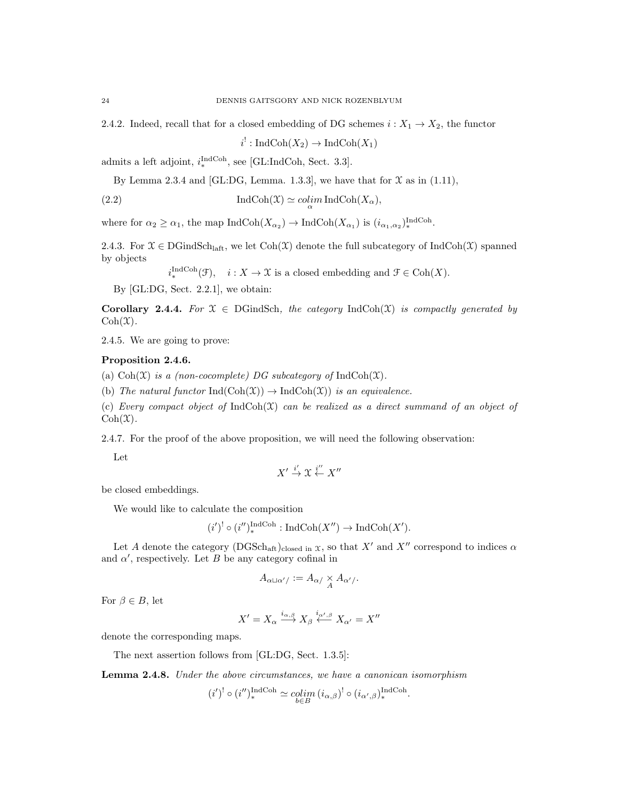2.4.2. Indeed, recall that for a closed embedding of DG schemes  $i : X_1 \to X_2$ , the functor

 $i^!: \text{IndCoh}(X_2) \to \text{IndCoh}(X_1)$ 

admits a left adjoint,  $i_*^{\text{IndCoh}}$ , see [GL:IndCoh, Sect. 3.3].

By Lemma 2.3.4 and [GL:DG, Lemma. 1.3.3], we have that for  $\mathfrak X$  as in (1.11),

(2.2) 
$$
\operatorname{IndCoh}(\mathfrak{X}) \simeq \operatorname{colim}_{\alpha} \operatorname{IndCoh}(X_{\alpha}),
$$

where for  $\alpha_2 \ge \alpha_1$ , the map  $\text{IndCoh}(X_{\alpha_2}) \to \text{IndCoh}(X_{\alpha_1})$  is  $(i_{\alpha_1,\alpha_2})_*^{\text{IndCoh}}$ .

2.4.3. For  $\mathfrak{X} \in \text{DGindSch}_{\text{laff}}$ , we let  $\text{Coh}(\mathfrak{X})$  denote the full subcategory of IndCoh(X) spanned by objects

 $i_*^{\text{IndCoh}}(\mathcal{F}), \quad i: X \to \mathcal{X}$  is a closed embedding and  $\mathcal{F} \in \text{Coh}(X)$ .

By [GL:DG, Sect. 2.2.1], we obtain:

Corollary 2.4.4. For  $\mathfrak{X} \in DGindSch$ , the category IndCoh(X) is compactly generated by  $Coh(\mathfrak{X}).$ 

2.4.5. We are going to prove:

## Proposition 2.4.6.

(a)  $Coh(\mathfrak{X})$  is a (non-cocomplete) DG subcategory of IndCoh( $\mathfrak{X}$ ).

(b) The natural functor  $\text{Ind}(\text{Coh}(\mathfrak{X})) \to \text{Ind} \text{Coh}(\mathfrak{X}))$  is an equivalence.

(c) Every compact object of  $IndCoh(\mathfrak{X})$  can be realized as a direct summand of an object of  $Coh(\mathfrak{X}).$ 

2.4.7. For the proof of the above proposition, we will need the following observation:

Let

$$
X' \stackrel{i'}{\to} \mathfrak{X} \stackrel{i''}{\leftarrow} X''
$$

be closed embeddings.

We would like to calculate the composition

 $(i')^! \circ (i'')_*^{\text{IndCoh}} : \text{IndCoh}(X'') \to \text{IndCoh}(X').$ 

Let A denote the category (DGSch<sub>aft</sub>)<sub>closed in x</sub>, so that X' and X'' correspond to indices  $\alpha$ and  $\alpha'$ , respectively. Let B be any category cofinal in

$$
A_{\alpha\sqcup\alpha'}/\vcentcolon=A_{\alpha}/\underset{A}{\times}A_{\alpha'}/.
$$

For  $\beta \in B$ , let

$$
X' = X_{\alpha} \xrightarrow{i_{\alpha,\beta}} X_{\beta} \xleftarrow{i_{\alpha',\beta}} X_{\alpha'} = X''
$$

denote the corresponding maps.

The next assertion follows from [GL:DG, Sect. 1.3.5]:

Lemma 2.4.8. Under the above circumstances, we have a canonican isomorphism

$$
(i')^! \circ (i'')^{\operatorname{IndCoh}}_* \simeq \underset{b \in B}{\operatorname{colim}} \, (i_{\alpha, \beta})^! \circ (i_{\alpha', \beta})^{\operatorname{IndCoh}}_*.
$$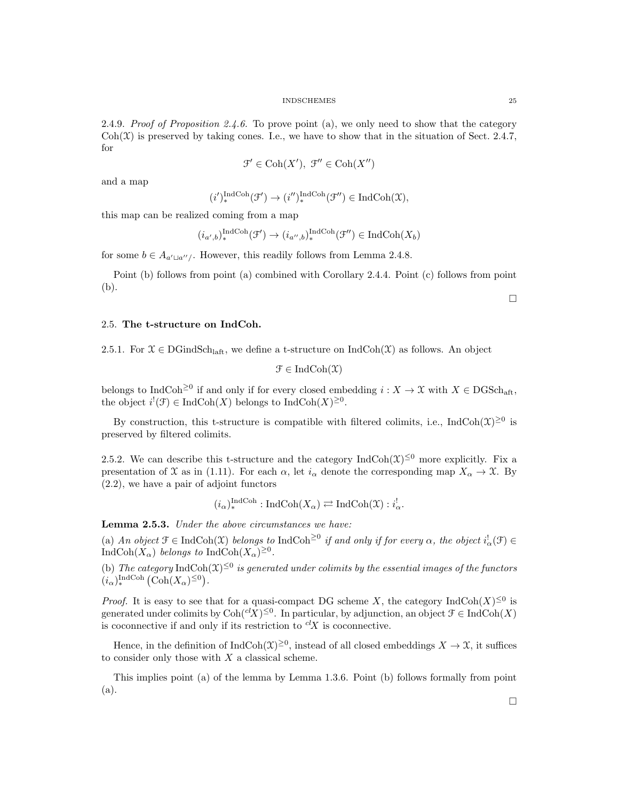2.4.9. Proof of Proposition 2.4.6. To prove point (a), we only need to show that the category  $\text{Coh}(\mathfrak{X})$  is preserved by taking cones. I.e., we have to show that in the situation of Sect. 2.4.7, for

$$
\mathcal{F}' \in \mathrm{Coh}(X'), \ \mathcal{F}'' \in \mathrm{Coh}(X'')
$$

and a map

$$
(i')_*^{\text{IndCoh}}(\mathcal{F}') \to (i'')_*^{\text{IndCoh}}(\mathcal{F}'') \in \text{IndCoh}(\mathfrak{X}),
$$

this map can be realized coming from a map

$$
(i_{a',b})_{*}^{\operatorname{IndCoh}}(\mathcal{F}') \to (i_{a'',b})_{*}^{\operatorname{IndCoh}}(\mathcal{F}'') \in \operatorname{IndCoh}(X_b)
$$

for some  $b \in A_{a' \sqcup a''}$ . However, this readily follows from Lemma 2.4.8.

Point (b) follows from point (a) combined with Corollary 2.4.4. Point (c) follows from point (b).

 $\Box$ 

## 2.5. The t-structure on IndCoh.

2.5.1. For  $\mathfrak{X} \in \text{DGindSch}_{\text{laff}}$ , we define a t-structure on  $\text{IndCoh}(\mathfrak{X})$  as follows. An object

 $\mathfrak{F} \in \mathrm{IndCoh}(\mathfrak{X})$ 

belongs to IndCoh<sup> $\geq 0$ </sup> if and only if for every closed embedding  $i : X \to \mathfrak{X}$  with  $X \in \text{DGSch}_{\text{aff}},$ the object  $i^{!}(\mathcal{F}) \in \text{IndCoh}(X)$  belongs to  $\text{IndCoh}(X)^{\geq 0}$ .

By construction, this t-structure is compatible with filtered colimits, i.e.,  $\text{IndCoh}(\mathfrak{X})^{\geq 0}$  is preserved by filtered colimits.

2.5.2. We can describe this t-structure and the category  $\text{IndCoh}(\mathfrak{X})^{\leq 0}$  more explicitly. Fix a presentation of X as in (1.11). For each  $\alpha$ , let  $i_{\alpha}$  denote the corresponding map  $X_{\alpha} \to \mathfrak{X}$ . By (2.2), we have a pair of adjoint functors

 $(i_{\alpha})_*^{\text{IndCoh}} : \text{IndCoh}(X_{\alpha}) \rightleftarrows \text{IndCoh}(\mathfrak{X}) : i_{\alpha}^!$ .

Lemma 2.5.3. Under the above circumstances we have:

(a) An object  $\mathcal{F} \in \text{IndCoh}(\mathcal{X})$  belongs to  $\text{IndCoh}^{\geq 0}$  if and only if for every  $\alpha$ , the object  $i^!_{\alpha}(\mathcal{F}) \in$ IndCoh $(X_{\alpha})$  belongs to IndCoh $(X_{\alpha})^{\geq 0}$ .

(b) The category IndCoh $(\mathfrak{X})^{\leq 0}$  is generated under colimits by the essential images of the functors  $(i_{\alpha})_*^{\text{IndCoh}}\left(\text{Coh}(X_{\alpha})^{\leq 0}\right).$ 

*Proof.* It is easy to see that for a quasi-compact DG scheme X, the category  $\text{IndCoh}(X)^{\leq 0}$  is generated under colimits by  $\text{Coh}(^{cl}X)^{\leq 0}$ . In particular, by adjunction, an object  $\mathcal{F} \in \text{IndCoh}(X)$ is coconnective if and only if its restriction to  ${}^{cl}X$  is coconnective.

Hence, in the definition of  $IndCoh(\mathfrak{X})^{\geq 0}$ , instead of all closed embeddings  $X \to \mathfrak{X}$ , it suffices to consider only those with X a classical scheme.

This implies point (a) of the lemma by Lemma 1.3.6. Point (b) follows formally from point (a).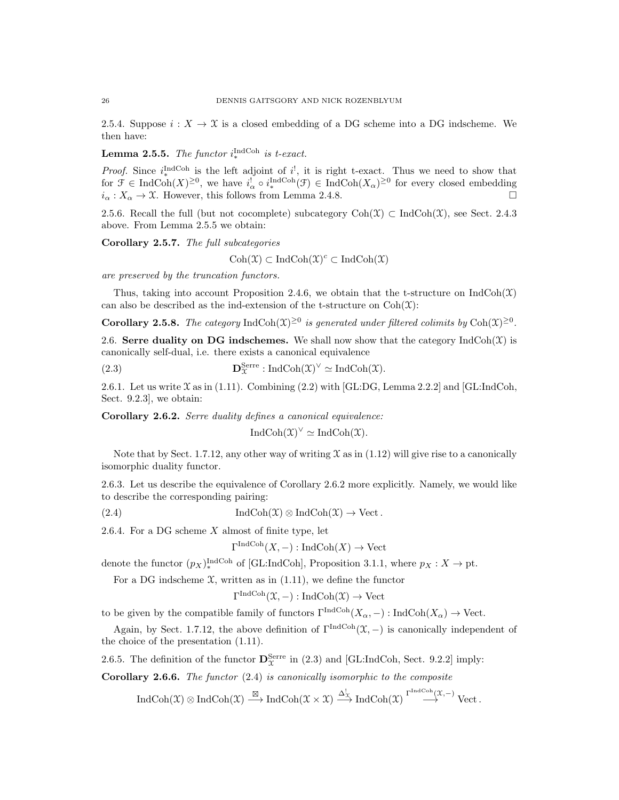2.5.4. Suppose  $i: X \to \mathfrak{X}$  is a closed embedding of a DG scheme into a DG indscheme. We then have:

**Lemma 2.5.5.** The functor  $i_{\ast}^{\text{IndCoh}}$  is t-exact.

*Proof.* Since  $i_{\ast}^{\text{IndCoh}}$  is the left adjoint of  $i^!$ , it is right t-exact. Thus we need to show that for  $\mathfrak{F} \in \text{IndCoh}(X)^{\geq 0}$ , we have  $i_{\alpha}^! \circ i_{*}^{\text{IndCoh}}(\mathfrak{F}) \in \text{IndCoh}(X_{\alpha})^{\geq 0}$  for every closed embedding  $i_{\alpha}: X_{\alpha} \to \mathfrak{X}$ . However, this follows from Lemma 2.4.8.

2.5.6. Recall the full (but not cocomplete) subcategory  $\text{Coh}(\mathfrak{X}) \subset \text{IndCoh}(\mathfrak{X})$ , see Sect. 2.4.3 above. From Lemma 2.5.5 we obtain:

Corollary 2.5.7. The full subcategories

 $\mathrm{Coh}(\mathfrak{X}) \subset \mathrm{IndCoh}(\mathfrak{X})^c \subset \mathrm{IndCoh}(\mathfrak{X})$ 

are preserved by the truncation functors.

Thus, taking into account Proposition 2.4.6, we obtain that the t-structure on  $\text{IndCoh}(\mathfrak{X})$ can also be described as the ind-extension of the t-structure on  $Coh(\mathfrak{X})$ :

**Corollary 2.5.8.** The category IndCoh $(\mathfrak{X})^{\geq 0}$  is generated under filtered colimits by Coh $(\mathfrak{X})^{\geq 0}$ .

2.6. Serre duality on DG indschemes. We shall now show that the category  $IndCoh(\mathcal{X})$  is canonically self-dual, i.e. there exists a canonical equivalence

(2.3) 
$$
\mathbf{D}_{\mathcal{X}}^{\text{Serre}} : \text{IndCoh}(\mathcal{X})^{\vee} \simeq \text{IndCoh}(\mathcal{X}).
$$

2.6.1. Let us write  $\mathfrak X$  as in (1.11). Combining (2.2) with [GL:DG, Lemma 2.2.2] and [GL:IndCoh, Sect. 9.2.3], we obtain:

Corollary 2.6.2. Serre duality defines a canonical equivalence:

$$
IndCoh(\mathfrak{X})^{\vee} \simeq IndCoh(\mathfrak{X}).
$$

Note that by Sect. 1.7.12, any other way of writing  $\mathfrak X$  as in (1.12) will give rise to a canonically isomorphic duality functor.

2.6.3. Let us describe the equivalence of Corollary 2.6.2 more explicitly. Namely, we would like to describe the corresponding pairing:

(2.4) 
$$
\operatorname{IndCoh}(\mathfrak{X}) \otimes \operatorname{IndCoh}(\mathfrak{X}) \to \operatorname{Vect}.
$$

2.6.4. For a DG scheme  $X$  almost of finite type, let

$$
\Gamma^{\text{IndCoh}}(X, -) : \text{IndCoh}(X) \to \text{Vect}
$$

denote the functor  $(p_X)_*^{\text{IndCoh}}$  of [GL:IndCoh], Proposition 3.1.1, where  $p_X : X \to \text{pt}$ .

For a DG indscheme  $\mathfrak{X}$ , written as in (1.11), we define the functor

$$
\Gamma^{\text{IndCoh}}(\mathfrak{X},-): \text{IndCoh}(\mathfrak{X}) \to \text{Vect}
$$

to be given by the compatible family of functors  $\Gamma^{\text{IndCoh}}(X_{\alpha}, -) : \text{IndCoh}(X_{\alpha}) \to \text{Vect}.$ 

Again, by Sect. 1.7.12, the above definition of  $\Gamma^{\text{IndCoh}}(\mathfrak{X},-)$  is canonically independent of the choice of the presentation (1.11).

2.6.5. The definition of the functor  $\mathbf{D}_{\mathcal{X}}^{\text{Serre}}$  in (2.3) and [GL:IndCoh, Sect. 9.2.2] imply:

**Corollary 2.6.6.** The functor  $(2.4)$  is canonically isomorphic to the composite

 $\mathrm{IndCoh}(\mathfrak{X})\otimes \mathrm{IndCoh}(\mathfrak{X}) \stackrel{\boxtimes}{\longrightarrow} \mathrm{IndCoh}(\mathfrak{X}\times \mathfrak{X}) \stackrel{\Delta_{\mathfrak{X}}^!}{\longrightarrow} \mathrm{IndCoh}(\mathfrak{X}) \stackrel{\Gamma^{\mathrm{IndCoh}}(\mathfrak{X},-)}{\longrightarrow} \mathrm{Vect}\,.$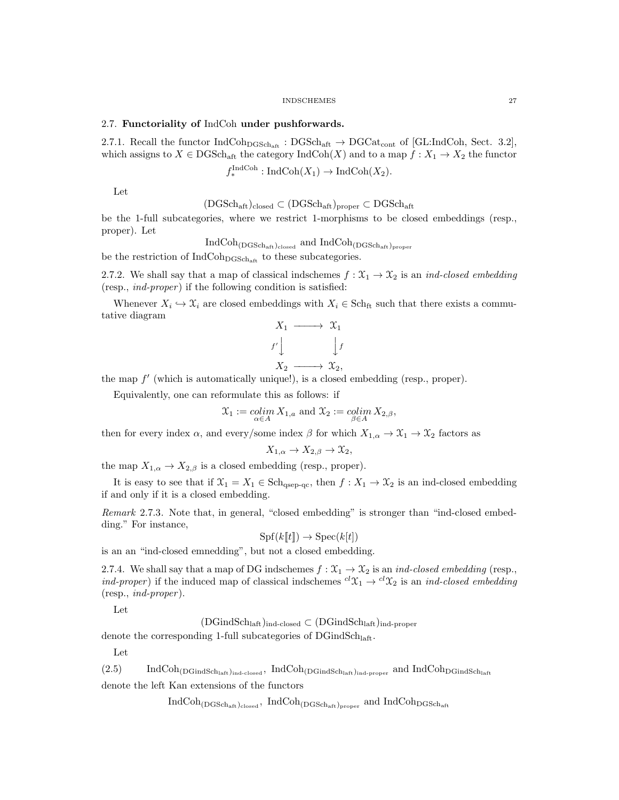## 2.7. Functoriality of IndCoh under pushforwards.

2.7.1. Recall the functor  $IndCoh<sub>DGSch<sub>aff</sub></sub> : DGSch<sub>aff</sub> \rightarrow DGCat<sub>cont</sub>$  of [GL:IndCoh, Sect. 3.2], which assigns to  $X \in \text{DGSch}_{\text{aff}}$  the category  $\text{IndCoh}(X)$  and to a map  $f : X_1 \to X_2$  the functor

$$
f^{\text{IndCoh}}_{*}: \text{IndCoh}(X_1) \to \text{IndCoh}(X_2).
$$

Let

 $(DGSch_{\text{aft}})_{\text{closed}} \subset (DGSch_{\text{aft}})_{\text{proper}} \subset DGSch_{\text{aft}}$ 

be the 1-full subcategories, where we restrict 1-morphisms to be closed embeddings (resp., proper). Let

 $\text{IndCoh}_{(\text{DGSch}_{\text{aff}})_{\text{closed}}}$  and  $\text{IndCoh}_{(\text{DGSch}_{\text{aff}})_{\text{proper}}}$ 

be the restriction of  $IndCoh<sub>DGSch<sub>aff</sub></sub>$  to these subcategories.

2.7.2. We shall say that a map of classical indschemes  $f : \mathfrak{X}_1 \to \mathfrak{X}_2$  is an *ind-closed embedding* (resp.,  $ind\text{-}proper$ ) if the following condition is satisfied:

Whenever  $X_i \hookrightarrow \mathfrak{X}_i$  are closed embeddings with  $X_i \in \text{Sch}_{\text{ft}}$  such that there exists a commutative diagram

$$
X_1 \longrightarrow X_1
$$
  

$$
f' \downarrow \qquad \qquad \downarrow f
$$
  

$$
X_2 \longrightarrow X_2,
$$

the map  $f'$  (which is automatically unique!), is a closed embedding (resp., proper).

Equivalently, one can reformulate this as follows: if

$$
\mathfrak{X}_1 := \operatornamewithlimits{colim}_{\alpha \in A} X_{1,a} \text{ and } \mathfrak{X}_2 := \operatornamewithlimits{colim}_{\beta \in A} X_{2,\beta},
$$

then for every index  $\alpha$ , and every/some index  $\beta$  for which  $X_{1,\alpha} \to \mathfrak{X}_1 \to \mathfrak{X}_2$  factors as

$$
X_{1,\alpha} \to X_{2,\beta} \to \mathfrak{X}_2,
$$

the map  $X_{1,\alpha} \to X_{2,\beta}$  is a closed embedding (resp., proper).

It is easy to see that if  $\mathfrak{X}_1 = X_1 \in \text{Sch}_{qsep-qc}$ , then  $f : X_1 \to \mathfrak{X}_2$  is an ind-closed embedding if and only if it is a closed embedding.

Remark 2.7.3. Note that, in general, "closed embedding" is stronger than "ind-closed embedding." For instance,

$$
Spf(k[[t]]) \to Spec(k[t])
$$

is an an "ind-closed emnedding", but not a closed embedding.

2.7.4. We shall say that a map of DG indschemes  $f: \mathfrak{X}_1 \to \mathfrak{X}_2$  is an ind-closed embedding (resp., ind-proper) if the induced map of classical indschemes  ${}^{cl}\mathfrak{X}_1 \rightarrow {}^{cl}\mathfrak{X}_2$  is an ind-closed embedding  $(resp., ind-proper).$ 

Let

 $(DGindSch<sub>laff</sub>)_{ind-closed} \subset (DGindSch<sub>laff</sub>)_{ind-proper}$ 

denote the corresponding 1-full subcategories of  $\rm DGindSch<sub>laff</sub>$ .

Let

 $(2.5)$  IndCoh<sub>(DGindSch<sub>laft)ind-closed</sub>, IndCoh<sub>(DGindSch<sub>laft)ind-proper</sub> and IndCoh<sub>DGindSchlaft</sub></sub></sub> denote the left Kan extensions of the functors

 $\rm IndCoh_{(DGSch_{aff})_{closed}}, \; IndCoh_{(DGSch_{aff})_{proper}} \; and \; IndCoh_{DGSch_{aff}}$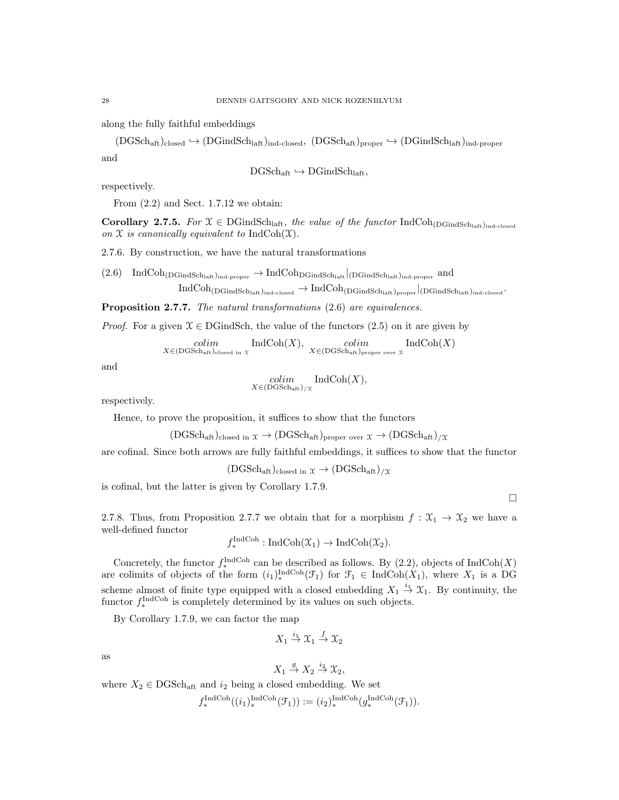along the fully faithful embeddings

 $(DGSch_{aff})_{closed} \hookrightarrow (DGindSch_{laff})_{ind-closed}$ ,  $(DGSch_{aff})_{proper} \hookrightarrow (DGindSch_{laff})_{ind-proper}$ and

$$
\mathrm{DGSch}_{\mathrm{aft}} \hookrightarrow \mathrm{DGindSch}_{\mathrm{laff}},
$$

respectively.

From  $(2.2)$  and Sect. 1.7.12 we obtain:

Corollary 2.7.5. For  $\mathfrak{X} \in \mathrm{DGindSch}_{\mathrm{laff}}$ , the value of the functor  $\mathrm{IndCoh}_{(\mathrm{DGindSch}_{\mathrm{laff}})_{\mathrm{ind-closed}}}$ on  $\mathfrak X$  is canonically equivalent to IndCoh( $\mathfrak X$ ).

2.7.6. By construction, we have the natural transformations

 $(2.6)$  IndCoh<sub>(DGindSch<sub>laft)ind-proper</sub>  $\rightarrow$  IndCoh<sub>DGindSch<sub>laft</sub> |(DGindSch<sub>laft)ind-proper</sub> and</sub></sub>  $\text{IndCoh}_{(\text{DGindSch}_{\text{laff}})_{\text{ind-closed}}}\to \text{IndCoh}_{(\text{DGindSch}_{\text{laff}})_{\text{proper}}}|_{(\text{DGindSch}_{\text{laff}})_{\text{ind-closed}}}.$ 

Proposition 2.7.7. The natural transformations  $(2.6)$  are equivalences.

*Proof.* For a given  $\mathcal{X} \in \text{DGindSch}$ , the value of the functors (2.5) on it are given by

 $\operatorname{colim}_{X \in (\operatorname{DGSch}_{\operatorname{aff}})_{\operatorname{closed}}}\operatorname{IndCoh}(X), \ \operatorname{colim}_{X \in (\operatorname{DGSch}_{\operatorname{aff}})_{\operatorname{proper}}}\operatorname{ordCoh}(X)$ 

and

$$
\underset{X \in (\text{DGSch}_{\text{aft}}) / \chi}{colim} \text{IndCoh}(X),
$$

respectively.

Hence, to prove the proposition, it suffices to show that the functors

 $(DGSch_{\text{aff}})_{closed \text{ in } \mathfrak{X}} \to (DGSch_{\text{aff}})_{proper \text{ over } \mathfrak{X}} \to (DGSch_{\text{aff}})_{/\mathfrak{X}}$ 

are cofinal. Since both arrows are fully faithful embeddings, it suffices to show that the functor

 $(DGSch_{\text{aft}})_{\text{closed in } \mathfrak{X}} \to (DGSch_{\text{aft}})_{/\mathfrak{X}}$ 

is cofinal, but the latter is given by Corollary 1.7.9.

 $\Box$ 

2.7.8. Thus, from Proposition 2.7.7 we obtain that for a morphism  $f : \mathfrak{X}_1 \to \mathfrak{X}_2$  we have a well-defined functor

$$
f_*^{\text{IndCoh}} : \text{IndCoh}(\mathfrak{X}_1) \to \text{IndCoh}(\mathfrak{X}_2).
$$

Concretely, the functor  $f_*^{\text{IndCoh}}$  can be described as follows. By (2.2), objects of  $\text{IndCoh}(X)$ are colimits of objects of the form  $(i_1)_*^{\text{IndCoh}}(\mathcal{F}_1)$  for  $\mathcal{F}_1 \in \text{IndCoh}(X_1)$ , where  $X_1$  is a DG scheme almost of finite type equipped with a closed embedding  $X_1 \stackrel{i_1}{\rightarrow} X_1$ . By continuity, the functor  $f_*^{\text{IndCoh}}$  is completely determined by its values on such objects.

By Corollary 1.7.9, we can factor the map

$$
X_1 \stackrel{i_1}{\to} \mathfrak{X}_1 \stackrel{f}{\to} \mathfrak{X}_2
$$

as

$$
X_1 \stackrel{g}{\to} X_2 \stackrel{i_2}{\to} \mathfrak{X}_2,
$$

where  $X_2 \in \text{DGSch}_{\text{aff}}$  and  $i_2$  being a closed embedding. We set

$$
f_*^{\text{IndCoh}}((i_1)_*^{\text{IndCoh}}(\mathcal{F}_1)) := (i_2)_*^{\text{IndCoh}}(g_*^{\text{IndCoh}}(\mathcal{F}_1)).
$$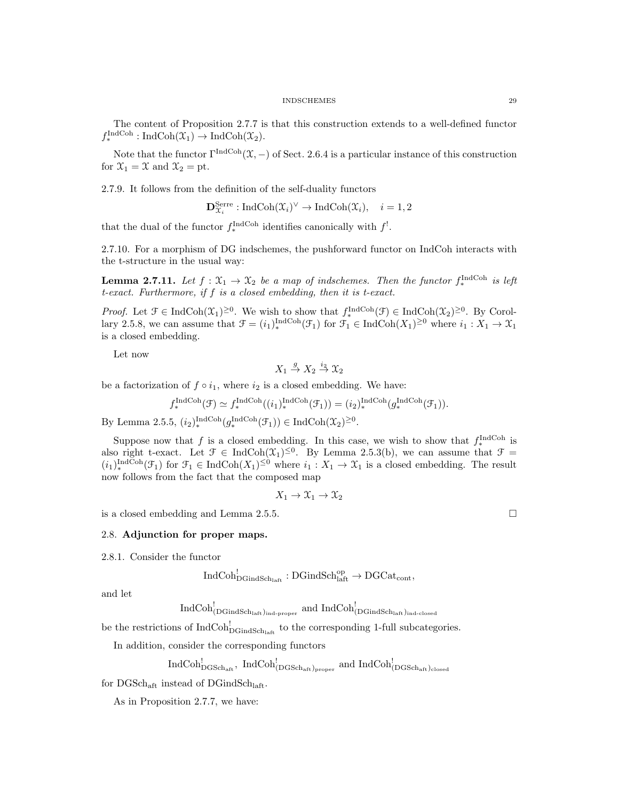The content of Proposition 2.7.7 is that this construction extends to a well-defined functor  $f_*^{\text{IndCoh}}: \text{IndCoh}(\mathfrak{X}_1) \to \text{IndCoh}(\mathfrak{X}_2).$ 

Note that the functor  $\Gamma^{\text{IndCoh}}(\mathfrak{X},-)$  of Sect. 2.6.4 is a particular instance of this construction for  $\mathfrak{X}_1 = \mathfrak{X}$  and  $\mathfrak{X}_2 = \text{pt}$ .

2.7.9. It follows from the definition of the self-duality functors

$$
\mathbf{D}_{\mathfrak{X}_i}^{\text{Serre}}: \text{IndCoh}(\mathfrak{X}_i)^{\vee} \to \text{IndCoh}(\mathfrak{X}_i), \quad i = 1, 2
$$

that the dual of the functor  $f_*^{\text{IndCoh}}$  identifies canonically with  $f^!$ .

2.7.10. For a morphism of DG indschemes, the pushforward functor on IndCoh interacts with the t-structure in the usual way:

**Lemma 2.7.11.** Let  $f: \mathfrak{X}_1 \to \mathfrak{X}_2$  be a map of indschemes. Then the functor  $f_*^{\text{IndCoh}}$  is left t-exact. Furthermore, if f is a closed embedding, then it is t-exact.

*Proof.* Let  $\mathcal{F} \in \text{IndCoh}(\mathcal{X}_1)^{\geq 0}$ . We wish to show that  $f_*^{\text{IndCoh}}(\mathcal{F}) \in \text{IndCoh}(\mathcal{X}_2)^{\geq 0}$ . By Corollary 2.5.8, we can assume that  $\mathcal{F} = (i_1)_*^{\text{IndCoh}}(\mathcal{F}_1)$  for  $\mathcal{F}_1 \in \text{IndCoh}(X_1)^{\geq 0}$  where  $i_1 : X_1 \to \mathcal{X}_1$ is a closed embedding.

Let now

$$
X_1 \stackrel{g}{\to} X_2 \stackrel{i_2}{\to} \mathcal{X}_2
$$

be a factorization of  $f \circ i_1$ , where  $i_2$  is a closed embedding. We have:

$$
f_*^{\text{IndCoh}}(\mathcal{F}) \simeq f_*^{\text{IndCoh}}((i_1)_*^{\text{IndCoh}}(\mathcal{F}_1)) = (i_2)_*^{\text{IndCoh}}(g_*^{\text{IndCoh}}(\mathcal{F}_1)).
$$

By Lemma 2.5.5,  $(i_2)_*^{\text{IndCoh}}(g_*^{\text{IndCoh}}(\mathcal{F}_1)) \in \text{IndCoh}(\mathcal{X}_2)^{\geq 0}$ .

Suppose now that f is a closed embedding. In this case, we wish to show that  $f_*^{\text{IndCoh}}$  is suppose now that f is a closed embedding. In this case, we wish to show that  $f_*$  is also right t-exact. Let  $\mathcal{F} \in \text{IndCoh}(\mathcal{X}_1)^{\leq 0}$ . By Lemma 2.5.3(b), we can assume that  $\mathcal{F} =$  $(i_1)_*^{\text{IndCoh}}(\mathcal{F}_1)$  for  $\mathcal{F}_1 \in \text{IndCoh}(X_1)^{\leq 0}$  where  $i_1 : X_1 \to X_1$  is a closed embedding. The result now follows from the fact that the composed map

$$
X_1 \to \mathfrak{X}_1 \to \mathfrak{X}_2
$$

is a closed embedding and Lemma 2.5.5.

#### 2.8. Adjunction for proper maps.

2.8.1. Consider the functor

$$
\mathrm{IndCoh}^!_{\mathrm{DGindSch}_{\mathrm{laff}}}:\mathrm{DGindSch}^{\mathrm{op}}_{\mathrm{laff}}\to \mathrm{DGCat}_{\mathrm{cont}},
$$

and let

 $\rm{IndCoh}_{(DGindSch_{laff})_{ind\textrm{-}proper}}^!(\thinspace\thinspace\mathrm{and}\thinspace\thinspace IndCol_{(DGindSch_{laff})_{ind\textrm{-}closed}}^!($ 

be the restrictions of  $\text{IndCoh}_{\text{DGindSch}_{\text{laff}}}^!$  to the corresponding 1-full subcategories.

In addition, consider the corresponding functors

 $\rm IndCoh_{DGSch_{aff}}^{!},~IndCoh_{(DGSch_{aff})_{proper}}^{!}~and~IndCoh_{(DGSch_{aff})_{closed}}^{!}$ 

for  $\text{DGSch}_{\text{aft}}$  instead of  $\text{DGindSch}_{\text{laft}}$ .

As in Proposition 2.7.7, we have: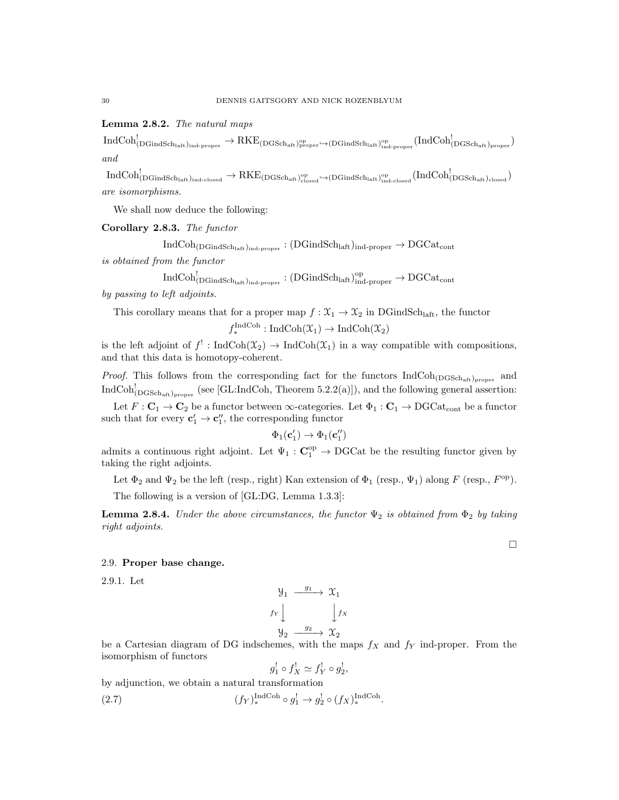# Lemma 2.8.2. The natural maps

 $\mathrm{IndCoh}^!_{(\mathrm{DGindSch}_{\mathrm{laff}})_{\mathrm{ind}\text{-}proper}} \to \mathrm{RKE}_{(\mathrm{DGSch}_{\mathrm{aff}})_{\mathrm{proper}}^{\mathrm{op}}}$   $\hookrightarrow$  (DGindSch $_{\mathrm{laff}},_{\mathrm{ind}\text{-}proper}^{\mathrm{op}}}$  ( $\mathrm{IndCoh}^!_{(\mathrm{DGSch}_{\mathrm{aff}})_{\mathrm{proper}}})$ and

 $\mathrm{IndCoh}^!_{(\mathrm{DGindSch}_{\mathrm{laff}})_{\mathrm{ind-closed}}}\to \mathrm{RKE}_{(\mathrm{DGSch}_{\mathrm{aff}})_{\mathrm{closed}}^{\mathrm{op}}}\hookrightarrow(\mathrm{DGindSch}_{\mathrm{laff}})_{\mathrm{ind-closed}}^{\mathrm{op}}(\mathrm{IndCoh}^!_{(\mathrm{DGSch}_{\mathrm{aff}})_{\mathrm{closed}}})$ are isomorphisms.

We shall now deduce the following:

Corollary 2.8.3. The functor

 $IndCoh_{(DGindSch<sub>laff</sub>)_{ind-proper}} : (DGindSch<sub>laff</sub>)_{ind-proper} \rightarrow DGCat_{cont}$ 

is obtained from the functor

$$
\mathrm{IndCoh}^!_{(\mathrm{DGindSch}_{\mathrm{laft}})_{\mathrm{ind}\text{-}proper}}: (\mathrm{DGindSch}_{\mathrm{laft}})_{\mathrm{ind}\text{-}proper}^{\mathrm{op}}\to \mathrm{DGCat}_{\mathrm{cont}}
$$

by passing to left adjoints.

This corollary means that for a proper map  $f : \mathfrak{X}_1 \to \mathfrak{X}_2$  in DGindSch<sub>laft</sub>, the functor  $f_*^{\text{IndCoh}}: \text{IndCoh}(\mathfrak{X}_1) \to \text{IndCoh}(\mathfrak{X}_2)$ 

is the left adjoint of  $f' : \text{IndCoh}(\mathfrak{X}_2) \to \text{IndCoh}(\mathfrak{X}_1)$  in a way compatible with compositions, and that this data is homotopy-coherent.

*Proof.* This follows from the corresponding fact for the functors  $IndCoh_{(DGSch_{\text{aff}})_{proper}}$  and  $\text{IndCoh}_{(\text{DGSch}_{\text{aff}})_{\text{proper}}}^!$  (see [GL:IndCoh, Theorem 5.2.2(a)]), and the following general assertion:

Let  $F: \mathbf{C}_1 \to \mathbf{C}_2$  be a functor between  $\infty$ -categories. Let  $\Phi_1: \mathbf{C}_1 \to \mathrm{DGCat}_{\mathrm{cont}}$  be a functor such that for every  $\mathbf{c}'_1 \to \mathbf{c}''_1$ , the corresponding functor

$$
\Phi_1(\mathbf{c}'_1) \to \Phi_1(\mathbf{c}''_1)
$$

admits a continuous right adjoint. Let  $\Psi_1$ :  $\mathbf{C}_1^{\text{op}} \to \text{DGCat}$  be the resulting functor given by taking the right adjoints.

Let  $\Phi_2$  and  $\Psi_2$  be the left (resp., right) Kan extension of  $\Phi_1$  (resp.,  $\Psi_1$ ) along F (resp.,  $F^{\rm op}$ ). The following is a version of [GL:DG, Lemma 1.3.3]:

**Lemma 2.8.4.** Under the above circumstances, the functor  $\Psi_2$  is obtained from  $\Phi_2$  by taking right adjoints.

# 2.9. Proper base change.

2.9.1. Let

$$
\begin{array}{ccc}\n\mathcal{Y}_1 & \xrightarrow{g_1} & \mathcal{X}_1 \\
f_Y \downarrow & & \downarrow f_X \\
\mathcal{Y}_2 & \xrightarrow{g_2} & \mathcal{X}_2\n\end{array}
$$

be a Cartesian diagram of DG indschemes, with the maps  $f_X$  and  $f_Y$  ind-proper. From the isomorphism of functors !  $\mathbf{r}$ 

$$
g_1^! \circ f_X^! \simeq f_Y^! \circ g_2^!,
$$

by adjunction, we obtain a natural transformation

(2.7)  $(f_Y)_{*}^{\text{IndCoh}} \circ g_1^! \to g_2^! \circ (f_X)_{*}^{\text{IndCoh}}.$ 

 $\Box$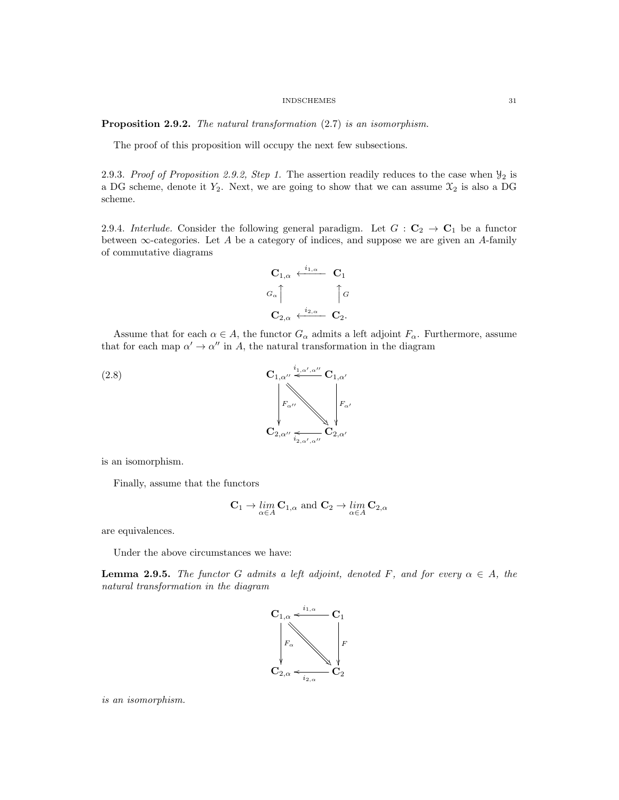Proposition 2.9.2. The natural transformation  $(2.7)$  is an isomorphism.

The proof of this proposition will occupy the next few subsections.

2.9.3. Proof of Proposition 2.9.2, Step 1. The assertion readily reduces to the case when  $\mathcal{Y}_2$  is a DG scheme, denote it  $Y_2$ . Next, we are going to show that we can assume  $\mathfrak{X}_2$  is also a DG scheme.

2.9.4. Interlude. Consider the following general paradigm. Let  $G : \mathbf{C}_2 \to \mathbf{C}_1$  be a functor between  $\infty$ -categories. Let A be a category of indices, and suppose we are given an A-family of commutative diagrams

$$
\begin{array}{ccc}\n\mathbf{C}_{1,\alpha} & \xleftarrow{i_{1,\alpha}} & \mathbf{C}_1 \\
G_{\alpha} \uparrow & & \uparrow G \\
\mathbf{C}_{2,\alpha} & \xleftarrow{i_{2,\alpha}} & \mathbf{C}_2.\n\end{array}
$$

Assume that for each  $\alpha \in A$ , the functor  $G_{\alpha}$  admits a left adjoint  $F_{\alpha}$ . Furthermore, assume that for each map  $\alpha' \to \alpha''$  in A, the natural transformation in the diagram



is an isomorphism.

Finally, assume that the functors

$$
\mathbf{C}_1 \to \lim_{\alpha \in A} \mathbf{C}_{1,\alpha} \text{ and } \mathbf{C}_2 \to \lim_{\alpha \in A} \mathbf{C}_{2,\alpha}
$$

are equivalences.

Under the above circumstances we have:

**Lemma 2.9.5.** The functor G admits a left adjoint, denoted F, and for every  $\alpha \in A$ , the natural transformation in the diagram



is an isomorphism.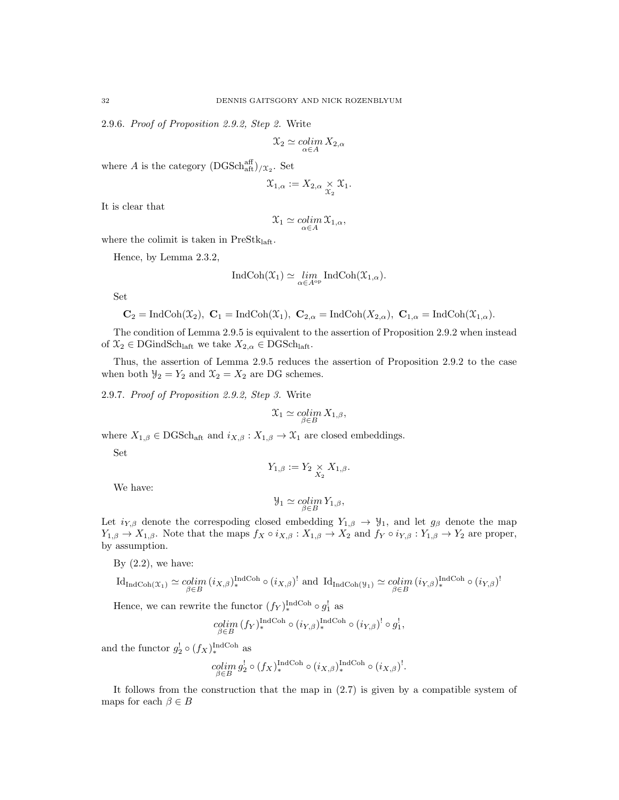2.9.6. Proof of Proposition 2.9.2, Step 2. Write

$$
\mathfrak{X}_2 \simeq \operatornamewithlimits{colim}_{\alpha \in A} X_{2,\alpha}
$$

where A is the category  $(DGSch<sub>aff</sub><sup>aff</sup>)/x<sub>2</sub>$ . Set

$$
\mathfrak{X}_{1,\alpha}:=X_{2,\alpha}\underset{\mathfrak{X}_2}{\times}\mathfrak{X}_1.
$$

It is clear that

$$
\mathfrak{X}_1\simeq \operatornamewithlimits{colim}_{\alpha\in A}\mathfrak{X}_{1,\alpha},
$$

where the colimit is taken in  $PreStk<sub>left</sub>$ .

Hence, by Lemma 2.3.2,

$$
\operatorname{IndCoh}(\mathfrak{X}_1) \simeq \lim_{\alpha \in A^{\mathrm{op}}} \operatorname{IndCoh}(\mathfrak{X}_{1,\alpha}).
$$

Set

$$
\mathbf{C}_2 = \text{IndCoh}(\mathfrak{X}_2), \ \mathbf{C}_1 = \text{IndCoh}(\mathfrak{X}_1), \ \mathbf{C}_{2,\alpha} = \text{IndCoh}(X_{2,\alpha}), \ \mathbf{C}_{1,\alpha} = \text{IndCoh}(\mathfrak{X}_{1,\alpha}).
$$

The condition of Lemma 2.9.5 is equivalent to the assertion of Proposition 2.9.2 when instead of  $\mathcal{X}_2 \in \text{DGindSch}_{\text{laft}}$  we take  $X_{2,\alpha} \in \text{DGSch}_{\text{laft}}$ .

Thus, the assertion of Lemma 2.9.5 reduces the assertion of Proposition 2.9.2 to the case when both  $\mathcal{Y}_2 = Y_2$  and  $\mathcal{X}_2 = X_2$  are DG schemes.

2.9.7. Proof of Proposition 2.9.2, Step 3. Write

$$
\mathfrak{X}_1 \simeq \operatornamewithlimits{colim}_{\beta \in B} X_{1,\beta},
$$

where  $X_{1,\beta} \in \text{DGSch}_{\text{aff}}$  and  $i_{X,\beta}: X_{1,\beta} \to \mathfrak{X}_1$  are closed embeddings.

Set

$$
Y_{1,\beta} := Y_2 \underset{X_2}{\times} X_{1,\beta}.
$$

We have:

$$
\mathcal{Y}_1 \simeq \operatornamewithlimits{colim}_{\beta \in B} Y_{1,\beta},
$$

Let  $i_{Y,\beta}$  denote the correspoding closed embedding  $Y_{1,\beta} \to Y_1$ , and let  $g_\beta$  denote the map  $Y_{1,\beta} \to X_{1,\beta}$ . Note that the maps  $f_X \circ i_{X,\beta} : X_{1,\beta} \to X_2$  and  $f_Y \circ i_{Y,\beta} : Y_{1,\beta} \to Y_2$  are proper, by assumption.

By  $(2.2)$ , we have:

$$
\mathrm{Id}_{\mathrm{Ind}\mathrm{Coh}(\mathfrak{X}_1)} \simeq \underset{\beta \in B}{\mathrm{colim}} \left( i_{X,\beta} \right)^{\mathrm{Ind}\mathrm{Coh}}_{*} \circ \left( i_{X,\beta} \right)^{\mathrm{!}} \text{ and } \mathrm{Id}_{\mathrm{Ind}\mathrm{Coh}(\mathfrak{Y}_1)} \simeq \underset{\beta \in B}{\mathrm{colim}} \left( i_{Y,\beta} \right)^{\mathrm{Ind}\mathrm{Coh}}_{*} \circ \left( i_{Y,\beta} \right)^{\mathrm{!}}
$$

Hence, we can rewrite the functor  $(f_Y)_{*}^{\text{IndCoh}} \circ g_1^!$  as

$$
\underset{\beta \in B}{colim} \; (f_Y)^{\text{IndCoh}}_* \circ (i_{Y,\beta})_*^{\text{IndCoh}} \circ (i_{Y,\beta})^! \circ g_1^!,
$$

and the functor  $g_2^! \circ (f_X)^{\text{IndCoh}}_*$  as

$$
\underset{\beta \in B}{colim} g_2^! \circ (f_X)_*^{\text{IndCoh}} \circ (i_{X,\beta})_*^{\text{IndCoh}} \circ (i_{X,\beta})^!.
$$

It follows from the construction that the map in (2.7) is given by a compatible system of maps for each  $\beta \in B$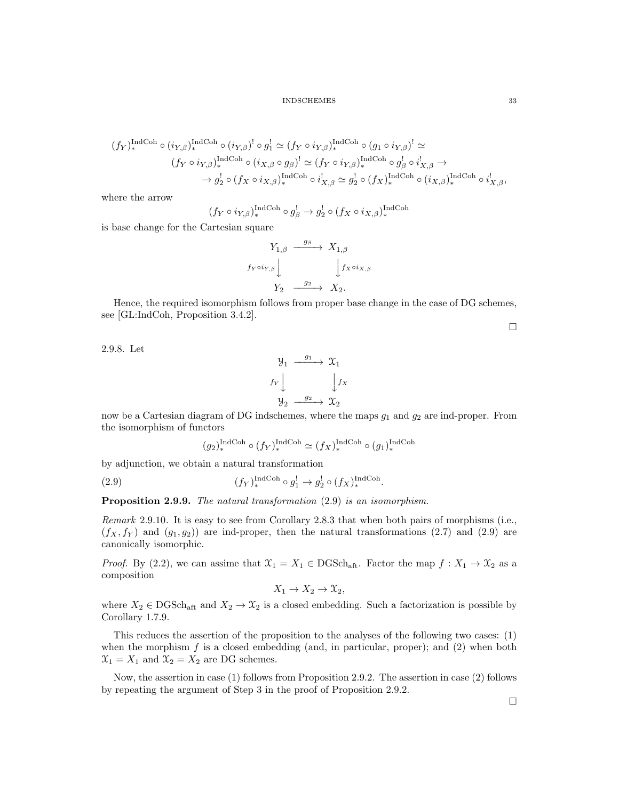$$
(f_Y)_*^{\text{IndCoh}} \circ (i_{Y,\beta})_*^{\text{IndCoh}} \circ (i_{Y,\beta})^! \circ g_1^! \simeq (f_Y \circ i_{Y,\beta})_*^{\text{IndCoh}} \circ (g_1 \circ i_{Y,\beta})^! \simeq
$$
  

$$
(f_Y \circ i_{Y,\beta})_*^{\text{IndCoh}} \circ (i_{X,\beta} \circ g_{\beta})^! \simeq (f_Y \circ i_{Y,\beta})_*^{\text{IndCoh}} \circ g_{\beta}^! \circ i_{X,\beta}^! \rightarrow
$$
  

$$
\rightarrow g_2^! \circ (f_X \circ i_{X,\beta})_*^{\text{IndCoh}} \circ i_{X,\beta}^! \simeq g_2^! \circ (f_X)^{\text{IndCoh}} \circ (i_{X,\beta})_*^{\text{IndCoh}} \circ i_{X,\beta}^!
$$

where the arrow

$$
(f_Y \circ i_{Y,\beta})_*^{\text{IndCoh}} \circ g_{\beta}^! \to g_2^! \circ (f_X \circ i_{X,\beta})_*^{\text{IndCoh}}
$$

is base change for the Cartesian square

$$
Y_{1,\beta} \xrightarrow{\quad g_{\beta}} X_{1,\beta}
$$
\n
$$
f_Y \circ i_{Y,\beta} \downarrow \qquad \qquad \downarrow f_X \circ i_{X,\beta}
$$
\n
$$
Y_2 \xrightarrow{\quad g_2} X_2.
$$

Hence, the required isomorphism follows from proper base change in the case of DG schemes, see [GL:IndCoh, Proposition 3.4.2].

 $\Box$ 

2.9.8. Let

$$
\begin{array}{ccc}\n\mathcal{Y}_1 & \xrightarrow{g_1} & \mathcal{X}_1 \\
f_Y \downarrow & & \downarrow f_X \\
\mathcal{Y}_2 & \xrightarrow{g_2} & \mathcal{X}_2\n\end{array}
$$

now be a Cartesian diagram of DG indschemes, where the maps  $g_1$  and  $g_2$  are ind-proper. From the isomorphism of functors

$$
(g_2)^{\operatorname{IndCoh}}_* \circ (f_Y)^{\operatorname{IndCoh}}_* \simeq (f_X)^{\operatorname{IndCoh}}_* \circ (g_1)^{\operatorname{IndCoh}}_*
$$

.

by adjunction, we obtain a natural transformation

(2.9) 
$$
(f_Y)_{*}^{\text{IndCoh}} \circ g_1^! \to g_2^! \circ (f_X)_{*}^{\text{IndCoh}}
$$

Proposition 2.9.9. The natural transformation  $(2.9)$  is an isomorphism.

Remark 2.9.10. It is easy to see from Corollary 2.8.3 that when both pairs of morphisms (i.e.,  $(f_X, f_Y)$  and  $(g_1, g_2)$  are ind-proper, then the natural transformations (2.7) and (2.9) are canonically isomorphic.

*Proof.* By (2.2), we can assime that  $\mathfrak{X}_1 = X_1 \in \text{DGSch}_{\text{aft}}$ . Factor the map  $f : X_1 \to \mathfrak{X}_2$  as a composition

$$
X_1 \to X_2 \to \mathfrak{X}_2,
$$

where  $X_2 \in \text{DGSch}_{\text{aff}}$  and  $X_2 \to X_2$  is a closed embedding. Such a factorization is possible by Corollary 1.7.9.

This reduces the assertion of the proposition to the analyses of the following two cases: (1) when the morphism  $f$  is a closed embedding (and, in particular, proper); and  $(2)$  when both  $\mathfrak{X}_1 = X_1$  and  $\mathfrak{X}_2 = X_2$  are DG schemes.

Now, the assertion in case (1) follows from Proposition 2.9.2. The assertion in case (2) follows by repeating the argument of Step 3 in the proof of Proposition 2.9.2.

 $\Box$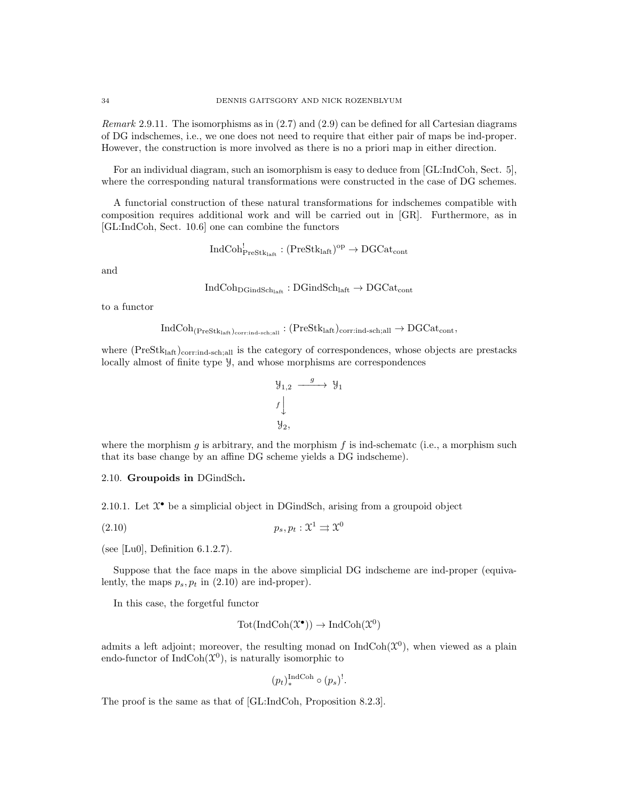Remark 2.9.11. The isomorphisms as in  $(2.7)$  and  $(2.9)$  can be defined for all Cartesian diagrams of DG indschemes, i.e., we one does not need to require that either pair of maps be ind-proper. However, the construction is more involved as there is no a priori map in either direction.

For an individual diagram, such an isomorphism is easy to deduce from [GL:IndCoh, Sect. 5], where the corresponding natural transformations were constructed in the case of DG schemes.

A functorial construction of these natural transformations for indschemes compatible with composition requires additional work and will be carried out in [GR]. Furthermore, as in [GL:IndCoh, Sect. 10.6] one can combine the functors

$$
\mathrm{IndCoh}^!_{\mathrm{PreStk}_{\mathrm{laft}}} : (\mathrm{PreStk}_{\mathrm{laft}})^{\mathrm{op}} \to \mathrm{DGCat}_{\mathrm{cont}}
$$

and

$$
\mathrm{IndCoh}_{\mathrm{DGindSch}_{\mathrm{laff}}}: \mathrm{DGindSch}_{\mathrm{laff}} \to \mathrm{DGCat}_{\mathrm{cont}}
$$

to a functor

$$
\rm IndCoh_{(PreStk_{\mathrm{laff}})_{\mathrm{corr:ind-sch;all}}}: (PreStk_{\mathrm{laff}})_{\mathrm{corr:ind-sch;all}} \rightarrow \rm DGCat_{\mathrm{cont}},
$$

where  $(Prestk<sub>laff</sub>)<sub>corrind-sch</sub>$  is the category of correspondences, whose objects are prestacks locally almost of finite type Y, and whose morphisms are correspondences

$$
\begin{array}{ccc}\n\mathfrak{Y}_{1,2} & \xrightarrow{g} & \mathfrak{Y}_1 \\
f \downarrow & & \\
\mathfrak{Y}_2, & & \n\end{array}
$$

where the morphism g is arbitrary, and the morphism f is ind-schematc (i.e., a morphism such that its base change by an affine DG scheme yields a DG indscheme).

2.10. Groupoids in DGindSch.

2.10.1. Let  $\mathfrak{X}^{\bullet}$  be a simplicial object in DGindSch, arising from a groupoid object

$$
(2.10) \t\t\t p_s, p_t: \mathfrak{X}^1 \rightrightarrows \mathfrak{X}^0
$$

(see [Lu0], Definition 6.1.2.7).

Suppose that the face maps in the above simplicial DG indscheme are ind-proper (equivalently, the maps  $p_s, p_t$  in (2.10) are ind-proper).

In this case, the forgetful functor

$$
Tot(IndCoh(\mathfrak{X}^{\bullet})) \to IndCoh(\mathfrak{X}^{0})
$$

admits a left adjoint; moreover, the resulting monad on  $\text{IndCoh}(\mathcal{X}^0)$ , when viewed as a plain endo-functor of  $IndCoh(\mathfrak{X}^0)$ , is naturally isomorphic to

$$
(p_t)_*^{\text{IndCoh}} \circ (p_s)^!.
$$

The proof is the same as that of [GL:IndCoh, Proposition 8.2.3].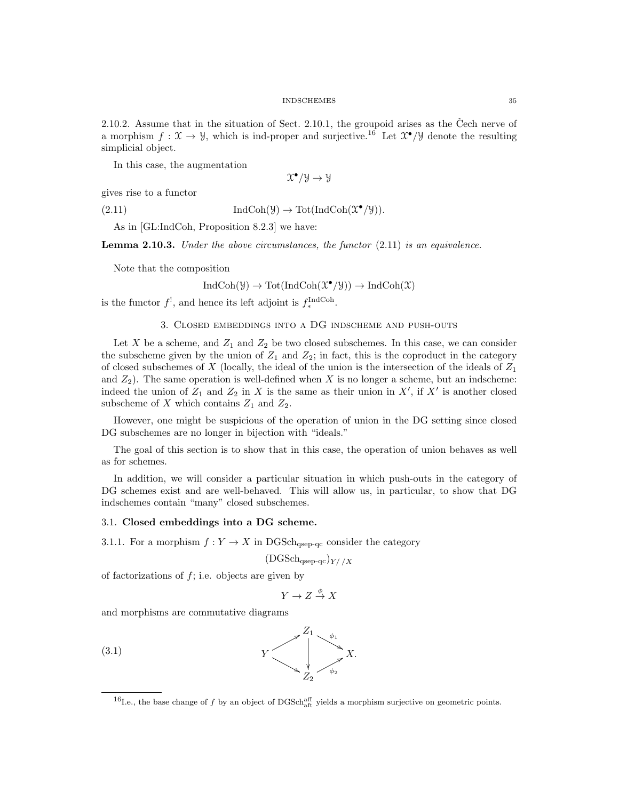2.10.2. Assume that in the situation of Sect. 2.10.1, the groupoid arises as the Čech nerve of a morphism  $f: \mathfrak{X} \to \mathfrak{Y}$ , which is ind-proper and surjective.<sup>16</sup> Let  $\mathfrak{X}^{\bullet}/\mathfrak{Y}$  denote the resulting simplicial object.

In this case, the augmentation

 $\mathfrak{X}^{\bullet}/\mathfrak{Y}\to \mathfrak{Y}$ 

gives rise to a functor

(2.11)  $\text{IndCoh}(\mathcal{Y}) \to \text{Tot}(\text{IndCoh}(\mathcal{X}^{\bullet}/\mathcal{Y})).$ 

As in [GL:IndCoh, Proposition 8.2.3] we have:

**Lemma 2.10.3.** Under the above circumstances, the functor  $(2.11)$  is an equivalence.

Note that the composition

$$
IndCoh(\mathcal{Y}) \to Tot(IndCoh(\mathcal{X}^{\bullet}/\mathcal{Y})) \to IndCoh(\mathcal{X})
$$

is the functor  $f^!$ , and hence its left adjoint is  $f_*^{\text{IndCoh}}$ .

#### 3. Closed embeddings into a DG indscheme and push-outs

Let X be a scheme, and  $Z_1$  and  $Z_2$  be two closed subschemes. In this case, we can consider the subscheme given by the union of  $Z_1$  and  $Z_2$ ; in fact, this is the coproduct in the category of closed subschemes of X (locally, the ideal of the union is the intersection of the ideals of  $Z_1$ and  $Z_2$ ). The same operation is well-defined when X is no longer a scheme, but an indscheme: indeed the union of  $Z_1$  and  $Z_2$  in X is the same as their union in X', if X' is another closed subscheme of X which contains  $Z_1$  and  $Z_2$ .

However, one might be suspicious of the operation of union in the DG setting since closed DG subschemes are no longer in bijection with "ideals."

The goal of this section is to show that in this case, the operation of union behaves as well as for schemes.

In addition, we will consider a particular situation in which push-outs in the category of DG schemes exist and are well-behaved. This will allow us, in particular, to show that DG indschemes contain "many" closed subschemes.

# 3.1. Closed embeddings into a DG scheme.

3.1.1. For a morphism  $f: Y \to X$  in DGSch<sub>qsep-qc</sub> consider the category

$$
(\mathrm{DGSch}_{\mathrm{qsep-qc}})_{Y//X}
$$

of factorizations of  $f$ ; i.e. objects are given by

$$
Y \to Z \stackrel{\phi}{\to} X
$$

and morphisms are commutative diagrams



<sup>&</sup>lt;sup>16</sup>I.e., the base change of f by an object of DGSch<sub>aft</sub> yields a morphism surjective on geometric points.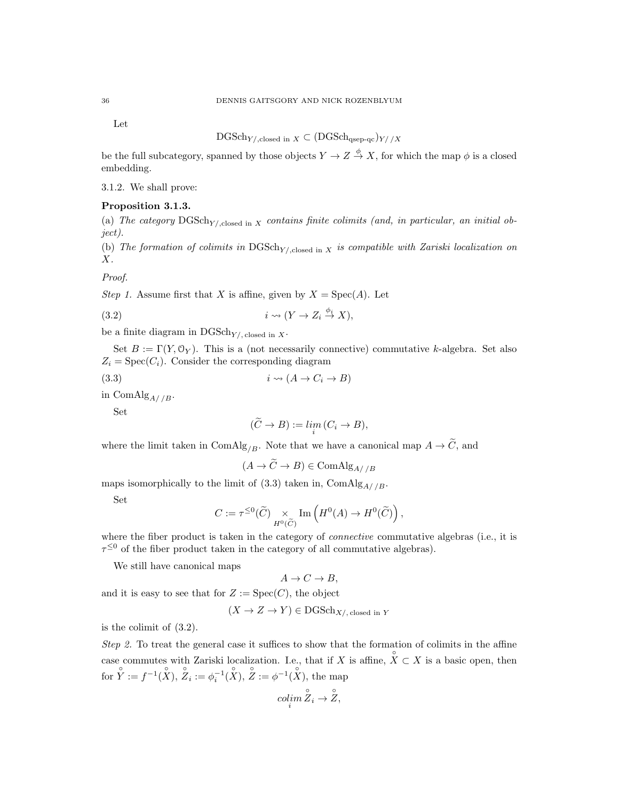Let

$$
\mathrm{DGSch}_{Y/\mathrm{,closed\ in\ }X}\subset (\mathrm{DGSch}_{\mathrm{qsep}\text{-}qc})_{Y//X}
$$

be the full subcategory, spanned by those objects  $Y \to Z \stackrel{\phi}{\to} X$ , for which the map  $\phi$  is a closed embedding.

3.1.2. We shall prove:

# Proposition 3.1.3.

(a) The category  $\text{DGSch}_{Y/\text{closed in } X}$  contains finite colimits (and, in particular, an initial object).

(b) The formation of colimits in  $DGSch_{Y/\text{,closed in }X}$  is compatible with Zariski localization on X.

Proof.

Step 1. Assume first that X is affine, given by  $X = \text{Spec}(A)$ . Let

$$
(3.2) \t\t i \rightsquigarrow (Y \to Z_i \stackrel{\phi_i}{\to} X),
$$

be a finite diagram in  $\mathrm{DGSch}_{Y/\mathrm{, closed\ in\ }X}$ .

Set  $B := \Gamma(Y, \mathcal{O}_Y)$ . This is a (not necessarily connective) commutative k-algebra. Set also  $Z_i = \text{Spec}(C_i)$ . Consider the corresponding diagram

(3.3)  $i \rightsquigarrow (A \rightarrow C_i \rightarrow B)$ 

in ComAlg<sub>A//B</sub>.

Set

$$
(\widetilde{C} \to B) := \lim_{i} (C_i \to B),
$$

where the limit taken in ComAlg<sub>/B</sub>. Note that we have a canonical map  $A \to \widetilde{C}$ , and

$$
(A \to C \to B) \in \text{ComAlg}_{A//B}
$$

maps isomorphically to the limit of (3.3) taken in, ComAlg<sub>A//B</sub>.

Set

$$
C:=\tau^{\leq 0}(\widetilde{C})\underset{H^0(\widetilde{C})}{\times}\mathrm{Im}\left(H^0(A)\to H^0(\widetilde{C})\right),
$$

where the fiber product is taken in the category of *connective* commutative algebras (i.e., it is  $\tau^{\leq 0}$  of the fiber product taken in the category of all commutative algebras).

We still have canonical maps

$$
A \to C \to B,
$$

and it is easy to see that for  $Z := \text{Spec}(C)$ , the object

$$
(X \to Z \to Y) \in \text{DGSch}_{X/\text{, closed in }Y}
$$

is the colimit of (3.2).

Step 2. To treat the general case it suffices to show that the formation of colimits in the affine case commutes with Zariski localization. I.e., that if X is affine,  $\hat{X} \subset X$  is a basic open, then for  $\hat{Y} := f^{-1}(\hat{X}), \ \hat{Z}_i := \phi_i^{-1}(\hat{X}), \ \hat{Z} := \phi^{-1}(\hat{X}),$  the map

$$
\operatorname{colim}_{i} \overset{\circ}{Z}_{i} \to \overset{\circ}{Z},
$$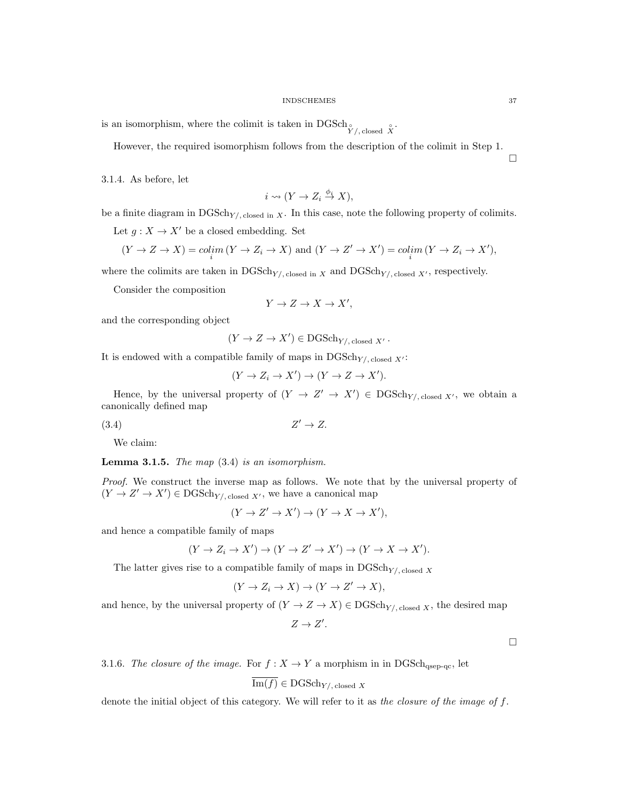is an isomorphism, where the colimit is taken in DGSch<sup>°</sup>  $\sum_{Y/\text{, closed}}^S$ .

However, the required isomorphism follows from the description of the colimit in Step 1.

3.1.4. As before, let

$$
i \rightsquigarrow (Y \to Z_i \stackrel{\phi_i}{\to} X),
$$

be a finite diagram in  $DGSch_{Y/\text{, closed in }X}$ . In this case, note the following property of colimits.

Let  $g: X \to X'$  be a closed embedding. Set

$$
(Y \to Z \to X) = colim (Y \to Z_i \to X) \text{ and } (Y \to Z' \to X') = colim (Y \to Z_i \to X'),
$$

where the colimits are taken in  $\text{DGSch}_{Y/}$ , closed in X and  $\text{DGSch}_{Y/}$ , closed X', respectively.

Consider the composition

$$
Y \to Z \to X \to X',
$$

and the corresponding object

$$
(Y \to Z \to X') \in \text{DGSch}_{Y/\text{, closed } X'}
$$
.

It is endowed with a compatible family of maps in  $\mathrm{DGSch}_{Y/\mathrm{, closed}} X'$ :

$$
(Y \to Z_i \to X') \to (Y \to Z \to X').
$$

Hence, by the universal property of  $(Y \to Z' \to X') \in DGSch_{Y/\text{closed } X'}$ , we obtain a canonically defined map

 $(3.4)$  $Z' \rightarrow Z$ .

We claim:

**Lemma 3.1.5.** The map  $(3.4)$  is an isomorphism.

Proof. We construct the inverse map as follows. We note that by the universal property of  $(Y \to Z' \to X') \in \mathrm{DGSch}_{Y/\text{, closed } X'}$ , we have a canonical map

$$
(Y \to Z' \to X') \to (Y \to X \to X'),
$$

and hence a compatible family of maps

$$
(Y \to Z_i \to X') \to (Y \to Z' \to X') \to (Y \to X \to X').
$$

The latter gives rise to a compatible family of maps in  $\mathrm{DGSch}_{Y/\text{closed }X}$ 

$$
(Y \to Z_i \to X) \to (Y \to Z' \to X),
$$

and hence, by the universal property of  $(Y \to Z \to X) \in \text{DGSch}_{Y/\text{closed } X}$ , the desired map

 $Z \to Z'$ .

 $\Box$ 

3.1.6. The closure of the image. For  $f : X \to Y$  a morphism in in DGSch<sub>qsep-qc</sub>, let

$$
\text{Im}(f) \in \text{DGSch}_{Y/\text{, closed } X}
$$

denote the initial object of this category. We will refer to it as the closure of the image of f.

 $\Box$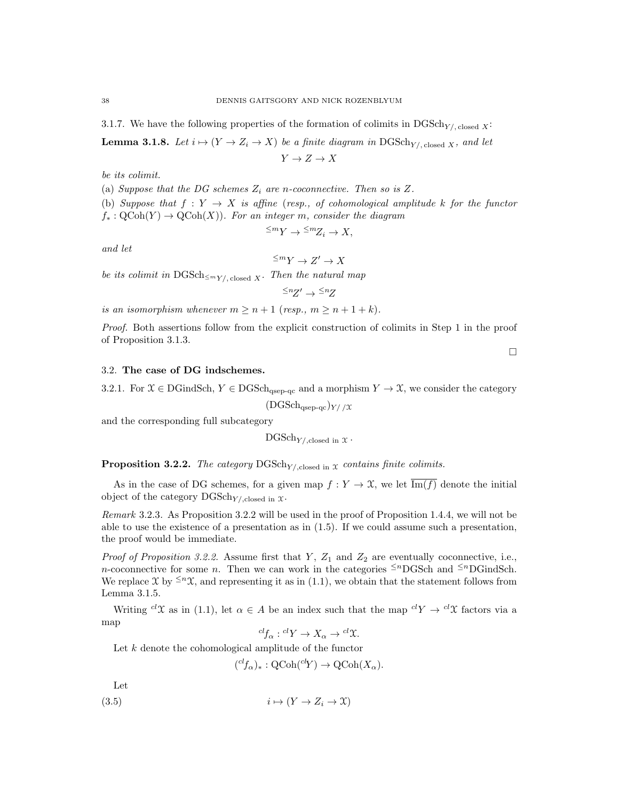3.1.7. We have the following properties of the formation of colimits in  $\text{DGSch}_{Y/\text{closed}} x$ :

**Lemma 3.1.8.** Let  $i \mapsto (Y \to Z_i \to X)$  be a finite diagram in DGSch<sub>Y/, closed X</sub>, and let

 $Y \to Z \to X$ 

be its colimit.

(a) Suppose that the DG schemes  $Z_i$  are n-coconnective. Then so is Z.

(b) Suppose that  $f: Y \to X$  is affine (resp., of cohomological amplitude k for the functor  $f_*: \text{QCoh}(Y) \to \text{QCoh}(X)$ . For an integer m, consider the diagram

$$
\leq^m Y \to \leq^m Z_i \to X,
$$

and let

 $\leq^m Y \to Z' \to X$ 

be its colimit in  $\text{DGSch}_{\leq m_{Y/\text{, closed }X}}$ . Then the natural map

 $\leq nZ' \rightarrow \leq nZ$ 

is an isomorphism whenever  $m \ge n + 1$  (resp.,  $m \ge n + 1 + k$ ).

Proof. Both assertions follow from the explicit construction of colimits in Step 1 in the proof of Proposition 3.1.3.

3.2. The case of DG indschemes.

3.2.1. For  $\mathfrak{X} \in \text{DGindSch}, Y \in \text{DGSch}_{\text{qsep-qc}}$  and a morphism  $Y \to \mathfrak{X}$ , we consider the category

 $(DGSch<sub>qsep-qc</sub>)_{Y//X}$ 

and the corresponding full subcategory

 $DGSch_{Y/\text{closed in }\mathcal{X}}$ .

**Proposition 3.2.2.** The category  $\text{DGSch}_{Y/\text{closed in }\mathcal{X}}$  contains finite colimits.

As in the case of DG schemes, for a given map  $f: Y \to \mathfrak{X}$ , we let  $\overline{\text{Im}(f)}$  denote the initial object of the category  $\text{DGSch}_{Y/\text{closed in }\mathcal{X}}$ .

Remark 3.2.3. As Proposition 3.2.2 will be used in the proof of Proposition 1.4.4, we will not be able to use the existence of a presentation as in (1.5). If we could assume such a presentation, the proof would be immediate.

*Proof of Proposition 3.2.2.* Assume first that  $Y$ ,  $Z_1$  and  $Z_2$  are eventually coconnective, i.e., n-coconnective for some n. Then we can work in the categories  $\leq^{n}$ DGSch and  $\leq^{n}$ DGindSch. We replace X by  $\leq n\chi$ , and representing it as in (1.1), we obtain that the statement follows from Lemma 3.1.5.

Writing <sup>cl</sup>X as in (1.1), let  $\alpha \in A$  be an index such that the map  ${}^{cl}Y \to {}^{cl}\mathfrak{X}$  factors via a map

$$
{}^{cl}f_{\alpha}: {}^{cl}Y \to X_{\alpha} \to {}^{cl}\mathfrak{X}.
$$

Let  $k$  denote the cohomological amplitude of the functor

$$
({}^{cl}f_{\alpha})_{*} : \text{QCoh}({}^{cl}Y) \to \text{QCoh}(X_{\alpha}).
$$

Let

$$
(3.5) \t i \mapsto (Y \to Z_i \to \mathfrak{X})
$$

 $\Box$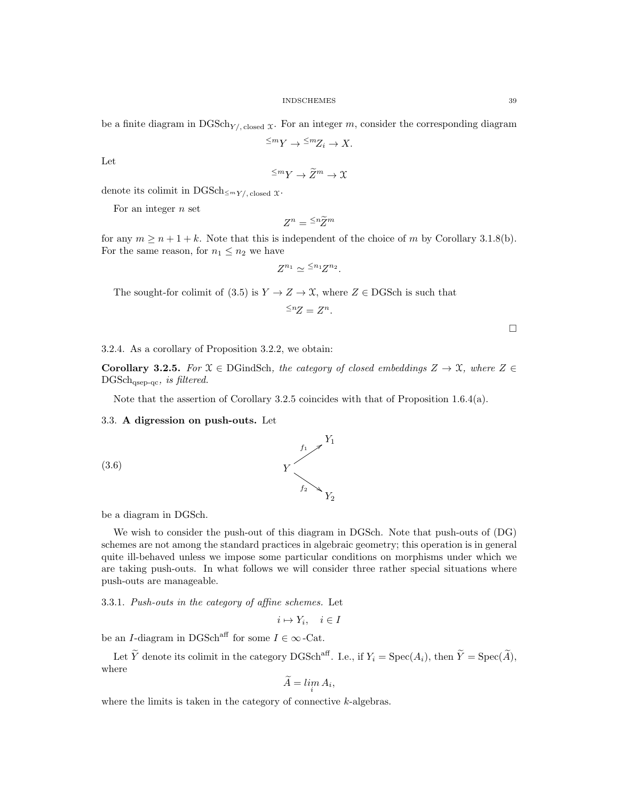$$
\leq^m Y \to \leq^m Z_i \to X.
$$

Let

$$
\leq^m Y \to \widetilde{Z}^m \to \mathfrak{X}
$$

denote its colimit in DGSch $\leq_{m} Y/$ , closed  $\mathfrak{X}$ .

For an integer  $n$  set

$$
Z^n = \frac{\leq n}{Z}^m
$$

for any  $m \ge n + 1 + k$ . Note that this is independent of the choice of m by Corollary 3.1.8(b). For the same reason, for  $n_1 \leq n_2$  we have

$$
Z^{n_1} \simeq {}^{\leq n_1}Z^{n_2}.
$$

The sought-for colimit of (3.5) is  $Y \to Z \to \mathfrak{X}$ , where  $Z \in \text{DGSch}$  is such that

$$
\leq^n Z = Z^n.
$$

 $\Box$ 

3.2.4. As a corollary of Proposition 3.2.2, we obtain:

Corollary 3.2.5. For  $\mathfrak{X} \in \text{DGindSch}$ , the category of closed embeddings  $Z \to \mathfrak{X}$ , where  $Z \in$  $DGSch_{qsep-qc}$ , is filtered.

Note that the assertion of Corollary 3.2.5 coincides with that of Proposition 1.6.4(a).

## 3.3. A digression on push-outs. Let

(3.6)



Y

### be a diagram in DGSch.

We wish to consider the push-out of this diagram in DGSch. Note that push-outs of (DG) schemes are not among the standard practices in algebraic geometry; this operation is in general quite ill-behaved unless we impose some particular conditions on morphisms under which we are taking push-outs. In what follows we will consider three rather special situations where push-outs are manageable.

3.3.1. Push-outs in the category of affine schemes. Let

$$
i \mapsto Y_i, \quad i \in I
$$

be an  $I\text{-}diagram$  in  $\text{DGSch}^\text{aff}$  for some  $I\in\infty\text{-}\text{Cat}.$ 

Let  $\widetilde{Y}$  denote its colimit in the category DGSch<sup>aff</sup>. I.e., if  $Y_i = \text{Spec}(A_i)$ , then  $\widetilde{Y} = \text{Spec}(\widetilde{A})$ , where

$$
A = \lim_{i} A_i,
$$

where the limits is taken in the category of connective  $k$ -algebras.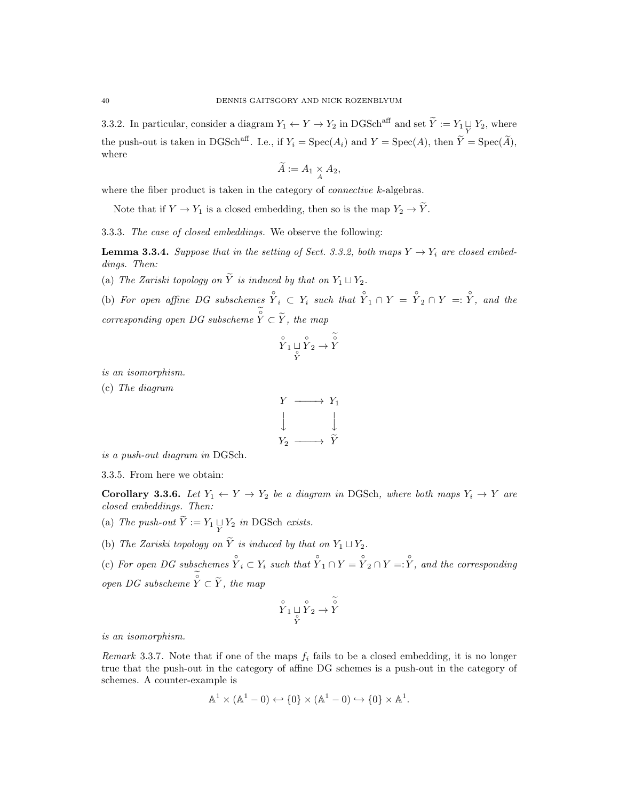3.3.2. In particular, consider a diagram  $Y_1 \leftarrow Y \rightarrow Y_2$  in DGSch<sup>aff</sup> and set  $\widetilde{Y} := Y_1 \sqcup Y_2$ , where the push-out is taken in DGSch<sup>aff</sup>. I.e., if  $Y_i = \text{Spec}(A_i)$  and  $Y = \text{Spec}(A)$ , then  $\tilde{Y} = \text{Spec}(\tilde{A})$ , where

$$
\widetilde{A} := A_1 \underset{A}{\times} A_2,
$$

where the fiber product is taken in the category of *connective*  $k$ -algebras.

Note that if  $Y \to Y_1$  is a closed embedding, then so is the map  $Y_2 \to \tilde{Y}$ .

3.3.3. The case of closed embeddings. We observe the following:

**Lemma 3.3.4.** Suppose that in the setting of Sect. 3.3.2, both maps  $Y \rightarrow Y_i$  are closed embeddings. Then:

(a) The Zariski topology on  $\widetilde{Y}$  is induced by that on  $Y_1 \sqcup Y_2$ .

(b) For open affine DG subschemes  $\hat{Y}_i \subset Y_i$  such that  $\hat{Y}_1 \cap Y = \hat{Y}_2 \cap Y =: \hat{Y}_i$  and the corresponding open DG subscheme  $\hat{Y} \subset \widetilde{Y}$ , the map

$$
\overset{\circ}{Y}_1 \sqcup \overset{\circ}{Y}_2 \to \overset{\circ}{Y}
$$

is an isomorphism.

(c) The diagram



is a push-out diagram in DGSch.

3.3.5. From here we obtain:

Corollary 3.3.6. Let  $Y_1 \leftarrow Y \rightarrow Y_2$  be a diagram in DGSch, where both maps  $Y_i \rightarrow Y$  are closed embeddings. Then:

(a) The push-out  $Y := Y_1 \underset{Y}{\sqcup} Y_2$  in DGSch exists.

(b) The Zariski topology on  $\widetilde{Y}$  is induced by that on  $Y_1 \sqcup Y_2$ .

(c) For open DG subschemes  $\hat{Y}_i \subset Y_i$  such that  $\hat{Y}_1 \cap Y = \hat{Y}_2 \cap Y = \hat{Y}_i$ , and the corresponding open DG subscheme  $\hat{Y} \subset \widetilde{Y}$ , the map

$$
\overset{\circ}{Y}_1 \underset{\overset{\circ}{Y}}{\sqcup} \overset{\circ}{Y}_2 \to \overset{\circ}{Y}
$$

is an isomorphism.

Remark 3.3.7. Note that if one of the maps  $f_i$  fails to be a closed embedding, it is no longer true that the push-out in the category of affine DG schemes is a push-out in the category of schemes. A counter-example is

$$
\mathbb{A}^1 \times (\mathbb{A}^1 - 0) \hookleftarrow \{0\} \times (\mathbb{A}^1 - 0) \hookrightarrow \{0\} \times \mathbb{A}^1.
$$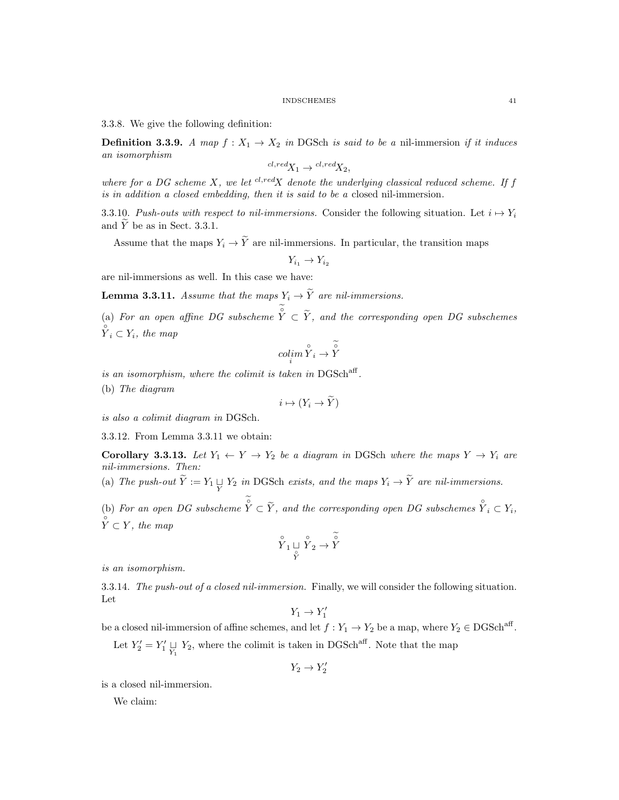3.3.8. We give the following definition:

**Definition 3.3.9.** A map  $f: X_1 \to X_2$  in DGSch is said to be a nil-immersion if it induces an isomorphism

$$
{}^{cl, red}X_1 \rightarrow {}^{cl, red}X_2,
$$

where for a DG scheme  $X$ , we let  $^{cl, red}X$  denote the underlying classical reduced scheme. If f is in addition a closed embedding, then it is said to be a closed nil-immersion.

3.3.10. Push-outs with respect to nil-immersions. Consider the following situation. Let  $i \mapsto Y_i$ and  $Y$  be as in Sect. 3.3.1.

Assume that the maps  $Y_i \to \tilde{Y}$  are nil-immersions. In particular, the transition maps

 $Y_{i_1} \to Y_{i_2}$ 

are nil-immersions as well. In this case we have:

**Lemma 3.3.11.** Assume that the maps  $Y_i \rightarrow \widetilde{Y}$  are nil-immersions.

(a) For an open affine DG subscheme  $\hat{Y} \subset \tilde{Y}$ , and the corresponding open DG subschemes  $\sum_{i=1}^{\infty} Y_i$ , the map

$$
\operatornamewithlimits{colim}_i\overset{\circ}{Y}_i\rightarrow\overset{\sim}{Y}
$$

is an isomorphism, where the colimit is taken in  $DGSch<sup>aff</sup>$ .

(b) The diagram

$$
i \mapsto (Y_i \to \widetilde{Y})
$$

is also a colimit diagram in DGSch.

3.3.12. From Lemma 3.3.11 we obtain:

Corollary 3.3.13. Let  $Y_1 \leftarrow Y \rightarrow Y_2$  be a diagram in DGSch where the maps  $Y \rightarrow Y_i$  are nil-immersions. Then:

(a) The push-out  $Y := Y_1 \sqcup Y_2$  in DGSch exists, and the maps  $Y_i \to Y$  are nil-immersions.

(b) For an open DG subscheme  $\hat{Y} \subset \widetilde{Y}$ , and the corresponding open DG subschemes  $\hat{Y}_i \subset Y_i$ ,  $\hat{Y} \subset Y$ , the map

$$
\overset{\circ}{Y}_1 \underset{\overset{\circ}{Y}}{ \sqcup} \overset{\circ}{Y}_2 \to \overset{\circ}{Y}
$$

is an isomorphism.

3.3.14. The push-out of a closed nil-immersion. Finally, we will consider the following situation. Let

 $Y_1 \rightarrow Y_1'$ 

be a closed nil-immersion of affine schemes, and let  $f: Y_1 \to Y_2$  be a map, where  $Y_2 \in DGSch<sup>aff</sup>$ . Let  $Y_2' = Y_1' \underset{Y_1}{\sqcup} Y_2$ , where the colimit is taken in DGSch<sup>aff</sup>. Note that the map

 $Y_2 \rightarrow Y_2'$ 

is a closed nil-immersion.

We claim: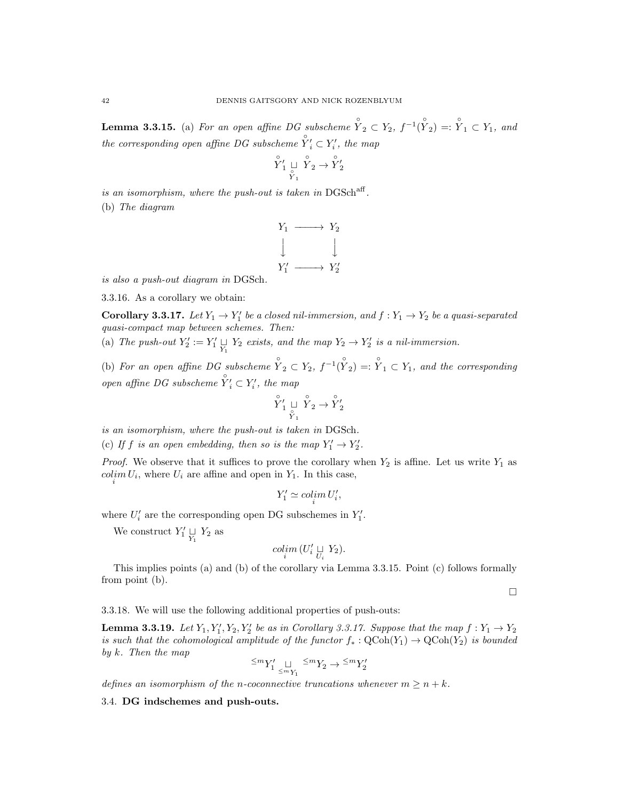**Lemma 3.3.15.** (a) For an open affine DG subscheme  $\hat{Y}_2 \subset Y_2$ ,  $f^{-1}(\hat{Y}_2) =: \hat{Y}_1 \subset Y_1$ , and the corresponding open affine DG subscheme  $\overset{\circ}{Y'}_i \subset Y'_i$ , the map

$$
\overset{\circ}{\underset{\phantom{y_1}}{Y_1}}\underset{\phantom{y_1}}{\sqcup}\overset{\circ}{\underset{\phantom{y_1}}{Y_2}}\rightarrow\overset{\circ}{\underset{\phantom{y_1}}{Y_2}}
$$

is an isomorphism, where the push-out is taken in  $DGSch<sup>aff</sup>$ . (b) The diagram



is also a push-out diagram in DGSch.

3.3.16. As a corollary we obtain:

**Corollary 3.3.17.** Let  $Y_1 \rightarrow Y_1'$  be a closed nil-immersion, and  $f: Y_1 \rightarrow Y_2$  be a quasi-separated quasi-compact map between schemes. Then:

(a) The push-out  $Y_2' := Y_1' \underset{Y_1}{\sqcup} Y_2$  exists, and the map  $Y_2 \to Y_2'$  is a nil-immersion.

(b) For an open affine DG subscheme  $\hat{Y}_2 \subset Y_2$ ,  $f^{-1}(\hat{Y}_2) =: \hat{Y}_1 \subset Y_1$ , and the corresponding open affine DG subscheme  $Y'_i \subset Y'_i$ , the map

$$
\overset{\circ}{Y}'_1 \underset{\overset{\circ}{Y}_1}{\sqcup} \overset{\circ}{Y}_2 \to \overset{\circ}{Y}'_2
$$

is an isomorphism, where the push-out is taken in DGSch.

(c) If f is an open embedding, then so is the map  $Y'_1 \rightarrow Y'_2$ .

*Proof.* We observe that it suffices to prove the corollary when  $Y_2$  is affine. Let us write  $Y_1$  as  $\underset{i}{colim} U_i$ , where  $U_i$  are affine and open in  $Y_1$ . In this case,

$$
Y_1' \simeq \operatorname{colim}_i U_i',
$$

where  $U'_i$  are the corresponding open DG subschemes in  $Y'_1$ .

We construct  $Y'_1 \underset{Y_1}{\sqcup} Y_2$  as

$$
\mathop{colim}\limits_{i} \left( U_i' \underset{U_i}{\sqcup} Y_2 \right).
$$

This implies points (a) and (b) of the corollary via Lemma 3.3.15. Point (c) follows formally from point (b).

 $\Box$ 

3.3.18. We will use the following additional properties of push-outs:

**Lemma 3.3.19.** Let  $Y_1, Y_1', Y_2, Y_2'$  be as in Corollary 3.3.17. Suppose that the map  $f: Y_1 \rightarrow Y_2$ is such that the cohomological amplitude of the functor  $f_* : \text{QCoh}(Y_1) \to \text{QCoh}(Y_2)$  is bounded by k. Then the map  $\leq$ 

$$
M_1' \underset{\le m_{Y_1}}{\sqcup} M_2 \to M_2'
$$

defines an isomorphism of the n-coconnective truncations whenever  $m \geq n + k$ .

3.4. DG indschemes and push-outs.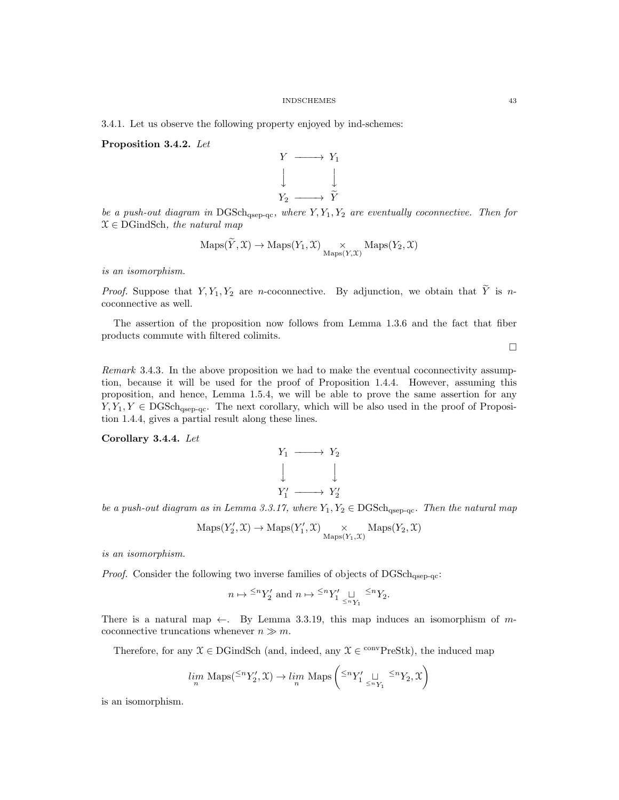3.4.1. Let us observe the following property enjoyed by ind-schemes:

Proposition 3.4.2. Let



be a push-out diagram in  $DGSch<sub>qsep-qc</sub>$ , where  $Y, Y_1, Y_2$  are eventually coconnective. Then for  $X \in \text{DGindSch},\,$  the natural map

$$
\mathrm{Maps}(Y, \mathcal{X}) \to \mathrm{Maps}(Y_1, \mathcal{X}) \underset{\mathrm{Maps}(Y, \mathcal{X})}{\times} \mathrm{Maps}(Y_2, \mathcal{X})
$$

is an isomorphism.

*Proof.* Suppose that  $Y, Y_1, Y_2$  are *n*-coconnective. By adjunction, we obtain that  $\widetilde{Y}$  is *n*coconnective as well.

The assertion of the proposition now follows from Lemma 1.3.6 and the fact that fiber products commute with filtered colimits.

 $\Box$ 

Remark 3.4.3. In the above proposition we had to make the eventual coconnectivity assumption, because it will be used for the proof of Proposition 1.4.4. However, assuming this proposition, and hence, Lemma 1.5.4, we will be able to prove the same assertion for any  $Y, Y_1, Y \in DGSch<sub>qsep-qc</sub>$ . The next corollary, which will be also used in the proof of Proposition 1.4.4, gives a partial result along these lines.

Corollary 3.4.4. Let

$$
Y_1 \longrightarrow Y_2
$$
  

$$
\downarrow \qquad \qquad \downarrow
$$
  

$$
Y_1' \longrightarrow Y_2'
$$

be a push-out diagram as in Lemma 3.3.17, where  $Y_1, Y_2 \in \text{DGSch}_{\text{asep-qc}}$ . Then the natural map

$$
\mathrm{Maps}(Y'_2,\mathcal{X}) \to \mathrm{Maps}(Y'_1,\mathcal{X}) \underset{\mathrm{Maps}(Y_1,\mathcal{X})}{\times} \mathrm{Maps}(Y_2,\mathcal{X})
$$

is an isomorphism.

*Proof.* Consider the following two inverse families of objects of  $DGSch_{\text{asep-qc}}$ :

$$
n \mapsto \frac{\leq^n}1_2' \text{ and } n \mapsto \frac{\leq^n}1_1' \underset{\leq^n} \sqcup \frac{\leq^n}1_2.
$$

There is a natural map  $\leftarrow$ . By Lemma 3.3.19, this map induces an isomorphism of mcoconnective truncations whenever  $n \gg m$ .

Therefore, for any  $X \in \text{DGindSch}$  (and, indeed, any  $X \in \text{convPreStk}$ ), the induced map

$$
\lim_n \text{ Maps}({}^{\leq n}Y_2', \mathfrak{X}) \to \lim_n \text{ Maps}\left({}^{\leq n}Y_1' \underset{^{\leq n}Y_1}{\sqcup} {}^{\leq n}Y_2, \mathfrak{X}\right)
$$

is an isomorphism.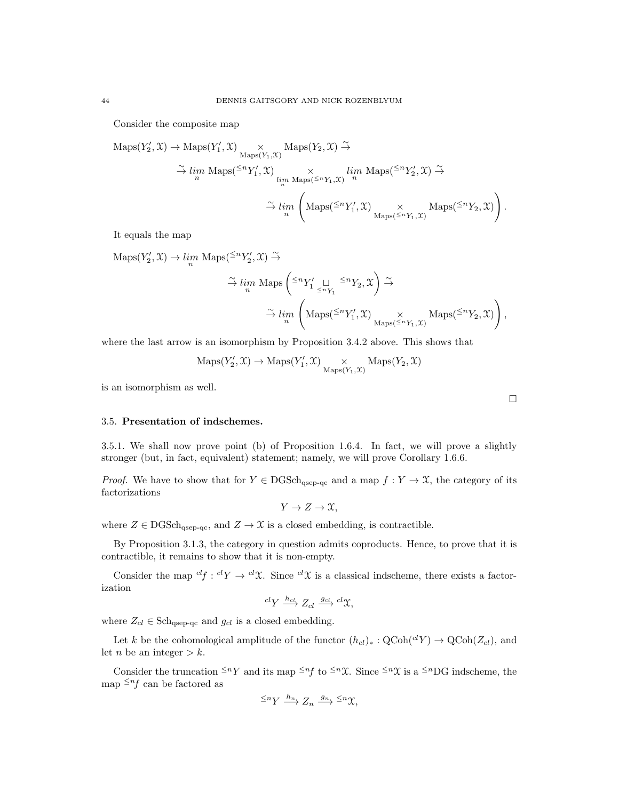Consider the composite map

$$
\begin{array}{ll}\mathsf{Maps}(Y'_2,\mathfrak{X})\rightarrow\mathsf{Maps}(Y'_1,\mathfrak{X})&\times\mathsf{Maps}(Y_2,\mathfrak{X})\xrightarrow{\sim}\\&\xrightarrow{\sim}lim\limits_{n}\mathsf{Maps}({}^{\leq n}Y'_1,\mathfrak{X})&\times\mathit{lim}\limits_{n}\mathsf{Maps}({}^{\leq n}Y'_1,\mathfrak{X})\xrightarrow{\sim}\\&\xrightarrow{\sim}lim\limits_{n}\left(\mathsf{Maps}({}^{\leq n}Y'_1,\mathfrak{X})\underset{\mathsf{Maps}({}^{\leq n}Y_1,\mathfrak{X})}{\times}\mathsf{Maps}({}^{\leq n}Y_2,\mathfrak{X})\right).\end{array}
$$

It equals the map

$$
\begin{aligned}\n\text{Maps}(Y_2', \mathfrak{X}) &\rightarrow \lim_n \text{ Maps}(\leq^n Y_2', \mathfrak{X}) \xrightarrow{\sim} \\
&\stackrel{\sim}{\rightarrow} \lim_n \text{ Maps} \left( \leq^n Y_1' \underset{\leq^n Y_1}{\sqcup} \leq^n Y_2, \mathfrak{X} \right) \xrightarrow{\sim} \\
&\stackrel{\sim}{\rightarrow} \lim_n \left( \text{Maps}(\leq^n Y_1', \mathfrak{X}) \underset{\text{Maps}(\leq^n Y_1, \mathfrak{X})}{\times} \text{Maps}(\leq^n Y_2, \mathfrak{X}) \right),\n\end{aligned}
$$

where the last arrow is an isomorphism by Proposition 3.4.2 above. This shows that

$$
\mathrm{Maps}(Y'_2,\mathfrak{X}) \to \mathrm{Maps}(Y'_1,\mathfrak{X}) \underset{\mathrm{Maps}(Y_1,\mathfrak{X})}{\times} \mathrm{Maps}(Y_2,\mathfrak{X})
$$

is an isomorphism as well.

## 3.5. Presentation of indschemes.

3.5.1. We shall now prove point (b) of Proposition 1.6.4. In fact, we will prove a slightly stronger (but, in fact, equivalent) statement; namely, we will prove Corollary 1.6.6.

*Proof.* We have to show that for  $Y \in DGSch<sub>qsep-qc</sub>$  and a map  $f: Y \to \mathcal{X}$ , the category of its factorizations

 $Y \to Z \to \mathfrak{X}$ .

where  $Z \in \text{DGSch}_{\text{qsep-qc}}$ , and  $Z \to \mathfrak{X}$  is a closed embedding, is contractible.

By Proposition 3.1.3, the category in question admits coproducts. Hence, to prove that it is contractible, it remains to show that it is non-empty.

Consider the map  $^{cl}f : ^{cl}Y \to ^{cl}\mathfrak{X}$ . Since  $^{cl}\mathfrak{X}$  is a classical indscheme, there exists a factorization

$$
^{cl}Y \xrightarrow{h_{cl}} Z_{cl} \xrightarrow{g_{cl}} {^{cl}}\mathfrak{X},
$$

where  $Z_{cl} \in \text{Sch}_{qsep-qc}$  and  $g_{cl}$  is a closed embedding.

Let k be the cohomological amplitude of the functor  $(h_{cl})_* : \text{QCoh}(^{cl}Y) \to \text{QCoh}(Z_{cl})$ , and let *n* be an integer  $> k$ .

Consider the truncation  $\leq^n Y$  and its map  $\leq^n f$  to  $\leq^n \mathfrak{X}$ . Since  $\leq^n \mathfrak{X}$  is a  $\leq^n DG$  indscheme, the map  $\leq^n f$  can be factored as

$$
\stackrel{<}{\longrightarrow} Y \stackrel{h_n}{\longrightarrow} Z_n \stackrel{g_n}{\longrightarrow} {}^{\leq n}\mathfrak{X},
$$

 $\Box$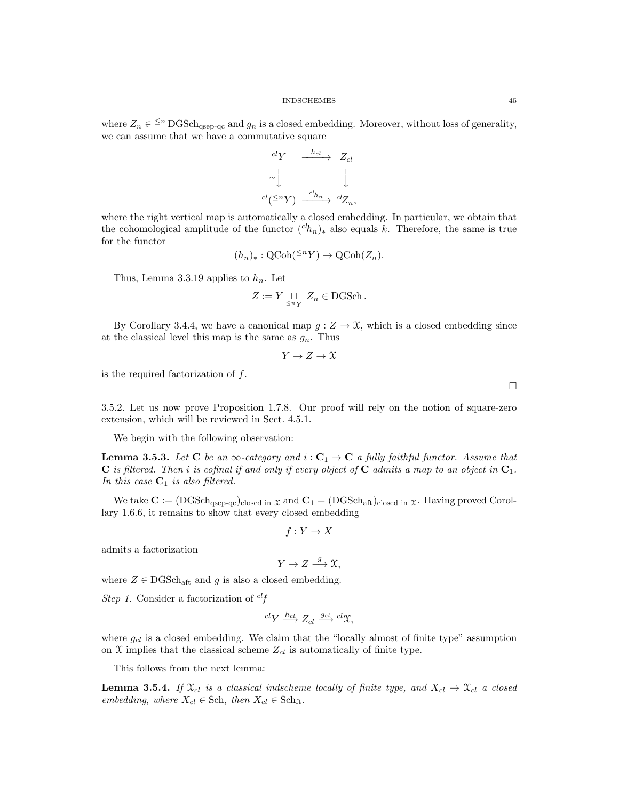where  $Z_n \in \leq^n \text{DGSch}_{qsep-qc}$  and  $g_n$  is a closed embedding. Moreover, without loss of generality, we can assume that we have a commutative square

$$
\begin{array}{ccc}\n\begin{array}{ccc}\ncl'Y & \xrightarrow{h_{cl}} & Z_{cl} \\
\sim & \downarrow & & \downarrow \\
\downarrow & & \downarrow & \downarrow \\
\downarrow & & \downarrow & \downarrow \\
\downarrow & & \downarrow & \downarrow \\
\downarrow & & \downarrow & \downarrow \\
\downarrow & & \downarrow & \downarrow \\
\downarrow & & \downarrow & \downarrow \\
\end{array}\n\end{array}
$$

where the right vertical map is automatically a closed embedding. In particular, we obtain that the cohomological amplitude of the functor  $({}^{ch}n)_{*}$  also equals k. Therefore, the same is true for the functor

$$
(h_n)_*: \mathrm{QCoh}({}^{\leq n}Y) \to \mathrm{QCoh}(Z_n).
$$

Thus, Lemma 3.3.19 applies to  $h_n$ . Let

$$
Z := Y \underset{\leq n}{\sqcup} Z_n \in \text{DGSch}.
$$

By Corollary 3.4.4, we have a canonical map  $g: Z \to \mathfrak{X}$ , which is a closed embedding since at the classical level this map is the same as  $g_n$ . Thus

$$
Y \to Z \to \mathfrak{X}
$$

is the required factorization of  $f$ .

3.5.2. Let us now prove Proposition 1.7.8. Our proof will rely on the notion of square-zero extension, which will be reviewed in Sect. 4.5.1.

We begin with the following observation:

**Lemma 3.5.3.** Let C be an  $\infty$ -category and  $i : C_1 \to C$  a fully faithful functor. Assume that **C** is filtered. Then i is cofinal if and only if every object of **C** admits a map to an object in  $C_1$ . In this case  $C_1$  is also filtered.

We take  $\mathbf{C} := (\mathrm{DGSch}_{qsep-qc})_{closed in } \chi$  and  $\mathbf{C}_1 = (\mathrm{DGSch}_{aff})_{closed in } \chi$ . Having proved Corollary 1.6.6, it remains to show that every closed embedding

$$
f: Y \to X
$$

admits a factorization

$$
Y \to Z \xrightarrow{g} \mathfrak{X},
$$

where  $Z \in \text{DGSch}_{\text{aff}}$  and  $g$  is also a closed embedding.

Step 1. Consider a factorization of  $^{cl}f$ 

$$
^{cl}Y \xrightarrow{h_{cl}} Z_{cl} \xrightarrow{g_{cl}} {^{cl}}\mathfrak{X},
$$

where  $g_{cl}$  is a closed embedding. We claim that the "locally almost of finite type" assumption on  $X$  implies that the classical scheme  $Z_{cl}$  is automatically of finite type.

This follows from the next lemma:

**Lemma 3.5.4.** If  $\mathfrak{X}_{cl}$  is a classical indscheme locally of finite type, and  $X_{cl} \rightarrow \mathfrak{X}_{cl}$  a closed embedding, where  $X_{cl} \in Sch$ , then  $X_{cl} \in Sch$ <sub>ft</sub>.

 $\Box$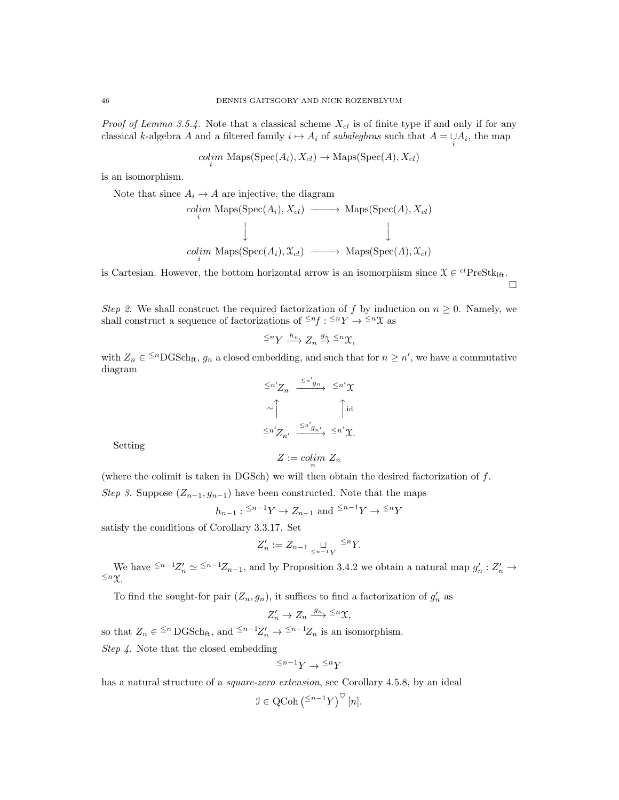*Proof of Lemma 3.5.4.* Note that a classical scheme  $X_{cl}$  is of finite type if and only if for any classical k-algebra A and a filtered family  $i \mapsto A_i$  of subalegbras such that  $A = \bigcup_i A_i$ , the map

 $colim_i$  Maps(Spec(A<sub>i</sub>), X<sub>cl</sub>)  $\rightarrow$  Maps(Spec(A), X<sub>cl</sub>)

is an isomorphism.

Note that since  $A_i \rightarrow A$  are injective, the diagram

$$
\begin{array}{ccc}\ncolim & \text{Maps}(\text{Spec}(A_i), X_{cl}) & \longrightarrow & \text{Maps}(\text{Spec}(A), X_{cl}) \\
\downarrow & & \downarrow & \\
colim & \text{Maps}(\text{Spec}(A_i), \mathfrak{X}_{cl}) & \longrightarrow & \text{Maps}(\text{Spec}(A), \mathfrak{X}_{cl})\n\end{array}
$$

is Cartesian. However, the bottom horizontal arrow is an isomorphism since  $\mathcal{X} \in {}^{cl}$ PreStk<sub>lft</sub>.

 $\Box$ 

Step 2. We shall construct the required factorization of f by induction on  $n \geq 0$ . Namely, we shall construct a sequence of factorizations of  $\leq^n f : f^{-1} \times \cdots \times f^{-1}$  as

$$
\leq^n Y \xrightarrow{h_n} Z_n \xrightarrow{g_n} \leq^n \mathfrak{X},
$$

with  $Z_n \in \{^{\leq n}{\text{DGSch}}_{\text{ft}}, g_n$  a closed embedding, and such that for  $n \geq n'$ , we have a commutative diagram

$$
\begin{array}{ccc}\n\leq n'Z_n & \xrightarrow{\leq n'g_n} & \leq n'\chi \\
\sim \bigcap_{\alpha=1}^{\infty} & \bigcap_{\alpha=1}^{\infty} & \text{if } \\
\leq n'Z_{n'} & \xrightarrow{\leq n'g_{n'}} & \leq n'\chi.\n\end{array}
$$

Setting

$$
Z := colim_n Z_n
$$

(where the colimit is taken in DGSch) we will then obtain the desired factorization of  $f$ . Step 3. Suppose  $(Z_{n-1}, g_{n-1})$  have been constructed. Note that the maps

$$
h_{n-1}: \leq^{n-1}Y \to Z_{n-1}
$$
 and  $\leq^{n-1}Y \to \leq^{n}Y$ 

satisfy the conditions of Corollary 3.3.17. Set

$$
Z'_n := Z_{n-1} \underset{\leq n-1}{\sqcup} Y^{\leq n}.
$$

We have  $\leq^{n-1}Z'_n \simeq \leq^{n-1}Z_{n-1}$ , and by Proposition 3.4.2 we obtain a natural map  $g'_n : Z'_n \to$  $\leq n\chi$ .

To find the sought-for pair  $(Z_n, g_n)$ , it suffices to find a factorization of  $g'_n$  as

$$
Z_n'\to Z_n\xrightarrow{g_n}\leq^n\mathfrak{X},
$$

so that  $Z_n \in \frac{1}{n} \text{DGSch}_{ft}$ , and  $\frac{1}{n-1} Z'_n \to \frac{1}{n-1} Z_n$  is an isomorphism.

Step 4. Note that the closed embedding

$$
^{\leq n-1}Y\to {^{\leq n}Y}
$$

has a natural structure of a *square-zero extension*, see Corollary 4.5.8, by an ideal

$$
\mathcal{I} \in \mathrm{QCoh}\left(\leq^{n-1} Y\right)^{\heartsuit}[n].
$$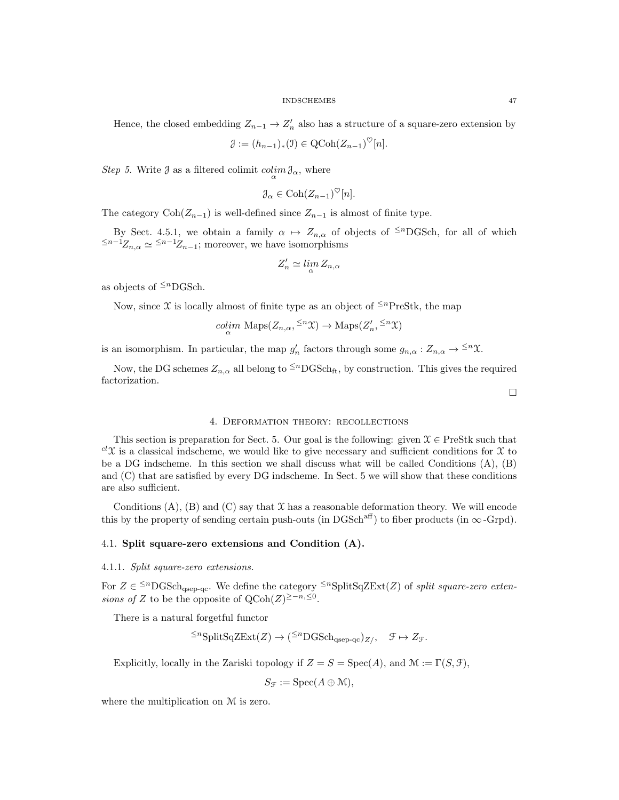$$
\mathcal{J} := (h_{n-1})_*(\mathcal{I}) \in \mathrm{QCoh}(Z_{n-1})^{\heartsuit}[n].
$$

*Step 5*. Write  $\mathcal{J}$  as a filtered colimit  $\operatorname{colim}_{\alpha} \mathcal{J}_{\alpha}$ , where

$$
\mathcal{J}_{\alpha} \in \mathrm{Coh}(Z_{n-1})^{\heartsuit}[n].
$$

The category  $\text{Coh}(Z_{n-1})$  is well-defined since  $Z_{n-1}$  is almost of finite type.

By Sect. 4.5.1, we obtain a family  $\alpha \mapsto Z_{n,\alpha}$  of objects of <sup> $\leq n$ </sup>DGSch, for all of which  $\leq^{n-1}Z_{n,\alpha} \simeq$  ≤n−1 $Z_{n-1}$ ; moreover, we have isomorphisms

$$
Z'_n \simeq \lim_{\alpha} Z_{n,\alpha}
$$

as objects of  $\leq^n$ DGSch.

Now, since X is locally almost of finite type as an object of  $\leq^{n}$ PreStk, the map

$$
\underset{\alpha}{\text{colim}} \text{ Maps}(Z_{n,\alpha}, \leq^n \mathcal{X}) \to \text{Maps}(Z'_n, \leq^n \mathcal{X})
$$

is an isomorphism. In particular, the map  $g'_n$  factors through some  $g_{n,\alpha}: Z_{n,\alpha} \to \leq^n \mathfrak{X}$ .

Now, the DG schemes  $Z_{n,\alpha}$  all belong to  $\leq^{n}$ DGSch<sub>ft</sub>, by construction. This gives the required factorization.

 $\Box$ 

## 4. Deformation theory: recollections

This section is preparation for Sect. 5. Our goal is the following: given  $\mathcal{X} \in \text{PreStk}$  such that  $c^l\mathfrak{X}$  is a classical indscheme, we would like to give necessary and sufficient conditions for X to be a DG indscheme. In this section we shall discuss what will be called Conditions (A), (B) and (C) that are satisfied by every DG indscheme. In Sect. 5 we will show that these conditions are also sufficient.

Conditions  $(A)$ ,  $(B)$  and  $(C)$  say that  $X$  has a reasonable deformation theory. We will encode this by the property of sending certain push-outs (in DGSch<sup>aff</sup>) to fiber products (in  $\infty$ -Grpd).

## 4.1. Split square-zero extensions and Condition (A).

### 4.1.1. Split square-zero extensions.

For  $Z \in \leq^{n} \text{DGSch}_{qsep-qc}$ . We define the category  $\leq^{n} \text{SplitSqZExt}(Z)$  of split square-zero extensions of Z to be the opposite of  $Q\text{Coh}(Z)^{\geq -n, \leq 0}$ .

There is a natural forgetful functor

$$
\leq^n\text{SplitSqZExt}(Z)\to(\leq^n\text{DGSch}_{qsep-qc})_{Z/},\quad\mathfrak{F}\mapsto Z_{\mathfrak{F}}
$$

Explicitly, locally in the Zariski topology if  $Z = S = \text{Spec}(A)$ , and  $\mathcal{M} := \Gamma(S, \mathcal{F})$ ,

$$
S_{\mathcal{F}} := \mathrm{Spec}(A \oplus \mathcal{M}),
$$

where the multiplication on M is zero.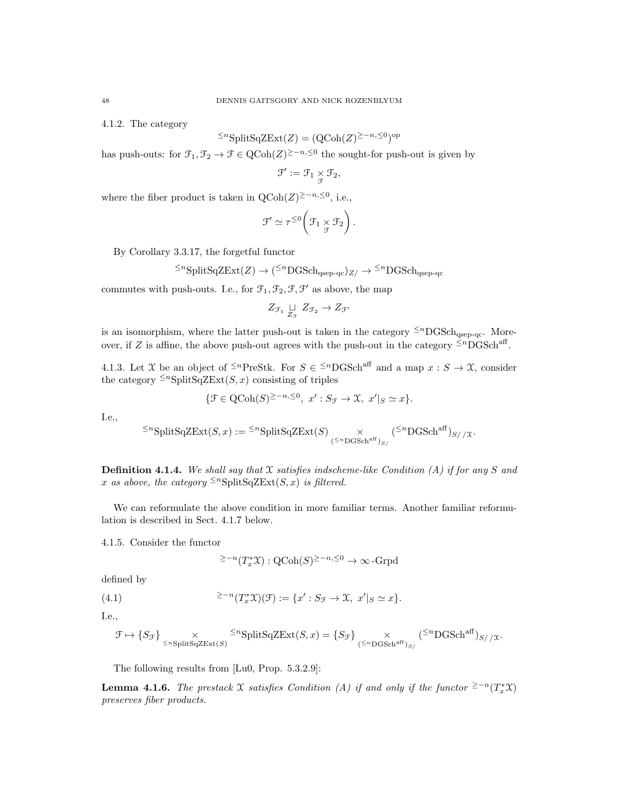4.1.2. The category

$$
\leq^n \text{SplitSqZExt}(Z) = (\text{QCoh}(Z)^{\geq -n, \leq 0})^{\text{op}}
$$

has push-outs: for  $\mathfrak{F}_1, \mathfrak{F}_2 \to \mathfrak{F} \in \text{QCoh}(Z)^{\geq -n, \leq 0}$  the sought-for push-out is given by

$$
\mathcal{F}':=\mathcal{F}_1\underset{\mathcal{F}}{\times}\mathcal{F}_2,
$$

where the fiber product is taken in  $\text{QCoh}(Z)^{\geq -n, \leq 0}$ , i.e.,

$$
\mathcal{F}' \simeq \tau^{\leq 0} \left( \mathcal{F}_1 \underset{\mathcal{F}}{\times} \mathcal{F}_2 \right).
$$

By Corollary 3.3.17, the forgetful functor

$$
\leq^n\text{SplitSqZExt}(Z)\to(\leq^n\text{DGSch}_{\text{qsep-qc}})_{Z}/\to\leq^n\text{DGSch}_{\text{qsep-qc}}
$$

commutes with push-outs. I.e., for  $\mathfrak{F}_1, \mathfrak{F}_2, \mathfrak{F}, \mathfrak{F}'$  as above, the map

$$
Z_{\mathcal{F}_1} \underset{Z_{\mathcal{F}}}{\sqcup} Z_{\mathcal{F}_2} \to Z_{\mathcal{F}'}
$$

is an isomorphism, where the latter push-out is taken in the category  $\leq^{n}$ DGSch<sub>qsep-qc</sub>. Moreover, if Z is affine, the above push-out agrees with the push-out in the category  $\leq^{n}$ DGSch<sup>aff</sup>.

4.1.3. Let X be an object of <sup> $\leq n$ </sup>PreStk. For  $S \in \leq^{n}$ DGSch<sup>aff</sup> and a map  $x : S \to \mathfrak{X}$ , consider the category  $\leq^n$ SplitSqZExt(S, x) consisting of triples

$$
\{\mathcal F\in \text{QCoh}(S)^{\geq -n, \leq 0},\ x': S_{\mathcal F}\to \mathfrak X,\ x'|_S\simeq x\}.
$$

I.e.,

$$
\leq^n\text{SplitSqZExt}(S,x) := \leq^n\text{SplitSqZExt}(S) \underset{(\leq^n\text{DGSch}^{\text{aff}})_{S/}}{\times} (\leq^n\text{DGSch}^{\text{aff}})_{S//X}.
$$

**Definition 4.1.4.** We shall say that X satisfies indscheme-like Condition (A) if for any S and x as above, the category  $\leq^n$ SplitSqZExt(S, x) is filtered.

We can reformulate the above condition in more familiar terms. Another familiar reformulation is described in Sect. 4.1.7 below.

4.1.5. Consider the functor

$$
e^{\geq -n}(T_x^*\mathfrak{X}): \mathrm{QCoh}(S)^{\geq -n, \leq 0} \to \infty\text{-Grpd}
$$

defined by

(4.1) 
$$
\xi^{-n}(T_x^* \mathfrak{X})(\mathfrak{F}) := \{x' : S_{\mathfrak{F}} \to \mathfrak{X}, \ x'|_{S} \simeq x\}.
$$

I.e.,

$$
\mathcal{F} \mapsto \{S_{\mathcal{F}}\} \underset{\leq^n {\rm SplitSqZExt}(S)}{\times} \xrightarrow{\leq^n {\rm SplitSqZExt}(S,x)} = \{S_{\mathcal{F}}\} \underset{(\leq^n {\rm DGSch}^{\rm aff})_{S/}}{\times} \xleftarrow{\leq^n {\rm DGSch}^{\rm aff}}_{S//\mathcal{X}}.
$$

The following results from [Lu0, Prop. 5.3.2.9]:

**Lemma 4.1.6.** The prestack X satisfies Condition (A) if and only if the functor  $\geq -n(T_x^*\mathfrak{X})$ preserves fiber products.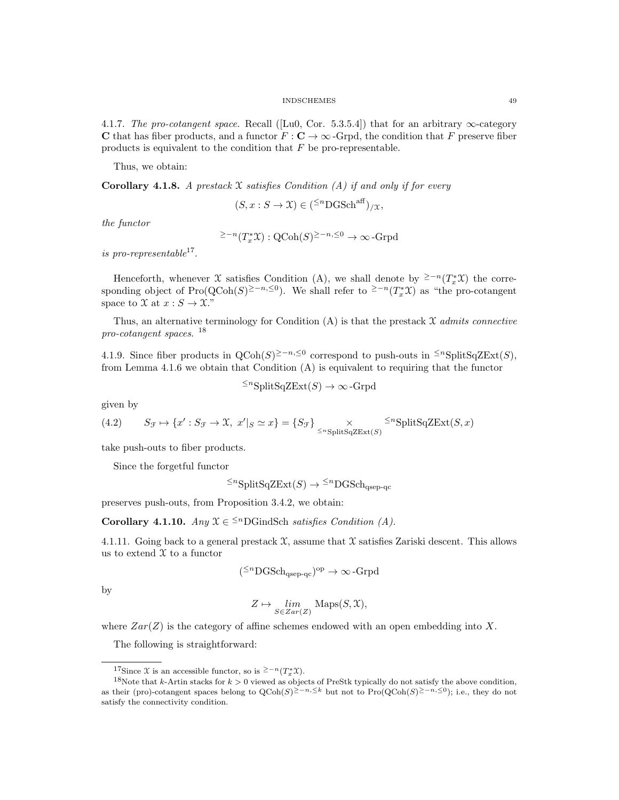4.1.7. The pro-cotangent space. Recall ([Lu0, Cor. 5.3.5.4]) that for an arbitrary  $\infty$ -category C that has fiber products, and a functor  $F : \mathbf{C} \to \infty$ -Grpd, the condition that F preserve fiber products is equivalent to the condition that  $F$  be pro-representable.

Thus, we obtain:

**Corollary 4.1.8.** A prestack  $X$  satisfies Condition (A) if and only if for every

$$
(S, x : S \to \mathfrak{X}) \in ({}^{\leq n} \mathrm{DGSch}^{\mathrm{aff}})_{/\mathfrak{X}},
$$

the functor

$$
e^{\geq -n}(T_x^*\mathfrak{X}): \mathrm{QCoh}(S)^{\geq -n, \leq 0} \to \infty\text{-Grpd}
$$

is pro-representable<sup>17</sup>.

Henceforth, whenever X satisfies Condition (A), we shall denote by <sup>≥−n</sup>( $T^*_xX$ ) the corresponding object of Pro(QCoh(S)<sup>≥-n,≤0</sup>). We shall refer to <sup>≥-n</sup>(T<sub>x</sub><sup>\*</sup>X) as "the pro-cotangent space to  $\mathfrak{X}$  at  $x : S \to \mathfrak{X}$ ."

Thus, an alternative terminology for Condition  $(A)$  is that the prestack  $X$  admits connective pro-cotangent spaces.<sup>18</sup>

4.1.9. Since fiber products in  $Q\text{Coh}(S)^{\geq -n, \leq 0}$  correspond to push-outs in <sup>≤n</sup>SplitSqZExt(S), from Lemma 4.1.6 we obtain that Condition  $(A)$  is equivalent to requiring that the functor

$$
\leq^n\text{SplitSqZExt}(S) \to \infty\text{-Grpd}
$$

given by

(4.2) 
$$
S_{\mathcal{F}} \mapsto \{x' : S_{\mathcal{F}} \to \mathcal{X}, \ x'|_{S} \simeq x\} = \{S_{\mathcal{F}}\} \times \left\{S_{\mathcal{F}}\right\} \times \left\{S_{\mathcal{F}}\right\} \times \left\{S_{\mathcal{F}}\right\} \times \left\{S_{\mathcal{F}}\right\} \times \left\{S_{\mathcal{F}}\right\} \times \left\{S_{\mathcal{F}}\right\} \times \left\{S_{\mathcal{F}}\right\} \times \left\{S_{\mathcal{F}}\right\} \times \left\{S_{\mathcal{F}}\right\} \times \left\{S_{\mathcal{F}}\right\} \times \left\{S_{\mathcal{F}}\right\} \times \left\{S_{\mathcal{F}}\right\} \times \left\{S_{\mathcal{F}}\right\} \times \left\{S_{\mathcal{F}}\right\} \times \left\{S_{\mathcal{F}}\right\} \times \left\{S_{\mathcal{F}}\right\} \times \left\{S_{\mathcal{F}}\right\} \times \left\{S_{\mathcal{F}}\right\} \times \left\{S_{\mathcal{F}}\right\} \times \left\{S_{\mathcal{F}}\right\} \times \left\{S_{\mathcal{F}}\right\} \times \left\{S_{\mathcal{F}}\right\} \times \left\{S_{\mathcal{F}}\right\} \times \left\{S_{\mathcal{F}}\right\} \times \left\{S_{\mathcal{F}}\right\} \times \left\{S_{\mathcal{F}}\right\} \times \left\{S_{\mathcal{F}}\right\} \times \left\{S_{\mathcal{F}}\right\} \times \left\{S_{\mathcal{F}}\right\} \times \left\{S_{\mathcal{F}}\right\} \times \left\{S_{\mathcal{F}}\right\} \times \left\{S_{\mathcal{F}}\right\} \times \left\{S_{\mathcal{F}}\right\} \times \left\{S_{\mathcal{F}}\right\} \times \left\{S_{\mathcal{F}}\right\} \times \left\{S_{\mathcal{F}}\right\} \times \left\{S_{\mathcal{F}}\right\} \times \left\{S_{\mathcal{F}}\right\} \times \left\{S_{\mathcal{
$$

take push-outs to fiber products.

Since the forgetful functor

 $\leq^n$ SplitSqZExt $(S) \to \leq^n$ DGSch<sub>osep-qc</sub>

preserves push-outs, from Proposition 3.4.2, we obtain:

Corollary 4.1.10. Any  $\mathfrak{X} \in \leq^n$ DGindSch satisfies Condition (A).

4.1.11. Going back to a general prestack  $\mathfrak X$ , assume that  $\mathfrak X$  satisfies Zariski descent. This allows us to extend  $\mathfrak X$  to a functor

$$
(^{\leq n}
$$
DGSch<sub>qsep-qc</sub>)<sup>op</sup>  $\rightarrow \infty$ -Grpd

by

$$
Z \mapsto \lim_{S \in Zar(Z)} \text{Maps}(S, \mathfrak{X}),
$$

where  $Zar(Z)$  is the category of affine schemes endowed with an open embedding into X.

The following is straightforward:

<sup>&</sup>lt;sup>17</sup>Since X is an accessible functor, so is <sup>≥−n</sup>( $T_x^*$ X).

<sup>&</sup>lt;sup>18</sup>Note that k-Artin stacks for  $k > 0$  viewed as objects of PreStk typically do not satisfy the above condition, as their (pro)-cotangent spaces belong to  $QCoh(S)^{\geq -n} \leq k$  but not to  $Pro(QCoh(S)^{\geq -n} \leq 0)$ ; i.e., they do not satisfy the connectivity condition.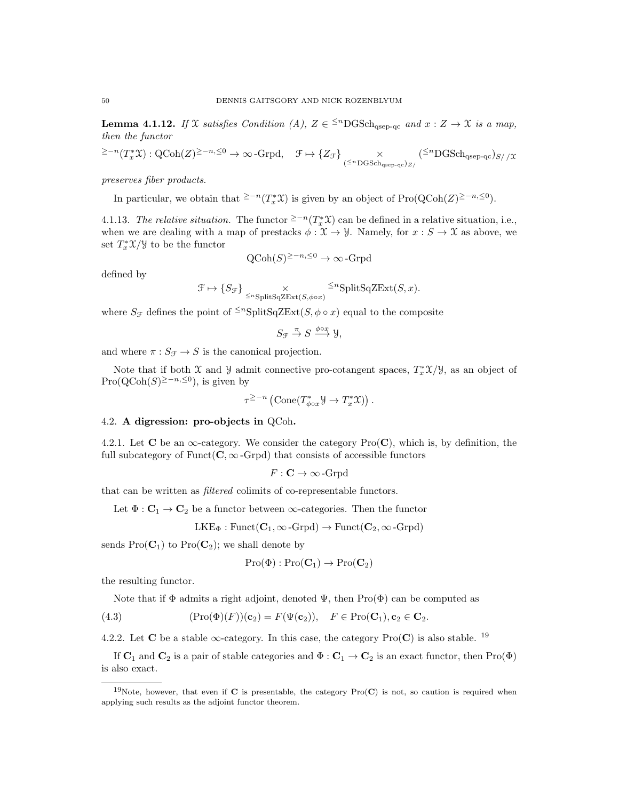**Lemma 4.1.12.** If X satisfies Condition (A),  $Z \in \{m\}$  GSch<sub>qsep-qc</sub> and  $x : Z \to \mathcal{X}$  is a map, then the functor

$$
\geq -n(T_x^*\mathfrak{X}): \operatorname{QCoh}(Z)^{\geq -n, \leq 0} \to \infty \text{-Grpd}, \quad \mathfrak{F} \mapsto \{Z_{\mathcal{F}}\} \underset{(\leq n\operatorname{DGSch}_{\operatorname{qsep-qc}})_{Z/}}{\times} (\leq^n \operatorname{DGSch}_{\operatorname{qsep-qc}})_{S//\mathfrak{X}}
$$

preserves fiber products.

In particular, we obtain that <sup>≥−n</sup>( $T_x^* \mathfrak{X}$ ) is given by an object of Pro( $\text{QCoh}(Z)^{\geq -n, \leq 0}$ ).

4.1.13. The relative situation. The functor <sup> $\geq -n(T_x^*\mathfrak{X})$ </sup> can be defined in a relative situation, i.e., when we are dealing with a map of prestacks  $\phi : \mathfrak{X} \to \mathcal{Y}$ . Namely, for  $x : S \to \mathfrak{X}$  as above, we set  $T_x^* \mathfrak{X}/\mathfrak{Y}$  to be the functor

$$
Q\text{Coh}(S)^{\geq -n, \leq 0} \to \infty\text{-Grpd}
$$

defined by

$$
\mathcal{F} \mapsto \{S_{\mathcal{F}}\} \underset{\leq^n \text{SplitSqZExt}(S,\phi \circ x)}{\times} \leq^n \text{SplitSqZExt}(S,x).
$$

where  $S_{\mathcal{F}}$  defines the point of <sup> $\leq n$ </sup>SplitSqZExt( $S, \phi \circ x$ ) equal to the composite

$$
S_{\mathcal{F}} \stackrel{\pi}{\to} S \stackrel{\phi \circ x}{\longrightarrow} \mathcal{Y},
$$

and where  $\pi: S_{\mathcal{F}} \rightarrow S$  is the canonical projection.

Note that if both  $\mathfrak X$  and  $\mathfrak Y$  admit connective pro-cotangent spaces,  $T_x^*\mathfrak X/\mathfrak Y$ , as an object of Pro( $Q\text{Coh}(S)^{\geq -n, \leq 0}$ ), is given by

$$
\tau^{\geq -n} \left( \mathrm{Cone}(T_{\phi \circ x}^* \mathcal{Y} \to T_x^* \mathcal{X}) \right).
$$

## 4.2. A digression: pro-objects in QCoh.

4.2.1. Let **C** be an  $\infty$ -category. We consider the category  $\text{Pro}(\mathbf{C})$ , which is, by definition, the full subcategory of  $Funct(C, \infty\text{-}Grd)$  that consists of accessible functors

$$
F: \mathbf{C} \to \infty\text{-Grpd}
$$

that can be written as filtered colimits of co-representable functors.

Let  $\Phi : \mathbf{C}_1 \to \mathbf{C}_2$  be a functor between  $\infty$ -categories. Then the functor

$$
LKE_{\Phi} : \text{Funct}(\mathbf{C}_1, \infty\text{-}\text{Grpd}) \to \text{Funct}(\mathbf{C}_2, \infty\text{-}\text{Grpd})
$$

sends  $Pro(C_1)$  to  $Pro(C_2)$ ; we shall denote by

$$
\mathrm{Pro}(\Phi):\mathrm{Pro}(\mathbf{C}_1)\to\mathrm{Pro}(\mathbf{C}_2)
$$

the resulting functor.

Note that if  $\Phi$  admits a right adjoint, denoted  $\Psi$ , then Pro( $\Phi$ ) can be computed as

(4.3) 
$$
(\text{Pro}(\Phi)(F))(\mathbf{c}_2) = F(\Psi(\mathbf{c}_2)), \quad F \in \text{Pro}(\mathbf{C}_1), \mathbf{c}_2 \in \mathbf{C}_2.
$$

4.2.2. Let C be a stable  $\infty$ -category. In this case, the category Pro(C) is also stable. <sup>19</sup>

If  $C_1$  and  $C_2$  is a pair of stable categories and  $\Phi: C_1 \to C_2$  is an exact functor, then Pro( $\Phi$ ) is also exact.

<sup>&</sup>lt;sup>19</sup>Note, however, that even if C is presentable, the category  $Pro(C)$  is not, so caution is required when applying such results as the adjoint functor theorem.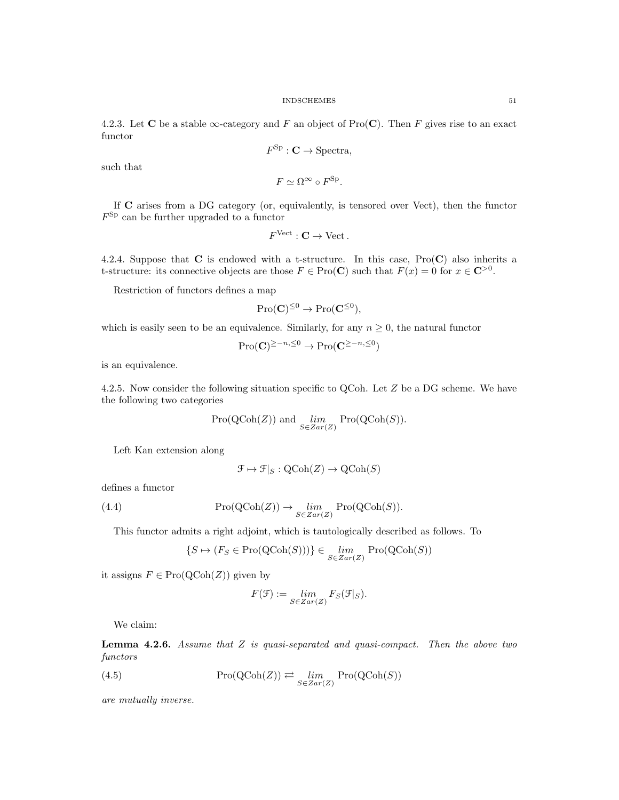4.2.3. Let C be a stable  $\infty$ -category and F an object of Pro(C). Then F gives rise to an exact functor

$$
F^{\rm Sp}:{\bf C}\to{\rm Spectra},
$$

such that

$$
F \simeq \Omega^{\infty} \circ F^{\text{Sp}}.
$$

If C arises from a DG category (or, equivalently, is tensored over Vect), then the functor F Sp can be further upgraded to a functor

$$
F^{\mathrm{Vect}} : \mathbf{C} \to \mathrm{Vect} \, .
$$

4.2.4. Suppose that  $C$  is endowed with a t-structure. In this case,  $Pro(C)$  also inherits a t-structure: its connective objects are those  $F \in \text{Pro}(\mathbf{C})$  such that  $F(x) = 0$  for  $x \in \mathbf{C}^{>0}$ .

Restriction of functors defines a map

$$
\mathrm{Pro}(\mathbf{C})^{\leq 0} \to \mathrm{Pro}(\mathbf{C}^{\leq 0}),
$$

which is easily seen to be an equivalence. Similarly, for any  $n \geq 0$ , the natural functor

$$
\mathrm{Pro}(\mathbf{C})^{\geq -n, \leq 0} \to \mathrm{Pro}(\mathbf{C}^{\geq -n, \leq 0})
$$

is an equivalence.

4.2.5. Now consider the following situation specific to QCoh. Let Z be a DG scheme. We have the following two categories

$$
Pro(QCoh(Z)) \text{ and } \lim_{S \in Zar(Z)} Pro(QCoh(S)).
$$

Left Kan extension along

$$
\mathcal{F} \mapsto \mathcal{F}|_S : \mathrm{QCoh}(Z) \to \mathrm{QCoh}(S)
$$

defines a functor

(4.4) 
$$
\operatorname{Pro}(\operatorname{QCoh}(Z)) \to \lim_{S \in Zar(Z)} \operatorname{Pro}(\operatorname{QCoh}(S)).
$$

This functor admits a right adjoint, which is tautologically described as follows. To

$$
\{S \mapsto (F_S \in \mathrm{Pro}(\mathrm{QCoh}(S)))\} \in \lim_{S \in Zar(Z)} \mathrm{Pro}(\mathrm{QCoh}(S))
$$

it assigns  $F \in \text{Pro}(\text{QCoh}(Z))$  given by

$$
F(\mathcal{F}) := \lim_{S \in Zar(Z)} F_S(\mathcal{F}|_S).
$$

We claim:

**Lemma 4.2.6.** Assume that  $Z$  is quasi-separated and quasi-compact. Then the above two functors

(4.5) Pro(QCoh(Z)) 
$$
\rightleftarrows \lim_{S \in Zar(Z)} Pro(QCoh(S))
$$

are mutually inverse.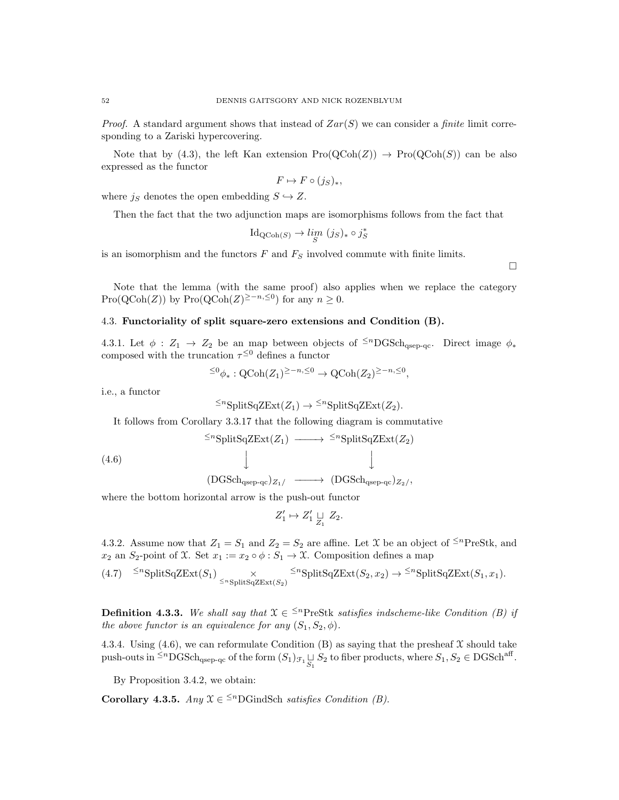*Proof.* A standard argument shows that instead of  $Zar(S)$  we can consider a *finite* limit corresponding to a Zariski hypercovering.

Note that by (4.3), the left Kan extension  $\text{Pro}(\text{QCoh}(Z)) \to \text{Pro}(\text{QCoh}(S))$  can be also expressed as the functor

$$
F \mapsto F \circ (j_S)_*,
$$

where  $j_S$  denotes the open embedding  $S \hookrightarrow Z$ .

Then the fact that the two adjunction maps are isomorphisms follows from the fact that

$$
Id_{QCoh(S)} \to \lim_{S} (j_S)_* \circ j_S^*
$$

is an isomorphism and the functors  $F$  and  $F<sub>S</sub>$  involved commute with finite limits.

Note that the lemma (with the same proof) also applies when we replace the category Pro(QCoh(Z)) by Pro(QCoh(Z)<sup>≥-n,≤0</sup>) for any  $n \ge 0$ .

## 4.3. Functoriality of split square-zero extensions and Condition (B).

4.3.1. Let  $\phi$  :  $Z_1 \rightarrow Z_2$  be an map between objects of <sup> $\leq n$ </sup>DGSch<sub>qsep-qc</sub>. Direct image  $\phi_*$ composed with the truncation  $\tau^{\leq 0}$  defines a functor

$$
\leq^0 \phi_*: \text{QCoh}(Z_1)^{\geq -n, \leq 0} \to \text{QCoh}(Z_2)^{\geq -n, \leq 0},
$$

i.e., a functor

$$
\leq^n\text{SplitSqZExt}(Z_1)\to\leq^n\text{SplitSqZExt}(Z_2).
$$

It follows from Corollary 3.3.17 that the following diagram is commutative

(4.6) 
$$
\xrightarrow{\leq n} \text{SplitSqZExt}(Z_1) \longrightarrow \xrightarrow{\leq n} \text{SplitSqZExt}(Z_2)
$$

$$
\downarrow \qquad \qquad \downarrow
$$

$$
(\text{DGSch}_{\text{qsep-qc}})_{Z_1/} \longrightarrow (\text{DGSch}_{\text{qsep-qc}})_{Z_2/},
$$

where the bottom horizontal arrow is the push-out functor

$$
Z'_1 \mapsto Z'_1 \underset{Z_1}{\sqcup} Z_2.
$$

4.3.2. Assume now that  $Z_1 = S_1$  and  $Z_2 = S_2$  are affine. Let X be an object of <sup> $\leq n$ </sup>PreStk, and  $x_2$  an  $S_2$ -point of X. Set  $x_1 := x_2 \circ \phi : S_1 \to \mathfrak{X}$ . Composition defines a map

$$
(4.7) \quad \leq^n \text{SplitSqZExt}(S_1) \times \leq^n \text{SplitSqZExt}(S_2) \quad \leq^n \text{SplitSqZExt}(S_2, x_2) \to \leq^n \text{SplitSqZExt}(S_1, x_1).
$$

**Definition 4.3.3.** We shall say that  $X \in \leq^n$ PreStk satisfies indscheme-like Condition (B) if the above functor is an equivalence for any  $(S_1, S_2, \phi)$ .

4.3.4. Using (4.6), we can reformulate Condition (B) as saying that the presheaf  $\mathfrak X$  should take  $\text{push-outs in } \leq^n \text{DGSch}_{\text{qsep-qc}} \text{ of the form } (S_1)_{\mathcal{F}_1} \underset{S_1}{\sqcup} S_2 \text{ to fiber products, where } S_1, S_2 \in \text{DGSch}^{\text{aff}}.$ 

By Proposition 3.4.2, we obtain:

Corollary 4.3.5. Any  $\mathfrak{X} \in \leq^n$ DGindSch satisfies Condition (B).

 $\Box$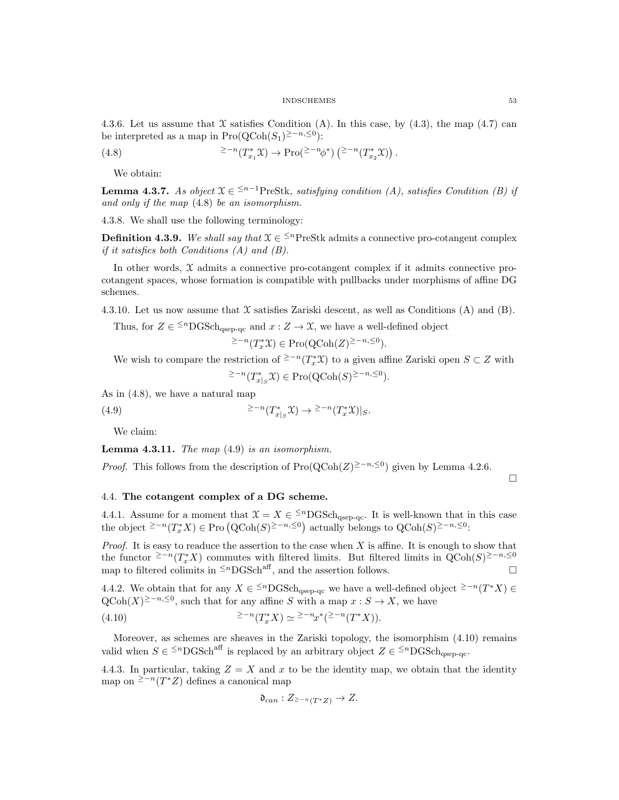4.3.6. Let us assume that  $\mathfrak X$  satisfies Condition (A). In this case, by (4.3), the map (4.7) can be interpreted as a map in  $\text{Pro}(\text{QCoh}(S_1)^{\geq -n, \leq 0})$ :

(4.8) 
$$
\qquad \qquad \geq -n(T_{x_1}^*\mathfrak{X}) \to \mathrm{Pro}(\geq -n\phi^*)\left(\geq -n(T_{x_2}^*\mathfrak{X})\right).
$$

We obtain:

**Lemma 4.3.7.** As object  $\mathfrak{X} \in \{1, 2\}$  and  $\mathfrak{X}$  as the satisfying condition (A), satisfies Condition (B) if and only if the map (4.8) be an isomorphism.

4.3.8. We shall use the following terminology:

**Definition 4.3.9.** We shall say that  $X \in \frac{5}{n}$  PreStk admits a connective pro-cotangent complex if it satisfies both Conditions  $(A)$  and  $(B)$ .

In other words, X admits a connective pro-cotangent complex if it admits connective procotangent spaces, whose formation is compatible with pullbacks under morphisms of affine DG schemes.

4.3.10. Let us now assume that  $\mathfrak X$  satisfies Zariski descent, as well as Conditions (A) and (B).

Thus, for  $Z \in \{^{\leq n} \text{DGSch}_{qsep-qc} \text{ and } x : Z \to \mathfrak{X}$ , we have a well-defined object

 $\geq$ -n(T<sub>x</sub><sup>\*</sup>X) ∈ Pro(QCoh(Z)<sup>≥-n,≤0</sup>).

We wish to compare the restriction of <sup>≥−n</sup>( $T_x^*$ X) to a given affine Zariski open  $S \subset Z$  with  $\geq$ <sup>-n</sup>(T<sub>x<sup>+</sup>|<sub>S</sub></sub>X) ∈ Pro(QCoh(S)<sup>≥-n,≤0</sup>).

As in (4.8), we have a natural map

(4.9) 
$$
\geq -n(T^*_{x|S}\mathfrak{X}) \to \geq -n(T^*_{x}\mathfrak{X})|_S.
$$

We claim:

**Lemma 4.3.11.** The map  $(4.9)$  is an isomorphism.

*Proof.* This follows from the description of Pro $(QCoh(Z)^{\geq n, \leq 0})$  given by Lemma 4.2.6.

 $\Box$ 

### 4.4. The cotangent complex of a DG scheme.

4.4.1. Assume for a moment that  $\mathfrak{X} = X \in \leq^n\mathrm{DGSch}_{qsep-qc}$ . It is well-known that in this case the object <sup>≥-n</sup>( $T_x^*X$ ) ∈ Pro (QCoh(S)<sup>≥-n,≤0</sup>) actually belongs to QCoh(S)<sup>≥-n,≤0</sup>:

*Proof.* It is easy to readuce the assertion to the case when  $X$  is affine. It is enough to show that the functor <sup>2-n</sup>(T<sub>x</sub><sup>\*</sup>X) commutes with filtered limits. But filtered limits in  $QCoh(S)^{\geq -n} \leq 0$ map to filtered colimits in  $\leq$ <sup>n</sup>DGSch<sup>aff</sup>, and the assertion follows.

4.4.2. We obtain that for any  $X \in \leq^n$ DGSch<sub>qsep-qc</sub> we have a well-defined object  $\geq n(T^*X) \in$  $\text{QCoh}(X)^{\geq -n, \leq 0}$ , such that for any affine S with a map  $x : S \to X$ , we have

(4.10) 
$$
\geq -n(T_x^*X) \simeq \geq -n_x^*(\geq -n(T^*X)).
$$

Moreover, as schemes are sheaves in the Zariski topology, the isomorphism (4.10) remains valid when  $S \in \leq^{n} \text{DGSch}^{\text{aff}}$  is replaced by an arbitrary object  $Z \in \leq^{n} \text{DGSch}_{\text{qsep-qc}}$ .

4.4.3. In particular, taking  $Z = X$  and x to be the identity map, we obtain that the identity map on <sup>≥−n</sup>(T<sup>\*</sup>Z) defines a canonical map

$$
\mathfrak{d}_{can}: Z_{\geq -n}(T^*Z) \to Z.
$$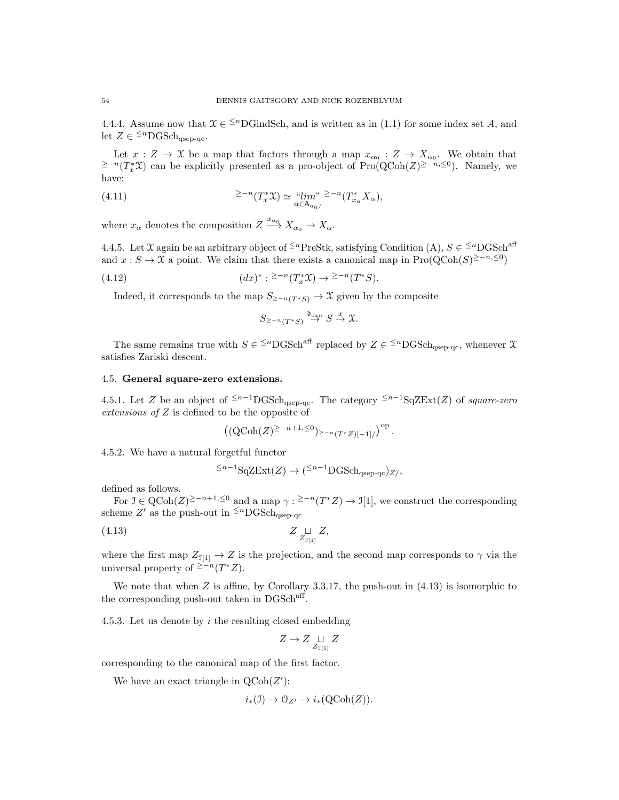4.4.4. Assume now that  $\mathfrak{X} \in \mathbb{S}^n$ DGindSch, and is written as in (1.1) for some index set A, and let  $Z \in {}^{\leq n} {\rm DGSch}_{qsep-qc}$ .

Let  $x: Z \to X$  be a map that factors through a map  $x_{\alpha_0}: Z \to X_{\alpha_0}$ . We obtain that <sup>≥−n</sup>(T<sup>\*</sup>X) can be explicitly presented as a pro-object of Pro(QCoh(Z)<sup>≥−n,≤0</sup>). Namely, we have:

(4.11) 
$$
\qquad \qquad \geq -n(T_x^* \mathfrak{X}) \simeq \lim_{\alpha \in A_{\alpha_0/}} n(T_{x_\alpha}^* X_\alpha),
$$

where  $x_{\alpha}$  denotes the composition  $Z \xrightarrow{x_{\alpha_0}} X_{\alpha_0} \to X_{\alpha}$ .

4.4.5. Let X again be an arbitrary object of <sup> $\leq n$ </sup>PreStk, satisfying Condition (A),  $S \in \leq^{n}$ DGSch<sup>aff</sup> and  $x : S \to \mathfrak{X}$  a point. We claim that there exists a canonical map in Pro $(QCoh(S)^{\geq -n, \leq 0})$ 

(4.12) 
$$
(dx)^{*}: \geq^{-n}(T_x^{*}\mathfrak{X}) \to \geq^{-n}(T^{*}S).
$$

Indeed, it corresponds to the map  $S_{\geq -n}(T^*S) \to \mathfrak{X}$  given by the composite

$$
S_{\geq -n}(T^*S) \stackrel{\mathfrak{d}_{can}}{\to} S \stackrel{x}{\to} \mathfrak{X}.
$$

The same remains true with  $S \in {}^{\leq n}{\rm DGSch}^{\rm aff}$  replaced by  $Z \in {}^{\leq n}{\rm DGSch}_{\rm qsep-qc}$ , whenever  $\mathfrak X$ satisfies Zariski descent.

## 4.5. General square-zero extensions.

4.5.1. Let Z be an object of  $\leq n-1}$ DGSch<sub>qsep-qc</sub>. The category  $\leq n-1$ SqZExt(Z) of square-zero extensions of Z is defined to be the opposite of

$$
\left((\text{QCoh}(Z)^{\geq -n+1,\leq 0})_{\geq -n(T^*Z)[-1]/}\right)^{\text{op}}.
$$

4.5.2. We have a natural forgetful functor

$$
\leq^{n-1} \mathrm{SqZExt}(Z) \to (\leq^{n-1} \mathrm{DGSch}_{qsep\text{-}qc})_{Z/}
$$

defined as follows.

For  $\mathcal{I} \in \mathrm{QCoh}(Z)^{\geq -n+1, \leq 0}$  and a map  $\gamma : \geq -n(T^*Z) \to \mathcal{I}[1]$ , we construct the corresponding scheme Z' as the push-out in  $\leq^{n}$ DGSch<sub>qsep-qc</sub>

$$
(4.13) \t\t Z \underset{Z_{\mathfrak{I}\{1\}}}{\sqcup} Z,
$$

where the first map  $Z_{\mathfrak{I}[1]} \to Z$  is the projection, and the second map corresponds to  $\gamma$  via the universal property of  $\geq n(T^*Z)$ .

We note that when Z is affine, by Corollary 3.3.17, the push-out in  $(4.13)$  is isomorphic to the corresponding push-out taken in  $\text{DGSch}^{\text{aff}}$ .

4.5.3. Let us denote by  $i$  the resulting closed embedding

$$
Z\to Z\underset{Z_{\mathfrak I[1]}}{\sqcup} Z
$$

corresponding to the canonical map of the first factor.

We have an exact triangle in  $\text{QCoh}(Z')$ :

$$
i_*(\mathfrak{I}) \to \mathcal{O}_{Z'} \to i_*(\mathrm{QCoh}(Z)).
$$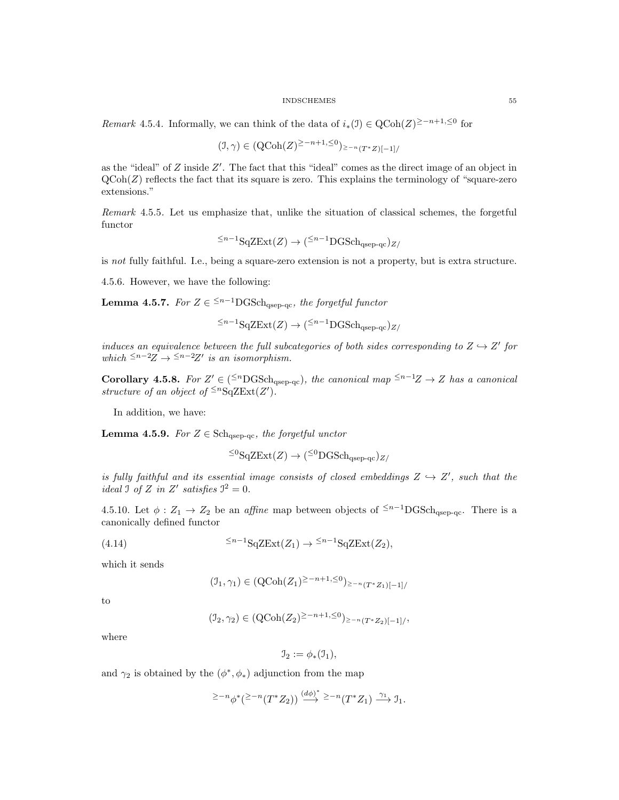Remark 4.5.4. Informally, we can think of the data of  $i_*(\mathfrak{I}) \in \text{QCoh}(Z)^{\geq -n+1}$ ,≤0 for

$$
(J, \gamma) \in (\text{QCoh}(Z)^{\geq -n+1, \leq 0})_{\geq -n} (T^*Z)[-1] /
$$

as the "ideal" of  $Z$  inside  $Z'$ . The fact that this "ideal" comes as the direct image of an object in  $QCoh(Z)$  reflects the fact that its square is zero. This explains the terminology of "square-zero" extensions."

Remark 4.5.5. Let us emphasize that, unlike the situation of classical schemes, the forgetful functor

$$
\leq^{n-1} \mathrm{SqZExt}(Z) \to (\leq^{n-1} \mathrm{DGSch}_{qsep\text{-}qc})_{Z/}
$$

is not fully faithful. I.e., being a square-zero extension is not a property, but is extra structure.

4.5.6. However, we have the following:

**Lemma 4.5.7.** For  $Z \in \frac{1}{2}n-1}$  DGSch<sub>qsep-qc</sub>, the forgetful functor

$$
\leq^{n-1} \mathrm{SqZExt}(Z) \to (\leq^{n-1} \mathrm{DGSch}_{qsep-qc})_{Z/}
$$

induces an equivalence between the full subcategories of both sides corresponding to  $Z \hookrightarrow Z'$  for which  $\leq^{n-2}Z \rightarrow \leq^{n-2}Z'$  is an isomorphism.

**Corollary 4.5.8.** For  $Z' \in (\leq^n\text{DGSch}_{qsep-qc})$ , the canonical map  $\leq^{n-1}Z \to Z$  has a canonical structure of an object of  $\leq^n$ SqZExt(Z').

In addition, we have:

**Lemma 4.5.9.** For  $Z \in \text{Sch}_{qsep-qc}$ , the forgetful unctor

$$
\leq^0\mathrm{SqZExt}(Z)\to(\leq^0\mathrm{DGSch}_{qsep\text{-}qc})_{Z/}
$$

is fully faithful and its essential image consists of closed embeddings  $Z \hookrightarrow Z'$ , such that the ideal  $\Im$  of  $Z$  in  $Z'$  satisfies  $\Im^2 = 0$ .

4.5.10. Let  $\phi: Z_1 \to Z_2$  be an *affine* map between objects of <sup>≤n-1</sup>DGSch<sub>qsep-qc</sub>. There is a canonically defined functor

(4.14) 
$$
\leq^{n-1} \mathrm{SqZExt}(Z_1) \to \leq^{n-1} \mathrm{SqZExt}(Z_2),
$$

which it sends

$$
(\mathcal{I}_1, \gamma_1) \in (\mathrm{QCoh}(Z_1)^{\ge -n+1, \le 0})_{\ge -n(T^*Z_1)[-1]/}
$$

to

$$
(\mathcal{I}_2, \gamma_2) \in (\mathrm{QCoh}(Z_2)^{\geq -n+1, \leq 0})_{\geq -n(T^*Z_2)[-1]/},
$$

where

$$
\mathfrak{I}_2 := \phi_*(\mathfrak{I}_1),
$$

and  $\gamma_2$  is obtained by the  $(\phi^*, \phi_*)$  adjunction from the map

$$
\geq -n_{\phi^*}(\geq -n(T^*Z_2)) \stackrel{(d\phi)^*}{\longrightarrow} \geq -n(T^*Z_1) \stackrel{\gamma_1}{\longrightarrow} \mathfrak{I}_1.
$$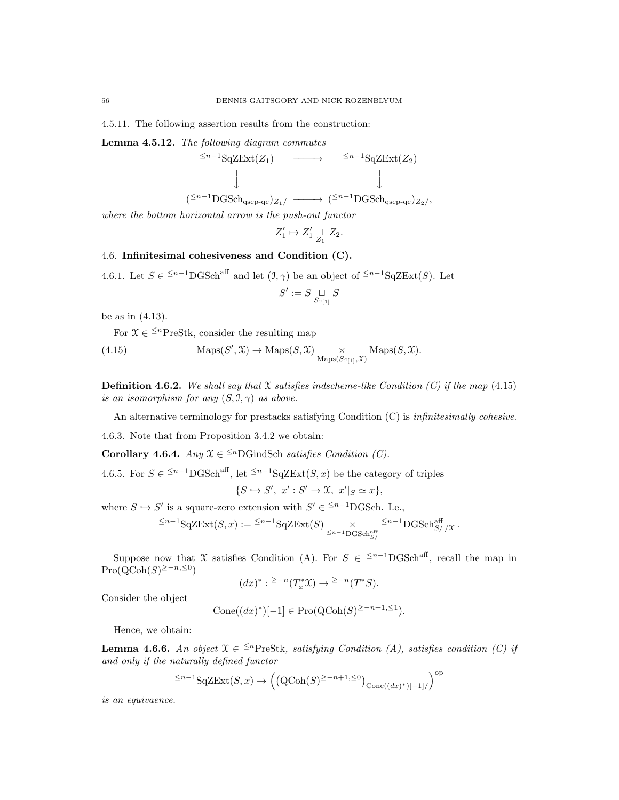4.5.11. The following assertion results from the construction:

Lemma 4.5.12. The following diagram commutes

$$
\begin{array}{ccc}\n\leq n^{-1} \text{SqZExt}(Z_1) & \longrightarrow & \leq n^{-1} \text{SqZExt}(Z_2) \\
\downarrow & & \downarrow \\
(\leq n^{-1} \text{DGSch}_{qsep-qc})_{Z_1} / & \longrightarrow & (\leq n^{-1} \text{DGSch}_{qsep-qc})_{Z_2} \text{,} \n\end{array}
$$

where the bottom horizontal arrow is the push-out functor

$$
Z_1' \mapsto Z_1' \underset{Z_1}{\sqcup} Z_2.
$$

## 4.6. Infinitesimal cohesiveness and Condition (C).

4.6.1. Let  $S \in \frac{1}{n-1} \text{DGSch}^{\text{aff}}$  and let  $(1, \gamma)$  be an object of  $\leq^{n-1} \text{SqZExt}(S)$ . Let

$$
S':=S\mathop{\sqcup}\limits_{S_{\mathfrak I[1]}} S
$$

be as in (4.13).

For  $\mathcal{X} \in \leq^n$ PreStk, consider the resulting map

(4.15) 
$$
\operatorname{Maps}(S', \mathcal{X}) \to \operatorname{Maps}(S, \mathcal{X}) \underset{\operatorname{Maps}(S_{\mathcal{I}[1]}, \mathcal{X})}{\times} \operatorname{Maps}(S, \mathcal{X}).
$$

**Definition 4.6.2.** We shall say that X satisfies indscheme-like Condition (C) if the map (4.15) is an isomorphism for any  $(S, \mathcal{I}, \gamma)$  as above.

An alternative terminology for prestacks satisfying Condition (C) is infinitesimally cohesive.

4.6.3. Note that from Proposition 3.4.2 we obtain:

Corollary 4.6.4. Any  $\mathfrak{X} \in \frac{\leq n}{n}$ GindSch satisfies Condition (C).

4.6.5. For  $S \in \frac{5n-1}{n}S_n$  let  $\frac{5n-1}{n}S_q ZExt(S, x)$  be the category of triples

$$
\{S \hookrightarrow S', x': S' \to \mathfrak{X}, x'|_{S} \simeq x\},\
$$

where  $S \hookrightarrow S'$  is a square-zero extension with  $S' \in \leq^{n-1}$ DGSch. I.e.,

$$
\leq^{n-1} {\rm Sq}Z{\rm Ext}(S,x):= \leq^{n-1} {\rm Sq}Z{\rm Ext}(S) \underset{\leq n-1}{\times} {\rm Gr}^{\leq n-1}_{{\rm DGSch}^{\rm aff}_{S//X}}.
$$

Suppose now that X satisfies Condition (A). For  $S \in \leq^{n-1}$ DGSch<sup>aff</sup>, recall the map in  $\mathrm{Pro}(\mathrm{QCoh}(S)^{\geq -n, \leq 0})$ 

$$
(dx)^* : \geq ^{-n}(T_x^*\mathfrak{X}) \to \geq ^{-n}(T^*S).
$$

Consider the object

$$
Cone((dx)^*)[-1] \in Pro(QCoh(S)^{\geq -n+1, \leq 1}).
$$

Hence, we obtain:

**Lemma 4.6.6.** An object  $\mathfrak{X} \in \leq^{n}$ PreStk, satisfying Condition (A), satisfies condition (C) if and only if the naturally defined functor

$$
\leq^{n-1} \mathrm{SqZExt}(S, x) \to \left( \left( \mathrm{QCoh}(S)^{\geq -n+1, \leq 0} \right)_{\mathrm{Cone}((dx)^*)[-1]}/ \right)^{\mathrm{op}}
$$

is an equivaence.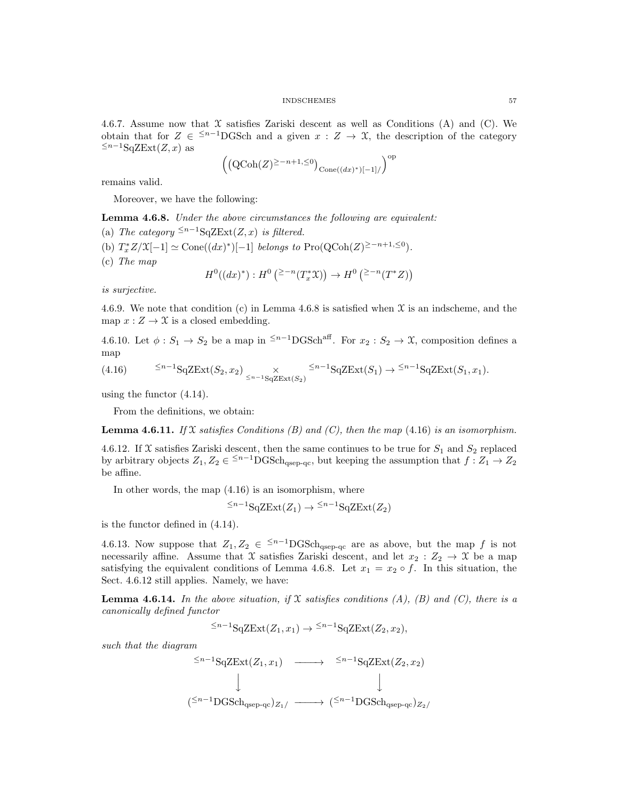4.6.7. Assume now that  $\mathfrak X$  satisfies Zariski descent as well as Conditions (A) and (C). We obtain that for  $Z \in \frac{1}{2}$  DGSch and a given  $x : Z \to \mathfrak{X}$ , the description of the category  $\leq^{n-1}$ SqZExt(Z, x) as

$$
\left(\left(\text{QCoh}(Z)^{\geq -n+1,\leq 0}\right)_{\text{Cone}((dx)^*)[-1]/}\right)^{\text{op}}
$$

remains valid.

Moreover, we have the following:

Lemma 4.6.8. Under the above circumstances the following are equivalent:

- (a) The category  $\leq^{n-1}$ SqZExt $(Z, x)$  is filtered.
- (b)  $T_x^*Z/\mathfrak{X}[-1] \simeq \text{Cone}((dx)^*)[-1]$  belongs to  $\text{Pro}(\text{QCoh}(Z)^{\geq -n+1, \leq 0}).$
- (c) The map

$$
H^0((dx)^*) : H^0\left( {}^{2-n}(T_x^* \mathfrak{X}) \right) \to H^0\left( {}^{2-n}(T^* Z) \right)
$$

is surjective.

4.6.9. We note that condition (c) in Lemma 4.6.8 is satisfied when  $\mathfrak X$  is an indscheme, and the map  $x: Z \to \mathfrak{X}$  is a closed embedding.

4.6.10. Let  $\phi: S_1 \to S_2$  be a map in <sup>≤n-1</sup>DGSch<sup>aff</sup>. For  $x_2: S_2 \to \mathfrak{X}$ , composition defines a map

$$
(4.16) \qquad \leq^{n-1} \mathcal{S} q \mathcal{S} \mathcal{E} \mathbf{xt}(S_2, x_2) \underset{\leq n-1}{\times} \mathcal{S}^{n-1} \mathcal{S} q \mathcal{Z} \mathcal{E} \mathbf{xt}(S_1) \to \leq^{n-1} \mathcal{S} q \mathcal{Z} \mathcal{E} \mathbf{xt}(S_1, x_1).
$$

using the functor (4.14).

From the definitions, we obtain:

**Lemma 4.6.11.** If X satisfies Conditions (B) and (C), then the map (4.16) is an isomorphism.

4.6.12. If X satisfies Zariski descent, then the same continues to be true for  $S_1$  and  $S_2$  replaced by arbitrary objects  $Z_1, Z_2 \in \frac{5n-1}{n} \text{DGSch}_{qsep-qc}$ , but keeping the assumption that  $f: Z_1 \to Z_2$ be affine.

In other words, the map  $(4.16)$  is an isomorphism, where

$$
\leq^{n-1} \mathrm{SqZExt}(Z_1) \to \leq^{n-1} \mathrm{SqZExt}(Z_2)
$$

is the functor defined in (4.14).

4.6.13. Now suppose that  $Z_1, Z_2 \in \frac{\leq n-1}{n}$  GSch<sub>qsep-qc</sub> are as above, but the map f is not necessarily affine. Assume that X satisfies Zariski descent, and let  $x_2 : Z_2 \to \mathcal{X}$  be a map satisfying the equivalent conditions of Lemma 4.6.8. Let  $x_1 = x_2 \circ f$ . In this situation, the Sect. 4.6.12 still applies. Namely, we have:

**Lemma 4.6.14.** In the above situation, if X satisfies conditions (A), (B) and (C), there is a canonically defined functor

$$
\leq^{n-1} \mathrm{SqZExt}(Z_1, x_1) \to \leq^{n-1} \mathrm{SqZExt}(Z_2, x_2),
$$

such that the diagram

$$
\begin{array}{ccc}\n\leq n-1\text{SqZExt}(Z_1, x_1) & \longrightarrow & \leq n-1\text{SqZExt}(Z_2, x_2) \\
\downarrow & & \downarrow \\
\text{Sim}(Z_{n-1} \text{GSch}_{qsep-qc})_{Z_1/2} & \longrightarrow & \leq n-1\text{GSch}_{qsep-qc})_{Z_2/2}\n\end{array}
$$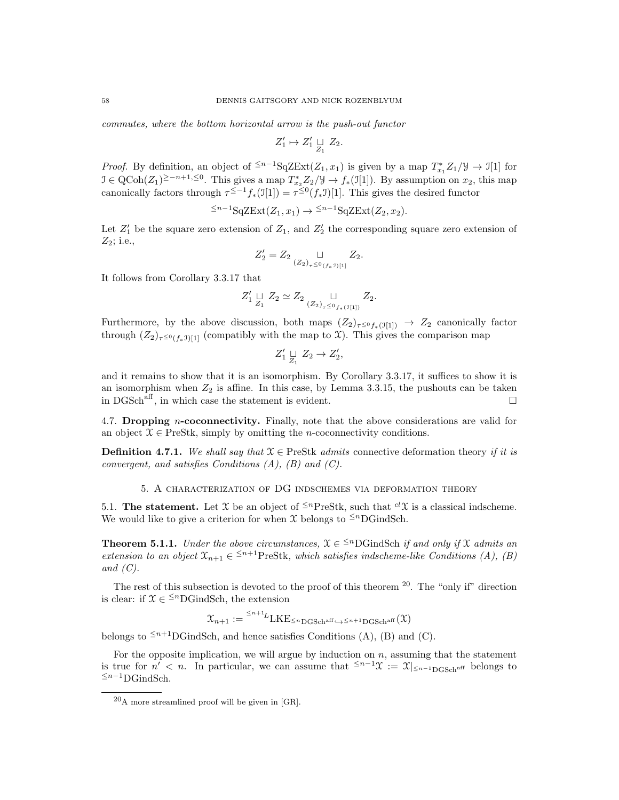commutes, where the bottom horizontal arrow is the push-out functor

$$
Z_1' \mapsto Z_1' \underset{Z_1}{\sqcup} Z_2.
$$

*Proof.* By definition, an object of <sup> $\leq n-1$ </sup>SqZExt( $Z_1, x_1$ ) is given by a map  $T_{x_1}^* Z_1/\mathcal{Y} \to \mathcal{I}[1]$  for  $\mathcal{I} \in \text{QCoh}(Z_1)^{\geq -n+1, \leq 0}$ . This gives a map  $T_{x_2}^* Z_2 / \mathcal{Y} \to f_*(\mathcal{I}[1])$ . By assumption on  $x_2$ , this map canonically factors through  $\tau^{\leq -1} f_*(\mathfrak{I}[1]) = \tau^{\leq 0} (f_* \mathfrak{I})[1]$ . This gives the desired functor

$$
\leq^{n-1} \mathrm{SqZExt}(Z_1, x_1) \to \leq^{n-1} \mathrm{SqZExt}(Z_2, x_2).
$$

Let  $Z'_1$  be the square zero extension of  $Z_1$ , and  $Z'_2$  the corresponding square zero extension of  $Z_2$ ; i.e.,

$$
Z_2' = Z_2 \underset{(Z_2)_{\tau} \le 0_{(f_*\mathcal{I})[1]}}{\sqcup} Z_2.
$$

It follows from Corollary 3.3.17 that

$$
Z'_1 \underset{Z_1}{\sqcup} Z_2 \simeq Z_2 \underset{(Z_2)_{\tau} \leq 0_{f_*(\mathcal{I}[1])}}{\sqcup} Z_2.
$$

Furthermore, by the above discussion, both maps  $(Z_2)_{\tau \le 0} f_*(\mathfrak{I}_{1}) \to Z_2$  canonically factor through  $(Z_2)_{\tau \leq 0}$ <sub>(f\*J)[1]</sub> (compatibly with the map to X). This gives the comparison map

$$
Z'_1 \underset{Z_1}{\sqcup} Z_2 \to Z'_2,
$$

and it remains to show that it is an isomorphism. By Corollary 3.3.17, it suffices to show it is an isomorphism when  $Z_2$  is affine. In this case, by Lemma 3.3.15, the pushouts can be taken in DGSch<sup>aff</sup>, in which case the statement is evident.

4.7. Dropping n-coconnectivity. Finally, note that the above considerations are valid for an object  $X \in \text{PreStk}$ , simply by omitting the *n*-coconnectivity conditions.

**Definition 4.7.1.** We shall say that  $X \in \text{PreStk } \text{admits}$  connective deformation theory if it is convergent, and satisfies Conditions  $(A)$ ,  $(B)$  and  $(C)$ .

5. A characterization of DG indschemes via deformation theory

5.1. The statement. Let X be an object of  $\leq^{n}$ PreStk, such that  ${}^{cl}\mathcal{X}$  is a classical indscheme. We would like to give a criterion for when X belongs to  $\leq^n$ DGindSch.

**Theorem 5.1.1.** Under the above circumstances,  $X \in \frac{1}{n}$  GindSch if and only if X admits an extension to an object  $\mathfrak{X}_{n+1} \in \leq^{n+1}$ PreStk, which satisfies indscheme-like Conditions (A), (B) and  $(C)$ .

The rest of this subsection is devoted to the proof of this theorem  $20$ . The "only if" direction is clear: if  $\mathcal{X} \in \frac{\leq n}{n}$ GindSch, the extension

$$
\mathfrak{X}_{n+1} := \frac{1}{2} \cdot \mathrm{LKE}_{\leq n} \cdot \mathrm{DGSch}^{\mathrm{aff}} \leftarrow \leq n+1} \cdot \mathrm{DGSch}^{\mathrm{aff}}(\mathfrak{X})
$$

belongs to  $\leq^{n+1}$ DGindSch, and hence satisfies Conditions (A), (B) and (C).

For the opposite implication, we will argue by induction on  $n$ , assuming that the statement is true for  $n' < n$ . In particular, we can assume that  $\leq^{n-1} \mathcal{X} := \mathcal{X}|_{\leq^{n-1} \text{DGSch}^{\text{aff}}}$  belongs to  $≤n-1$ DGindSch.

<sup>20</sup>A more streamlined proof will be given in [GR].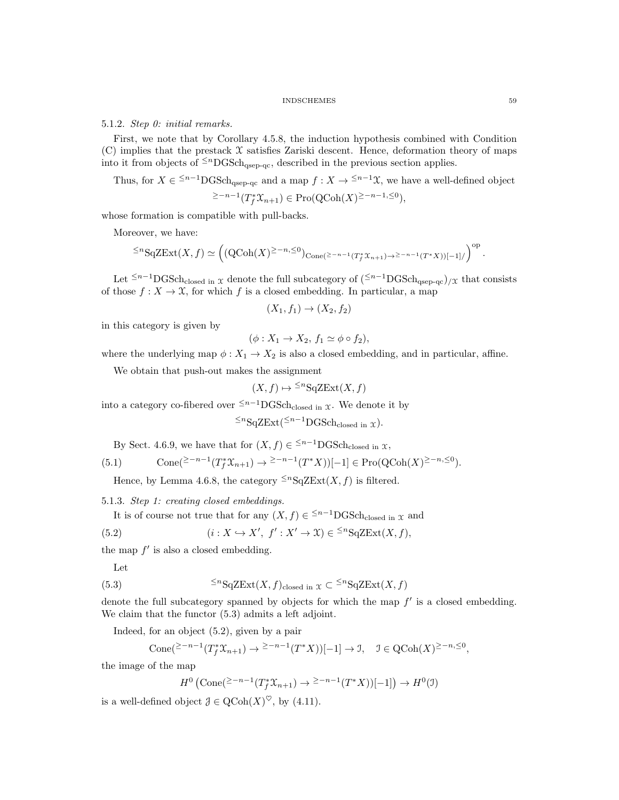### 5.1.2. Step 0: initial remarks.

First, we note that by Corollary 4.5.8, the induction hypothesis combined with Condition  $(C)$  implies that the prestack  $\mathcal X$  satisfies Zariski descent. Hence, deformation theory of maps into it from objects of  $\leq^{n}$ DGSch<sub>qsep-qc</sub>, described in the previous section applies.

Thus, for  $X \in \frac{1}{n-1} \text{DGSch}_{\text{qsep-qc}}$  and a map  $f: X \to \frac{1}{n-1} \mathfrak{X}$ , we have a well-defined object

$$
\geq ^{-n-1}(T_f^*\mathfrak{X}_{n+1}) \in \mathrm{Pro}(\mathrm{QCoh}(X)^{\geq -n-1, \leq 0}),
$$

whose formation is compatible with pull-backs.

Moreover, we have:

$$
\leq^n {\rm SqZExt}(X,f) \simeq \left((Q\mathrm{Coh}(X)^{\geq -n, \leq 0})_{{\rm Cone}(\geq -n-1(T_f^*\mathfrak{X}_{n+1})\to \geq -n-1(T^*X))[-1]/}\right)^{\mathrm{op}}.
$$

Let  $\leq n-1$ DGSch<sub>closed in X</sub> denote the full subcategory of  $(\leq n-1)$ DGSch<sub>qsep-qc</sub>)/x that consists of those  $f: X \to \mathfrak{X}$ , for which f is a closed embedding. In particular, a map

$$
(X_1, f_1) \rightarrow (X_2, f_2)
$$

in this category is given by

$$
(\phi: X_1 \to X_2, f_1 \simeq \phi \circ f_2),
$$

where the underlying map  $\phi: X_1 \to X_2$  is also a closed embedding, and in particular, affine.

We obtain that push-out makes the assignment

$$
(X,f)\mapsto {}^{\leq n}\mathrm{SqZExt}(X,f)
$$

into a category co-fibered over  $\leq n-1$ DGSch<sub>closed in X</sub>. We denote it by

$$
\leq^n \mathop{\mathrm{SqZExt}}\nolimits(\leq^{n-1} \mathop{\mathrm{DGSch}}\nolimits_{\mathop{\mathrm{closed}}\nolimits \mathop{\mathrm{in}}\nolimits} \chi).
$$

By Sect. 4.6.9, we have that for  $(X, f) \in \frac{\leq n-1}{\text{DGSch}_{\text{closed in } X}}$ ,

$$
(5.1) \qquad \text{Cone}(\geq -n-1(T_f^* \mathcal{X}_{n+1}) \to \geq -n-1(T^* X))[-1] \in \text{Pro}(\text{QCoh}(X)^{\geq -n, \leq 0}).
$$

Hence, by Lemma 4.6.8, the category  $\leq^n$ SqZExt $(X, f)$  is filtered.

5.1.3. Step 1: creating closed embeddings.

It is of course not true that for any  $(X, f) \in \frac{\leq n-1}{\text{DGSch}_{\text{closed in}}} \mathfrak{X}$  and

(5.2) 
$$
(i: X \hookrightarrow X', f': X' \to \mathfrak{X}) \in {}^{\leq n} \text{SqZExt}(X, f),
$$

the map  $f'$  is also a closed embedding.

Let

(5.3) 
$$
\leq^n \mathcal{S} q \mathcal{Z} \mathcal{E}xt(X,f)_{\text{closed in } X} \subset \leq^n \mathcal{S} q \mathcal{Z} \mathcal{E}xt(X,f)
$$

denote the full subcategory spanned by objects for which the map  $f'$  is a closed embedding. We claim that the functor (5.3) admits a left adjoint.

Indeed, for an object (5.2), given by a pair

Cone
$$
(\geq^{-n-1}(T_f^*\mathfrak{X}_{n+1}) \to \geq^{-n-1}(T^*X))[-1] \to \mathfrak{I}, \quad \mathfrak{I} \in \text{QCoh}(X)^{\geq -n, \leq 0},
$$

the image of the map

$$
H^0(\text{Cone}(\geq -n-1(T_f^* \mathfrak{X}_{n+1}) \to \geq -n-1(T^*X))[-1]) \to H^0(\mathfrak{I})
$$

is a well-defined object  $\mathcal{J} \in \mathrm{QCoh}(X)^\heartsuit$ , by (4.11).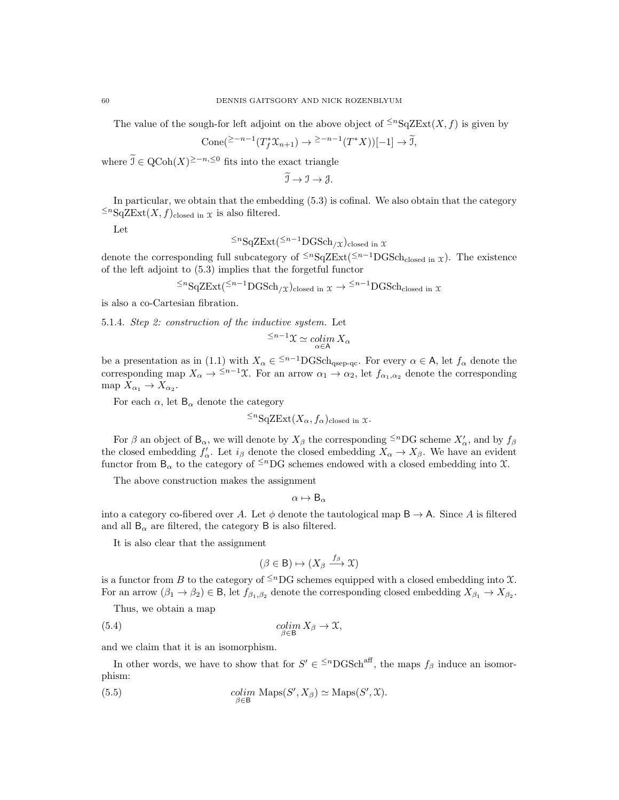The value of the sough-for left adjoint on the above object of  $\leq^n S_q ZExt(X, f)$  is given by

$$
Cone(\geq -n-1(T_f^* \mathfrak{X}_{n+1}) \to \geq -n-1(T^* X))[-1] \to \widetilde{\mathfrak{I}},
$$

where  $\tilde{\mathcal{I}} \in \mathrm{QCoh}(X)^{\geq -n, \leq 0}$  fits into the exact triangle

$$
\widetilde{\mathfrak{I}} \to \mathfrak{I} \to \mathfrak{J}.
$$

In particular, we obtain that the embedding (5.3) is cofinal. We also obtain that the category  $\leq$ <sup>n</sup>SqZExt(*X*, *f*)<sub>closed in *x* is also filtered.</sub>

Let

$$
\leq^n
$$
SqZExt( $\leq^{n-1}$ DGSch $/x$ )closed in x

denote the corresponding full subcategory of  $\leq n\text{SqZExt}(\leq n-1)\text{GSch}$ <sub>closed in x</sub>). The existence of the left adjoint to (5.3) implies that the forgetful functor

$$
\leq^n
$$
SqZExt $(\leq^{n-1}$ DGSch $/x$ )closed in  $x \to \leq^{n-1}$ DGSch<sub>closed</sub> in  $x$ 

is also a co-Cartesian fibration.

5.1.4. Step 2: construction of the inductive system. Let

$$
\leq^{n-1} \mathfrak{X} \simeq \operatornamewithlimits{colim}_{\alpha \in A} X_{\alpha}
$$

be a presentation as in (1.1) with  $X_{\alpha} \in \frac{1}{2}$   $\mathrm{DGSch}_{qsep-qc}$ . For every  $\alpha \in \mathsf{A}$ , let  $f_{\alpha}$  denote the corresponding map  $X_{\alpha} \to \leq^{n-1} \mathfrak{X}$ . For an arrow  $\alpha_1 \to \alpha_2$ , let  $f_{\alpha_1,\alpha_2}$  denote the corresponding map  $X_{\alpha_1} \to X_{\alpha_2}$ .

For each  $\alpha$ , let  $B_{\alpha}$  denote the category

$$
\leq^n {\rm SqZExt}(X_\alpha, f_\alpha)_{\rm closed in } \mathfrak{X}.
$$

For  $\beta$  an object of  $B_{\alpha}$ , we will denote by  $X_{\beta}$  the corresponding <sup> $\leq n$ </sup>DG scheme  $X'_{\alpha}$ , and by  $f_{\beta}$ the closed embedding  $f'_{\alpha}$ . Let  $i_{\beta}$  denote the closed embedding  $X_{\alpha} \to X_{\beta}$ . We have an evident functor from  $B_{\alpha}$  to the category of <sup> $\leq n$ </sup>DG schemes endowed with a closed embedding into X.

The above construction makes the assignment

$$
\alpha \mapsto \mathsf{B}_{\alpha}
$$

into a category co-fibered over A. Let  $\phi$  denote the tautological map  $B \to A$ . Since A is filtered and all  $B_{\alpha}$  are filtered, the category B is also filtered.

It is also clear that the assignment

$$
(\beta\in\mathsf{B})\mapsto (X_\beta\stackrel{f_\beta}\longrightarrow\mathfrak{X})
$$

is a functor from B to the category of  $\leq^n\!\!DG$  schemes equipped with a closed embedding into X. For an arrow  $(\beta_1 \to \beta_2) \in \mathsf{B}$ , let  $f_{\beta_1,\beta_2}$  denote the corresponding closed embedding  $X_{\beta_1} \to X_{\beta_2}$ .

Thus, we obtain a map

(5.4) 
$$
\underset{\beta \in \mathcal{B}}{\text{colim}} X_{\beta} \to \mathfrak{X},
$$

and we claim that it is an isomorphism.

In other words, we have to show that for  $S' \in \leq^{n}$ DGSch<sup>aff</sup>, the maps  $f_\beta$  induce an isomorphism:

(5.5) 
$$
\underset{\beta \in \mathbb{B}}{\text{colim}} \text{ Maps}(S', X_{\beta}) \simeq \text{Maps}(S', \mathcal{X}).
$$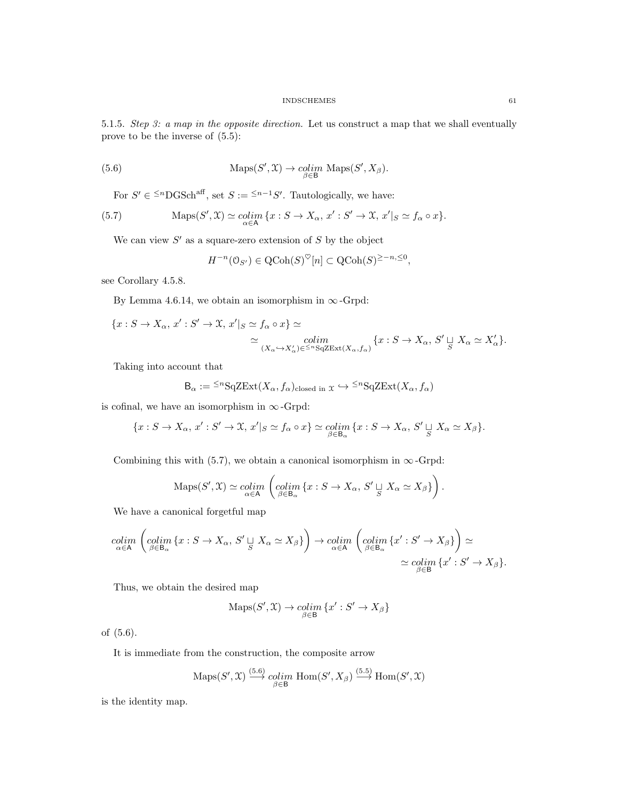5.1.5. Step 3: a map in the opposite direction. Let us construct a map that we shall eventually prove to be the inverse of (5.5):

(5.6) 
$$
\operatorname{Maps}(S', \mathfrak{X}) \to \underset{\beta \in \mathsf{B}}{\text{cdim}} \operatorname{Maps}(S', X_{\beta}).
$$

For  $S' \in \leq^n$ DGSch<sup>aff</sup>, set  $S := \leq^{n-1} S'$ . Tautologically, we have:

(5.7) 
$$
\operatorname{Maps}(S', \mathfrak{X}) \simeq \underset{\alpha \in \mathsf{A}}{\operatorname{colim}} \{x : S \to X_{\alpha}, x' : S' \to \mathfrak{X}, x'|_{S} \simeq f_{\alpha} \circ x\}.
$$

We can view  $S'$  as a square-zero extension of  $S$  by the object

$$
H^{-n}(\mathcal{O}_{S'}) \in \text{QCoh}(S)^{\heartsuit}[n] \subset \text{QCoh}(S)^{\geq -n, \leq 0},
$$

see Corollary 4.5.8.

By Lemma 4.6.14, we obtain an isomorphism in  $\infty$ -Grpd:

$$
\begin{aligned} \{x:S\rightarrow X_\alpha,\,x':S'\rightarrow \mathfrak{X},\,x'\vert_S\simeq f_\alpha\circ x\} &\simeq\\ &\simeq \underset{(X_\alpha\rightarrow X'_\alpha)\in\real^{
$$

Taking into account that

$$
\mathsf{B}_{\alpha} := {}^{\leq n} \mathsf{SqZExt}(X_{\alpha}, f_{\alpha})_{\text{closed in } \mathfrak{X}} \hookrightarrow {}^{\leq n} \mathsf{SqZExt}(X_{\alpha}, f_{\alpha})
$$

is cofinal, we have an isomorphism in  $\infty$ -Grpd:

$$
\{x: S \to X_{\alpha}, x': S' \to \mathfrak{X}, x'|_{S} \simeq f_{\alpha} \circ x\} \simeq \underset{\beta \in \mathsf{B}_{\alpha}}{\text{colim}} \{x: S \to X_{\alpha}, S' \sqcup_{S} X_{\alpha} \simeq X_{\beta}\}.
$$

Combining this with (5.7), we obtain a canonical isomorphism in  $\infty$ -Grpd:

$$
\mathrm{Maps}(S', \mathfrak{X}) \simeq \underset{\alpha \in \mathsf{A}}{\mathrm{colim}} \left( \underset{\beta \in \mathsf{B}_{\alpha}}{\mathrm{colim}} \{ x : S \to X_{\alpha}, \, S' \sqcup_{S} X_{\alpha} \simeq X_{\beta} \} \right)
$$

.

We have a canonical forgetful map

$$
\underset{\alpha \in A}{\text{colim}} \left( \underset{\beta \in B_{\alpha}}{\text{colim}} \{ x : S \to X_{\alpha}, S' \sqcup_{S} X_{\alpha} \simeq X_{\beta} \} \right) \to \underset{\alpha \in A}{\text{colim}} \left( \underset{\beta \in B_{\alpha}}{\text{colim}} \{ x' : S' \to X_{\beta} \} \right) \simeq \\ \simeq \underset{\beta \in B}{\text{colim}} \{ x' : S' \to X_{\beta} \}.
$$

Thus, we obtain the desired map

$$
\operatorname{Maps}(S',\mathfrak{X})\to\underset{\beta\in\mathsf{B}}{\operatorname{colim}}\left\{x':S'\to X_\beta\right\}
$$

of (5.6).

It is immediate from the construction, the composite arrow

$$
\mathrm{Maps}(S', \mathfrak{X}) \stackrel{(5.6)}{\longrightarrow} \mathop{colim}_{\beta \in \mathsf{B}} \mathrm{Hom}(S', X_{\beta}) \stackrel{(5.5)}{\longrightarrow} \mathrm{Hom}(S', \mathfrak{X})
$$

is the identity map.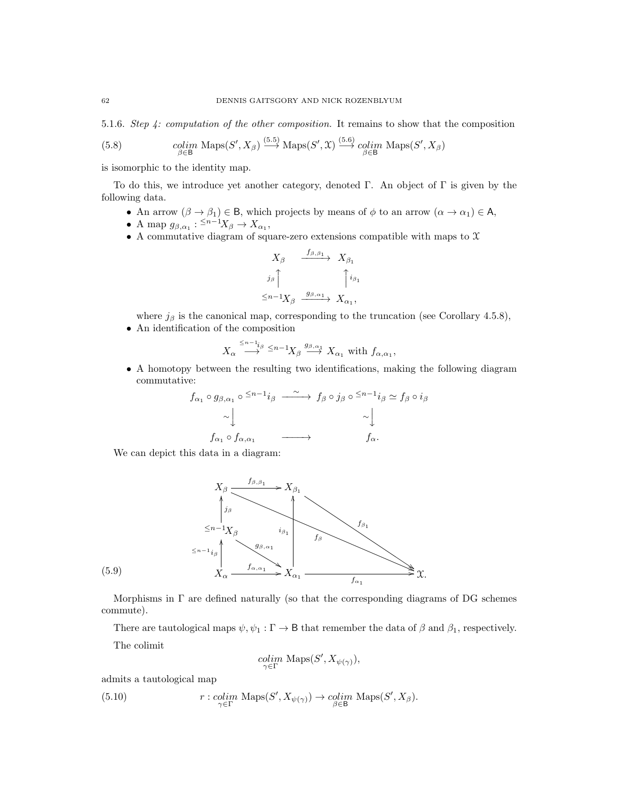5.1.6. Step 4: computation of the other composition. It remains to show that the composition

(5.8) 
$$
\underset{\beta \in \mathcal{B}}{\text{colim}} \text{ Maps}(S', X_{\beta}) \stackrel{(5.5)}{\longrightarrow} \text{Maps}(S', \mathcal{X}) \stackrel{(5.6)}{\longrightarrow} \underset{\beta \in \mathcal{B}}{\text{colim}} \text{ Maps}(S', X_{\beta})
$$

is isomorphic to the identity map.

To do this, we introduce yet another category, denoted Γ. An object of Γ is given by the following data.

- An arrow  $(\beta \to \beta_1) \in \mathsf{B}$ , which projects by means of  $\phi$  to an arrow  $(\alpha \to \alpha_1) \in \mathsf{A}$ ,
- A map  $g_{\beta,\alpha_1}: \frac{1}{n-1}X_\beta \to X_{\alpha_1},$
- $\bullet\,$  A commutative diagram of square-zero extensions compatible with maps to  $\mathfrak X$

$$
X_{\beta} \xrightarrow{f_{\beta,\beta_1}} X_{\beta_1}
$$
  
\n
$$
j_{\beta} \uparrow \qquad \qquad \uparrow i_{\beta_1}
$$
  
\n
$$
\leq n-1 X_{\beta} \xrightarrow{g_{\beta,\alpha_1}} X_{\alpha_1},
$$

- where  $j_\beta$  is the canonical map, corresponding to the truncation (see Corollary 4.5.8),
- An identification of the composition

$$
X_{\alpha} \stackrel{\leq n-1_{i\beta}}{\longrightarrow} \leq n-1 X_{\beta} \stackrel{g_{\beta,\alpha_1}}{\longrightarrow} X_{\alpha_1} \text{ with } f_{\alpha,\alpha_1},
$$

• A homotopy between the resulting two identifications, making the following diagram commutative:

$$
f_{\alpha_1} \circ g_{\beta, \alpha_1} \circ \xrightarrow{\leq n-1} i_{\beta} \xrightarrow{\sim} f_{\beta} \circ j_{\beta} \circ \xrightarrow{\leq n-1} i_{\beta} \simeq f_{\beta} \circ i_{\beta}
$$
  
\n
$$
\sim \downarrow \qquad \qquad \sim \downarrow
$$
  
\n
$$
f_{\alpha_1} \circ f_{\alpha, \alpha_1} \xrightarrow{\sim} f_{\alpha}.
$$

We can depict this data in a diagram:



Morphisms in  $\Gamma$  are defined naturally (so that the corresponding diagrams of DG schemes commute).

There are tautological maps  $\psi, \psi_1 : \Gamma \to \mathsf{B}$  that remember the data of  $\beta$  and  $\beta_1$ , respectively.

The colimit

$$
\operatornamewithlimits{colim}_{\gamma\in\Gamma}\operatorname{Maps}(S',X_{\psi(\gamma)}),
$$

admits a tautological map

(5.10) 
$$
r: \underset{\gamma \in \Gamma}{\text{colim}} \text{ Maps}(S', X_{\psi(\gamma)}) \to \underset{\beta \in \mathsf{B}}{\text{colim}} \text{ Maps}(S', X_{\beta}).
$$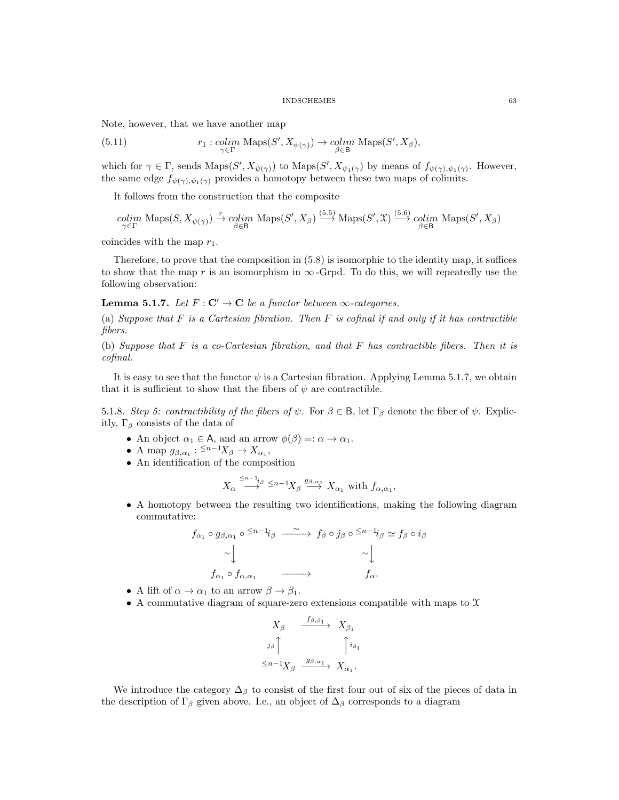Note, however, that we have another map

(5.11) 
$$
r_1: \underset{\gamma \in \Gamma}{\text{colim}} \text{ Maps}(S', X_{\psi(\gamma)}) \to \underset{\beta \in \mathsf{B}}{\text{colim}} \text{ Maps}(S', X_{\beta}),
$$

which for  $\gamma \in \Gamma$ , sends  $\text{Maps}(S', X_{\psi(\gamma)})$  to  $\text{Maps}(S', X_{\psi_1(\gamma)})$  by means of  $f_{\psi(\gamma), \psi_1(\gamma)}$ . However, the same edge  $f_{\psi(\gamma),\psi_1(\gamma)}$  provides a homotopy between these two maps of colimits.

It follows from the construction that the composite

$$
\underset{\gamma \in \Gamma}{colim} \text{ Maps}(S, X_{\psi(\gamma)}) \xrightarrow{r} \underset{\beta \in \mathcal{B}}{colim} \text{ Maps}(S', X_{\beta}) \xrightarrow{(5.5)} \text{Maps}(S', \mathfrak{X}) \xrightarrow{(5.6)} \underset{\beta \in \mathcal{B}}{colim} \text{ Maps}(S', X_{\beta})
$$

 $\sim$ 

(5.6)

coincides with the map  $r_1$ .

Therefore, to prove that the composition in (5.8) is isomorphic to the identity map, it suffices to show that the map r is an isomorphism in  $\infty$ -Grpd. To do this, we will repeatedly use the following observation:

**Lemma 5.1.7.** Let  $F: \mathbb{C}' \to \mathbb{C}$  be a functor between  $\infty$ -categories.

(a) Suppose that  $F$  is a Cartesian fibration. Then  $F$  is cofinal if and only if it has contractible fibers.

(b) Suppose that  $F$  is a co-Cartesian fibration, and that  $F$  has contractible fibers. Then it is cofinal.

It is easy to see that the functor  $\psi$  is a Cartesian fibration. Applying Lemma 5.1.7, we obtain that it is sufficient to show that the fibers of  $\psi$  are contractible.

5.1.8. Step 5: contractibility of the fibers of  $\psi$ . For  $\beta \in \mathsf{B}$ , let  $\Gamma_{\beta}$  denote the fiber of  $\psi$ . Explicitly,  $\Gamma_\beta$  consists of the data of

- An object  $\alpha_1 \in A$ , and an arrow  $\phi(\beta) =: \alpha \to \alpha_1$ .
- A map  $g_{\beta,\alpha_1}: \frac{1}{n-1}X_\beta \to X_{\alpha_1},$
- An identification of the composition

$$
X_{\alpha} \stackrel{\leq n-1_i}{\longrightarrow} {}^{\leq n-1}X_{\beta} \stackrel{g_{\beta,\alpha_1}}{\longrightarrow} X_{\alpha_1} \text{ with } f_{\alpha,\alpha_1},
$$

• A homotopy between the resulting two identifications, making the following diagram commutative:

$$
f_{\alpha_1} \circ g_{\beta, \alpha_1} \circ ^{\leq n-1}i_{\beta} \xrightarrow{\sim} f_{\beta} \circ j_{\beta} \circ ^{\leq n-1}i_{\beta} \simeq f_{\beta} \circ i_{\beta}
$$
  
\n
$$
\sim \downarrow \qquad \qquad \sim \downarrow
$$
  
\n
$$
f_{\alpha_1} \circ f_{\alpha, \alpha_1} \xrightarrow{\sim} f_{\alpha}.
$$

- A lift of  $\alpha \to \alpha_1$  to an arrow  $\beta \to \beta_1$ .
- A commutative diagram of square-zero extensions compatible with maps to  $\mathfrak X$

$$
X_{\beta} \xrightarrow{f_{\beta,\beta_1}} X_{\beta_1}
$$

$$
j_{\beta} \uparrow \qquad \qquad \uparrow i_{\beta_1}
$$

$$
\leq n-1 \chi_{\beta} \xrightarrow{g_{\beta,\alpha_1}} X_{\alpha_1}.
$$

We introduce the category  $\Delta_{\beta}$  to consist of the first four out of six of the pieces of data in the description of  $\Gamma_\beta$  given above. I.e., an object of  $\Delta_\beta$  corresponds to a diagram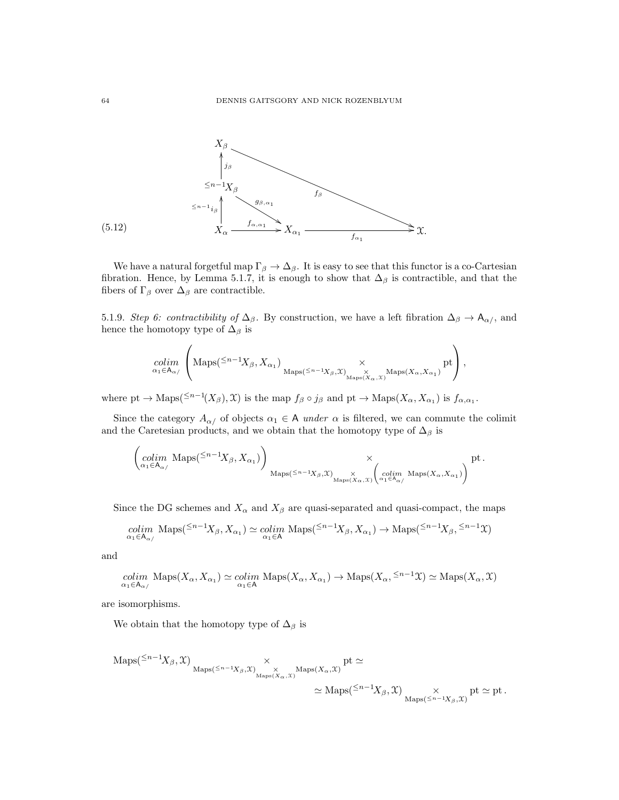

We have a natural forgetful map  $\Gamma_{\beta} \to \Delta_{\beta}$ . It is easy to see that this functor is a co-Cartesian fibration. Hence, by Lemma 5.1.7, it is enough to show that  $\Delta_{\beta}$  is contractible, and that the fibers of  $\Gamma_{\beta}$  over  $\Delta_{\beta}$  are contractible.

5.1.9. Step 6: contractibility of  $\Delta_{\beta}$ . By construction, we have a left fibration  $\Delta_{\beta} \to \mathsf{A}_{\alpha}$ , and hence the homotopy type of  $\Delta_{\beta}$  is

$$
\underset{\alpha_1\in A_{\alpha/}}{\text{colim}}\left(\text{Maps}^{(\leq n-1)}\!\!X_\beta,X_{\alpha_1})\underset{\text{Maps}(\leq n-1}{\times}\underset{\times}{\times}\underset{\text{Maps}(X_\alpha,X)}{\times}\text{Maps}(X_\alpha,X_{\alpha_1})}\text{pt}\right),
$$

where pt  $\to$  Maps( $\leq^{n-1}(X_{\beta}), \mathfrak{X}$ ) is the map  $f_{\beta} \circ j_{\beta}$  and pt  $\to$  Maps( $X_{\alpha}, X_{\alpha_1}$ ) is  $f_{\alpha,\alpha_1}$ .

Since the category  $A_{\alpha}$  of objects  $\alpha_1 \in A$  under  $\alpha$  is filtered, we can commute the colimit and the Caretesian products, and we obtain that the homotopy type of  $\Delta_{\beta}$  is

$$
\left(\operatornamewithlimits{colim}_{\alpha_1\in A_{\alpha/}}\operatorname{Maps}({}^{\leq n-1}X_{\beta},X_{\alpha_1})\right)_{\operatorname{Maps}({}^{\leq n-1}X_{\beta},\mathfrak{X})_{\operatorname{Maps}(X_{\alpha},\mathfrak{X})}}\times \left(\operatornamewithlimits{colim}_{\alpha_1\in A_{\alpha/}}\operatorname{Maps}(X_{\alpha},X_{\alpha_1})\right)^{pt}.
$$

Since the DG schemes and  $X_{\alpha}$  and  $X_{\beta}$  are quasi-separated and quasi-compact, the maps

$$
\underset{\alpha_1 \in A_{\alpha/}}{\text{colim}} \text{ Maps}({}^{\leq n-1}X_{\beta}, X_{\alpha_1}) \simeq \underset{\alpha_1 \in A}{\text{colim}} \text{ Maps}({}^{\leq n-1}X_{\beta}, X_{\alpha_1}) \to \text{Maps}({}^{\leq n-1}X_{\beta}, {}^{\leq n-1}\mathfrak{X})
$$

and

$$
\underset{\alpha_1 \in A_{\alpha/}}{\text{colim}} \text{ Maps}(X_{\alpha}, X_{\alpha_1}) \simeq \underset{\alpha_1 \in A}{\text{colim}} \text{ Maps}(X_{\alpha}, X_{\alpha_1}) \to \text{Maps}(X_{\alpha}, \leq^{n-1} \mathfrak{X}) \simeq \text{Maps}(X_{\alpha}, \mathfrak{X})
$$

are isomorphisms.

We obtain that the homotopy type of  $\Delta_{\beta}$  is

$$
\begin{aligned} \mathrm{Maps}({}^{\leq n-1}X_{\beta},\mathfrak{X})&\underset{\mathrm{Maps}({}^{\leq n-1}X_{\beta},\mathfrak{X})}{\times} \times \underset{\mathrm{Maps}(X_{\alpha},\mathfrak{X})}{\times} \mathrm{Maps}(X_{\alpha},\mathfrak{X})} \mathrm{pt} \simeq \\ &\simeq \mathrm{Maps}({}^{\leq n-1}X_{\beta},\mathfrak{X})\underset{\mathrm{Maps}({}^{\leq n-1}X_{\beta},\mathfrak{X})}{\times} \mathrm{pt} \simeq \mathrm{pt}\,. \end{aligned}
$$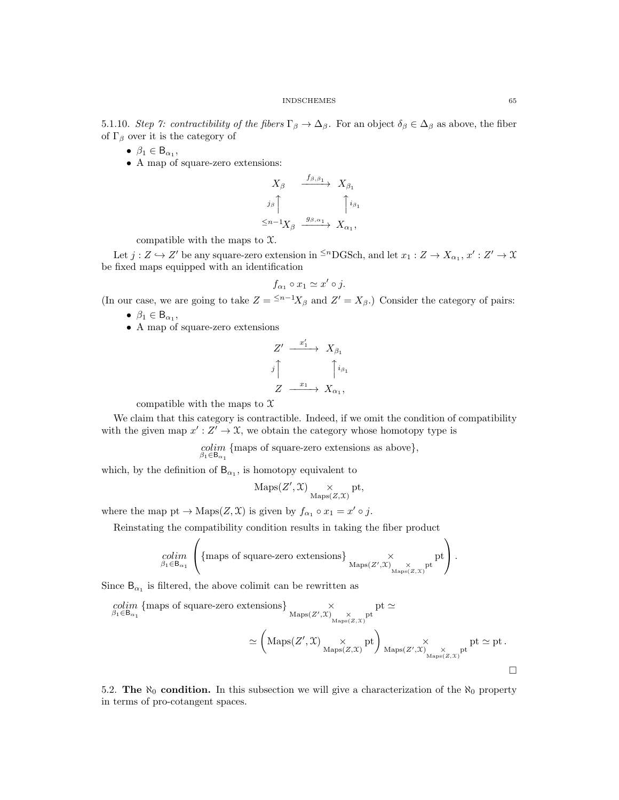5.1.10. Step 7: contractibility of the fibers  $\Gamma_\beta \to \Delta_\beta$ . For an object  $\delta_\beta \in \Delta_\beta$  as above, the fiber of  $\Gamma_\beta$  over it is the category of

- $\beta_1 \in B_{\alpha_1}$ ,
- A map of square-zero extensions:

$$
X_{\beta} \xrightarrow{f_{\beta,\beta_1}} X_{\beta_1}
$$

$$
\xrightarrow{j_{\beta}}
$$

$$
\uparrow i_{\beta_1}
$$

$$
\leq n-1 X_{\beta} \xrightarrow{g_{\beta,\alpha_1}} X_{\alpha_1},
$$

compatible with the maps to  $\mathfrak{X}$ .

Let  $j: Z \to Z'$  be any square-zero extension in <sup> $\leq n$ </sup>DGSch, and let  $x_1: Z \to X_{\alpha_1}, x': Z' \to X$ be fixed maps equipped with an identification

$$
f_{\alpha_1} \circ x_1 \simeq x' \circ j.
$$

(In our case, we are going to take  $Z = \frac{5n-1}{X_\beta}$  and  $Z' = X_\beta$ .) Consider the category of pairs:

- $\beta_1 \in B_{\alpha_1},$
- A map of square-zero extensions

$$
Z' \xrightarrow{x'_1} X_{\beta_1}
$$
  

$$
j \uparrow \qquad \qquad \uparrow i_{\beta_1}
$$
  

$$
Z \xrightarrow{x_1} X_{\alpha_1},
$$

compatible with the maps to  $\mathfrak X$ 

We claim that this category is contractible. Indeed, if we omit the condition of compatibility with the given map  $x': Z' \to \mathfrak{X}$ , we obtain the category whose homotopy type is

 $\underset{\beta_1 \in \mathsf{B}_{\alpha_1}}{\text{colim}}$  {maps of square-zero extensions as above},

which, by the definition of  $B_{\alpha_1}$ , is homotopy equivalent to

$$
\mathrm{Maps}(Z',\mathfrak{X})\underset{\mathrm{Maps}(Z,\mathfrak{X})}{\times}\mathrm{pt},
$$

where the map pt  $\to$  Maps $(Z, \mathfrak{X})$  is given by  $f_{\alpha_1} \circ x_1 = x' \circ j$ .

Reinstating the compatibility condition results in taking the fiber product

$$
\underset{\beta_1 \in \mathsf{B}_{\alpha_1}}{\text{colim}} \left( \left\{ \text{maps of square-zero extensions} \right\}_{\substack{X \\ \text{Maps}(Z', \mathcal{X})} \underset{\substack{\times \\ \text{Maps}(Z, \mathcal{X})}}{\times} \text{pt} \right).
$$

Since  $B_{\alpha_1}$  is filtered, the above colimit can be rewritten as

$$
\begin{aligned}\n\text{colim } \{\text{maps of square-zero extensions}\} &\times & \text{pt } \simeq \\
&\beta_1 \in \mathsf{B}_{\alpha_1} & \text{maps of square-zero extensions}\} &\times & \text{pt } \simeq \\
&\simeq \left(\text{Maps}(Z', \mathcal{X}) \underset{\text{Maps}(Z, \mathcal{X})}{\times} \text{pt} \right) &\times & \text{phys}(Z', \mathcal{X}) &\times & \text{pt } \simeq \text{pt } \simeq \\
&\simeq \left(\text{Maps}(Z', \mathcal{X}) \underset{\text{Maps}(Z, \mathcal{X})}{\times} \text{pt} \right) &\text{maps}(Z', \mathcal{X}) &\times &\text{pt } \simeq \text{pt } \simeq \\
&\simeq \left(\text{Maps}(Z', \mathcal{X}) \underset{\text{Maps}(Z, \mathcal{X})}{\times} \text{pt} \right) &\text{using}(Z', \mathcal{X}) &\times &\text{pt } \simeq \\
&\simeq \left(\text{Maps}(Z', \mathcal{X}) \underset{\text{Maps}(Z, \mathcal{X})}{\times} \text{pt} \right) &\text{using}(Z', \mathcal{X}) &\times &\text{using}(Z', \mathcal{X}) &\times \\
&\simeq \left(\text{Maps}(Z', \mathcal{X}) \underset{\text{Maps}(Z, \mathcal{X})}{\times} \text{pt} \right) &\text{using}(Z', \mathcal{X}) &\times \\
&\simeq \left(\text{Maps}(Z', \mathcal{X}) \underset{\text{Maps}(Z, \mathcal{X})}{\times} \text{pt} \right) &\text{using}(Z', \mathcal{X}) &\times \\
&\simeq \left(\text{Maps}(Z', \mathcal{X}) \underset{\text{Maps}(Z, \mathcal{X})}{\times} \text{pt} \right) &\text{using}(Z', \mathcal{X}) &\times \\
&\simeq \left(\text{Maps}(Z', \mathcal{X}) \underset{\text{maps}(Z, \mathcal{X})}{\times} \text{pt} \right) &\text{using}(Z', \mathcal{X}) &\times \\
&\simeq \text{loss}(Z', \mathcal{X}) &\times \\
&\simeq \text{loss}(Z', \mathcal{X}) &\times \\
&\simeq \
$$

5.2. The  $\aleph_0$  condition. In this subsection we will give a characterization of the  $\aleph_0$  property in terms of pro-cotangent spaces.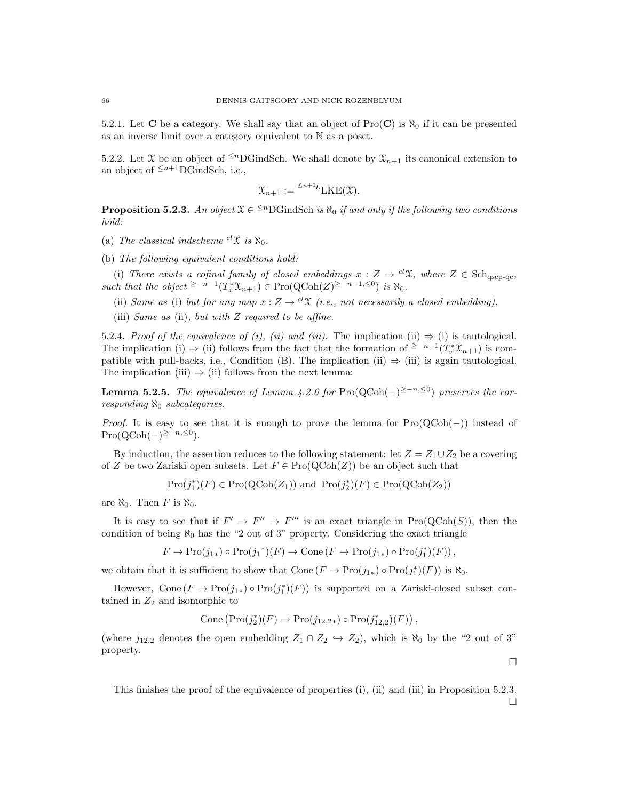5.2.1. Let C be a category. We shall say that an object of  $\text{Pro}(\mathbf{C})$  is  $\aleph_0$  if it can be presented as an inverse limit over a category equivalent to N as a poset.

5.2.2. Let X be an object of  $\leq^n$ DGindSch. We shall denote by  $\mathfrak{X}_{n+1}$  its canonical extension to an object of  $\leq^{n+1}$ DGindSch, i.e.,

$$
\mathfrak{X}_{n+1} := {}^{\leq n+1}L \text{LKE}(\mathfrak{X}).
$$

**Proposition 5.2.3.** An object  $\mathfrak{X} \in \{^{\leq n}DG \text{indSch } i\mathfrak{s} \aleph_0 \text{ if and only if the following two conditions}$ hold:

- (a) The classical indscheme  ${}^{cl}\mathfrak{X}$  is  $\aleph_0$ .
- (b) The following equivalent conditions hold:

(i) There exists a cofinal family of closed embeddings  $x : Z \to {}^{cl}\mathfrak{X}$ , where  $Z \in Sch<sub>asen-nc</sub>$ . such that the object <sup>≥-n-1</sup> $(T_x^*\mathfrak{X}_{n+1}) \in \mathrm{Pro}(\mathrm{QCoh}(Z)^{\geq -n-1}, \leq^0)$  is  $\aleph_0$ .

- (ii) Same as (i) but for any map  $x: Z \to {}^{cl}\mathfrak{X}$  (i.e., not necessarily a closed embedding).
- (iii) Same as (ii), but with  $Z$  required to be affine.

5.2.4. Proof of the equivalence of (i), (ii) and (iii). The implication (ii)  $\Rightarrow$  (i) is tautological. The implication (i)  $\Rightarrow$  (ii) follows from the fact that the formation of <sup>2-n-1</sup>( $T_x^* \mathfrak{X}_{n+1}$ ) is compatible with pull-backs, i.e., Condition (B). The implication (ii)  $\Rightarrow$  (iii) is again tautological. The implication (iii)  $\Rightarrow$  (ii) follows from the next lemma:

**Lemma 5.2.5.** The equivalence of Lemma 4.2.6 for Pro(QCoh(-)<sup>2-n,≤0</sup>) preserves the corresponding  $\aleph_0$  subcategories.

*Proof.* It is easy to see that it is enough to prove the lemma for  $Pro(QCoh(-))$  instead of  $\text{Pro}(\text{QCoh}(-)^{\geq -n, \leq 0}).$ 

By induction, the assertion reduces to the following statement: let  $Z = Z_1 \cup Z_2$  be a covering of Z be two Zariski open subsets. Let  $F \in \text{Pro}(\text{QCoh}(Z))$  be an object such that

$$
\mathrm{Pro}(j_1^*)(F) \in \mathrm{Pro}(\mathrm{QCoh}(Z_1)) \text{ and } \mathrm{Pro}(j_2^*)(F) \in \mathrm{Pro}(\mathrm{QCoh}(Z_2))
$$

are  $\aleph_0$ . Then F is  $\aleph_0$ .

It is easy to see that if  $F' \to F'' \to F'''$  is an exact triangle in  $Pro(QCoh(S))$ , then the condition of being  $\aleph_0$  has the "2 out of 3" property. Considering the exact triangle

$$
F \to \mathrm{Pro}(j_{1*}) \circ \mathrm{Pro}(j_1^*) (F) \to \mathrm{Cone} (F \to \mathrm{Pro}(j_{1*}) \circ \mathrm{Pro}(j_1^*) (F)),
$$

we obtain that it is sufficient to show that  $Cone(F \to Pro(j_{1*}) \circ Pro(j_{1}^{*})(F))$  is  $\aleph_0$ .

However, Cone  $(F \to \text{Pro}(j_{1*}) \circ \text{Pro}(j_{1}^{*})(F))$  is supported on a Zariski-closed subset contained in  $Z_2$  and isomorphic to

$$
Cone \left( \operatorname{Pro}(j_2^*)(F) \to \operatorname{Pro}(j_{12,2*}) \circ \operatorname{Pro}(j_{12,2}^*)(F) \right),
$$

(where  $j_{12,2}$  denotes the open embedding  $Z_1 \cap Z_2 \hookrightarrow Z_2$ ), which is  $\aleph_0$  by the "2 out of 3" property.

This finishes the proof of the equivalence of properties (i), (ii) and (iii) in Proposition 5.2.3.

 $\Box$ 

 $\Box$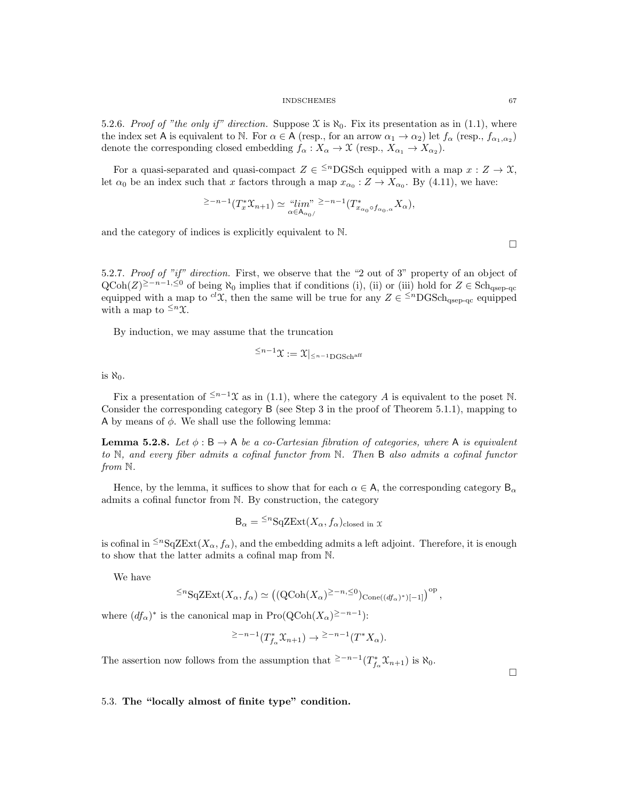5.2.6. Proof of "the only if" direction. Suppose  $\mathfrak{X}$  is  $\aleph_0$ . Fix its presentation as in (1.1), where the index set A is equivalent to N. For  $\alpha \in A$  (resp., for an arrow  $\alpha_1 \to \alpha_2$ ) let  $f_\alpha$  (resp.,  $f_{\alpha_1,\alpha_2}$ ) denote the corresponding closed embedding  $f_{\alpha}: X_{\alpha} \to \mathcal{X}$  (resp.,  $X_{\alpha_1} \to X_{\alpha_2}$ ).

For a quasi-separated and quasi-compact  $Z \in \leq^{n}$ DGSch equipped with a map  $x : Z \to \mathfrak{X}$ , let  $\alpha_0$  be an index such that x factors through a map  $x_{\alpha_0}: Z \to X_{\alpha_0}$ . By (4.11), we have:

$$
\geq -n-1}(T_x^*\mathfrak{X}_{n+1}) \simeq \lim_{\alpha \in A_{\alpha_0/}} \mathfrak{X}_{n-1}(T_{x_{\alpha_0}\circ f_{\alpha_0,\alpha}}^*X_{\alpha}),
$$

and the category of indices is explicitly equivalent to N.

5.2.7. Proof of "if" direction. First, we observe that the "2 out of 3" property of an object of  $\text{QCoh}(Z)^{\geq -n-1, \leq 0}$  of being  $\aleph_0$  implies that if conditions (i), (ii) or (iii) hold for  $Z \in \text{Sch}_{\text{qsep-qc}}$ equipped with a map to <sup>cl</sup>X, then the same will be true for any  $Z \in \leq^{n}$ DGSch<sub>qsep-qc</sub> equipped with a map to  $\leq^n \mathfrak{X}$ .

By induction, we may assume that the truncation

$$
^{\leq n-1}\mathfrak{X}:=\mathfrak{X}|_{\leq n-1\operatorname{DGSch}^{\operatorname{aff}}}
$$

is  $\aleph_0$ .

Fix a presentation of  $\leq^{n-1} \mathcal{X}$  as in (1.1), where the category A is equivalent to the poset N. Consider the corresponding category B (see Step 3 in the proof of Theorem 5.1.1), mapping to A by means of  $\phi$ . We shall use the following lemma:

**Lemma 5.2.8.** Let  $\phi : \mathsf{B} \to \mathsf{A}$  be a co-Cartesian fibration of categories, where  $\mathsf{A}$  is equivalent to N, and every fiber admits a cofinal functor from N. Then B also admits a cofinal functor from  $\mathbb N$ .

Hence, by the lemma, it suffices to show that for each  $\alpha \in A$ , the corresponding category  $B_{\alpha}$ admits a cofinal functor from N. By construction, the category

$$
B_{\alpha} = {}^{\leq n}SqZExt(X_{\alpha}, f_{\alpha})_{closed in} x
$$

is cofinal in  $\leq^{n}SqZExt(X_{\alpha}, f_{\alpha})$ , and the embedding admits a left adjoint. Therefore, it is enough to show that the latter admits a cofinal map from N.

We have

$$
\leq^n {\rm SqZExt}(X_\alpha, f_\alpha) \simeq \left( ({\rm QCoh}(X_\alpha)^{\geq -n, \leq 0})_{{\rm Cone}((df_\alpha)^*)[-1]} \right)^{\rm op},
$$

where  $(df_{\alpha})^*$  is the canonical map in Pro( $\text{QCoh}(X_{\alpha})^{\geq -n-1}$ ):

$$
\geq -n-1(T_{f_{\alpha}}^{\ast}\mathfrak{X}_{n+1}) \to \geq -n-1(T^{\ast}X_{\alpha}).
$$

The assertion now follows from the assumption that <sup>2-n-1</sup> $(T^*_{f_\alpha}\mathfrak{X}_{n+1})$  is  $\aleph_0$ .

 $\Box$ 

5.3. The "locally almost of finite type" condition.

 $\Box$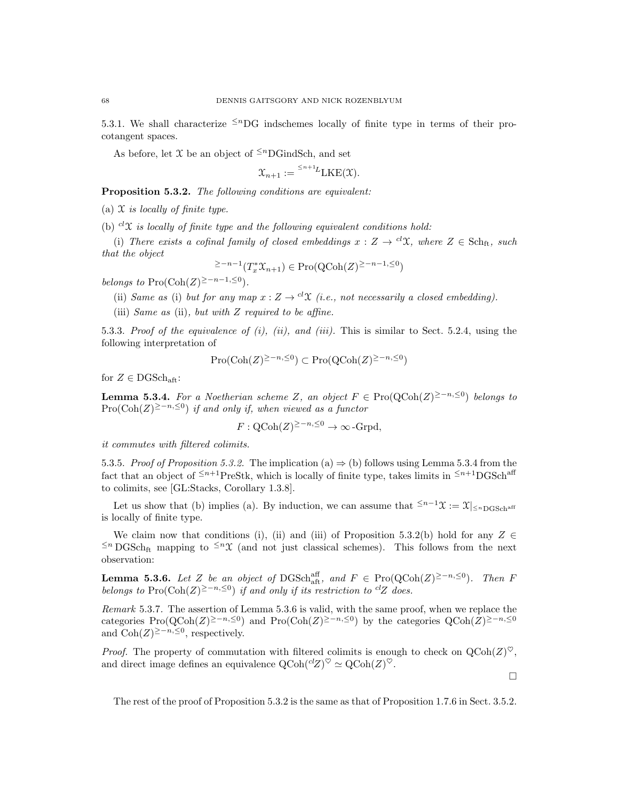5.3.1. We shall characterize  $\leq^n$ DG indschemes locally of finite type in terms of their procotangent spaces.

As before, let  $\mathfrak X$  be an object of  $\leq^n$ DGindSch, and set

$$
\mathfrak{X}_{n+1} := {}^{\leq n+1}L \text{LKE}(\mathfrak{X}).
$$

Proposition 5.3.2. The following conditions are equivalent:

(a)  $\mathfrak X$  is locally of finite type.

(b)  $c^iX$  is locally of finite type and the following equivalent conditions hold:

(i) There exists a cofinal family of closed embeddings  $x : Z \to {}^{cl}\mathfrak{X}$ , where  $Z \in Sch_{ft}$ , such that the object

$$
\geq -n-1}(T_x^*\mathfrak{X}_{n+1}) \in \mathrm{Pro}(\mathrm{QCoh}(Z)^{\geq -n-1, \leq 0})
$$

belongs to Pro( $\text{Coh}(Z)^{\geq -n-1, \leq 0}$ ).

(ii) Same as (i) but for any map 
$$
x: Z \to {}^{cl}\mathcal{X}
$$
 (i.e., not necessarily a closed embedding).

(iii) Same as (ii), but with Z required to be affine.

5.3.3. Proof of the equivalence of  $(i)$ ,  $(ii)$ , and  $(iii)$ . This is similar to Sect. 5.2.4, using the following interpretation of

$$
Pro(\mathrm{Coh}(Z)^{\geq -n, \leq 0}) \subset Pro(\mathrm{QCoh}(Z)^{\geq -n, \leq 0})
$$

for  $Z \in \text{DGSch}_{\text{aff}}$ :

**Lemma 5.3.4.** For a Noetherian scheme Z, an object  $F \in \text{Pro}(\text{QCoh}(Z)^{\geq -n, \leq 0})$  belongs to  $\text{Pro}(\text{Coh}(Z)^{\geq -n, \leq 0})$  if and only if, when viewed as a functor

$$
F:\text{QCoh}(Z)^{\geq -n,\leq 0}\to\infty\text{-Grpd},
$$

it commutes with filtered colimits.

5.3.5. Proof of Proposition 5.3.2. The implication (a)  $\Rightarrow$  (b) follows using Lemma 5.3.4 from the fact that an object of  $\leq n+1$ PreStk, which is locally of finite type, takes limits in  $\leq n+1$ DGSch<sup>aff</sup> to colimits, see [GL:Stacks, Corollary 1.3.8].

Let us show that (b) implies (a). By induction, we can assume that  $\leq^{n-1} \mathfrak{X} := \mathfrak{X}|_{\leq^{n} \text{DGSch}^{\text{aff}}}$ is locally of finite type.

We claim now that conditions (i), (ii) and (iii) of Proposition 5.3.2(b) hold for any  $Z \in$  $≤n$  DGSch<sub>ft</sub> mapping to  $≤n$ X (and not just classical schemes). This follows from the next observation:

**Lemma 5.3.6.** Let Z be an object of DGSch<sub>aft</sub>, and  $F \in \text{Pro}(\text{QCoh}(Z)^{\geq -n, \leq 0})$ . Then F belongs to Pro( $\text{Coh}(Z)^{\geq -n, \leq 0}$ ) if and only if its restriction to <sup>cl</sup>Z does.

Remark 5.3.7. The assertion of Lemma 5.3.6 is valid, with the same proof, when we replace the categories Pro( $Q\text{Coh}(Z)^{\geq -n, \leq 0}$ ) and Pro( $\text{Coh}(Z)^{\geq -n, \leq 0}$ ) by the categories  $Q\text{Coh}(Z)^{\geq -n, \leq 0}$ and  $\text{Coh}(Z)^{\geq -n, \leq 0}$ , respectively.

*Proof.* The property of commutation with filtered colimits is enough to check on  $QCoh(Z)^{\heartsuit}$ , and direct image defines an equivalence  $\mathrm{QCoh}({}^{cl}Z)^{\heartsuit} \simeq \mathrm{QCoh}(Z)^{\heartsuit}$ .

 $\Box$ 

The rest of the proof of Proposition 5.3.2 is the same as that of Proposition 1.7.6 in Sect. 3.5.2.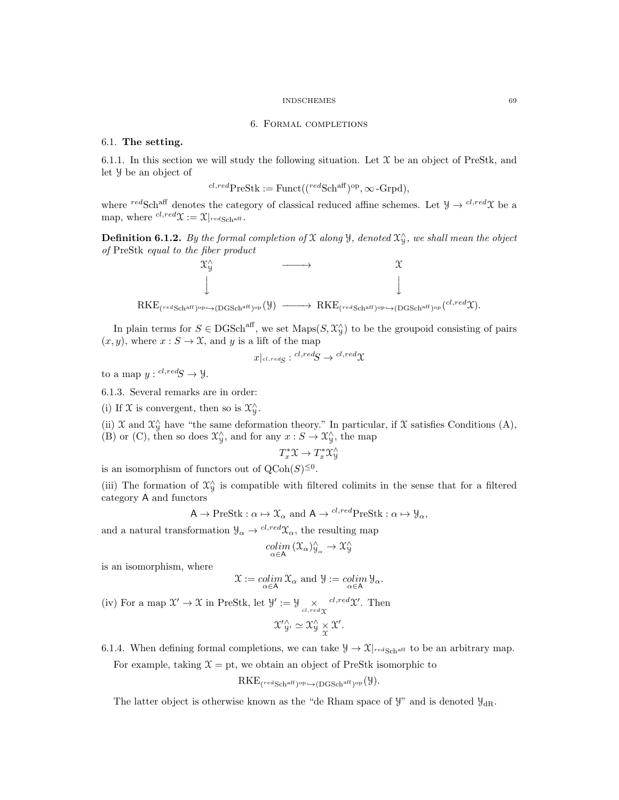### 6. Formal completions

### 6.1. The setting.

6.1.1. In this section we will study the following situation. Let  $\mathfrak X$  be an object of PreStk, and let Y be an object of

$$
{}^{cl,red}PreStk := Funct(({}^{red}Sch^{aff})^{op}, \infty \text{-}Grpd),
$$

where redSch<sup>aff</sup> denotes the category of classical reduced affine schemes. Let  $\mathcal{Y} \to c^{l, red} \mathcal{X}$  be a map, where  ${}^{cl,red}\mathfrak{X} := \mathfrak{X}|_{redSchoff}.$ 

**Definition 6.1.2.** By the formal completion of X along  $\mathcal{Y}$ , denoted  $\mathcal{X}^{\wedge}_{\mathcal{Y}}$ , we shall mean the object of PreStk equal to the fiber product



In plain terms for  $S \in DGSch<sup>aff</sup>$ , we set  $Maps(S, \mathcal{X}_{\mathcal{Y}}^{\wedge})$  to be the groupoid consisting of pairs  $(x, y)$ , where  $x : S \to \mathfrak{X}$ , and y is a lift of the map

$$
x|_{cl, redS}: {}^{cl, red}S \rightarrow {}^{cl, red}X
$$

to a map  $y: {}^{cl,red}S \rightarrow Y$ .

6.1.3. Several remarks are in order:

(i) If  $\mathfrak X$  is convergent, then so is  $\mathfrak X^\wedge_{\mathcal Y}.$ 

(ii)  $\mathfrak X$  and  $\mathfrak X_{\mathfrak Y}^{\wedge}$  have "the same deformation theory." In particular, if  $\mathfrak X$  satisfies Conditions (A), (B) or (C), then so does  $\mathfrak{X}_{\mathfrak{Y}}^{\wedge}$ , and for any  $x : S \to \mathfrak{X}_{\mathfrak{Y}}^{\wedge}$ , the map

$$
T^*_x\mathfrak{X}\to T^*_x\mathfrak{X}^\wedge_\mathcal{Y}
$$

is an isomorphism of functors out of  $Q\text{Coh}(S)^{\leq 0}$ .

(iii) The formation of  $\mathfrak{X}_{\mathfrak{Y}}^{\wedge}$  is compatible with filtered colimits in the sense that for a filtered category A and functors

$$
A \to \text{PreStk}: \alpha \mapsto \mathfrak{X}_{\alpha} \text{ and } A \to {}^{cl, red}\text{PreStk}: \alpha \mapsto \mathcal{Y}_{\alpha},
$$

and a natural transformation  $\mathcal{Y}_{\alpha} \to {}^{cl,red} \mathcal{X}_{\alpha}$ , the resulting map

$$
\underset{\alpha \in \mathsf{A}}{\operatorname{colim}} \, (\mathfrak{X}_{\alpha})_{\mathcal{Y}_{\alpha}}^{\wedge} \rightarrow \mathfrak{X}_{\mathcal{Y}}^{\wedge}
$$

is an isomorphism, where

$$
\mathfrak{X} := \operatornamewithlimits{colim}_{\alpha \in A} \mathfrak{X}_{\alpha} \text{ and } \mathfrak{Y} := \operatornamewithlimits{colim}_{\alpha \in A} \mathfrak{Y}_{\alpha}.
$$

(iv) For a map  $\mathcal{X}' \to \mathcal{X}$  in PreStk, let  $\mathcal{Y}' := \mathcal{Y} \underset{cl, red \mathcal{X}}{\times} cl, red \mathcal{X}'$ . Then  $\mathcal{X}'^{\wedge}_{y'} \simeq \mathcal{X}^{\wedge}_{y} \times \mathcal{X}'.$ 

6.1.4. When defining formal completions, we can take  $\mathcal{Y} \to \mathcal{X}|_{\text{redSch}^{\text{aff}}}$  to be an arbitrary map.

For example, taking  $\mathcal{X} = \text{pt}$ , we obtain an object of PreStk isomorphic to

$$
\mathrm{RKE}_{(\text{redSch}^{\mathrm{aff}})^{\mathrm{op}} \hookrightarrow (\mathrm{DGSch}^{\mathrm{aff}})^{\mathrm{op}}}(\mathcal{Y}).
$$

The latter object is otherwise known as the "de Rham space of  $\mathcal{Y}$ " and is denoted  $\mathcal{Y}_{dR}$ .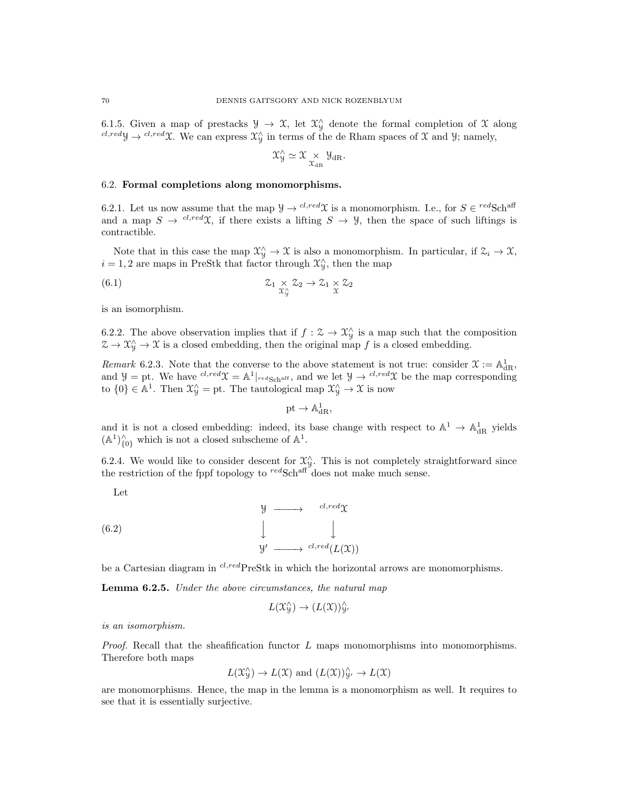6.1.5. Given a map of prestacks  $\mathcal{Y} \to \mathcal{X}$ , let  $\mathcal{X}^{\wedge}_{\mathcal{Y}}$  denote the formal completion of X along  $c^{l, red}$ y  $\rightarrow$   $c^{l, red}$ X. We can express  $\mathcal{X}_{\mathcal{Y}}^{\wedge}$  in terms of the de Rham spaces of X and Y; namely,

$$
\mathcal{X}_{\mathcal{Y}}^{\wedge} \simeq \mathcal{X} \underset{\mathcal{X}_{\mathrm{dR}}}{\times} \mathcal{Y}_{\mathrm{dR}}.
$$

## 6.2. Formal completions along monomorphisms.

6.2.1. Let us now assume that the map  $\mathcal{Y} \to^{cl, red} \mathcal{X}$  is a monomorphism. I.e., for  $S \in^{red} \text{Sch}^{\text{aff}}$ and a map  $S \to \infty^{d, red} \mathfrak{X}$ , if there exists a lifting  $S \to \mathcal{Y}$ , then the space of such liftings is contractible.

Note that in this case the map  $\mathfrak{X}_{\mathcal{Y}}^{\wedge} \to \mathfrak{X}$  is also a monomorphism. In particular, if  $\mathfrak{X}_i \to \mathfrak{X}$ ,  $i = 1, 2$  are maps in PreStk that factor through  $\mathcal{X}_{\mathcal{Y}}^{\wedge}$ , then the map

(6.1) 
$$
\mathcal{Z}_1 \underset{\mathcal{X}_1^{\wedge}}{\times} \mathcal{Z}_2 \to \mathcal{Z}_1 \underset{\mathcal{X}}{\times} \mathcal{Z}_2
$$

is an isomorphism.

6.2.2. The above observation implies that if  $f: \mathcal{Z} \to \mathcal{X}_{\mathcal{Y}}^{\wedge}$  is a map such that the composition  $\mathfrak{X} \to \mathfrak{X}_{\mathfrak{Y}}^{\wedge} \to \mathfrak{X}$  is a closed embedding, then the original map f is a closed embedding.

Remark 6.2.3. Note that the converse to the above statement is not true: consider  $\mathfrak{X} := \mathbb{A}^1_{\mathrm{dR}}$ , and  $\mathcal{Y} = \text{pt}$ . We have  ${}^{cl, red} \mathcal{X} = \mathbb{A}^1|_{red \text{Sch}^{\text{aff}}},$  and we let  $\mathcal{Y} \to {}^{cl, red} \mathcal{X}$  be the map corresponding to  $\{0\} \in \mathbb{A}^1$ . Then  $\mathfrak{X}_{\mathfrak{Y}}^{\wedge} = \mathrm{pt}$ . The tautological map  $\mathfrak{X}_{\mathfrak{Y}}^{\wedge} \to \mathfrak{X}$  is now

$$
\mathrm{pt}\to \mathbb{A}^1_{\mathrm{dR}},
$$

and it is not a closed embedding: indeed, its base change with respect to  $\mathbb{A}^1 \to \mathbb{A}^1_{\rm dR}$  yields  $(A^1)_{\{0\}}^{\wedge}$  which is not a closed subscheme of  $A^1$ .

6.2.4. We would like to consider descent for  $\mathfrak{X}_{\mathcal{Y}}^{\wedge}$ . This is not completely straightforward since the restriction of the fppf topology to  $\mathrm{redSch}^{\mathrm{aff}}$  does not make much sense.

Let

(6.2) 
$$
\downarrow \qquad \qquad \downarrow
$$

$$
\downarrow \qquad \qquad \downarrow
$$

$$
y' \longrightarrow \text{cl,red}(L(\mathfrak{X}))
$$

be a Cartesian diagram in  $^{cl,red}$ PreStk in which the horizontal arrows are monomorphisms.

Lemma 6.2.5. Under the above circumstances, the natural map

$$
L(\mathfrak{X}^{\wedge}_\mathcal{Y}) \to (L(\mathfrak{X}))^\wedge_{\mathcal{Y}'}
$$

is an isomorphism.

*Proof.* Recall that the sheafification functor  $L$  maps monomorphisms into monomorphisms. Therefore both maps

$$
L(\mathfrak{X}_{\mathcal{Y}}^{\wedge}) \to L(\mathfrak{X})
$$
 and  $(L(\mathfrak{X}))_{\mathcal{Y}}^{\wedge} \to L(\mathfrak{X})$ 

are monomorphisms. Hence, the map in the lemma is a monomorphism as well. It requires to see that it is essentially surjective.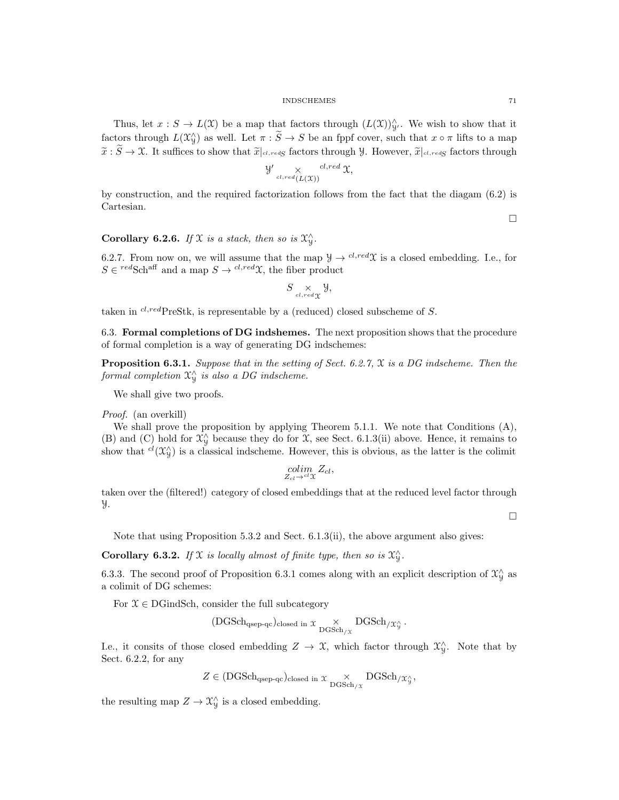Thus, let  $x : S \to L(X)$  be a map that factors through  $(L(X))_{\mathcal{Y}}^{\wedge}$ . We wish to show that it factors through  $L(\mathfrak{X}_{\mathcal{Y}}^{\wedge})$  as well. Let  $\pi : \widetilde{S} \to S$  be an fppf cover, such that  $x \circ \pi$  lifts to a map  $\tilde{x}: \tilde{S} \to \mathfrak{X}$ . It suffices to show that  $\tilde{x}|_{cl,redS}$  factors through Y. However,  $\tilde{x}|_{cl,redS}$  factors through

$$
\mathcal{Y'} \underset{cl, red(L(\mathfrak{X}))}{\times} \mathcal{C}^{l, red} \mathfrak{X},
$$

by construction, and the required factorization follows from the fact that the diagam (6.2) is Cartesian.

 $\Box$ 

# Corollary 6.2.6. If X is a stack, then so is  $\mathfrak{X}_{\mathcal{Y}}^{\wedge}$ .

6.2.7. From now on, we will assume that the map  $\mathcal{Y} \to^{cl, red} \mathcal{X}$  is a closed embedding. I.e., for  $S \in \text{redSch}^{\text{aff}}$  and a map  $S \to \text{cl,red}\mathfrak{X}$ , the fiber product

$$
S \underset{cl, red \chi}{\times} \mathcal{Y},
$$

taken in  $^{cl,red}$ PreStk, is representable by a (reduced) closed subscheme of S.

6.3. Formal completions of DG indshemes. The next proposition shows that the procedure of formal completion is a way of generating DG indschemes:

**Proposition 6.3.1.** Suppose that in the setting of Sect. 6.2.7,  $\chi$  is a DG indscheme. Then the formal completion  $\mathfrak{X}^\wedge_\mathfrak{Y}$  is also a DG indscheme.

We shall give two proofs.

Proof. (an overkill)

We shall prove the proposition by applying Theorem 5.1.1. We note that Conditions (A), (B) and (C) hold for  $\mathfrak{X}_{\mathcal{Y}}^{\wedge}$  because they do for  $\mathfrak{X}$ , see Sect. 6.1.3(ii) above. Hence, it remains to show that  ${}^{cl}(\mathfrak{X}_{\mathcal{Y}}^{\wedge})$  is a classical indscheme. However, this is obvious, as the latter is the colimit

$$
\underset{Z_{cl}\rightarrow^{cl}\mathfrak{X}}{\text{colim}}Z_{cl},
$$

taken over the (filtered!) category of closed embeddings that at the reduced level factor through Y.

 $\Box$ 

Note that using Proposition 5.3.2 and Sect. 6.1.3(ii), the above argument also gives:

**Corollary 6.3.2.** If  $X$  is locally almost of finite type, then so is  $X_Y^{\wedge}$ .

6.3.3. The second proof of Proposition 6.3.1 comes along with an explicit description of  $\mathfrak{X}_{\mathcal{Y}}^{\wedge}$  as a colimit of DG schemes:

For  $\mathcal{X} \in \text{DGindSch}$ , consider the full subcategory

$$
(\textrm{DGSch}_{\textrm{qsep-qc}})_{\textrm{closed in }\mathcal{X}}\underset{\textrm{DGSch}_{/\mathcal{X}}}{\times}\textrm{DGSch}_{/\mathcal{X}^{\wedge}_\mathcal{Y}}.
$$

I.e., it consits of those closed embedding  $Z \to \mathfrak{X}$ , which factor through  $\mathfrak{X}_{\mathfrak{Y}}^{\wedge}$ . Note that by Sect. 6.2.2, for any

$$
Z \in (\mathrm{DGSch}_{\mathrm{qsep-qc}})_{\mathrm{closed~in}} \; \chi \underset{\mathrm{DGSch}_{/\mathcal{X}}}{\times} \mathrm{DGSch}_{/\mathcal{X}^{\wedge}_y},
$$

the resulting map  $Z \to \mathfrak{X}^{\wedge}_\mathfrak{Y}$  is a closed embedding.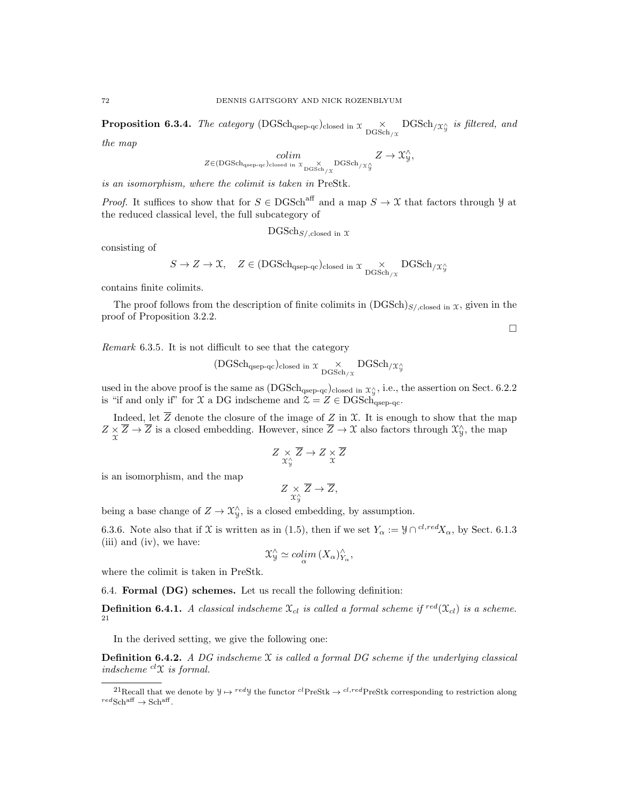**Proposition 6.3.4.** The category (DGSch<sub>qsep-qc</sub>)<sub>closed in  $x \underset{\text{DGSch}_{/\mathcal{X}}}{\times}$  DGSch<sub>/ $\mathcal{X}^{\wedge}_y$ </sub> is filtered, and</sub>

the map

$$
\underset{Z \in (\text{DGSch}_{\text{qsep-qc}})_{\text{closed in }\mathcal{X}}}{colim} \underset{\text{DGSch}_{/\mathcal{X}}}{\times} \text{DGSch}_{/\mathcal{X}_{\mathcal{Y}}^{\mathcal{Y}}} Z \to \mathcal{X}_{\mathcal{Y}}^{\wedge},
$$

is an isomorphism, where the colimit is taken in PreStk.

*Proof.* It suffices to show that for  $S \in DGSch^{\text{aff}}$  and a map  $S \to \mathfrak{X}$  that factors through  $\mathcal{Y}$  at the reduced classical level, the full subcategory of

 $\text{DGSch}_{S/\text{,closed in }\mathfrak{X}}$ 

consisting of

$$
S \to Z \to \mathfrak{X}, \quad Z \in (\mathrm{DGSch}_{\mathrm{qsep-qc}})_{\mathrm{closed~in}} \; \mathfrak{X} \underset{\mathrm{DGSch}_{/\mathfrak{X}}} {\times} \mathrm{DGSch}_{/\mathfrak{X}^\wedge_\mathfrak{Y}}
$$

contains finite colimits.

The proof follows from the description of finite colimits in  $(DGSch)_{S/\text{closed in }\mathfrak{X}}$ , given in the proof of Proposition 3.2.2.

 $\Box$ 

Remark 6.3.5. It is not difficult to see that the category

$$
(\textrm{DGSch}_{\textrm{qsep-qc}})_{\textrm{closed in }\mathcal{X}}\underset{\textrm{DGSch}_{/\mathcal{X}}}{\times}\textrm{DGSch}_{/\mathcal{X}^{\wedge}_\mathcal{Y}}
$$

used in the above proof is the same as  $(DGSch<sub>qsep-qc</sub>)<sub>closed in</sub> x<sub>y</sub><sup>\wedge</sup>$ , i.e., the assertion on Sect. 6.2.2 is "if and only if" for  $\mathfrak X$  a DG indscheme and  $\mathfrak Z = Z \in \mathrm{DGSch}_{\mathrm{asep-qc}}$ .

Indeed, let Z denote the closure of the image of Z in  $\mathfrak{X}$ . It is enough to show that the map  $Z \times \overline{Z} \to \overline{Z}$  is a closed embedding. However, since  $\overline{Z} \to \mathcal{X}$  also factors through  $\mathcal{X}_{\mathcal{Y}}^{\wedge}$ , the map

$$
Z \underset{\mathfrak{X}_{\mathfrak{Y}}^{\wedge}}{\times} \overline{Z} \to Z \underset{\mathfrak{X}}{\times} \overline{Z}
$$

is an isomorphism, and the map

$$
Z \underset{\mathfrak{X}_{\mathfrak{Y}}^{\wedge}}{\times} \overline{Z} \to \overline{Z},
$$

being a base change of  $Z \to \mathfrak{X}_{\mathfrak{Y}}^{\wedge}$ , is a closed embedding, by assumption.

6.3.6. Note also that if X is written as in (1.5), then if we set  $Y_\alpha := \mathcal{Y} \cap {}^{cl, red}X_\alpha$ , by Sect. 6.1.3 (iii) and (iv), we have:

$$
\mathfrak{X}_{\mathcal{Y}}^{\wedge} \simeq \operatorname{colim}_{\alpha} (X_{\alpha})_{Y_{\alpha}}^{\wedge},
$$

where the colimit is taken in PreStk.

6.4. Formal (DG) schemes. Let us recall the following definition:

**Definition 6.4.1.** A classical indscheme  $\mathfrak{X}_{cl}$  is called a formal scheme if  $\mathrm{r}^{red}(\mathfrak{X}_{cl})$  is a scheme. 21

In the derived setting, we give the following one:

**Definition 6.4.2.** A DG indscheme  $\mathfrak X$  is called a formal DG scheme if the underlying classical indscheme  ${}^{cl}\mathfrak{X}$  is formal.

<sup>&</sup>lt;sup>21</sup>Recall that we denote by  $\mathcal{Y} \mapsto {}^{red}\mathcal{Y}$  the functor  ${}^{cl}$ PreStk  $\rightarrow {}^{cl,red}$ PreStk corresponding to restriction along  ${}^{red}\text{Sch}^{\text{aff}} \to \text{Sch}^{\text{aff}}$ .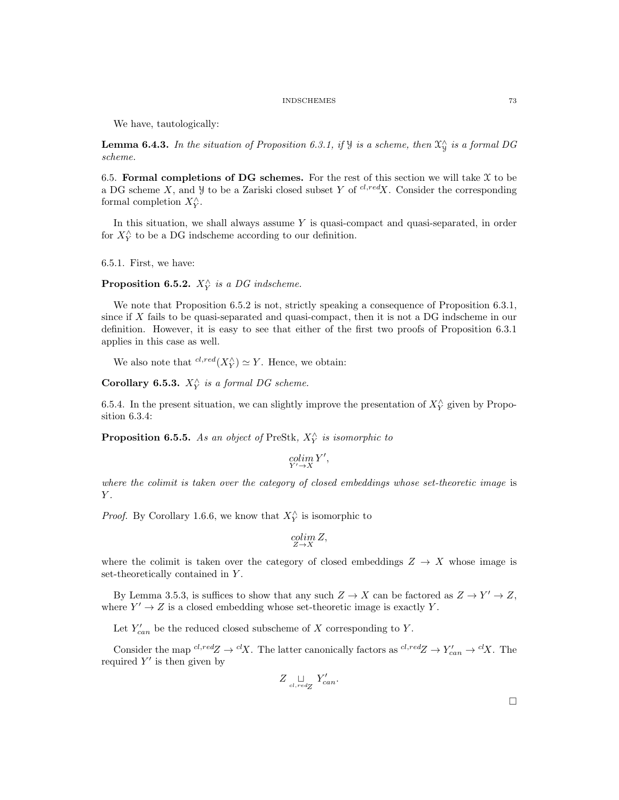We have, tautologically:

**Lemma 6.4.3.** In the situation of Proposition 6.3.1, if  $\mathcal{Y}$  is a scheme, then  $\mathcal{X}_{\mathcal{Y}}^{\wedge}$  is a formal DG scheme.

6.5. Formal completions of DG schemes. For the rest of this section we will take  $\mathfrak X$  to be a DG scheme X, and  $\mathcal Y$  to be a Zariski closed subset Y of  $^{cl, red}X$ . Consider the corresponding formal completion  $X_Y^{\wedge}$ .

In this situation, we shall always assume  $Y$  is quasi-compact and quasi-separated, in order for  $X_{Y}^{\wedge}$  to be a DG indscheme according to our definition.

6.5.1. First, we have:

**Proposition 6.5.2.**  $X_Y^{\wedge}$  is a DG indscheme.

We note that Proposition 6.5.2 is not, strictly speaking a consequence of Proposition 6.3.1, since if X fails to be quasi-separated and quasi-compact, then it is not a DG indscheme in our definition. However, it is easy to see that either of the first two proofs of Proposition 6.3.1 applies in this case as well.

We also note that  ${}^{cl,red}(X_Y^{\wedge}) \simeq Y$ . Hence, we obtain:

Corollary 6.5.3.  $X_Y^{\wedge}$  is a formal DG scheme.

6.5.4. In the present situation, we can slightly improve the presentation of  $X_Y^{\wedge}$  given by Proposition 6.3.4:

**Proposition 6.5.5.** As an object of PreStk,  $X_{Y}^{\wedge}$  is isomorphic to

$$
\operatornamewithlimits{colim}_{Y'\to X}Y',
$$

where the colimit is taken over the category of closed embeddings whose set-theoretic image is  $Y$ .

*Proof.* By Corollary 1.6.6, we know that  $X_Y^{\wedge}$  is isomorphic to

$$
\operatornamewithlimits{colim}_{Z\to X} Z,
$$

where the colimit is taken over the category of closed embeddings  $Z \rightarrow X$  whose image is set-theoretically contained in Y .

By Lemma 3.5.3, is suffices to show that any such  $Z \to X$  can be factored as  $Z \to Y' \to Z$ , where  $Y' \to Z$  is a closed embedding whose set-theoretic image is exactly Y.

Let  $Y'_{can}$  be the reduced closed subscheme of X corresponding to Y.

Consider the map  ${}^{cl,red}Z \to {}^{cl}X$ . The latter canonically factors as  ${}^{cl,red}Z \to Y'_{can} \to {}^{cl}X$ . The required  $Y'$  is then given by

$$
Z \underset{cl, redZ}{\sqcup} Y'_{can}.
$$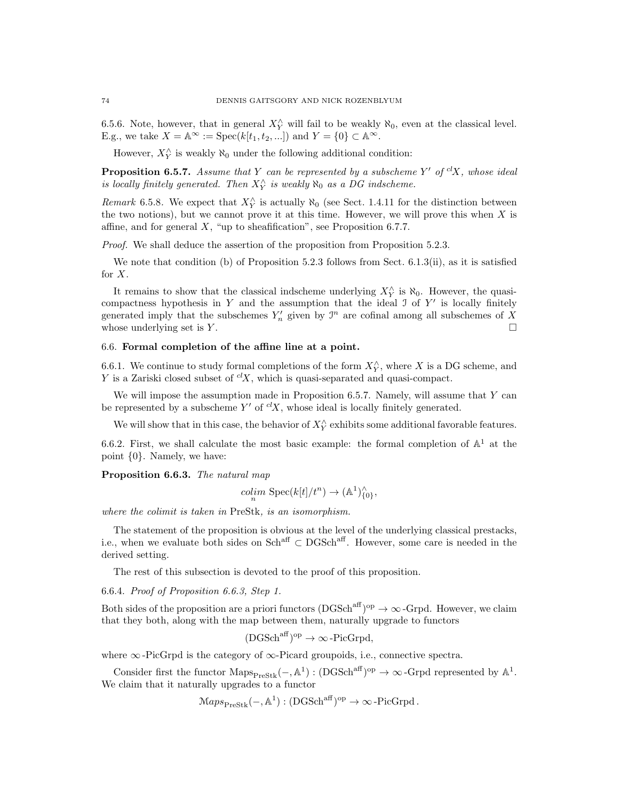6.5.6. Note, however, that in general  $X_{Y}^{\wedge}$  will fail to be weakly  $\aleph_0$ , even at the classical level. E.g., we take  $X = \mathbb{A}^{\infty} := \text{Spec}(k[t_1, t_2, \ldots])$  and  $Y = \{0\} \subset \mathbb{A}^{\infty}$ .

However,  $X_Y^{\wedge}$  is weakly  $\aleph_0$  under the following additional condition:

**Proposition 6.5.7.** Assume that Y can be represented by a subscheme Y' of  ${}^{cl}X$ , whose ideal is locally finitely generated. Then  $X_{Y}^{\wedge}$  is weakly  $\aleph_{0}$  as a DG indscheme.

Remark 6.5.8. We expect that  $X_{Y}^{\wedge}$  is actually  $\aleph_{0}$  (see Sect. 1.4.11 for the distinction between the two notions), but we cannot prove it at this time. However, we will prove this when  $X$  is affine, and for general  $X$ , "up to sheafification", see Proposition 6.7.7.

Proof. We shall deduce the assertion of the proposition from Proposition 5.2.3.

We note that condition (b) of Proposition 5.2.3 follows from Sect. 6.1.3(ii), as it is satisfied for  $X$ .

It remains to show that the classical indscheme underlying  $X_{Y}^{\wedge}$  is  $\aleph_{0}$ . However, the quasicompactness hypothesis in  $Y$  and the assumption that the ideal  $\mathcal I$  of  $Y'$  is locally finitely generated imply that the subschemes  $Y'_n$  given by  $\mathcal{I}^n$  are cofinal among all subschemes of X whose underlying set is  $Y$ .

# 6.6. Formal completion of the affine line at a point.

6.6.1. We continue to study formal completions of the form  $X_{Y}^{\wedge}$ , where X is a DG scheme, and Y is a Zariski closed subset of  ${}^{cl}X$ , which is quasi-separated and quasi-compact.

We will impose the assumption made in Proposition 6.5.7. Namely, will assume that  $Y$  can be represented by a subscheme Y' of  ${}^{cl}X$ , whose ideal is locally finitely generated.

We will show that in this case, the behavior of  $X_Y^{\wedge}$  exhibits some additional favorable features.

6.6.2. First, we shall calculate the most basic example: the formal completion of  $\mathbb{A}^1$  at the point {0}. Namely, we have:

Proposition 6.6.3. The natural map

$$
colim_{n} \operatorname{Spec}(k[t]/t^{n}) \to (\mathbb{A}^{1})_{\{0\}}^{\wedge},
$$

where the colimit is taken in PreStk, is an isomorphism.

The statement of the proposition is obvious at the level of the underlying classical prestacks, i.e., when we evaluate both sides on Schaff ⊂ DGSchaff. However, some care is needed in the derived setting.

The rest of this subsection is devoted to the proof of this proposition.

6.6.4. Proof of Proposition 6.6.3, Step 1.

Both sides of the proposition are a priori functors  $(DGSch^{aff})^{op} \to \infty$ -Grpd. However, we claim that they both, along with the map between them, naturally upgrade to functors

$$
(DGSch^{aff})^{op} \to \infty\text{-PicGrpd},
$$

where  $\infty$ -PicGrpd is the category of  $\infty$ -Picard groupoids, i.e., connective spectra.

Consider first the functor  $\text{Maps}_{\text{PreStk}}(-, \mathbb{A}^1) : (\text{DGSch}^{\text{aff}})^{\text{op}} \to \infty$ -Grpd represented by  $\mathbb{A}^1$ . We claim that it naturally upgrades to a functor

$$
Maps_{\text{PreStk}}(-, \mathbb{A}^1): (DGSch^{aff})^{op} \to \infty\text{-PicGrpd}.
$$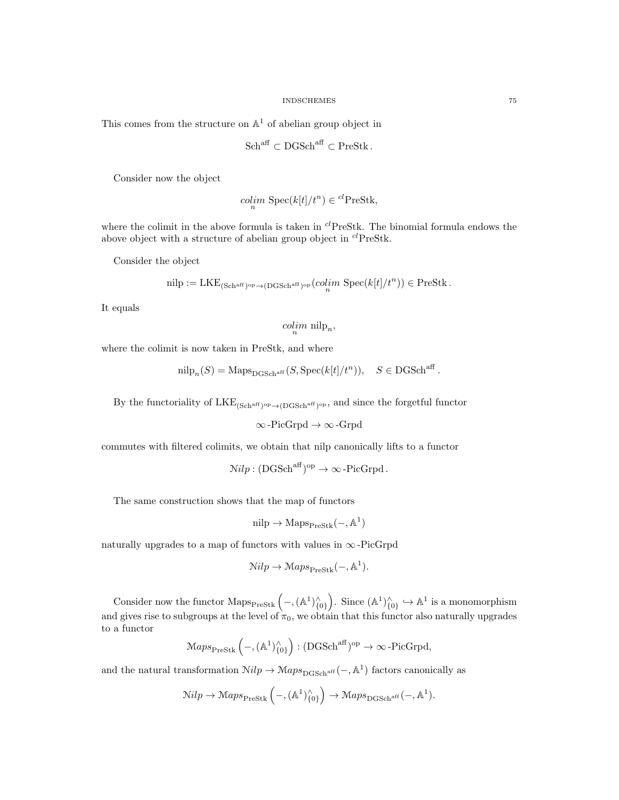This comes from the structure on  $\mathbb{A}^1$  of abelian group object in

$$
Schaff \subset DGSchaff \subset PreStk .
$$

Consider now the object

$$
colim_n \operatorname{Spec}(k[t]/t^n) \in {}^{cl}\text{PreStk},
$$

where the colimit in the above formula is taken in  ${}^{cl}$ PreStk. The binomial formula endows the above object with a structure of abelian group object in  ${}^{cl}$ PreStk.

Consider the object

nilp := LKE<sub>(Sch<sup>aff</sup>)<sup>op</sup> \to (DGSch<sup>aff</sup>)<sup>op</sup> 
$$
(colim_{n} \text{Spec}(k[t]/t^{n})) \in \text{PreStk}
$$
.</sub>

It equals

$$
\underset{n}{\text{colim }} \text{nilp}_n,
$$

where the colimit is now taken in PreStk, and where

$$
\mathrm{nilp}_n(S) = \mathrm{Maps}_{\mathrm{DGSch}^{\mathrm{aff}}}(S, \mathrm{Spec}(k[t]/t^n)), \quad S \in \mathrm{DGSch}^{\mathrm{aff}}.
$$

By the functoriality of  $LKE_{(Sch<sup>aff</sup>)^{op}\to (DGSch<sup>aff</sup>)^{op}}$ , and since the forgetful functor

∞-PicGrpd → ∞-Grpd

commutes with filtered colimits, we obtain that nilp canonically lifts to a functor

 $\mathcal{N}ilp : (DGSch^{aff})^{op} \to \infty$ -PicGrpd.

The same construction shows that the map of functors

$$
\mathrm{nilp} \to \mathrm{Maps}_{\mathrm{PreStk}}(-,\mathbb{A}^1)
$$

naturally upgrades to a map of functors with values in  $\infty$ -PicGrpd

$$
\mathcal{N}ilp \to \mathcal{M}aps_{\text{PreStk}}(-, \mathbb{A}^1).
$$

Consider now the functor  $\text{Maps}_{\text{PreStk}}\left(-, (\mathbb{A}^1)_{\{0\}}^{\wedge}\right)$ . Since  $(\mathbb{A}^1)_{\{0\}}^{\wedge} \hookrightarrow \mathbb{A}^1$  is a monomorphism and gives rise to subgroups at the level of  $\pi_0$ , we obtain that this functor also naturally upgrades to a functor

$$
Maps_{\text{PreStk}}\left(-, (\mathbb{A}^1)^{\wedge}_{\{0\}}\right) : (DGSch^{aff})^{op} \to \infty\text{-PicGrpd},
$$

and the natural transformation  $\mathcal{N}ilp \to \mathcal{M}aps_{\text{DGSch}^\text{aff}}(-, \mathbb{A}^1)$  factors canonically as

$$
\mathcal{N}ilp \to \mathcal{M}aps_{\text{PreStk}}\left(-, (\mathbb{A}^1)_{\{0\}}^{\wedge}\right) \to \mathcal{M}aps_{\text{DGSch}^{\text{aff}}}(-, \mathbb{A}^1).
$$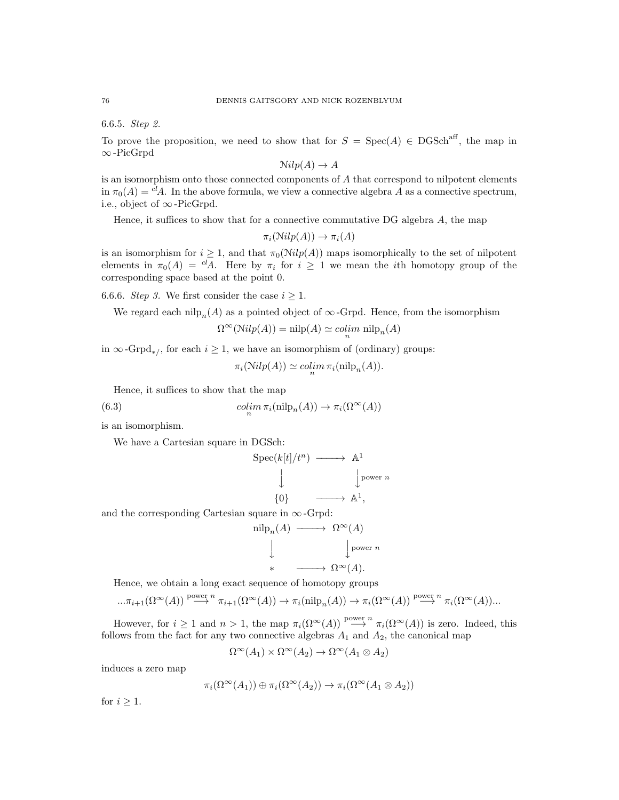6.6.5. Step 2.

To prove the proposition, we need to show that for  $S = \text{Spec}(A) \in \text{DGSch}^{\text{aff}}$ , the map in ∞-PicGrpd

 $Nilp(A) \rightarrow A$ 

is an isomorphism onto those connected components of  $A$  that correspond to nilpotent elements in  $\pi_0(A) = c^d A$ . In the above formula, we view a connective algebra A as a connective spectrum, i.e., object of ∞-PicGrpd.

Hence, it suffices to show that for a connective commutative DG algebra A, the map

$$
\pi_i(\mathcal{N}ilp(A)) \to \pi_i(A)
$$

is an isomorphism for  $i \geq 1$ , and that  $\pi_0(\text{Nilp}(A))$  maps isomorphically to the set of nilpotent elements in  $\pi_0(A) = {}^{cl}A$ . Here by  $\pi_i$  for  $i \geq 1$  we mean the *i*th homotopy group of the corresponding space based at the point 0.

6.6.6. Step 3. We first consider the case  $i \geq 1$ .

We regard each nilp<sub>n</sub>(A) as a pointed object of  $\infty$ -Grpd. Hence, from the isomorphism

$$
\Omega^{\infty}(\mathbb{N}ilp(A)) = \mathrm{nilp}(A) \simeq \mathop{colim}_n \,\mathrm{nilp}_n(A)
$$

in  $\infty$ -Grpd<sub>\*</sub>/, for each  $i \geq 1$ , we have an isomorphism of (ordinary) groups:

$$
\pi_i(\operatorname{Nilp}(A)) \simeq \operatorname{colim}_n \pi_i(\operatorname{nilp}_n(A)).
$$

Hence, it suffices to show that the map

(6.3) 
$$
\underset{n}{\text{colim }} \pi_i(\text{nilp}_n(A)) \to \pi_i(\Omega^{\infty}(A))
$$

is an isomorphism.

We have a Cartesian square in DGSch:

$$
\begin{array}{ccc}\n\text{Spec}(k[t]/t^n) & \longrightarrow & \mathbb{A}^1 \\
\downarrow & & \downarrow^{\text{power } n} \\
\{0\} & \longrightarrow & \mathbb{A}^1,\n\end{array}
$$

and the corresponding Cartesian square in  $\infty$ -Grpd:

$$
\begin{array}{ccc}\n\text{nilp}_n(A) & \longrightarrow & \Omega^{\infty}(A) \\
\downarrow & & \downarrow \\
\ast & \longrightarrow & \Omega^{\infty}(A).\n\end{array}
$$

Hence, we obtain a long exact sequence of homotopy groups

$$
\dots \pi_{i+1}(\Omega^{\infty}(A)) \stackrel{\text{power } n}{\longrightarrow} \pi_{i+1}(\Omega^{\infty}(A)) \to \pi_i(\text{nilp}_n(A)) \to \pi_i(\Omega^{\infty}(A)) \stackrel{\text{power } n}{\longrightarrow} \pi_i(\Omega^{\infty}(A))\dots
$$

However, for  $i \geq 1$  and  $n > 1$ , the map  $\pi_i(\Omega^{\infty}(A)) \stackrel{\text{power } n}{\longrightarrow} \pi_i(\Omega^{\infty}(A))$  is zero. Indeed, this follows from the fact for any two connective algebras  $A_1$  and  $A_2$ , the canonical map

$$
\Omega^{\infty}(A_1) \times \Omega^{\infty}(A_2) \to \Omega^{\infty}(A_1 \otimes A_2)
$$

induces a zero map

$$
\pi_i(\Omega^{\infty}(A_1)) \oplus \pi_i(\Omega^{\infty}(A_2)) \to \pi_i(\Omega^{\infty}(A_1 \otimes A_2))
$$

for  $i \geq 1$ .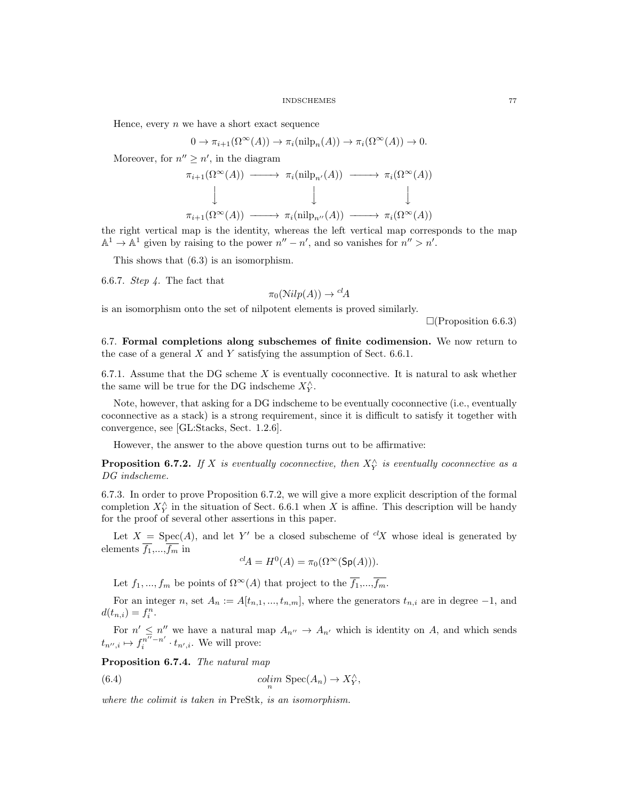Hence, every  $n$  we have a short exact sequence

$$
0 \to \pi_{i+1}(\Omega^{\infty}(A)) \to \pi_i(\text{nilp}_n(A)) \to \pi_i(\Omega^{\infty}(A)) \to 0.
$$

Moreover, for  $n'' \geq n'$ , in the diagram

$$
\pi_{i+1}(\Omega^{\infty}(A)) \longrightarrow \pi_i(\text{nilp}_{n'}(A)) \longrightarrow \pi_i(\Omega^{\infty}(A))
$$
  

$$
\downarrow \qquad \qquad \downarrow \qquad \qquad \downarrow
$$
  

$$
\pi_{i+1}(\Omega^{\infty}(A)) \longrightarrow \pi_i(\text{nilp}_{n''}(A)) \longrightarrow \pi_i(\Omega^{\infty}(A))
$$

the right vertical map is the identity, whereas the left vertical map corresponds to the map  $\mathbb{A}^1 \to \mathbb{A}^1$  given by raising to the power  $n'' - n'$ , and so vanishes for  $n'' > n'$ .

This shows that (6.3) is an isomorphism.

6.6.7. *Step 4*. The fact that

$$
\pi_0(\text{Nilp}(A)) \to {}^{cl}A
$$

is an isomorphism onto the set of nilpotent elements is proved similarly.

 $\Box$ (Proposition 6.6.3)

6.7. Formal completions along subschemes of finite codimension. We now return to the case of a general  $X$  and  $Y$  satisfying the assumption of Sect. 6.6.1.

6.7.1. Assume that the DG scheme  $X$  is eventually coconnective. It is natural to ask whether the same will be true for the DG indscheme  $X_Y^{\wedge}$ .

Note, however, that asking for a DG indscheme to be eventually coconnective (i.e., eventually coconnective as a stack) is a strong requirement, since it is difficult to satisfy it together with convergence, see [GL:Stacks, Sect. 1.2.6].

However, the answer to the above question turns out to be affirmative:

**Proposition 6.7.2.** If X is eventually coconnective, then  $X_{Y}^{\wedge}$  is eventually coconnective as a DG indscheme.

6.7.3. In order to prove Proposition 6.7.2, we will give a more explicit description of the formal completion  $X_Y^{\wedge}$  in the situation of Sect. 6.6.1 when X is affine. This description will be handy for the proof of several other assertions in this paper.

Let  $X = \text{Spec}(A)$ , and let Y' be a closed subscheme of  ${}^{cl}X$  whose ideal is generated by elements  $\overline{f_1}, \ldots, \overline{f_m}$  in

$$
{}^{cl}A = H^0(A) = \pi_0(\Omega^\infty(\mathrm{Sp}(A))).
$$

Let  $f_1, ..., f_m$  be points of  $\Omega^{\infty}(A)$  that project to the  $\overline{f_1}, ..., \overline{f_m}$ .

For an integer n, set  $A_n := A[t_{n,1},..., t_{n,m}]$ , where the generators  $t_{n,i}$  are in degree  $-1$ , and  $d(t_{n,i}) = f_i^n$ .

For  $n' \leq n''$  we have a natural map  $A_{n''} \to A_{n'}$  which is identity on A, and which sends  $t_{n'',i}\mapsto f_i^{n''-n'}$  $i^{n^{\alpha}-n}$   $\cdot t_{n^{\prime},i}$ . We will prove:

Proposition 6.7.4. The natural map

(6.4) 
$$
\operatorname{colim}_{n} \operatorname{Spec}(A_{n}) \to X_{Y}^{\wedge},
$$

where the colimit is taken in PreStk, is an isomorphism.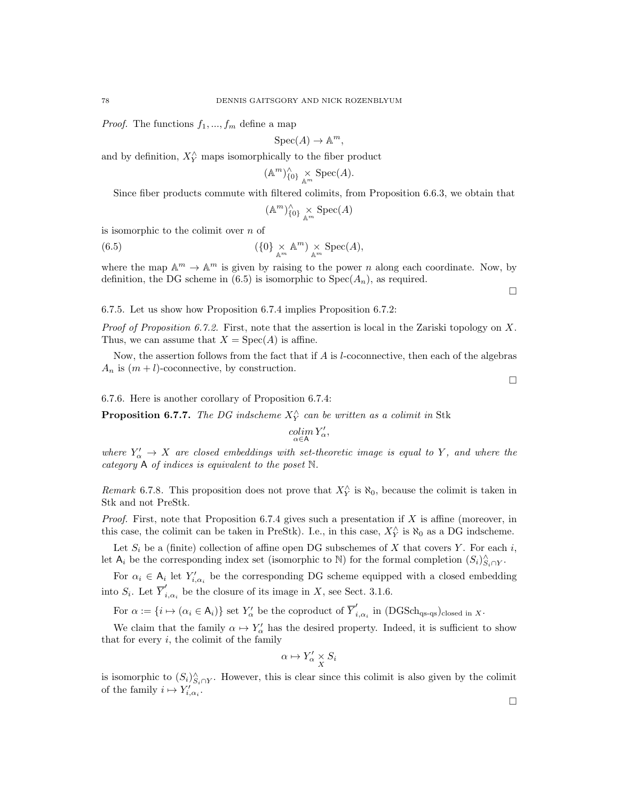*Proof.* The functions  $f_1, ..., f_m$  define a map

$$
Spec(A) \to \mathbb{A}^m,
$$

and by definition,  $X_Y^\wedge$  maps isomorphically to the fiber product

$$
(\mathbb{A}^m)^{\wedge}_{\{0\}} \underset{\mathbb{A}^m}{\times} \text{Spec}(A).
$$

Since fiber products commute with filtered colimits, from Proposition 6.6.3, we obtain that

$$
(\mathbb{A}^m)_{\{0\}}^\wedge \underset{\mathbb{A}^m}{\times} \text{Spec}(A)
$$

is isomorphic to the colimit over  $n$  of

(6.5) 
$$
(\{0\} \underset{\mathbb{A}^m}{\times} \mathbb{A}^m) \underset{\mathbb{A}^m}{\times} \text{Spec}(A),
$$

where the map  $\mathbb{A}^m \to \mathbb{A}^m$  is given by raising to the power *n* along each coordinate. Now, by definition, the DG scheme in (6.5) is isomorphic to  $Spec(A_n)$ , as required.

 $\Box$ 

# 6.7.5. Let us show how Proposition 6.7.4 implies Proposition 6.7.2:

*Proof of Proposition 6.7.2.* First, note that the assertion is local in the Zariski topology on X. Thus, we can assume that  $X = \text{Spec}(A)$  is affine.

Now, the assertion follows from the fact that if  $A$  is *l*-coconnective, then each of the algebras  $A_n$  is  $(m + l)$ -coconnective, by construction.

6.7.6. Here is another corollary of Proposition 6.7.4:

**Proposition 6.7.7.** The DG indscheme  $X_Y^{\wedge}$  can be written as a colimit in Stk

$$
\operatornamewithlimits{colim}_{\alpha\in\mathsf{A}} Y'_\alpha,
$$

where  $Y'_\n\alpha \to X$  are closed embeddings with set-theoretic image is equal to Y, and where the category A of indices is equivalent to the poset N.

Remark 6.7.8. This proposition does not prove that  $X_{Y}^{\wedge}$  is  $\aleph_0$ , because the colimit is taken in Stk and not PreStk.

*Proof.* First, note that Proposition 6.7.4 gives such a presentation if X is affine (moreover, in this case, the colimit can be taken in PreStk). I.e., in this case,  $X_Y^{\wedge}$  is  $\aleph_0$  as a DG indscheme.

Let  $S_i$  be a (finite) collection of affine open DG subschemes of X that covers Y. For each i, let  $A_i$  be the corresponding index set (isomorphic to  $\mathbb N$ ) for the formal completion  $(S_i)_{S_i \cap Y}^{\wedge}$ .

For  $\alpha_i \in A_i$  let  $Y'_{i,\alpha_i}$  be the corresponding DG scheme equipped with a closed embedding into  $S_i$ . Let  $\overline{Y}'_i$  $i_{i,\alpha_i}$  be the closure of its image in X, see Sect. 3.1.6.

For  $\alpha := \{i \mapsto (\alpha_i \in \mathsf{A}_i)\}\$  set  $Y'_\alpha$  be the coproduct of  $\overline{Y}'_i$  $i_{i,\alpha_i}$  in  $(DGSch_{qs-qs})_{closed in X}.$ 

We claim that the family  $\alpha \mapsto Y'_{\alpha}$  has the desired property. Indeed, it is sufficient to show that for every  $i$ , the colimit of the family

$$
\alpha \mapsto Y'_{\alpha} \underset{X}{\times} S_i
$$

is isomorphic to  $(S_i)_{S_i \cap Y}^{\wedge}$ . However, this is clear since this colimit is also given by the colimit of the family  $i \mapsto Y'_{i,\alpha_i}$ .

 $\Box$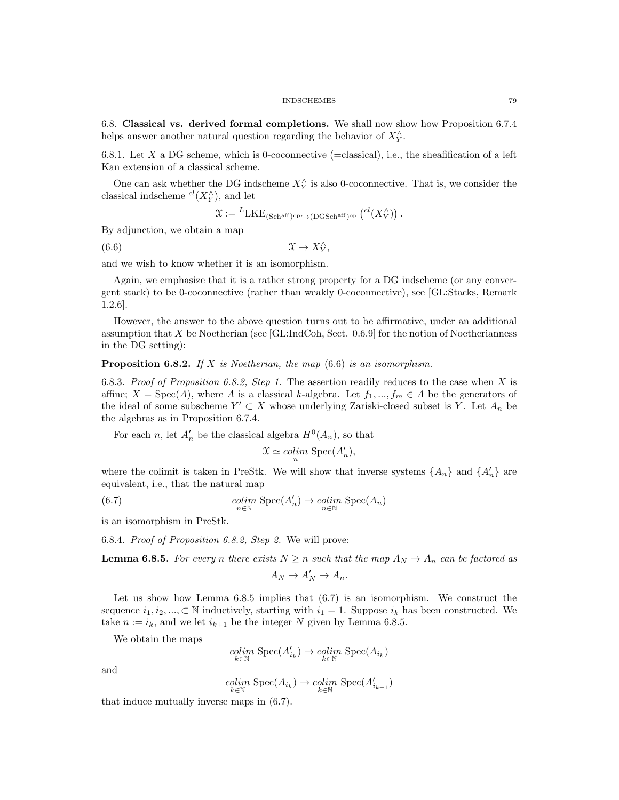6.8. Classical vs. derived formal completions. We shall now show how Proposition 6.7.4 helps answer another natural question regarding the behavior of  $X_{Y}^{\wedge}$ .

6.8.1. Let X a DG scheme, which is 0-coconnective (=classical), i.e., the sheafification of a left Kan extension of a classical scheme.

One can ask whether the DG indscheme  $X_Y^{\wedge}$  is also 0-coconnective. That is, we consider the classical indscheme  $^{cl}(X_Y^{\wedge})$ , and let

$$
\mathfrak{X}:= {}^L \mathrm{LKE}_{(\mathrm{Sch}^{\mathrm{aff}})^{\mathrm{op}} \hookrightarrow (\mathrm{DGSch}^{\mathrm{aff}})^{\mathrm{op}}}\left( {}^{cl}(X_Y^\wedge)\right).
$$

By adjunction, we obtain a map

(6.6)  $\mathfrak{X} \to X_Y^{\wedge},$ 

and we wish to know whether it is an isomorphism.

Again, we emphasize that it is a rather strong property for a DG indscheme (or any convergent stack) to be 0-coconnective (rather than weakly 0-coconnective), see [GL:Stacks, Remark 1.2.6].

However, the answer to the above question turns out to be affirmative, under an additional assumption that  $X$  be Noetherian (see [GL:IndCoh, Sect. 0.6.9] for the notion of Noetherianness in the DG setting):

**Proposition 6.8.2.** If X is Noetherian, the map  $(6.6)$  is an isomorphism.

6.8.3. Proof of Proposition 6.8.2, Step 1. The assertion readily reduces to the case when X is affine;  $X = \text{Spec}(A)$ , where A is a classical k-algebra. Let  $f_1, ..., f_m \in A$  be the generators of the ideal of some subscheme  $Y' \subset X$  whose underlying Zariski-closed subset is Y. Let  $A_n$  be the algebras as in Proposition 6.7.4.

For each *n*, let  $A'_n$  be the classical algebra  $H^0(A_n)$ , so that

$$
\mathfrak{X} \simeq \mathop{colim}_n \, \mathop{\rm Spec}\nolimits(A'_n),
$$

where the colimit is taken in PreStk. We will show that inverse systems  $\{A_n\}$  and  $\{A'_n\}$  are equivalent, i.e., that the natural map

(6.7) 
$$
\underset{n \in \mathbb{N}}{\text{colim}} \text{ Spec}(A'_n) \to \underset{n \in \mathbb{N}}{\text{colim}} \text{Spec}(A_n)
$$

is an isomorphism in PreStk.

6.8.4. Proof of Proposition 6.8.2, Step 2. We will prove:

**Lemma 6.8.5.** For every n there exists  $N \ge n$  such that the map  $A_N \to A_n$  can be factored as

$$
A_N \to A'_N \to A_n.
$$

Let us show how Lemma 6.8.5 implies that (6.7) is an isomorphism. We construct the sequence  $i_1, i_2, ..., \subset \mathbb{N}$  inductively, starting with  $i_1 = 1$ . Suppose  $i_k$  has been constructed. We take  $n := i_k$ , and we let  $i_{k+1}$  be the integer N given by Lemma 6.8.5.

We obtain the maps

$$
\operatornamewithlimits{colim}_{k\in\mathbb N}\operatorname{Spec}(A_{i_k}')\to\operatornamewithlimits{colim}_{k\in\mathbb N}\operatorname{Spec}(A_{i_k})
$$

and

$$
\underset{k \in \mathbb{N}}{\operatorname{colim}} \ {\operatorname{Spec}} (A_{i_k}) \to \underset{k \in \mathbb{N}}{\operatorname{colim}} \ {\operatorname{Spec}} (A'_{i_{k+1}})
$$

that induce mutually inverse maps in (6.7).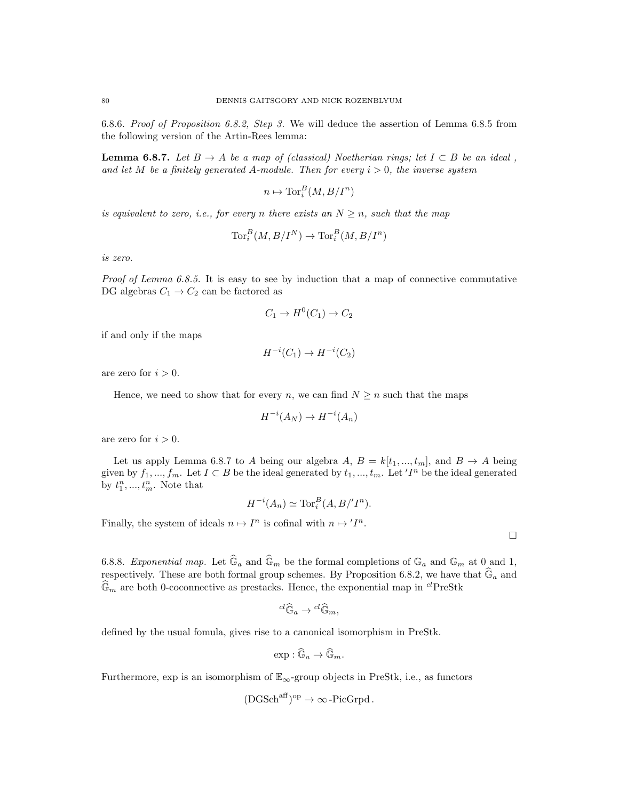6.8.6. Proof of Proposition 6.8.2, Step 3. We will deduce the assertion of Lemma 6.8.5 from the following version of the Artin-Rees lemma:

**Lemma 6.8.7.** Let  $B \to A$  be a map of (classical) Noetherian rings; let  $I \subset B$  be an ideal, and let M be a finitely generated A-module. Then for every  $i > 0$ , the inverse system

 $n \mapsto \operatorname{Tor}_i^B(M, B/I^n)$ 

is equivalent to zero, i.e., for every n there exists an  $N \geq n$ , such that the map

$$
\operatorname{Tor}^B_i(M, B/I^N) \to \operatorname{Tor}^B_i(M, B/I^n)
$$

is zero.

Proof of Lemma 6.8.5. It is easy to see by induction that a map of connective commutative DG algebras  $C_1 \rightarrow C_2$  can be factored as

$$
C_1 \to H^0(C_1) \to C_2
$$

if and only if the maps

 $H^{-i}(C_1) \to H^{-i}(C_2)$ 

are zero for  $i > 0$ .

Hence, we need to show that for every n, we can find  $N \geq n$  such that the maps

$$
H^{-i}(A_N) \to H^{-i}(A_n)
$$

are zero for  $i > 0$ .

Let us apply Lemma 6.8.7 to A being our algebra A,  $B = k[t_1, ..., t_m]$ , and  $B \to A$  being given by  $f_1, ..., f_m$ . Let  $I \subset B$  be the ideal generated by  $t_1, ..., t_m$ . Let ' $I^n$  be the ideal generated by  $t_1^n, ..., t_m^n$ . Note that

$$
H^{-i}(A_n) \simeq \operatorname{Tor}_i^B(A, B/I^n).
$$

 $\Box$ 

Finally, the system of ideals  $n \mapsto I^n$  is cofinal with  $n \mapsto I^n$ .

6.8.8. Exponential map. Let  $\widehat{\mathbb{G}}_a$  and  $\widehat{\mathbb{G}}_m$  be the formal completions of  $\mathbb{G}_a$  and  $\mathbb{G}_m$  at  $0$  and 1, respectively. These are both formal group schemes. By Proposition 6.8.2, we have that  $\mathbb{G}_a$  and  $\mathbb{G}_m$  are both 0-coconnective as prestacks. Hence, the exponential map in <sup>cl</sup>PreStk

$$
{}^{cl}\widehat{\mathbb{G}}_a \to {}^{cl}\widehat{\mathbb{G}}_m,
$$

defined by the usual fomula, gives rise to a canonical isomorphism in PreStk.

$$
\exp: \widehat{\mathbb{G}}_a \to \widehat{\mathbb{G}}_m.
$$

Furthermore, exp is an isomorphism of  $\mathbb{E}_{\infty}$ -group objects in PreStk, i.e., as functors

$$
(\text{DGSch}^{\text{aff}})^{\text{op}} \to \infty\text{-}\text{PicGrpd}.
$$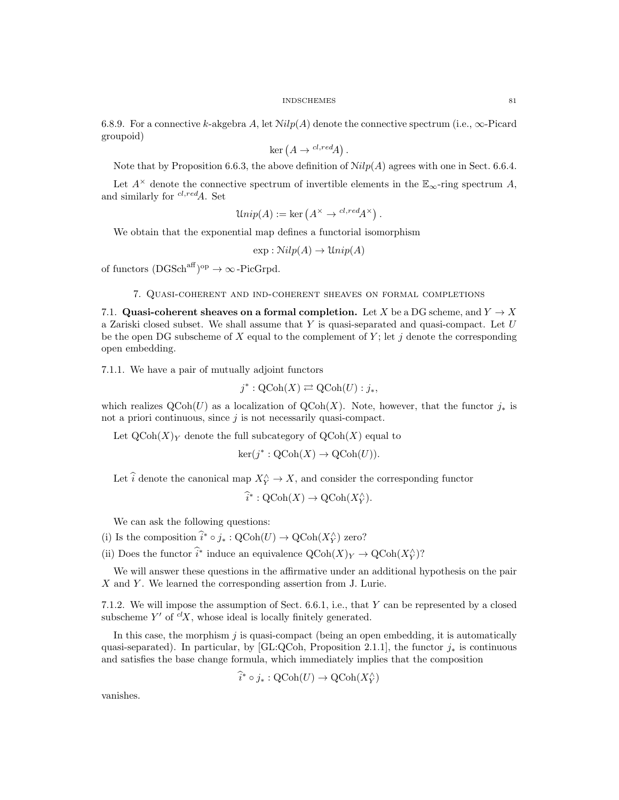6.8.9. For a connective k-akgebra A, let  $Nilp(A)$  denote the connective spectrum (i.e.,  $\infty$ -Picard groupoid)

$$
\ker(A \to {}^{cl, red}A).
$$

Note that by Proposition 6.6.3, the above definition of  $Nilp(A)$  agrees with one in Sect. 6.6.4.

Let  $A^{\times}$  denote the connective spectrum of invertible elements in the  $\mathbb{E}_{\infty}$ -ring spectrum A, and similarly for  $^{cl, red}A$ . Set

$$
Unip(A) := \ker(A^{\times} \to {}^{cl, red}A^{\times}).
$$

We obtain that the exponential map defines a functorial isomorphism

 $\exp : Nilp(A) \rightarrow Unip(A)$ 

of functors  $(DGSch<sup>aff</sup>)<sup>op</sup> \to \infty$ -PicGrpd.

# 7. Quasi-coherent and ind-coherent sheaves on formal completions

7.1. Quasi-coherent sheaves on a formal completion. Let X be a DG scheme, and  $Y \to X$ a Zariski closed subset. We shall assume that  $Y$  is quasi-separated and quasi-compact. Let  $U$ be the open DG subscheme of X equal to the complement of Y; let j denote the corresponding open embedding.

7.1.1. We have a pair of mutually adjoint functors

$$
j^* : \mathrm{QCoh}(X) \rightleftarrows \mathrm{QCoh}(U) : j_*,
$$

which realizes  $\mathrm{QCoh}(U)$  as a localization of  $\mathrm{QCoh}(X)$ . Note, however, that the functor  $j_*$  is not a priori continuous, since  $j$  is not necessarily quasi-compact.

Let  $\mathrm{QCoh}(X)_Y$  denote the full subcategory of  $\mathrm{QCoh}(X)$  equal to

$$
\ker(j^* : \mathrm{QCoh}(X) \to \mathrm{QCoh}(U)).
$$

Let  $\hat{i}$  denote the canonical map  $X_Y^{\wedge} \to X$ , and consider the corresponding functor

$$
\widehat{i}^* : \mathrm{QCoh}(X) \to \mathrm{QCoh}(X_Y^{\wedge}).
$$

We can ask the following questions:

(i) Is the composition  $\hat{i}^* \circ j_* : \mathrm{QCoh}(U) \to \mathrm{QCoh}(X_Y^{\wedge})$  zero?

(ii) Does the functor  $\hat{i}^*$  induce an equivalence  $\mathrm{QCoh}(X)_{Y} \to \mathrm{QCoh}(X)_{Y}$ ?

We will answer these questions in the affirmative under an additional hypothesis on the pair  $X$  and  $Y$ . We learned the corresponding assertion from J. Lurie.

7.1.2. We will impose the assumption of Sect. 6.6.1, i.e., that Y can be represented by a closed subscheme  $Y'$  of  ${}^{cl}X$ , whose ideal is locally finitely generated.

In this case, the morphism  $j$  is quasi-compact (being an open embedding, it is automatically quasi-separated). In particular, by [GL:QCoh, Proposition 2.1.1], the functor  $j_*$  is continuous and satisfies the base change formula, which immediately implies that the composition

$$
\widehat{i}^* \circ j_* : \mathrm{QCoh}(U) \to \mathrm{QCoh}(X_Y^\wedge)
$$

vanishes.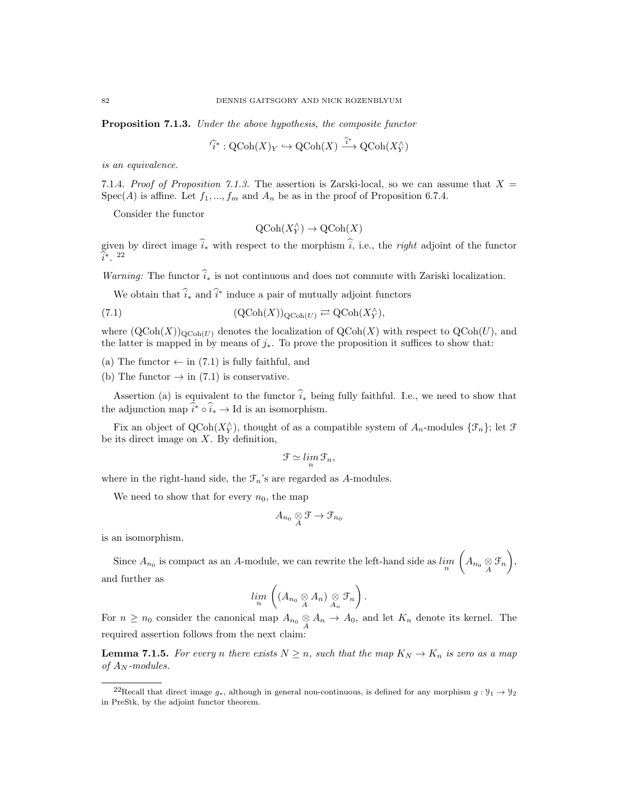Proposition 7.1.3. Under the above hypothesis, the composite functor

$$
\widehat{i}^* : \text{QCoh}(X)_Y \hookrightarrow \text{QCoh}(X) \xrightarrow{\widehat{i}^*} \text{QCoh}(X_Y^{\wedge})
$$

is an equivalence.

7.1.4. Proof of Proposition 7.1.3. The assertion is Zarski-local, so we can assume that  $X =$  $Spec(A)$  is affine. Let  $f_1, ..., f_m$  and  $A_n$  be as in the proof of Proposition 6.7.4.

Consider the functor

$$
\mathrm{QCoh}(X_Y^\wedge)\to \mathrm{QCoh}(X)
$$

given by direct image  $\hat{i}_*$  with respect to the morphism  $\hat{i}$ , i.e., the right adjoint of the functor  $\hat{i}^*$ . 22

Warning: The functor  $\hat{i}_*$  is not continuous and does not commute with Zariski localization.

We obtain that  $\hat{i}_*$  and  $\hat{i}^*$  induce a pair of mutually adjoint functors

(7.1) 
$$
(\mathrm{QCoh}(X))_{\mathrm{QCoh}(U)} \rightleftarrows \mathrm{QCoh}(X_Y^{\wedge}),
$$

where  $(QCoh(X))_{QCoh(U)}$  denotes the localization of  $QCoh(X)$  with respect to  $QCoh(U)$ , and the latter is mapped in by means of  $j_{*}$ . To prove the proposition it suffices to show that:

(a) The functor  $\leftarrow$  in (7.1) is fully faithful, and

(b) The functor  $\rightarrow$  in (7.1) is conservative.

Assertion (a) is equivalent to the functor  $\hat{i}_*$  being fully faithful. I.e., we need to show that the adjunction map  $\hat{i}^* \circ \hat{i}_* \to \text{Id}$  is an isomorphism.

Fix an object of  $Q\text{Coh}(X_Y^{\wedge})$ , thought of as a compatible system of  $A_n$ -modules  $\{\mathcal{F}_n\}$ ; let  $\mathcal F$ be its direct image on  $X$ . By definition,

$$
\mathcal{F} \simeq \lim_{n} \mathcal{F}_n,
$$

where in the right-hand side, the  $\mathcal{F}_n$ 's are regarded as A-modules.

We need to show that for every  $n_0$ , the map

$$
A_{n_0}\underset{A}{\otimes} \mathfrak{F}\to \mathfrak{F}_{n_0}
$$

is an isomorphism.

Since  $A_{n_0}$  is compact as an A-module, we can rewrite the left-hand side as  $\lim_n \left( A_{n_0} \underset{A}{\otimes} \mathcal{F}_n \right)$ , and further as

$$
\lim_n \left( (A_{n_0} \underset{A}{\otimes} A_n) \underset{A_n}{\otimes} \mathcal{F}_n \right).
$$

For  $n \geq n_0$  consider the canonical map  $A_{n_0} \underset{A}{\otimes} A_n \to A_0$ , and let  $K_n$  denote its kernel. The required assertion follows from the next claim:

**Lemma 7.1.5.** For every n there exists  $N \ge n$ , such that the map  $K_N \to K_n$  is zero as a map of  $A_N$ -modules.

<sup>&</sup>lt;sup>22</sup>Recall that direct image  $g_*,$  although in general non-continuous, is defined for any morphism  $g: \mathcal{Y}_1 \to \mathcal{Y}_2$ in PreStk, by the adjoint functor theorem.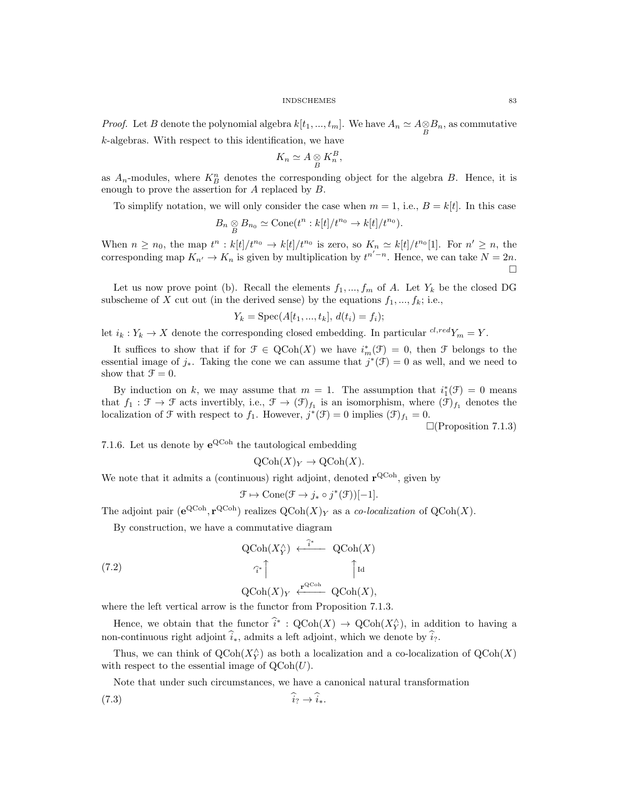*Proof.* Let B denote the polynomial algebra  $k[t_1, ..., t_m]$ . We have  $A_n \simeq A \otimes B_n$ , as commutative k-algebras. With respect to this identification, we have

$$
K_n \simeq A \underset{B}{\otimes} K_n^B,
$$

as  $A_n$ -modules, where  $K_B^n$  denotes the corresponding object for the algebra B. Hence, it is enough to prove the assertion for A replaced by B.

To simplify notation, we will only consider the case when  $m = 1$ , i.e.,  $B = k[t]$ . In this case

$$
B_n \underset{B}{\otimes} B_{n_0} \simeq \text{Cone}(t^n : k[t]/t^{n_0} \to k[t]/t^{n_0}).
$$

When  $n \geq n_0$ , the map  $t^n : k[t]/t^{n_0} \to k[t]/t^{n_0}$  is zero, so  $K_n \simeq k[t]/t^{n_0}[1]$ . For  $n' \geq n$ , the corresponding map  $K_{n'} \to K_n$  is given by multiplication by  $t^{n'-n}$ . Hence, we can take  $N = 2n$ .  $\Box$ 

Let us now prove point (b). Recall the elements  $f_1, ..., f_m$  of A. Let  $Y_k$  be the closed DG subscheme of X cut out (in the derived sense) by the equations  $f_1, ..., f_k$ ; i.e.,

$$
Y_k = \text{Spec}(A[t_1, ..., t_k], d(t_i) = f_i);
$$

let  $i_k : Y_k \to X$  denote the corresponding closed embedding. In particular  ${}^{cl, red}Y_m = Y$ .

It suffices to show that if for  $\mathcal{F} \in \text{QCoh}(X)$  we have  $i_m^*(\mathcal{F}) = 0$ , then  $\mathcal{F}$  belongs to the essential image of  $j_*$ . Taking the cone we can assume that  $j^*(\mathfrak{F})=0$  as well, and we need to show that  $\mathcal{F} = 0$ .

By induction on k, we may assume that  $m = 1$ . The assumption that  $i_1^*(\mathcal{F}) = 0$  means that  $f_1 : \mathcal{F} \to \mathcal{F}$  acts invertibly, i.e.,  $\mathcal{F} \to (\mathcal{F})_{f_1}$  is an isomorphism, where  $(\mathcal{F})_{f_1}$  denotes the localization of  $\mathcal F$  with respect to  $f_1$ . However,  $j^*(\mathcal F) = 0$  implies  $(\mathcal F)_{f_1} = 0$ .

 $\Box$ (Proposition 7.1.3)

7.1.6. Let us denote by  $e^{QCoh}$  the tautological embedding

 $\mathrm{QCoh}(X)_Y \to \mathrm{QCoh}(X)$ .

We note that it admits a (continuous) right adjoint, denoted  $\mathbf{r}^{\text{QCoh}}$ , given by

$$
\mathcal{F} \mapsto \text{Cone}(\mathcal{F} \to j_* \circ j^*(\mathcal{F}))[-1].
$$

The adjoint pair  $(e^{QCoh}, r^{QCoh})$  realizes  $QCoh(X)<sub>Y</sub>$  as a co-localization of  $QCoh(X)$ .

By construction, we have a commutative diagram

(7.2) 
$$
\operatorname{QCoh}(X_Y^{\wedge}) \xleftarrow{\hat{i}^*} \operatorname{QCoh}(X)
$$

$$
\hat{i}^* \qquad \qquad \qquad \text{Id}
$$

$$
\operatorname{QCoh}(X)_Y \xleftarrow{\mathbf{r}^{\operatorname{QCoh}}} \operatorname{QCoh}(X),
$$

where the left vertical arrow is the functor from Proposition 7.1.3.

Hence, we obtain that the functor  $\hat{i}^* : \text{QCoh}(X) \to \text{QCoh}(X_Y^{\wedge})$ , in addition to having a non-continuous right adjoint  $\hat{i}_*$ , admits a left adjoint, which we denote by  $\hat{i}_?$ .

Thus, we can think of  $Q\text{Coh}(X_Y^{\wedge})$  as both a localization and a co-localization of  $Q\text{Coh}(X)$ with respect to the essential image of  $\text{QCoh}(U)$ .

Note that under such circumstances, we have a canonical natural transformation

$$
(7.3) \t\t i_? \rightarrow i_*.
$$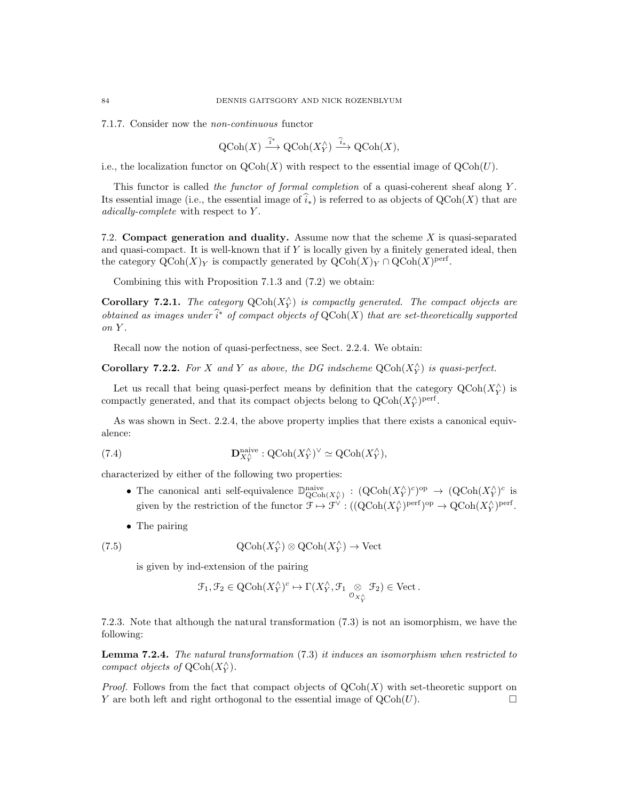7.1.7. Consider now the non-continuous functor

$$
\text{QCoh}(X) \xrightarrow{\hat{i}^*} \text{QCoh}(X_Y^{\wedge}) \xrightarrow{\hat{i}_*} \text{QCoh}(X),
$$

i.e., the localization functor on  $\text{QCoh}(X)$  with respect to the essential image of  $\text{QCoh}(U)$ .

This functor is called the functor of formal completion of a quasi-coherent sheaf along Y. Its essential image (i.e., the essential image of  $\hat{i}_*$ ) is referred to as objects of QCoh(X) that are adically-complete with respect to Y .

7.2. Compact generation and duality. Assume now that the scheme X is quasi-separated and quasi-compact. It is well-known that if Y is locally given by a finitely generated ideal, then the category  $\mathrm{QCoh}(X)_Y$  is compactly generated by  $\mathrm{QCoh}(X)_Y \cap \mathrm{QCoh}(X)^{\mathrm{perf}}$ .

Combining this with Proposition 7.1.3 and (7.2) we obtain:

**Corollary 7.2.1.** The category  $QCoh(X_Y^{\wedge})$  is compactly generated. The compact objects are obtained as images under  $\hat{i}^*$  of compact objects of  $\mathrm{QCoh}(X)$  that are set-theoretically supported on Y.

Recall now the notion of quasi-perfectness, see Sect. 2.2.4. We obtain:

**Corollary 7.2.2.** For X and Y as above, the DG indscheme  $Q\text{Coh}(X_Y^{\wedge})$  is quasi-perfect.

Let us recall that being quasi-perfect means by definition that the category  $\mathrm{QCoh}(X_Y^{\wedge})$  is compactly generated, and that its compact objects belong to  $\mathrm{QCoh}(X_Y^{\wedge})^{\text{perf}}$ .

As was shown in Sect. 2.2.4, the above property implies that there exists a canonical equivalence:

(7.4) 
$$
\mathbf{D}_{X_Y^{\wedge}}^{\text{naive}}: \mathrm{QCoh}(X_Y^{\wedge})^{\vee} \simeq \mathrm{QCoh}(X_Y^{\wedge}),
$$

characterized by either of the following two properties:

- The canonical anti self-equivalence  $\mathbb{D}^{\text{naive}}_{\text{QCoh}(X_Y^{\wedge})}: (\text{QCoh}(X_Y^{\wedge})^c)^{\text{op}} \to (\text{QCoh}(X_Y^{\wedge})^c)$  is given by the restriction of the functor  $\mathcal{F} \mapsto \mathcal{F}^{\vee} : ((Q\text{Coh}(X_{Y}^{\wedge})^{\text{perf}})^{\text{op}} \to Q\text{Coh}(X_{Y}^{\wedge})^{\text{perf}}.$
- The pairing

(7.5) 
$$
\mathrm{QCoh}(X_Y^{\wedge}) \otimes \mathrm{QCoh}(X_Y^{\wedge}) \to \mathrm{Vect}
$$

is given by ind-extension of the pairing

$$
\mathcal{F}_1, \mathcal{F}_2 \in {\rm QCoh}(X_Y^\wedge)^c \mapsto \Gamma(X_Y^\wedge, \mathcal{F}_1 \underset{{\mathcal{O}}_{X_Y^\wedge}}{\otimes} \mathcal{F}_2) \in {\rm Vect}\,.
$$

7.2.3. Note that although the natural transformation (7.3) is not an isomorphism, we have the following:

Lemma 7.2.4. The natural transformation (7.3) it induces an isomorphism when restricted to compact objects of  $\mathrm{QCoh}(X^\wedge_Y).$ 

*Proof.* Follows from the fact that compact objects of  $QCoh(X)$  with set-theoretic support on Y are both left and right orthogonal to the essential image of  $\mathrm{QCoh}(U)$ .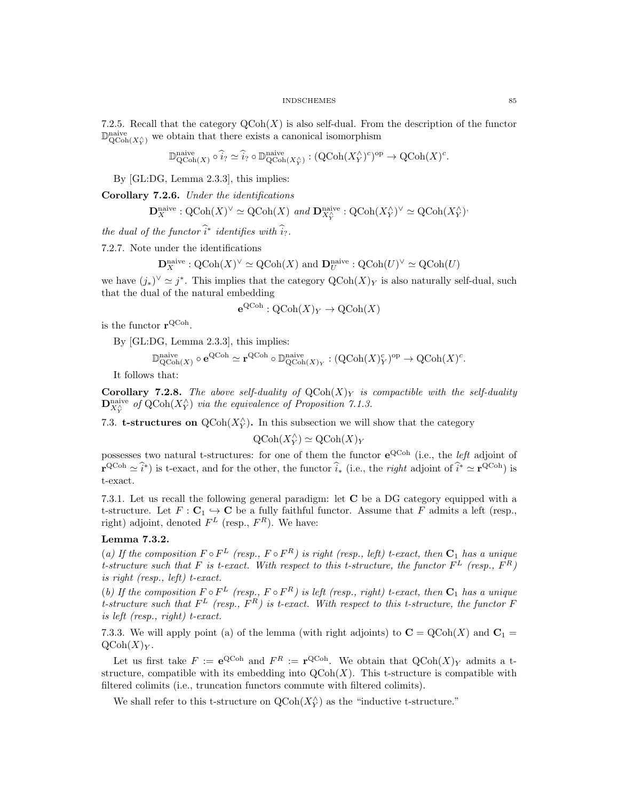7.2.5. Recall that the category  $\mathrm{QCoh}(X)$  is also self-dual. From the description of the functor  $\mathbb{D}_{\mathrm{QCoh}(X_1^{\wedge})}^{\mathrm{naive}}$  we obtain that there exists a canonical isomorphism

$$
\mathbb{D}^{\text{naive}}_{\text{QCoh}(X)} \circ \widehat{i}_? \simeq \widehat{i}_? \circ \mathbb{D}^{\text{naive}}_{\text{QCoh}(X_Y^{\wedge})} : (\text{QCoh}(X_Y^{\wedge})^c)^{\text{op}} \to \text{QCoh}(X)^c.
$$

By [GL:DG, Lemma 2.3.3], this implies:

Corollary 7.2.6. Under the identifications

$$
\mathbf{D}_X^{\text{naive}} : \text{QCoh}(X)^\vee \simeq \text{QCoh}(X) \text{ and } \mathbf{D}_{X_Y^\wedge}^{\text{naive}} : \text{QCoh}(X_Y^\wedge)^\vee \simeq \text{QCoh}(X_Y^\wedge)^*
$$

the dual of the functor  $\hat{i}^*$  identifies with  $\hat{i}_?$ .

7.2.7. Note under the identifications

$$
\mathbf{D}^{\text{naive}}_X : {\rm QCoh}(X)^\vee \simeq {\rm QCoh}(X)
$$
 and  $\mathbf{D}^{\text{naive}}_U : {\rm QCoh}(U)^\vee \simeq {\rm QCoh}(U)$ 

we have  $(j_*)^{\vee} \simeq j^*$ . This implies that the category  $\mathrm{QCoh}(X)_Y$  is also naturally self-dual, such that the dual of the natural embedding

$$
e^{QCoh}: QCoh(X)_Y \to QCoh(X)
$$

is the functor  $\mathbf{r}^{\text{QCoh}}$ .

By [GL:DG, Lemma 2.3.3], this implies:

$$
\mathbb{D}^{\mathrm{naive}}_{\mathrm{QCoh} (X)} \circ \mathbf{e}^{\mathrm{QCoh}} \simeq \mathbf{r}^{\mathrm{QCoh}} \circ \mathbb{D}^{\mathrm{naive}}_{\mathrm{QCoh} (X)_Y} : (\mathrm{QCoh} (X)_Y^c)^{\mathrm{op}} \to \mathrm{QCoh} (X)^c.
$$

It follows that:

**Corollary 7.2.8.** The above self-duality of  $QCoh(X)<sub>Y</sub>$  is compactible with the self-duality  $\mathbf{D}^{\text{naive}}_{X_Y^{\wedge}}$  of QCoh $(X_Y^{\wedge})$  via the equivalence of Proposition 7.1.3.

7.3. **t-structures on**  $Q\text{Coh}(X_Y^{\wedge})$ . In this subsection we will show that the category

$$
\operatorname{QCoh}(X_Y^{\wedge}) \simeq \operatorname{QCoh}(X)_Y
$$

possesses two natural t-structures: for one of them the functor  $e^{QC_{\text{ob}}}$  (i.e., the *left* adjoint of  $\mathbf{r}^{\text{QCoh}} \simeq \hat{i}^*$  is t-exact, and for the other, the functor  $\hat{i}_*$  (i.e., the *right* adjoint of  $\hat{i}^* \simeq \mathbf{r}^{\text{QCoh}}$ ) is t-exact.

7.3.1. Let us recall the following general paradigm: let C be a DG category equipped with a t-structure. Let  $F: \mathbf{C}_1 \hookrightarrow \mathbf{C}$  be a fully faithful functor. Assume that F admits a left (resp., right) adjoint, denoted  $F<sup>L</sup>$  (resp.,  $F<sup>R</sup>$ ). We have:

# Lemma 7.3.2.

(a) If the composition  $F \circ F^L$  (resp.,  $F \circ F^R$ ) is right (resp., left) t-exact, then  $C_1$  has a unique t-structure such that F is t-exact. With respect to this t-structure, the functor  $F^L$  (resp.,  $F^R$ ) is right (resp., left) t-exact.

(b) If the composition  $F \circ F^L$  (resp.,  $F \circ F^R$ ) is left (resp., right) t-exact, then  $C_1$  has a unique t-structure such that  $F^L$  (resp.,  $F^R$ ) is t-exact. With respect to this t-structure, the functor F is left (resp., right) t-exact.

7.3.3. We will apply point (a) of the lemma (with right adjoints) to  $C = QCoh(X)$  and  $C_1 =$  $\mathrm{QCoh}(X)_Y$ .

Let us first take  $F := e^{Q \text{Coh}}$  and  $F^R := \mathbf{r}^{Q \text{Coh}}$ . We obtain that  $Q \text{Coh}(X)_{Y}$  admits a tstructure, compatible with its embedding into  $\mathrm{QCoh}(X)$ . This t-structure is compatible with filtered colimits (i.e., truncation functors commute with filtered colimits).

We shall refer to this t-structure on  $\text{QCoh}(X_Y^{\wedge})$  as the "inductive t-structure."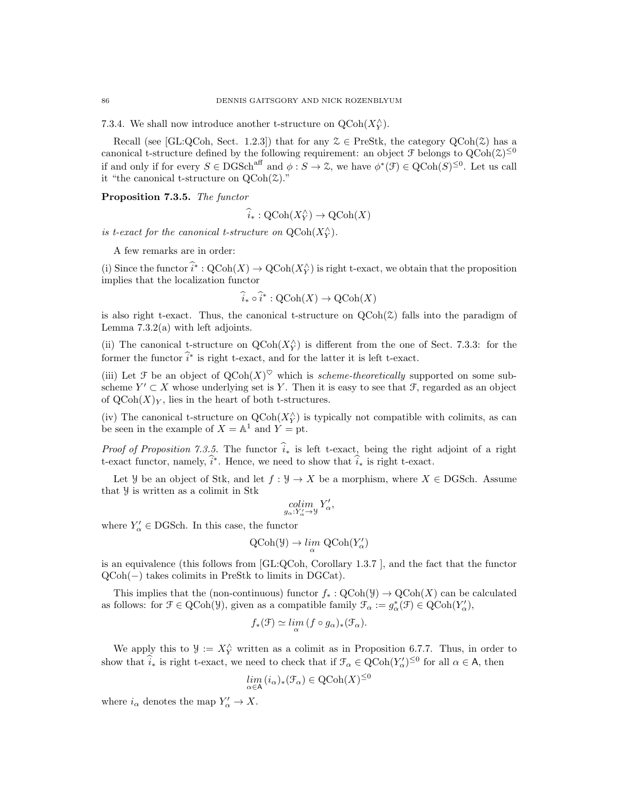7.3.4. We shall now introduce another t-structure on  $\operatorname{QCoh}(X_Y^{\wedge})$ .

Recall (see [GL:QCoh, Sect. 1.2.3]) that for any  $\mathcal{Z} \in \text{PreStk}$ , the category  $\text{QCoh}(\mathcal{Z})$  has a canonical t-structure defined by the following requirement: an object  $\mathcal F$  belongs to  $Q\text{Coh}(\mathcal Z)^{\leq 0}$ if and only if for every  $S \in DGSch<sup>aff</sup>$  and  $\phi : S \to \mathcal{Z}$ , we have  $\phi^*(\mathcal{F}) \in QCoh(S)^{\leq 0}$ . Let us call it "the canonical t-structure on  $QCoh(\mathcal{Z})$ ."

Proposition 7.3.5. The functor

$$
\widehat{i}_* : \mathrm{QCoh}(X_Y^{\wedge}) \to \mathrm{QCoh}(X)
$$

is t-exact for the canonical t-structure on  $\mathrm{QCoh}(X_Y^{\wedge})$ .

A few remarks are in order:

(i) Since the functor  $\hat{i}^* : \text{QCoh}(X) \to \text{QCoh}(X_Y^{\wedge})$  is right t-exact, we obtain that the proposition implies that the localization functor

$$
\widehat{i}_* \circ \widehat{i}^* : \mathrm{QCoh}(X) \to \mathrm{QCoh}(X)
$$

is also right t-exact. Thus, the canonical t-structure on  $QCoh(\mathcal{Z})$  falls into the paradigm of Lemma  $7.3.2(a)$  with left adjoints.

(ii) The canonical t-structure on  $Q\text{Coh}(X_Y^{\wedge})$  is different from the one of Sect. 7.3.3: for the former the functor  $\hat{i}^*$  is right t-exact, and for the latter it is left t-exact.

(iii) Let F be an object of  $\text{QCoh}(X)^\heartsuit$  which is *scheme-theoretically* supported on some subscheme  $Y' \subset X$  whose underlying set is Y. Then it is easy to see that  $\mathcal{F}$ , regarded as an object of  $\mathrm{QCoh}(X)_Y$ , lies in the heart of both t-structures.

(iv) The canonical t-structure on  $QCoh(X_Y^{\wedge})$  is typically not compatible with colimits, as can be seen in the example of  $X = \mathbb{A}^1$  and  $Y = \mathbb{A}^1$ .

*Proof of Proposition 7.3.5.* The functor  $\hat{i}_*$  is left t-exact, being the right adjoint of a right t-exact functor, namely,  $\hat{i}^*$ . Hence, we need to show that  $\hat{i}_*$  is right t-exact.

Let *Y* be an object of Stk, and let  $f : Y \to X$  be a morphism, where  $X \in \text{DGSch.}$  Assume that Y is written as a colimit in Stk

$$
\operatornamewithlimits{colim}_{g_\alpha:Y'_\alpha\to Y}Y'_\alpha,
$$

where  $Y'_{\alpha} \in \text{DGSch.}$  In this case, the functor

$$
\text{QCoh}(\mathcal{Y}) \to \lim_{\alpha} \text{QCoh}(Y'_{\alpha})
$$

is an equivalence (this follows from [GL:QCoh, Corollary 1.3.7 ], and the fact that the functor QCoh(−) takes colimits in PreStk to limits in DGCat).

This implies that the (non-continuous) functor  $f_* : \text{QCoh}(\mathcal{Y}) \to \text{QCoh}(X)$  can be calculated as follows: for  $\mathcal{F} \in \text{QCoh}(\mathcal{Y})$ , given as a compatible family  $\mathcal{F}_{\alpha} := g_{\alpha}^*(\mathcal{F}) \in \text{QCoh}(Y_{\alpha}')$ ,

$$
f_*(\mathcal{F}) \simeq \lim_{\alpha} (f \circ g_{\alpha})_*(\mathcal{F}_{\alpha}).
$$

We apply this to  $\mathcal{Y} := X_Y^{\wedge}$  written as a colimit as in Proposition 6.7.7. Thus, in order to show that  $\hat{i}_*$  is right t-exact, we need to check that if  $\mathcal{T}_{\alpha} \in \mathrm{QCoh}(Y'_{\alpha})^{\leq 0}$  for all  $\alpha \in \mathsf{A}$ , then

$$
\lim_{\alpha \in \mathsf{A}} (i_\alpha)_*(\mathcal{F}_\alpha) \in {\rm QCoh}(X)^{\leq 0}
$$

where  $i_{\alpha}$  denotes the map  $Y'_{\alpha} \to X$ .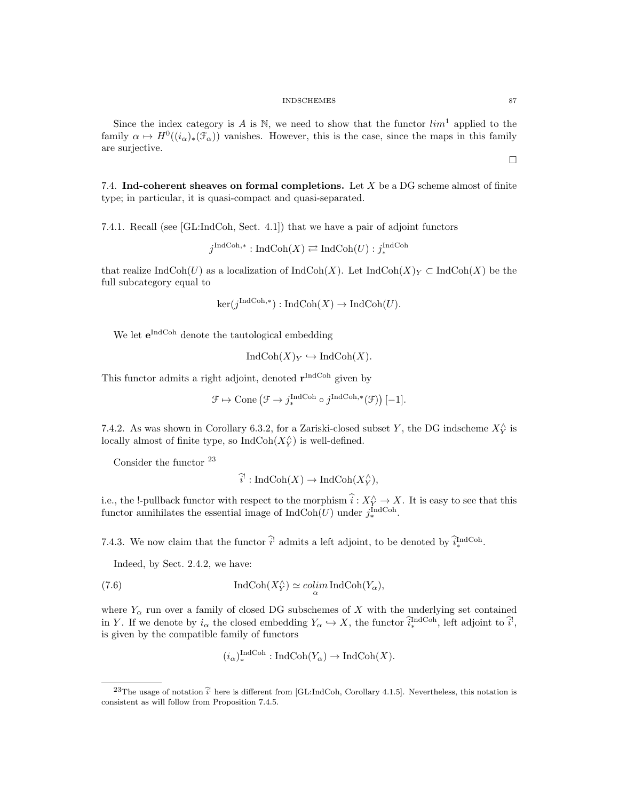Since the index category is A is N, we need to show that the functor  $\lim^1$  applied to the family  $\alpha \mapsto H^0((i_{\alpha})_*(\mathcal{F}_{\alpha}))$  vanishes. However, this is the case, since the maps in this family are surjective.

7.4. Ind-coherent sheaves on formal completions. Let  $X$  be a DG scheme almost of finite type; in particular, it is quasi-compact and quasi-separated.

7.4.1. Recall (see [GL:IndCoh, Sect. 4.1]) that we have a pair of adjoint functors

$$
j^{\text{IndCoh},*}: \text{IndCoh}(X) \rightleftarrows \text{IndCoh}(U) : j^{\text{IndCoh}}_*
$$

that realize IndCoh(U) as a localization of IndCoh(X). Let IndCoh(X)<sub>Y</sub> ⊂ IndCoh(X) be the full subcategory equal to

$$
ker(j^{\text{IndCoh},*}): IndCoh(X) \to IndCoh(U).
$$

We let  $e^{\text{IndCoh}}$  denote the tautological embedding

 $\text{IndCoh}(X)_Y \hookrightarrow \text{IndCoh}(X)$ .

This functor admits a right adjoint, denoted  $\mathbf{r}^{\text{IndCoh}}$  given by

$$
\mathcal{F} \mapsto \text{Cone} \left( \mathcal{F} \to j^{\text{IndCoh}}_{*} \circ j^{\text{IndCoh},*}(\mathcal{F}) \right)[-1].
$$

7.4.2. As was shown in Corollary 6.3.2, for a Zariski-closed subset Y, the DG indscheme  $X_Y^{\wedge}$  is locally almost of finite type, so  $\text{IndCoh}(X^\wedge_Y)$  is well-defined.

Consider the functor  $^{\rm 23}$ 

$$
\widehat{i}': \mathrm{IndCoh}(X) \to \mathrm{IndCoh}(X_Y^{\wedge}),
$$

i.e., the !-pullback functor with respect to the morphism  $\hat{i}: X_Y^{\wedge} \to X$ . It is easy to see that this functor annihilates the essential image of  $IndCoh(U)$  under  $j^{\text{IndCoh}}_{*}$ .

7.4.3. We now claim that the functor  $\hat{i}$  admits a left adjoint, to be denoted by  $\hat{i}^{\text{IndCoh}}_*$ .

Indeed, by Sect. 2.4.2, we have:

(7.6) 
$$
\operatorname{IndCoh}(X_Y^{\wedge}) \simeq \operatorname{colim}_{\alpha} \operatorname{IndCoh}(Y_{\alpha}),
$$

where  $Y_\alpha$  run over a family of closed DG subschemes of X with the underlying set contained in Y. If we denote by  $i_{\alpha}$  the closed embedding  $Y_{\alpha} \hookrightarrow X$ , the functor  $\widehat{i}_{*}^{\text{IndCoh}}$ , left adjoint to  $\widehat{i}_{*}^{\dagger}$ , is given by the compatible family of functors

$$
(i_{\alpha})_*^{\text{IndCoh}} : \text{IndCoh}(Y_{\alpha}) \to \text{IndCoh}(X).
$$

 $\Box$ 

<sup>&</sup>lt;sup>23</sup>The usage of notation  $\hat{i}$  here is different from [GL:IndCoh, Corollary 4.1.5]. Nevertheless, this notation is consistent as will follow from Proposition 7.4.5.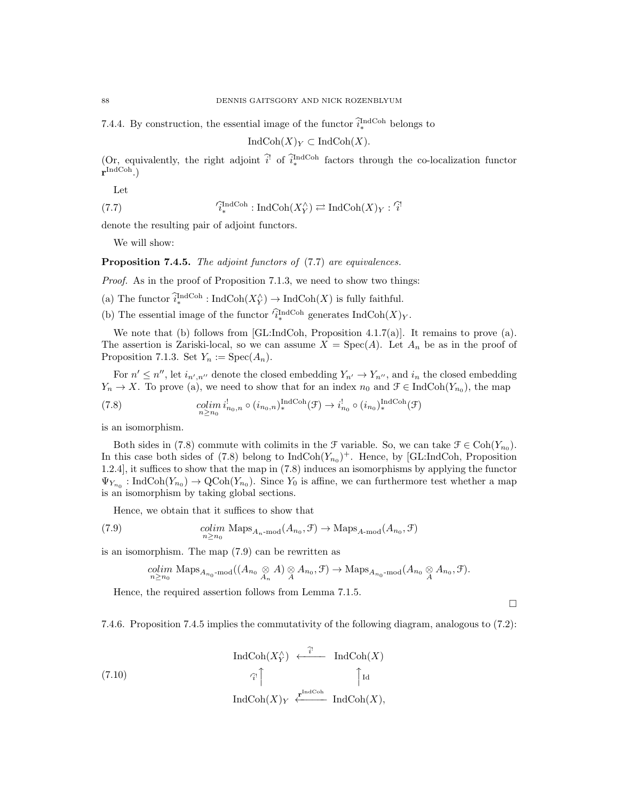7.4.4. By construction, the essential image of the functor  $\hat{i}_{*}^{\text{IndCoh}}$  belongs to

 $\text{IndCoh}(X)_Y \subset \text{IndCoh}(X)$ .

(Or, equivalently, the right adjoint  $\hat{i}$  of  $\hat{i}^{\text{IndCoh}}$  factors through the co-localization functor  $\mathbf{r}^{\text{IndCoh}}$ .)

Let

(7.7) 
$$
\widehat{I}_{*}^{\text{IndCoh}}: \text{IndCoh}(X_{Y}^{\wedge}) \rightleftarrows \text{IndCoh}(X)_{Y}: \widehat{I}^{\text{!`}}
$$

denote the resulting pair of adjoint functors.

We will show:

Proposition 7.4.5. The adjoint functors of  $(7.7)$  are equivalences.

Proof. As in the proof of Proposition 7.1.3, we need to show two things:

(a) The functor  $\hat{i}_{*}^{\text{IndCoh}}$ : IndCoh $(X_{Y}^{\wedge}) \rightarrow \text{IndCoh}(X)$  is fully faithful.

(b) The essential image of the functor  $\widehat{i}_{*}^{\text{IndCoh}}$  generates  $\text{IndCoh}(X)_{Y}$ .

We note that (b) follows from [GL:IndCoh, Proposition 4.1.7(a)]. It remains to prove (a). The assertion is Zariski-local, so we can assume  $X = \text{Spec}(A)$ . Let  $A_n$  be as in the proof of Proposition 7.1.3. Set  $Y_n := \text{Spec}(A_n)$ .

For  $n' \leq n''$ , let  $i_{n',n''}$  denote the closed embedding  $Y_{n'} \to Y_{n''}$ , and  $i_n$  the closed embedding  $Y_n \to X$ . To prove (a), we need to show that for an index  $n_0$  and  $\mathcal{F} \in \text{IndCoh}(Y_{n_0})$ , the map

(7.8) 
$$
\underset{n\geq n_0}{colim} i^!_{n_0,n} \circ (i_{n_0,n})_*^{\text{IndCoh}}(\mathcal{F}) \to i^!_{n_0} \circ (i_{n_0})_*^{\text{IndCoh}}(\mathcal{F})
$$

is an isomorphism.

Both sides in (7.8) commute with colimits in the  $\mathcal F$  variable. So, we can take  $\mathcal F \in \text{Coh}(Y_{n_0})$ . In this case both sides of (7.8) belong to  $IndCoh(Y_{n_0})^+$ . Hence, by [GL:IndCoh, Proposition 1.2.4], it suffices to show that the map in (7.8) induces an isomorphisms by applying the functor  $\Psi_{Y_{n_0}}: \text{IndCoh}(Y_{n_0}) \to \text{QCoh}(Y_{n_0})$ . Since  $Y_0$  is affine, we can furthermore test whether a map is an isomorphism by taking global sections.

Hence, we obtain that it suffices to show that

(7.9) 
$$
\underset{n \ge n_0}{colim} \text{ Maps}_{A_n \text{-mod}}(A_{n_0}, \mathcal{F}) \to \text{Maps}_{A\text{-mod}}(A_{n_0}, \mathcal{F})
$$

is an isomorphism. The map (7.9) can be rewritten as

$$
\underset{n\geq n_0}{colim} \text{ Maps}_{A_{n_0}\text{-mod}}((A_{n_0}\underset{A_n}{\otimes}A)\underset{A}{\otimes}A_{n_0},\mathfrak{F}) \to \text{Maps}_{A_{n_0}\text{-mod}}(A_{n_0}\underset{A}{\otimes}A_{n_0},\mathfrak{F}).
$$

Hence, the required assertion follows from Lemma 7.1.5.

 $\Box$ 

7.4.6. Proposition 7.4.5 implies the commutativity of the following diagram, analogous to (7.2):

$$
\operatorname{IndCoh}(X_Y^{\wedge}) \xleftarrow{\hat{i}^!} \operatorname{IndCoh}(X)
$$
  
(7.10)  

$$
\uparrow_{\hat{i}^!}
$$
  

$$
\operatorname{IndCoh}(X)_Y \xleftarrow{\mathbf{r}^{\operatorname{IndCoh}}} \operatorname{IndCoh}(X),
$$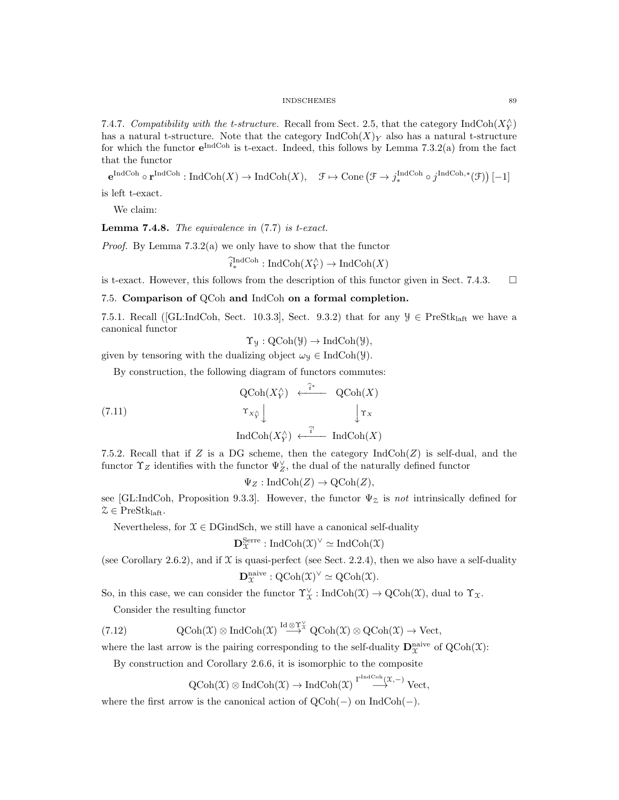7.4.7. Compatibility with the t-structure. Recall from Sect. 2.5, that the category  $\text{IndCoh}(X_Y^{\wedge})$ has a natural t-structure. Note that the category  $\text{IndCoh}(X)_Y$  also has a natural t-structure for which the functor  $e^{\text{IndCoh}}$  is t-exact. Indeed, this follows by Lemma 7.3.2(a) from the fact that the functor

 $e^{\text{IndCoh}} \circ r^{\text{IndCoh}} : \text{IndCoh}(X) \to \text{IndCoh}(X), \quad \mathfrak{F} \mapsto \text{Cone} \left( \mathfrak{F} \to j_*^{\text{IndCoh}} \circ j^{\text{IndCoh}, *}(\mathfrak{F}) \right)[-1]$ is left t-exact.

We claim:

**Lemma 7.4.8.** The equivalence in  $(7.7)$  is t-exact.

Proof. By Lemma 7.3.2(a) we only have to show that the functor

$$
\hat{i}_{*}^{\text{IndCoh}} : \text{IndCoh}(X_{Y}^{\wedge}) \to \text{IndCoh}(X)
$$

is t-exact. However, this follows from the description of this functor given in Sect. 7.4.3.  $\square$ 

7.5. Comparison of QCoh and IndCoh on a formal completion.

7.5.1. Recall ([GL:IndCoh, Sect. 10.3.3], Sect. 9.3.2) that for any  $\mathcal{Y} \in \text{PreStk}_{\text{laff}}$  we have a canonical functor

 $\Upsilon_{\mathcal{Y}}: \text{QCoh}(\mathcal{Y}) \to \text{IndCoh}(\mathcal{Y}),$ 

given by tensoring with the dualizing object  $\omega_y \in \text{IndCoh}(\mathcal{Y})$ .

By construction, the following diagram of functors commutes:

(7.11) 
$$
\operatorname{QCoh}(X_Y^{\wedge}) \xleftarrow{\hat{i}^*} \operatorname{QCoh}(X)
$$

$$
\operatorname{Tr}_{X_Y^{\wedge}} \downarrow \qquad \qquad \downarrow \Upsilon_X
$$

$$
\operatorname{IndCoh}(X_Y^{\wedge}) \xleftarrow{\hat{i}^*} \operatorname{IndCoh}(X)
$$

7.5.2. Recall that if Z is a DG scheme, then the category  $\text{IndCoh}(Z)$  is self-dual, and the functor  $\Upsilon_Z$  identifies with the functor  $\Psi_Z^{\vee}$ , the dual of the naturally defined functor

$$
\Psi_Z: \mathrm{IndCoh}(Z) \to \mathrm{QCoh}(Z),
$$

see [GL:IndCoh, Proposition 9.3.3]. However, the functor  $\Psi_z$  is not intrinsically defined for  $\mathcal{Z} \in \text{PreStk}_{\text{laft}}.$ 

Nevertheless, for  $\mathcal{X} \in \text{DGindSch}$ , we still have a canonical self-duality

$$
\mathbf{D}^\mathrm{Serre}_\mathfrak{X}:\mathrm{IndCoh}(\mathfrak{X})^\vee\simeq\mathrm{IndCoh}(\mathfrak{X})
$$

(see Corollary 2.6.2), and if  $X$  is quasi-perfect (see Sect. 2.2.4), then we also have a self-duality

$$
\mathbf{D}^{\mathrm{naive}}_{\mathfrak{X}}: \mathrm{QCoh}(\mathfrak{X})^{\vee} \simeq \mathrm{QCoh}(\mathfrak{X}).
$$

So, in this case, we can consider the functor  $\Upsilon^{\vee}_{\mathfrak{X}}$ : IndCoh(X)  $\to$  QCoh(X), dual to  $\Upsilon_{\mathfrak{X}}$ .

Consider the resulting functor

(7.12) 
$$
\text{QCoh}(\mathfrak{X}) \otimes \text{IndCoh}(\mathfrak{X}) \stackrel{\text{Id} \otimes \Upsilon_{\mathfrak{X}}^{\vee}}{\longrightarrow} \text{QCoh}(\mathfrak{X}) \otimes \text{QCoh}(\mathfrak{X}) \to \text{Vect},
$$

where the last arrow is the pairing corresponding to the self-duality  $\mathbf{D}_{\mathcal{X}}^{\text{naive}}$  of  $\text{QCoh}(\mathcal{X})$ :

By construction and Corollary 2.6.6, it is isomorphic to the composite

$$
\operatorname{QCoh}(\mathfrak X) \otimes \operatorname{IndCoh}(\mathfrak X) \to \operatorname{IndCoh}(\mathfrak X) \stackrel{\Gamma^{\operatorname{IndCoh}}(\mathfrak X, -)}{\longrightarrow} \operatorname{Vect},
$$

where the first arrow is the canonical action of QCoh(−) on IndCoh(−).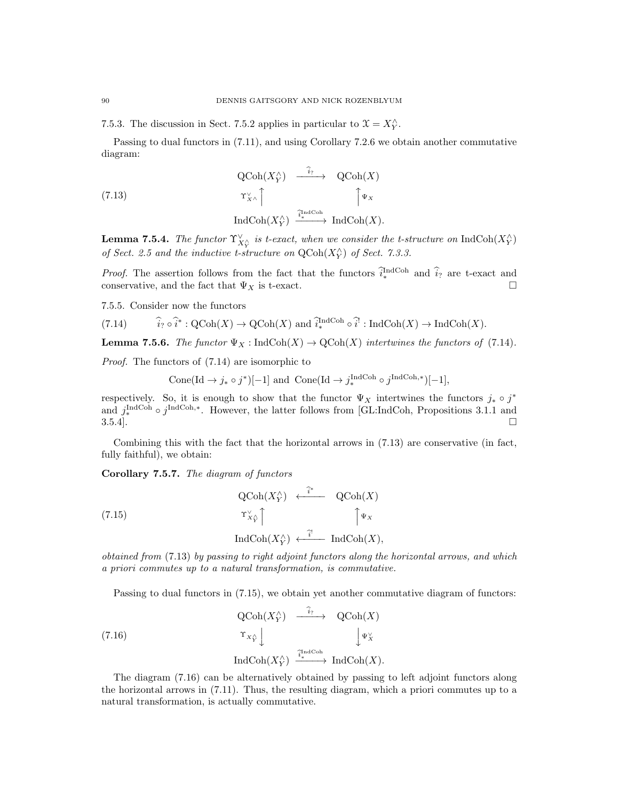7.5.3. The discussion in Sect. 7.5.2 applies in particular to  $\mathfrak{X} = X_Y^{\wedge}$ .

Passing to dual functors in (7.11), and using Corollary 7.2.6 we obtain another commutative diagram:

(7.13) 
$$
\begin{array}{ccc}\n\text{QCoh}(X_Y^{\wedge}) & \xrightarrow{\widehat{i}_?} & \text{QCoh}(X) \\
\uparrow \mathbf{r}_{X^{\wedge}}^{\vee} & \uparrow \mathbf{r}_{X} \\
\text{IndCoh}(X_Y^{\wedge}) & \xrightarrow{\widehat{i}_*^{\text{IndCoh}}} & \text{IndCoh}(X).\n\end{array}
$$

**Lemma 7.5.4.** The functor  $\Upsilon^{\vee}_{X^{\wedge}_Y}$  is t-exact, when we consider the t-structure on  $\text{IndCoh}(X^{\wedge}_Y)$ of Sect. 2.5 and the inductive t-structure on  $\text{QCoh}(X_Y^{\wedge})$  of Sect. 7.3.3.

*Proof.* The assertion follows from the fact that the functors  $\hat{i}_{*}^{\text{IndCoh}}$  and  $\hat{i}_{?}$  are t-exact and conservative, and the fact that  $\Psi_X$  is t-exact.

7.5.5. Consider now the functors

(7.14) 
$$
\hat{i}_? \circ \hat{i}^* : \text{QCoh}(X) \to \text{QCoh}(X)
$$
 and  $\hat{i}_*^{\text{IndCoh}} \circ \hat{i}^! : \text{IndCoh}(X) \to \text{IndCoh}(X)$ .

**Lemma 7.5.6.** The functor  $\Psi_X$ : IndCoh(X)  $\to$  QCoh(X) intertwines the functors of (7.14).

Proof. The functors of (7.14) are isomorphic to

Cone(Id  $\rightarrow j_* \circ j^*$ )[-1] and Cone(Id  $\rightarrow j_*^{\text{IndCoh}} \circ j^{\text{IndCoh},*}$ )[-1],

respectively. So, it is enough to show that the functor  $\Psi_X$  intertwines the functors  $j_* \circ j^*$ and  $j_{\ast}^{\text{IndCoh}} \circ j^{\text{IndCoh},\ast}$ . However, the latter follows from [GL:IndCoh, Propositions 3.1.1 and  $3.5.4$ .

Combining this with the fact that the horizontal arrows in (7.13) are conservative (in fact, fully faithful), we obtain:

Corollary 7.5.7. The diagram of functors

(7.15) 
$$
Q\text{Coh}(X_Y^{\wedge}) \leftarrow \begin{matrix} \widehat{i}^* & Q\text{Coh}(X) \\ \uparrow \downarrow_X \\ \uparrow \downarrow_Y \end{matrix}
$$

$$
\text{IndCoh}(X_Y^{\wedge}) \leftarrow \begin{matrix} \widehat{i}^* & \uparrow \downarrow_Y \\ \text{IndCoh}(X), \downarrow_Y \end{matrix}
$$

obtained from (7.13) by passing to right adjoint functors along the horizontal arrows, and which a priori commutes up to a natural transformation, is commutative.

Passing to dual functors in (7.15), we obtain yet another commutative diagram of functors:

(7.16) 
$$
\operatorname{QCoh}(X_Y^{\wedge}) \xrightarrow{\qquad i?} \operatorname{QCoh}(X)
$$

$$
\operatorname{Tr}_{X_Y^{\wedge}} \downarrow \qquad \qquad \downarrow \Psi_X^{\vee}
$$

$$
\operatorname{IndCoh}(X_Y^{\wedge}) \xrightarrow{\tilde{i}_*^{\operatorname{IndCoh}}} \operatorname{IndCoh}(X).
$$

The diagram (7.16) can be alternatively obtained by passing to left adjoint functors along the horizontal arrows in (7.11). Thus, the resulting diagram, which a priori commutes up to a natural transformation, is actually commutative.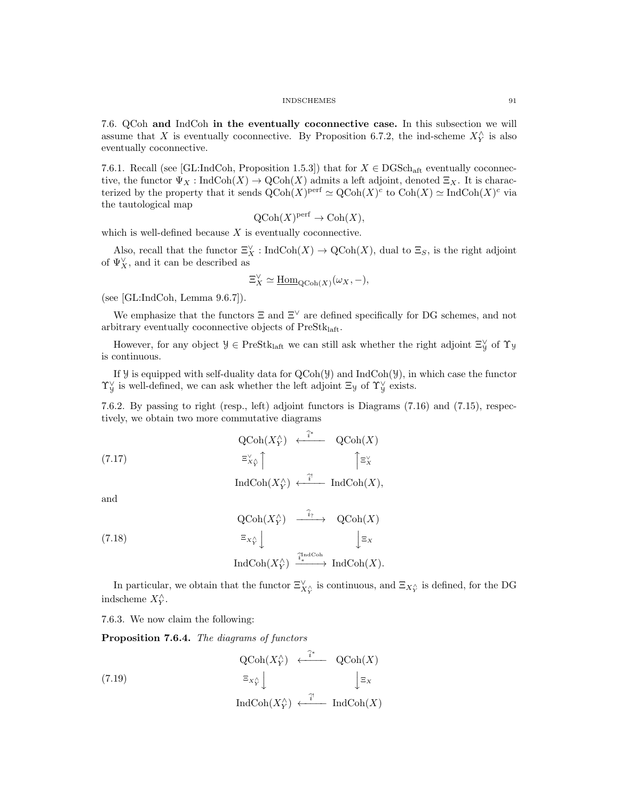7.6. QCoh and IndCoh in the eventually coconnective case. In this subsection we will assume that X is eventually coconnective. By Proposition 6.7.2, the ind-scheme  $X_{Y}^{\wedge}$  is also eventually coconnective.

7.6.1. Recall (see [GL:IndCoh, Proposition 1.5.3]) that for  $X \in \text{DGSch}_{\text{aff}}$  eventually coconnective, the functor  $\Psi_X : \text{IndCoh}(X) \to \text{QCoh}(X)$  admits a left adjoint, denoted  $\Xi_X$ . It is characterized by the property that it sends  $\mathrm{QCoh}(X)^{\mathrm{perf}} \simeq \mathrm{QCoh}(X)^c$  to  $\mathrm{Coh}(X) \simeq \mathrm{IndCoh}(X)^c$  via the tautological map

$$
\mathrm{QCoh}(X)^{\mathrm{perf}} \to \mathrm{Coh}(X),
$$

which is well-defined because  $X$  is eventually coconnective.

Also, recall that the functor  $\Xi_X^{\vee}$ : IndCoh $(X) \to \mathrm{QCoh}(X)$ , dual to  $\Xi_S$ , is the right adjoint of  $\Psi_X^{\vee}$ , and it can be described as

$$
\Xi_X^{\vee} \simeq \underline{\mathrm{Hom}}_{\mathrm{QCoh}(X)}(\omega_X, -),
$$

(see [GL:IndCoh, Lemma 9.6.7]).

We emphasize that the functors  $\Xi$  and  $\Xi^{\vee}$  are defined specifically for DG schemes, and not arbitrary eventually coconnective objects of PreStklaft.

However, for any object  $\mathcal{Y} \in \text{PreStk}_{\text{la}}$  we can still ask whether the right adjoint  $\Xi_{\mathcal{Y}}^{\vee}$  of  $\Upsilon_{\mathcal{Y}}$ is continuous.

If  $\mathcal Y$  is equipped with self-duality data for  $QCoh(\mathcal Y)$  and IndCoh( $\mathcal Y$ ), in which case the functor  $\Upsilon_y^{\vee}$  is well-defined, we can ask whether the left adjoint  $\Xi_y$  of  $\Upsilon_y^{\vee}$  exists.

7.6.2. By passing to right (resp., left) adjoint functors is Diagrams (7.16) and (7.15), respectively, we obtain two more commutative diagrams

(7.17) 
$$
\begin{array}{ccc}\n\text{QCoh}(X_Y^{\wedge}) & \xleftarrow{\hat{i}^*} & \text{QCoh}(X) \\
\equiv_{X_Y^{\vee}}^{\vee} & & \uparrow \equiv_X^{\vee} \\
\text{IndCoh}(X_Y^{\wedge}) & \xleftarrow{\hat{i}^!} & \text{IndCoh}(X),\n\end{array}
$$

and

(7.18) 
$$
\begin{array}{ccc}\n\text{QCoh}(X_Y^{\wedge}) & \xrightarrow{\hat{i}_?} & \text{QCoh}(X) \\
\equiv_{X_Y^{\wedge}} & & \downarrow \equiv_X \\
\text{IndCoh}(X_Y^{\wedge}) & \xrightarrow{\hat{i}_*^{\text{IndCoh}}} & \text{IndCoh}(X).\n\end{array}
$$

In particular, we obtain that the functor  $\Xi_{X,Y}^{\vee}$  is continuous, and  $\Xi_{X,Y}$  is defined, for the DG indscheme  $X_Y^{\wedge}$ .

7.6.3. We now claim the following:

Proposition 7.6.4. The diagrams of functors

(7.19) 
$$
\begin{array}{ccc}\n\text{QCoh}(X_Y^{\wedge}) & \xleftarrow{\hat{i}^*} & \text{QCoh}(X) \\
\equiv_{X_Y^{\wedge}} & & \downarrow \equiv_x \\
\text{IndCoh}(X_Y^{\wedge}) & \xleftarrow{\hat{i}^*} & \text{IndCoh}(X)\n\end{array}
$$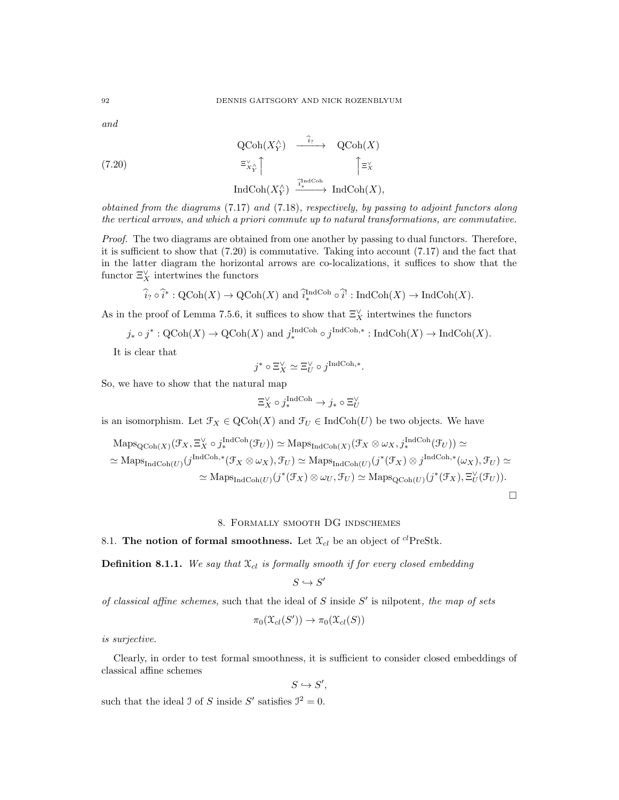and

(7.20)  
\n
$$
\begin{array}{ccc}\n\text{QCoh}(X_Y^{\wedge}) & \xrightarrow{\widehat{i}_?} & \text{QCoh}(X) \\
\equiv_{X\widehat{Y}}^{\vee} & & \uparrow \equiv_{X}^{\vee} \\
\text{IndCoh}(X_Y^{\wedge}) & \xrightarrow{\widehat{i}_*^{\text{IndCoh}}} & \text{IndCoh}(X),\n\end{array}
$$

obtained from the diagrams (7.17) and (7.18), respectively, by passing to adjoint functors along the vertical arrows, and which a priori commute up to natural transformations, are commutative.

Proof. The two diagrams are obtained from one another by passing to dual functors. Therefore, it is sufficient to show that (7.20) is commutative. Taking into account (7.17) and the fact that in the latter diagram the horizontal arrows are co-localizations, it suffices to show that the functor  $\Xi_X^{\vee}$  intertwines the functors

$$
\widehat{i}_? \circ \widehat{i}^* : \mathrm{QCoh}(X) \to \mathrm{QCoh}(X) \text{ and } \widehat{i}_*^{\mathrm{IndCoh}} \circ \widehat{i}^!: \mathrm{IndCoh}(X) \to \mathrm{IndCoh}(X).
$$

As in the proof of Lemma 7.5.6, it suffices to show that  $\Xi_X^{\vee}$  intertwines the functors

$$
j_* \circ j^* : \mathrm{QCoh}(X) \to \mathrm{QCoh}(X)
$$
 and  $j_*^{\mathrm{IndCoh}} \circ j^{\mathrm{IndCoh},*} : \mathrm{IndCoh}(X) \to \mathrm{IndCoh}(X)$ .

It is clear that

$$
j^* \circ \Xi_X^{\vee} \simeq \Xi_U^{\vee} \circ j^{\text{IndCoh}, *}
$$

.

So, we have to show that the natural map

$$
\Xi_X^\vee\circ j^{\mathrm{IndCoh}}_*\to j_*\circ\Xi_U^\vee
$$

is an isomorphism. Let  $\mathcal{F}_X \in \text{QCoh}(X)$  and  $\mathcal{F}_U \in \text{IndCoh}(U)$  be two objects. We have

$$
\mathrm{Maps}_{\mathrm{QCoh}(X)}(\mathcal{F}_X, \Xi_X^{\vee} \circ j_*^{\mathrm{IndCoh}}(\mathcal{F}_U)) \simeq \mathrm{Maps}_{\mathrm{IndCoh}(X)}(\mathcal{F}_X \otimes \omega_X, j_*^{\mathrm{IndCoh}}(\mathcal{F}_U)) \simeq
$$
  

$$
\simeq \mathrm{Maps}_{\mathrm{IndCoh}(U)}(j^{\mathrm{IndCoh},*}(\mathcal{F}_X \otimes \omega_X), \mathcal{F}_U) \simeq \mathrm{Maps}_{\mathrm{IndCoh}(U)}(j^*(\mathcal{F}_X) \otimes j^{\mathrm{IndCoh},*}(\omega_X), \mathcal{F}_U) \simeq
$$
  

$$
\simeq \mathrm{Maps}_{\mathrm{IndCoh}(U)}(j^*(\mathcal{F}_X) \otimes \omega_U, \mathcal{F}_U) \simeq \mathrm{Maps}_{\mathrm{QCoh}(U)}(j^*(\mathcal{F}_X), \Xi_U^{\vee}(\mathcal{F}_U)).
$$

 $\Box$ 

### 8. Formally smooth DG indschemes

# 8.1. The notion of formal smoothness. Let  $\mathfrak{X}_{cl}$  be an object of <sup>cl</sup>PreStk.

**Definition 8.1.1.** We say that  $\mathfrak{X}_{cl}$  is formally smooth if for every closed embedding

$$
S\hookrightarrow S'
$$

of classical affine schemes, such that the ideal of  $S$  inside  $S'$  is nilpotent, the map of sets

$$
\pi_0(\mathfrak{X}_{cl}(S')) \to \pi_0(\mathfrak{X}_{cl}(S))
$$

is surjective.

Clearly, in order to test formal smoothness, it is sufficient to consider closed embeddings of classical affine schemes

 $S \hookrightarrow S',$ 

such that the ideal J of S inside S' satisfies  $\mathcal{I}^2 = 0$ .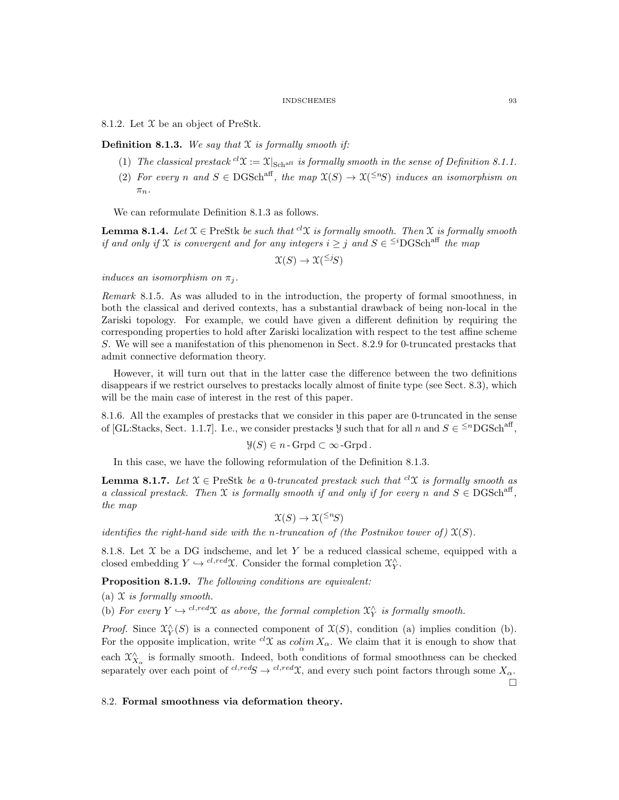8.1.2. Let  $\mathfrak X$  be an object of PreStk.

**Definition 8.1.3.** We say that  $X$  is formally smooth if:

- (1) The classical prestack  ${}^{cl}\mathfrak{X} := \mathfrak{X}|_{\text{Schaff}}$  is formally smooth in the sense of Definition 8.1.1.
- (2) For every n and  $S \in \text{DGSch}^{\text{aff}}$ , the map  $\mathfrak{X}(S) \to \mathfrak{X}^{(\leq n)}S$  induces an isomorphism on  $\pi_n$ .

We can reformulate Definition 8.1.3 as follows.

**Lemma 8.1.4.** Let  $\mathfrak{X} \in \text{PreStk } b$ e such that <sup>cl</sup> $\mathfrak{X}$  is formally smooth. Then  $\mathfrak{X}$  is formally smooth if and only if X is convergent and for any integers  $i \geq j$  and  $S \in \leq^{i}$ DGSch<sup>aff</sup> the map

$$
\mathfrak{X}(S) \to \mathfrak{X}^{(\leq j)}(S)
$$

induces an isomorphism on  $\pi_j$ .

Remark 8.1.5. As was alluded to in the introduction, the property of formal smoothness, in both the classical and derived contexts, has a substantial drawback of being non-local in the Zariski topology. For example, we could have given a different definition by requiring the corresponding properties to hold after Zariski localization with respect to the test affine scheme S. We will see a manifestation of this phenomenon in Sect. 8.2.9 for 0-truncated prestacks that admit connective deformation theory.

However, it will turn out that in the latter case the difference between the two definitions disappears if we restrict ourselves to prestacks locally almost of finite type (see Sect. 8.3), which will be the main case of interest in the rest of this paper.

8.1.6. All the examples of prestacks that we consider in this paper are 0-truncated in the sense of [GL:Stacks, Sect. 1.1.7]. I.e., we consider prestacks  $\mathcal{Y}$  such that for all n and  $S \in \leq^{n}$ DGSch<sup>aff</sup>,

$$
\mathcal{Y}(S) \in n
$$
-Grpd  $\subset \infty$ -Grpd.

In this case, we have the following reformulation of the Definition 8.1.3.

**Lemma 8.1.7.** Let  $\mathcal{X} \in \text{PreStk }$  be a 0-truncated prestack such that  ${}^{cl}\mathcal{X}$  is formally smooth as a classical prestack. Then X is formally smooth if and only if for every n and  $S \in DGSch<sup>aff</sup>$ , the map

$$
\mathfrak{X}(S) \to \mathfrak{X}^{(\leq n)}(S)
$$

identifies the right-hand side with the n-truncation of (the Postnikov tower of)  $\mathfrak{X}(S)$ .

8.1.8. Let  $\mathfrak X$  be a DG indscheme, and let Y be a reduced classical scheme, equipped with a closed embedding  $Y \hookrightarrow {}^{cl,red} \mathfrak{X}$ . Consider the formal completion  $\mathfrak{X}^{\wedge}_Y$ .

Proposition 8.1.9. The following conditions are equivalent:

(a)  $X$  is formally smooth.

(b) For every  $Y \hookrightarrow c^{l, red} \mathfrak{X}$  as above, the formal completion  $\mathfrak{X}^{\wedge}_Y$  is formally smooth.

*Proof.* Since  $\mathfrak{X}_{Y}^{\wedge}(S)$  is a connected component of  $\mathfrak{X}(S)$ , condition (a) implies condition (b). For the opposite implication, write  ${}^{cl}\mathfrak{X}$  as  $\mathcal{colim}_{\alpha}X_{\alpha}$ . We claim that it is enough to show that each  $\mathfrak{X}^{\wedge}_{X_{\alpha}}$  is formally smooth. Indeed, both conditions of formal smoothness can be checked separately over each point of  ${}^{cl,red}S \rightarrow {}^{cl,red}\mathfrak{X}$ , and every such point factors through some  $X_\alpha$ .

### 8.2. Formal smoothness via deformation theory.

 $\Box$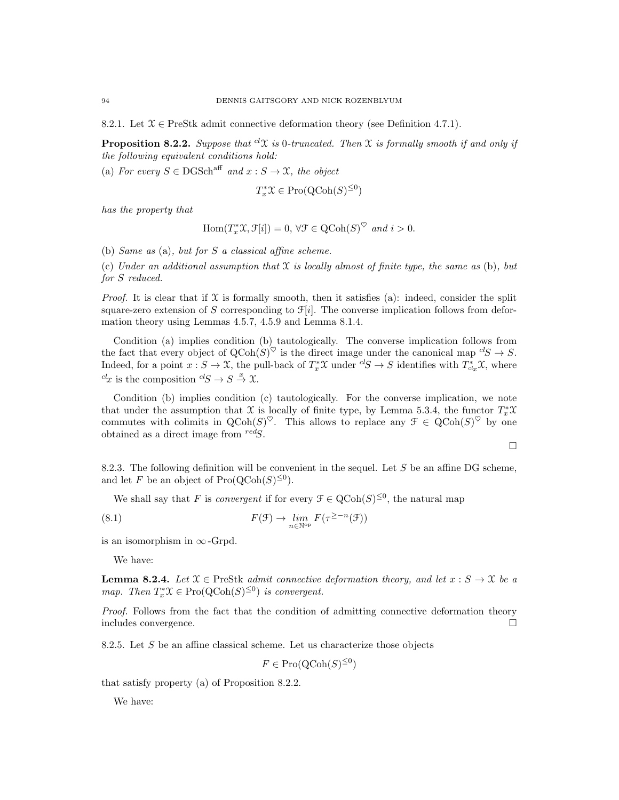8.2.1. Let  $\mathcal{X} \in \text{PreStk}$  admit connective deformation theory (see Definition 4.7.1).

**Proposition 8.2.2.** Suppose that <sup>cl</sup> $X$  is 0-truncated. Then  $X$  is formally smooth if and only if the following equivalent conditions hold:

(a) For every  $S \in \text{DGSch}^{\text{aff}}$  and  $x : S \to \mathfrak{X}$ , the object

$$
T_x^* \mathfrak{X} \in \mathrm{Pro}(\mathrm{QCoh}(S)^{\leq 0})
$$

has the property that

$$
\operatorname{Hom}(T_x^*\mathfrak X,\mathcal F[i])=0,\,\forall \mathcal F\in \operatorname{QCoh}(S)^\heartsuit\,\,and\,\,i>0.
$$

(b) Same as (a), but for S a classical affine scheme.

(c) Under an additional assumption that  $\mathfrak X$  is locally almost of finite type, the same as (b), but for S reduced.

*Proof.* It is clear that if  $\mathfrak X$  is formally smooth, then it satisfies (a): indeed, consider the split square-zero extension of S corresponding to  $\mathcal{F}[i]$ . The converse implication follows from deformation theory using Lemmas 4.5.7, 4.5.9 and Lemma 8.1.4.

Condition (a) implies condition (b) tautologically. The converse implication follows from the fact that every object of  $Q\text{Coh}(S)^{\heartsuit}$  is the direct image under the canonical map  ${}^{cl}S \rightarrow S$ . Indeed, for a point  $x : S \to \mathfrak{X}$ , the pull-back of  $T_x^* \mathfrak{X}$  under  ${}^{cl}S \to S$  identifies with  $T_{c l_x}^* \mathfrak{X}$ , where  ${}^{cl}x$  is the composition  ${}^{cl}S \rightarrow S \stackrel{x}{\rightarrow} \mathfrak{X}$ .

Condition (b) implies condition (c) tautologically. For the converse implication, we note that under the assumption that X is locally of finite type, by Lemma 5.3.4, the functor  $T_x^*\mathfrak{X}$ commutes with colimits in  $QCoh(S)^{\heartsuit}$ . This allows to replace any  $\mathcal{F} \in QCoh(S)^{\heartsuit}$  by one obtained as a direct image from  $\text{red}S$ .

$$
\Box
$$

8.2.3. The following definition will be convenient in the sequel. Let  $S$  be an affine DG scheme, and let F be an object of  $\text{Pro}(\text{QCoh}(S)^{\leq 0})$ .

We shall say that F is *convergent* if for every  $\mathcal{F} \in \text{QCoh}(S)^{\leq 0}$ , the natural map

(8.1) 
$$
F(\mathcal{F}) \to \lim_{n \in \mathbb{N}^{\text{op}}} F(\tau^{\geq -n}(\mathcal{F}))
$$

is an isomorphism in  $\infty$ -Grpd.

We have:

**Lemma 8.2.4.** Let  $\mathcal{X} \in \text{PreStk } \text{ admit connective deformation theory, and let } x : S \to \mathcal{X} \text{ be a}$ map. Then  $T_x^* \mathfrak{X} \in \text{Pro}(\text{QCoh}(S)^{\leq 0})$  is convergent.

Proof. Follows from the fact that the condition of admitting connective deformation theory includes convergence.

8.2.5. Let  $S$  be an affine classical scheme. Let us characterize those objects

$$
F \in \operatorname{Pro}(\operatorname{QCoh}(S)^{\le 0})
$$

that satisfy property (a) of Proposition 8.2.2.

We have: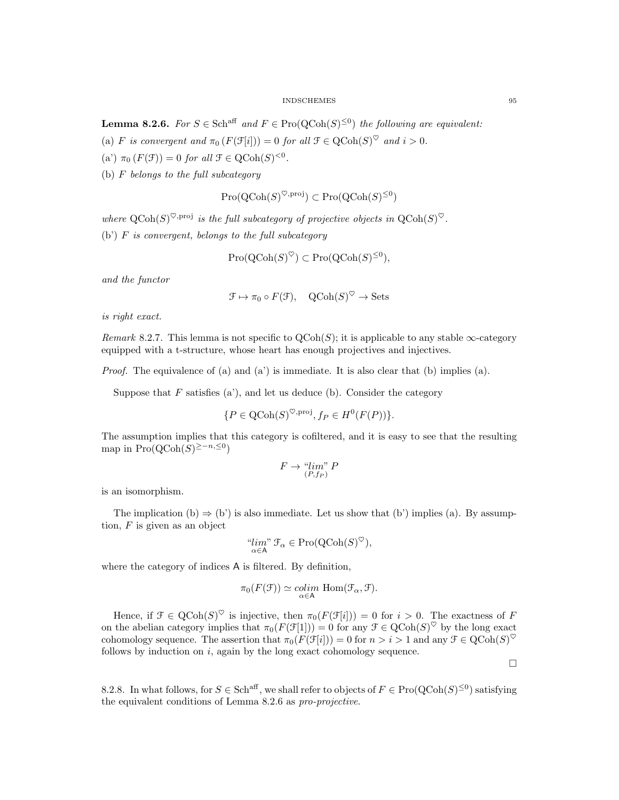**Lemma 8.2.6.** For  $S \in \text{Sch}^{\text{aff}}$  and  $F \in \text{Pro}(\text{QCoh}(S)^{\leq 0})$  the following are equivalent:

(a) F is convergent and  $\pi_0(F(\mathcal{F}[i])) = 0$  for all  $\mathcal{F} \in \text{QCoh}(S)^\heartsuit$  and  $i > 0$ .

(a')  $\pi_0(F(\mathcal{F})) = 0$  for all  $\mathcal{F} \in \text{QCoh}(S)^{<0}$ .

(b)  $F$  belongs to the full subcategory

$$
\mathrm{Pro}(\mathrm{QCoh}(S)^{\heartsuit,\mathrm{proj}}) \subset \mathrm{Pro}(\mathrm{QCoh}(S)^{\leq 0})
$$

where  $\operatorname{QCoh}(S)^{\heartsuit,\text{proj}}$  is the full subcategory of projective objects in  $\operatorname{QCoh}(S)^{\heartsuit}$ .  $(b')$  F is convergent, belongs to the full subcategory

$$
Pro(QCoh(S)^{\heartsuit}) \subset Pro(QCoh(S)^{\leq 0}),
$$

and the functor

$$
\mathcal{F} \mapsto \pi_0 \circ F(\mathcal{F}), \quad \text{QCoh}(S)^{\heartsuit} \to \text{Sets}
$$

is right exact.

Remark 8.2.7. This lemma is not specific to  $Q\text{Coh}(S)$ ; it is applicable to any stable  $\infty$ -category equipped with a t-structure, whose heart has enough projectives and injectives.

*Proof.* The equivalence of (a) and (a') is immediate. It is also clear that (b) implies (a).

Suppose that  $F$  satisfies (a'), and let us deduce (b). Consider the category

$$
\{P \in \text{QCoh}(S)^{\heartsuit,\text{proj}}, f_P \in H^0(F(P))\}.
$$

The assumption implies that this category is cofiltered, and it is easy to see that the resulting map in  $\text{Pro}(\text{QCoh}(S)^{\geq -n, \leq 0})$ 

$$
F \to \lim_{(P, f_P)} P
$$

is an isomorphism.

The implication (b)  $\Rightarrow$  (b') is also immediate. Let us show that (b') implies (a). By assumption,  $F$  is given as an object

$$
\lim_{\alpha \in A} \mathcal{F}_{\alpha} \in \text{Pro}(\text{QCoh}(S)^{\heartsuit}),
$$

where the category of indices A is filtered. By definition,

$$
\pi_0(F(\mathcal{F})) \simeq \underset{\alpha \in \mathsf{A}}{\text{colim}} \text{Hom}(\mathcal{F}_{\alpha}, \mathcal{F}).
$$

Hence, if  $\mathcal{F} \in \text{QCoh}(S)^\heartsuit$  is injective, then  $\pi_0(F(\mathcal{F}[i])) = 0$  for  $i > 0$ . The exactness of F on the abelian category implies that  $\pi_0(F(\mathcal{F}[1])) = 0$  for any  $\mathcal{F} \in \text{QCoh}(S)^\heartsuit$  by the long exact cohomology sequence. The assertion that  $\pi_0(F(\mathcal{F}[i])) = 0$  for  $n > i > 1$  and any  $\mathcal{F} \in \text{QCoh}(S)^\heartsuit$ follows by induction on  $i$ , again by the long exact cohomology sequence.

 $\Box$ 

8.2.8. In what follows, for  $S \in Sch^{aff}$ , we shall refer to objects of  $F \in \text{Pro}(\text{QCoh}(S)^{\leq 0})$  satisfying the equivalent conditions of Lemma 8.2.6 as pro-projective.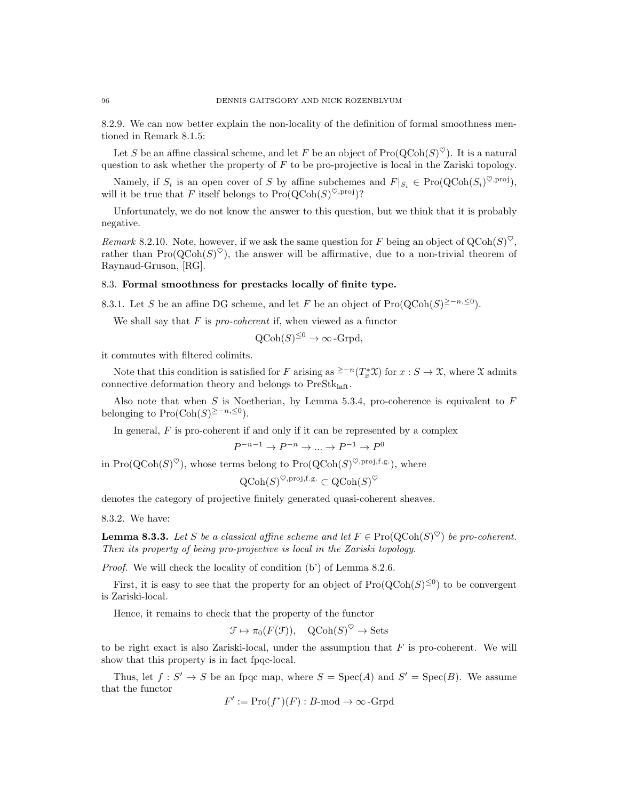8.2.9. We can now better explain the non-locality of the definition of formal smoothness mentioned in Remark 8.1.5:

Let S be an affine classical scheme, and let F be an object of  $\text{Pro}(\text{QCoh}(S)^{\heartsuit})$ . It is a natural question to ask whether the property of  $F$  to be pro-projective is local in the Zariski topology.

Namely, if  $S_i$  is an open cover of S by affine subchemes and  $F|_{S_i} \in \text{Pro}(\text{QCoh}(S_i)^{\heartsuit,\text{proj}})$ , will it be true that F itself belongs to  $\text{Pro}(\text{QCoh}(S)^{\heartsuit,\text{proj}})$ ?

Unfortunately, we do not know the answer to this question, but we think that it is probably negative.

Remark 8.2.10. Note, however, if we ask the same question for F being an object of  $Q\text{Coh}(S)^{\heartsuit}$ , rather than  $\text{Pro}(\text{QCoh}(S)^{\heartsuit})$ , the answer will be affirmative, due to a non-trivial theorem of Raynaud-Gruson, [RG].

### 8.3. Formal smoothness for prestacks locally of finite type.

8.3.1. Let S be an affine DG scheme, and let F be an object of  $\text{Pro}(\text{QCoh}(S)^{\geq -n, \leq 0})$ .

We shall say that  $F$  is pro-coherent if, when viewed as a functor

$$
Q\text{Coh}(S)^{\leq 0} \to \infty\text{-Grpd},
$$

it commutes with filtered colimits.

Note that this condition is satisfied for F arising as <sup>≥−n</sup>( $T_x^* \mathfrak{X}$ ) for  $x : S \to \mathfrak{X}$ , where  $\mathfrak{X}$  admits connective deformation theory and belongs to  $PreStk<sub>laff</sub>$ .

Also note that when S is Noetherian, by Lemma 5.3.4, pro-coherence is equivalent to  $F$ belonging to  $\text{Pro}(\text{Coh}(S)^{\geq -n, \leq 0}).$ 

In general,  $F$  is pro-coherent if and only if it can be represented by a complex

$$
^{-n-1}\rightarrow P^{-n}\rightarrow \ldots \rightarrow P^{-1}\rightarrow P^{0}
$$

in  $\text{Pro}(\text{QCoh}(S)^{\heartsuit})$ , whose terms belong to  $\text{Pro}(\text{QCoh}(S)^{\heartsuit,\text{proj},\text{f.g.}})$ , where

P

$$
\operatorname{QCoh}(S)^{\heartsuit,\operatorname{proj},\operatorname{f.g.}}\subset \operatorname{QCoh}(S)^{\heartsuit}
$$

denotes the category of projective finitely generated quasi-coherent sheaves.

8.3.2. We have:

**Lemma 8.3.3.** Let S be a classical affine scheme and let  $F \in \text{Pro}(\text{QCoh}(S)^{\heartsuit})$  be pro-coherent. Then its property of being pro-projective is local in the Zariski topology.

Proof. We will check the locality of condition (b') of Lemma 8.2.6.

First, it is easy to see that the property for an object of  $\text{Pro}(\text{QCoh}(S)^{\leq 0})$  to be convergent is Zariski-local.

Hence, it remains to check that the property of the functor

$$
\mathcal{F} \mapsto \pi_0(F(\mathcal{F})), \quad \text{QCoh}(S)^{\heartsuit} \to \text{Sets}
$$

to be right exact is also Zariski-local, under the assumption that  $F$  is pro-coherent. We will show that this property is in fact fpqc-local.

Thus, let  $f: S' \to S$  be an fpqc map, where  $S = \text{Spec}(A)$  and  $S' = \text{Spec}(B)$ . We assume that the functor

$$
F' := \text{Pro}(f^*)(F) : B\text{-mod} \to \infty\text{-Grpd}
$$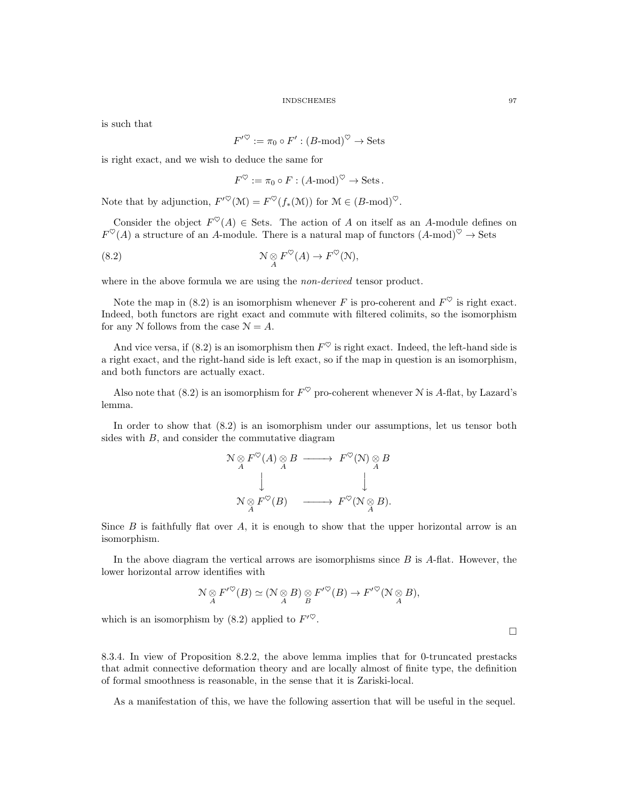is such that

$$
F'^{\heartsuit} := \pi_0 \circ F' : (B\text{-mod})^{\heartsuit} \to \text{Sets}
$$

is right exact, and we wish to deduce the same for

$$
F^{\heartsuit} := \pi_0 \circ F : (A \text{-mod})^{\heartsuit} \to \text{Sets}.
$$

Note that by adjunction,  $F^{\prime\heartsuit}(\mathcal{M}) = F^{\heartsuit}(f_*(\mathcal{M}))$  for  $\mathcal{M} \in (B\text{-mod})^{\heartsuit}$ .

Consider the object  $F^{\heartsuit}(A) \in \text{Sets}$ . The action of A on itself as an A-module defines on  $F^{\heartsuit}(A)$  a structure of an A-module. There is a natural map of functors  $(A\text{-mod})^{\heartsuit} \to \text{Sets}$ 

(8.2) 
$$
\mathcal{N} \underset{A}{\otimes} F^{\heartsuit}(A) \to F^{\heartsuit}(\mathcal{N}),
$$

where in the above formula we are using the *non-derived* tensor product.

Note the map in (8.2) is an isomorphism whenever F is pro-coherent and  $F^{\heartsuit}$  is right exact. Indeed, both functors are right exact and commute with filtered colimits, so the isomorphism for any N follows from the case  $\mathcal{N} = A$ .

And vice versa, if (8.2) is an isomorphism then  $F^{\heartsuit}$  is right exact. Indeed, the left-hand side is a right exact, and the right-hand side is left exact, so if the map in question is an isomorphism, and both functors are actually exact.

Also note that (8.2) is an isomorphism for  $F^{\heartsuit}$  pro-coherent whenever N is A-flat, by Lazard's lemma.

In order to show that (8.2) is an isomorphism under our assumptions, let us tensor both sides with B, and consider the commutative diagram

$$
\begin{array}{ccc}\nN \underset{A}{\otimes} F^{\heartsuit}(A) \underset{A}{\otimes} B & \longrightarrow & F^{\heartsuit}(\mathcal{N}) \underset{A}{\otimes} B \\
\downarrow & & \downarrow & \\
N \underset{A}{\otimes} F^{\heartsuit}(B) & \longrightarrow & F^{\heartsuit}(\mathcal{N} \underset{A}{\otimes} B).\n\end{array}
$$

Since  $B$  is faithfully flat over  $A$ , it is enough to show that the upper horizontal arrow is an isomorphism.

In the above diagram the vertical arrows are isomorphisms since  $B$  is  $A$ -flat. However, the lower horizontal arrow identifies with

$$
\mathcal{N} \underset{A}{\otimes} F'^{\heartsuit}(B) \simeq (\mathcal{N} \underset{A}{\otimes} B) \underset{B}{\otimes} F'^{\heartsuit}(B) \to F'^{\heartsuit}(\mathcal{N} \underset{A}{\otimes} B),
$$

which is an isomorphism by (8.2) applied to  $F'^{\heartsuit}$ .

8.3.4. In view of Proposition 8.2.2, the above lemma implies that for 0-truncated prestacks that admit connective deformation theory and are locally almost of finite type, the definition of formal smoothness is reasonable, in the sense that it is Zariski-local.

As a manifestation of this, we have the following assertion that will be useful in the sequel.

 $\Box$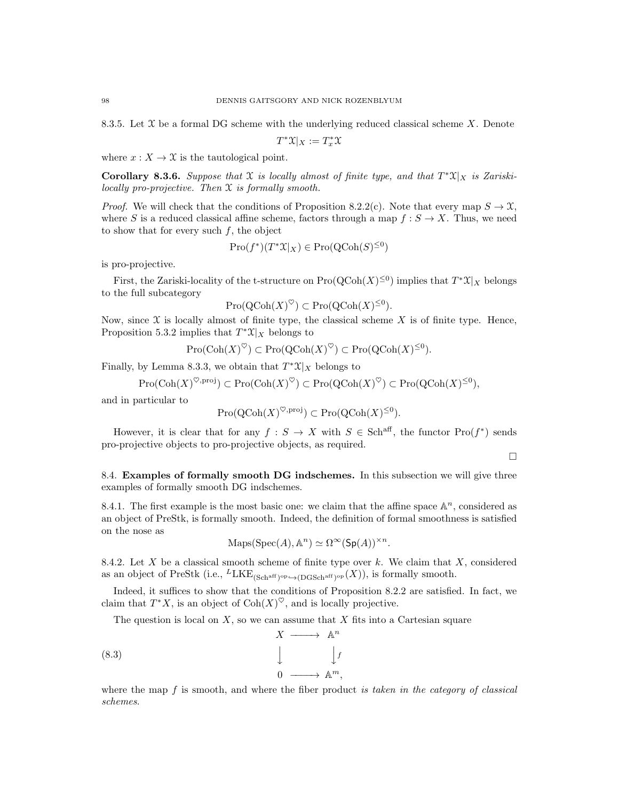8.3.5. Let  $\mathfrak X$  be a formal DG scheme with the underlying reduced classical scheme X. Denote

$$
T^*\mathfrak{X}|_X:=T^*_x\mathfrak{X}
$$

where  $x: X \to \mathfrak{X}$  is the tautological point.

Corollary 8.3.6. Suppose that X is locally almost of finite type, and that  $T^*\mathfrak{X}|_X$  is Zariskilocally pro-projective. Then X is formally smooth.

*Proof.* We will check that the conditions of Proposition 8.2.2(c). Note that every map  $S \to \mathfrak{X}$ , where S is a reduced classical affine scheme, factors through a map  $f : S \to X$ . Thus, we need to show that for every such  $f$ , the object

$$
\mathrm{Pro}(f^*)(T^*\mathfrak{X}|_X) \in \mathrm{Pro}(\mathrm{QCoh}(S)^{\leq 0})
$$

is pro-projective.

First, the Zariski-locality of the t-structure on  $\text{Pro}(\text{QCoh}(X)^{\leq 0})$  implies that  $T^*\mathfrak{X}|_X$  belongs to the full subcategory

$$
Pro(QCoh(X)^{\heartsuit}) \subset Pro(QCoh(X)^{\leq 0}).
$$

Now, since  $\mathfrak X$  is locally almost of finite type, the classical scheme  $X$  is of finite type. Hence, Proposition 5.3.2 implies that  $T^*\mathfrak{X}|_X$  belongs to

$$
\mathrm{Pro}(\mathrm{Coh}(X)^{\heartsuit}) \subset \mathrm{Pro}(\mathrm{QCoh}(X)^{\heartsuit}) \subset \mathrm{Pro}(\mathrm{QCoh}(X)^{\leq 0}).
$$

Finally, by Lemma 8.3.3, we obtain that  $T^*\mathfrak{X}|_X$  belongs to

$$
Pro(\mathrm{Coh}(X)^{\heartsuit,\mathrm{proj}}) \subset Pro(\mathrm{Coh}(X)^{\heartsuit}) \subset Pro(\mathrm{QCoh}(X)^{\heartsuit}) \subset Pro(\mathrm{QCoh}(X)^{\leq 0}),
$$

and in particular to

$$
\mathrm{Pro}(\mathrm{QCoh}(X)^{\heartsuit,\mathrm{proj}}) \subset \mathrm{Pro}(\mathrm{QCoh}(X)^{\leq 0}).
$$

However, it is clear that for any  $f: S \to X$  with  $S \in \text{Sch}^{\text{aff}}$ , the functor  $\text{Pro}(f^*)$  sends pro-projective objects to pro-projective objects, as required.

 $\Box$ 

8.4. Examples of formally smooth DG indschemes. In this subsection we will give three examples of formally smooth DG indschemes.

8.4.1. The first example is the most basic one: we claim that the affine space  $\mathbb{A}^n$ , considered as an object of PreStk, is formally smooth. Indeed, the definition of formal smoothness is satisfied on the nose as

$$
Maps(Spec(A), \mathbb{A}^n) \simeq \Omega^{\infty}(\text{Sp}(A))^{\times n}.
$$

8.4.2. Let X be a classical smooth scheme of finite type over k. We claim that X, considered as an object of PreStk (i.e.,  ${}^L LKE_{(Sch<sup>aff</sup>)^{op}\rightarrow(DGSch<sup>aff</sup>)^{op}}(X)$ ), is formally smooth.

Indeed, it suffices to show that the conditions of Proposition 8.2.2 are satisfied. In fact, we claim that  $T^*X$ , is an object of  $\text{Coh}(X)^\heartsuit$ , and is locally projective.

The question is local on  $X$ , so we can assume that  $X$  fits into a Cartesian square



where the map f is smooth, and where the fiber product is taken in the category of classical schemes.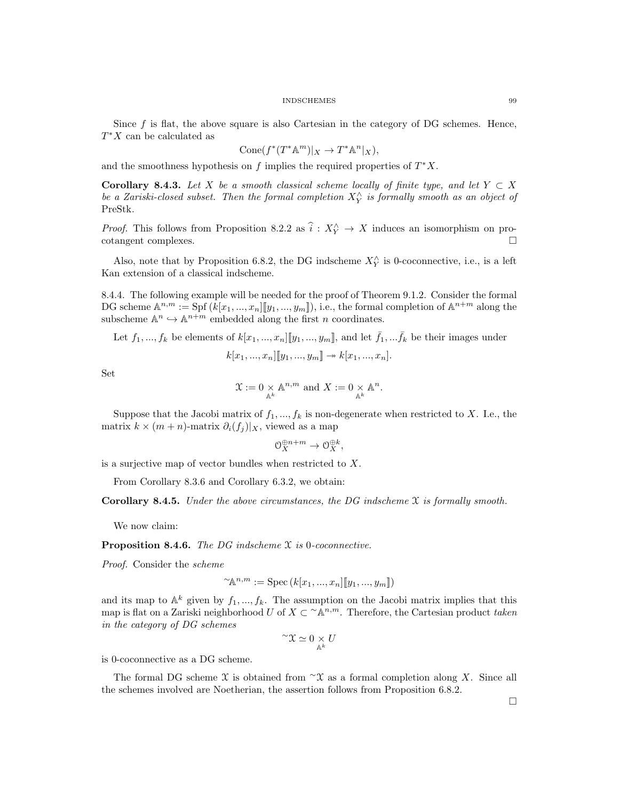Since  $f$  is flat, the above square is also Cartesian in the category of DG schemes. Hence,  $T^*X$  can be calculated as

$$
Cone(f^*(T^*\mathbb{A}^m)|_X \to T^*\mathbb{A}^n|_X),
$$

and the smoothness hypothesis on  $f$  implies the required properties of  $T^*X$ .

Corollary 8.4.3. Let X be a smooth classical scheme locally of finite type, and let  $Y \subset X$ be a Zariski-closed subset. Then the formal completion  $X_{Y}^{\wedge}$  is formally smooth as an object of PreStk.

*Proof.* This follows from Proposition 8.2.2 as  $\hat{i} : X_Y^{\wedge} \to X$  induces an isomorphism on pro- $\Box$ cotangent complexes.

Also, note that by Proposition 6.8.2, the DG indscheme  $X_Y^{\wedge}$  is 0-coconnective, i.e., is a left Kan extension of a classical indscheme.

8.4.4. The following example will be needed for the proof of Theorem 9.1.2. Consider the formal DG scheme  $\mathbb{A}^{n,m} := \text{Spf}(k[x_1,...,x_n][y_1,...,y_m]),$  i.e., the formal completion of  $\mathbb{A}^{n+m}$  along the subscheme  $\mathbb{A}^n \hookrightarrow \mathbb{A}^{n+m}$  embedded along the first n coordinates.

Let  $f_1, ..., f_k$  be elements of  $k[x_1, ..., x_n][[y_1, ..., y_m]]$ , and let  $\bar{f}_1, ... \bar{f}_k$  be their images under

$$
k[x_1, ..., x_n][[y_1, ..., y_m]] \to k[x_1, ..., x_n].
$$

Set

$$
\mathfrak{X} := 0 \underset{\mathbb{A}^k}{\times} \mathbb{A}^{n,m} \text{ and } X := 0 \underset{\mathbb{A}^k}{\times} \mathbb{A}^n.
$$

Suppose that the Jacobi matrix of  $f_1, ..., f_k$  is non-degenerate when restricted to X. I.e., the matrix  $k \times (m + n)$ -matrix  $\partial_i(f_j)|_X$ , viewed as a map

$$
\mathcal{O}_X^{\oplus n+m} \to \mathcal{O}_X^{\oplus k},
$$

is a surjective map of vector bundles when restricted to X.

From Corollary 8.3.6 and Corollary 6.3.2, we obtain:

**Corollary 8.4.5.** Under the above circumstances, the DG indscheme  $\mathfrak X$  is formally smooth.

We now claim:

**Proposition 8.4.6.** The DG indscheme  $\mathfrak X$  is 0-coconnective.

Proof. Consider the scheme

$$
\sim{\mathbb A}^{n,m}:=\mathrm{Spec}\left(k[x_1,...,x_n][[y_1,...,y_m]]\right)
$$

and its map to  $\mathbb{A}^k$  given by  $f_1, ..., f_k$ . The assumption on the Jacobi matrix implies that this map is flat on a Zariski neighborhood U of  $X \subset \Lambda^{n,m}$ . Therefore, the Cartesian product taken in the category of DG schemes

$$
\mathbf{Y} \simeq 0 \underset{\mathbb{A}^k}{\times} U
$$

is 0-coconnective as a DG scheme.

The formal DG scheme X is obtained from  $\alpha$  as a formal completion along X. Since all the schemes involved are Noetherian, the assertion follows from Proposition 6.8.2.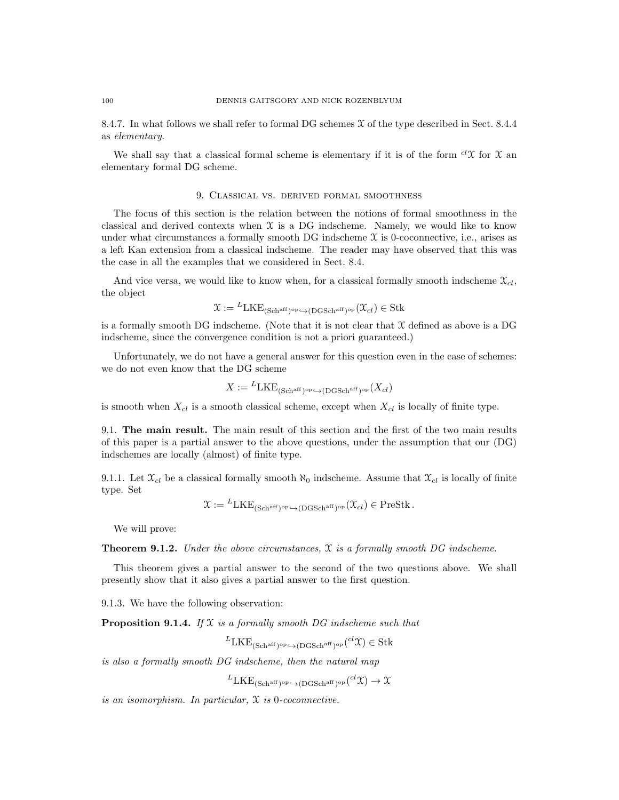8.4.7. In what follows we shall refer to formal DG schemes X of the type described in Sect. 8.4.4 as elementary.

We shall say that a classical formal scheme is elementary if it is of the form  ${}^{cl}\mathfrak{X}$  for  $\mathfrak{X}$  an elementary formal DG scheme.

### 9. Classical vs. derived formal smoothness

The focus of this section is the relation between the notions of formal smoothness in the classical and derived contexts when  $X$  is a DG indscheme. Namely, we would like to know under what circumstances a formally smooth DG indscheme  $\mathfrak X$  is 0-coconnective, i.e., arises as a left Kan extension from a classical indscheme. The reader may have observed that this was the case in all the examples that we considered in Sect. 8.4.

And vice versa, we would like to know when, for a classical formally smooth indscheme  $\mathfrak{X}_{cl}$ , the object

$$
\mathfrak{X} := {}^{L}\text{LKE}_{(\text{Sch}^{\text{aff}})^{\text{op}} \hookrightarrow (\text{DGSch}^{\text{aff}})^{\text{op}}}(\mathfrak{X}_{\text{cl}}) \in \text{Stk}
$$

is a formally smooth DG indscheme. (Note that it is not clear that  $\mathfrak X$  defined as above is a DG indscheme, since the convergence condition is not a priori guaranteed.)

Unfortunately, we do not have a general answer for this question even in the case of schemes: we do not even know that the DG scheme

$$
X:= {}^L{\rm LKE}_{({\rm Sch}^{\rm aff})^{\rm op}\hookrightarrow ({\rm DGSch}^{\rm aff})^{\rm op}}(X_{cl})
$$

is smooth when  $X_{cl}$  is a smooth classical scheme, except when  $X_{cl}$  is locally of finite type.

9.1. The main result. The main result of this section and the first of the two main results of this paper is a partial answer to the above questions, under the assumption that our (DG) indschemes are locally (almost) of finite type.

9.1.1. Let  $\mathfrak{X}_{cl}$  be a classical formally smooth  $\aleph_0$  indscheme. Assume that  $\mathfrak{X}_{cl}$  is locally of finite type. Set

$$
\mathfrak{X} := {}^{L}\text{LKE}_{(\text{Sch}^{\text{aff}})^{\text{op}} \hookrightarrow (\text{DGSch}^{\text{aff}})^{\text{op}}}(\mathfrak{X}_{cl}) \in \text{PreStk}.
$$

We will prove:

**Theorem 9.1.2.** Under the above circumstances,  $\mathfrak X$  is a formally smooth DG indscheme.

This theorem gives a partial answer to the second of the two questions above. We shall presently show that it also gives a partial answer to the first question.

9.1.3. We have the following observation:

**Proposition 9.1.4.** If  $X$  is a formally smooth DG indscheme such that

$$
{}^{L}LKE_{(\text{Schaff})^{\text{op}} \hookrightarrow (\text{DGSch}^{\text{aff}})^{\text{op}}} ({}^{cl}\mathfrak{X}) \in \text{Stk}
$$

is also a formally smooth DG indscheme, then the natural map

 ${}^{L}\text{LKE}_{(\text{Sch}^{\text{aff}})^{\text{op}} \leftrightarrow (\text{DGSch}^{\text{aff}})^{\text{op}}} (^{cl}\mathfrak{X}) \to \mathfrak{X}$ 

is an isomorphism. In particular, X is 0-coconnective.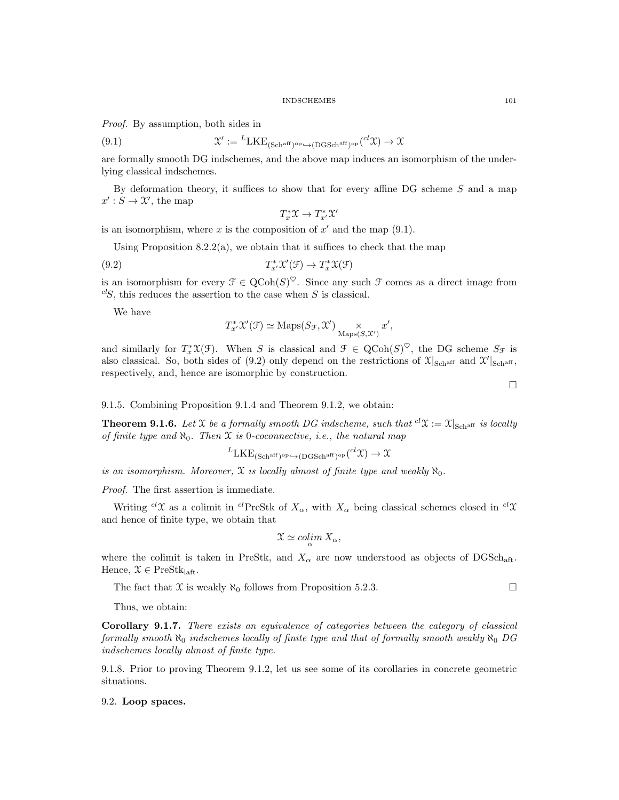Proof. By assumption, both sides in

(9.1) 
$$
\mathcal{X}' := {}^{L}LKE_{(Sch^{aff})^{op} \hookrightarrow (DGSch^{aff})^{op}}(^{cl}\mathcal{X}) \to \mathcal{X}
$$

are formally smooth DG indschemes, and the above map induces an isomorphism of the underlying classical indschemes.

By deformation theory, it suffices to show that for every affine DG scheme S and a map  $x': S \to \mathfrak{X}'$ , the map

$$
T^*_x\mathfrak{X}\to T^*_{x'}\mathfrak{X}'
$$

is an isomorphism, where x is the composition of  $x'$  and the map  $(9.1)$ .

Using Proposition 8.2.2(a), we obtain that it suffices to check that the map

(9.2) 
$$
T_{x'}^* \mathcal{X}'(\mathcal{F}) \to T_x^* \mathcal{X}(\mathcal{F})
$$

is an isomorphism for every  $\mathcal{F} \in \mathrm{QCoh}(S)^\heartsuit$ . Since any such  $\mathcal F$  comes as a direct image from  ${}^{cl}S$ , this reduces the assertion to the case when S is classical.

We have

$$
T^*_{x'}\mathfrak{X}'(\mathfrak{F})\simeq \mathrm{Maps}(S_{\mathfrak{F}},\mathfrak{X}') \underset{\mathrm{Maps}(S,\mathfrak{X}')}{\times} x',
$$

and similarly for  $T_x^* \mathfrak{X}(\mathfrak{F})$ . When S is classical and  $\mathfrak{F} \in \text{QCoh}(S)^\heartsuit$ , the DG scheme  $S_{\mathfrak{F}}$  is also classical. So, both sides of (9.2) only depend on the restrictions of  $\mathfrak{X}|_{Sch^{aff}}$  and  $\mathfrak{X}|_{Sch^{aff}}$ , respectively, and, hence are isomorphic by construction.

 $\Box$ 

9.1.5. Combining Proposition 9.1.4 and Theorem 9.1.2, we obtain:

**Theorem 9.1.6.** Let X be a formally smooth DG indscheme, such that  ${}^{cl}\mathfrak{X} := \mathfrak{X}|_{Sch^{aff}}$  is locally of finite type and  $\aleph_0$ . Then X is 0-coconnective, i.e., the natural map

$$
{}^{L}\text{LKE}_{(\text{Sch}^{\text{aff}})^{\text{op}} \leftrightarrow (\text{DGSch}^{\text{aff}})^{\text{op}}} ({}^{cl}\mathfrak{X}) \to \mathfrak{X}
$$

is an isomorphism. Moreover,  $\mathfrak X$  is locally almost of finite type and weakly  $\aleph_0$ .

Proof. The first assertion is immediate.

Writing  $c^l\mathfrak{X}$  as a colimit in  $c^l$ PreStk of  $X_\alpha$ , with  $X_\alpha$  being classical schemes closed in  $c^l\mathfrak{X}$ and hence of finite type, we obtain that

$$
\mathfrak{X}\simeq \operatornamewithlimits{colim}_{\alpha}X_{\alpha},
$$

where the colimit is taken in PreStk, and  $X_{\alpha}$  are now understood as objects of DGSch<sub>aft</sub>. Hence,  $\mathcal{X} \in \text{PreStk}_{\text{left}}$ .

The fact that X is weakly  $\aleph_0$  follows from Proposition 5.2.3.

Thus, we obtain:

Corollary 9.1.7. There exists an equivalence of categories between the category of classical formally smooth  $\aleph_0$  indschemes locally of finite type and that of formally smooth weakly  $\aleph_0$  DG indschemes locally almost of finite type.

9.1.8. Prior to proving Theorem 9.1.2, let us see some of its corollaries in concrete geometric situations.

### 9.2. Loop spaces.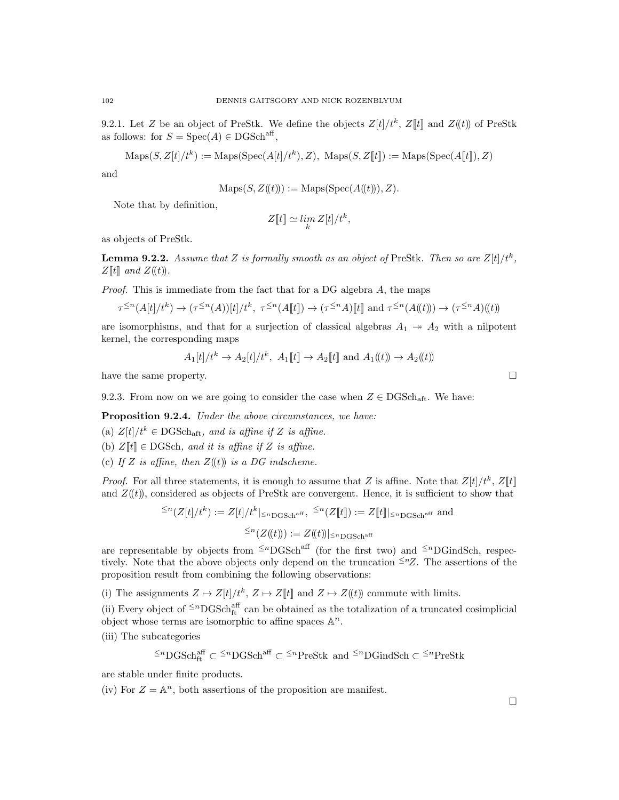9.2.1. Let Z be an object of PreStk. We define the objects  $Z[t]/t^k$ ,  $Z[t]$  and  $Z(t)$  of PreStk as follows: for  $S = \text{Spec}(A) \in \text{DGSch}^{\text{aff}},$ 

 $\text{Maps}(S, Z[t]/t^k) := \text{Maps}(\text{Spec}(A[t]/t^k), Z), \text{ Maps}(S, Z[t]) := \text{Maps}(\text{Spec}(A[t]), Z)$ 

and

$$
Maps(S, Z(\mathcal{t})) := Maps(Spec(A(\mathcal{t}))), Z).
$$

Note that by definition,

$$
Z[\![t]\!]\simeq \lim_k Z[t]/t^k,
$$

as objects of PreStk.

**Lemma 9.2.2.** Assume that Z is formally smooth as an object of PreStk. Then so are  $Z[t]/t^k$ ,  $Z[[t]]$  and  $Z(\mathfrak(t))$ .

*Proof.* This is immediate from the fact that for a DG algebra  $A$ , the maps

$$
\tau^{\leq n}(A[t]/t^k) \to (\tau^{\leq n}(A))[t]/t^k, \ \tau^{\leq n}(A[\![t]\!]) \to (\tau^{\leq n}A)[\![t]\!]) \text{ and } \tau^{\leq n}(A(\!(t)\!)) \to (\tau^{\leq n}A)(\!(t)\!))
$$

are isomorphisms, and that for a surjection of classical algebras  $A_1 \rightarrow A_2$  with a nilpotent kernel, the corresponding maps

$$
A_1[t]/t^k \to A_2[t]/t^k
$$
,  $A_1[t] \to A_2[t]$  and  $A_1(t) \to A_2(t)$ 

have the same property.

9.2.3. From now on we are going to consider the case when 
$$
Z \in \text{DGSch}_{\text{aff}}
$$
. We have:

Proposition 9.2.4. Under the above circumstances, we have:

(a)  $Z[t]/t^k \in \text{DGSch}_{\text{aff}}$ , and is affine if Z is affine.

- (b)  $Z[[t]] \in DGSch$ , and it is affine if Z is affine.
- (c) If Z is affine, then  $Z(t)$  is a DG indscheme.

*Proof.* For all three statements, it is enough to assume that Z is affine. Note that  $Z[t]/t^k$ ,  $Z[t]$ and  $Z(t)$ , considered as objects of PreStk are convergent. Hence, it is sufficient to show that

$$
\leq^n (Z[t]/t^k) := Z[t]/t^k |_{\leq^n \text{DGSch}^{\text{aff}}}, \leq^n (Z[t]) := Z[t]|_{\leq^n \text{DGSch}^{\text{aff}}}
$$
 and  

$$
\leq^n (Z(t))) := Z((t))|_{\leq^n \text{DGSch}^{\text{aff}}}
$$

are representable by objects from  $\leq^n$ DGSch<sup>aff</sup> (for the first two) and  $\leq^n$ DGindSch, respectively. Note that the above objects only depend on the truncation  $\leq nZ$ . The assertions of the proposition result from combining the following observations:

(i) The assignments  $Z \mapsto Z[t]/t^k$ ,  $Z \mapsto Z[t]$  and  $Z \mapsto Z(t)$  commute with limits.

(ii) Every object of  $\leq^n$ DGSch<sup>aff</sup> can be obtained as the totalization of a truncated cosimplicial object whose terms are isomorphic to affine spaces  $\mathbb{A}^n$ .

(iii) The subcategories

$$
\leq^n \text{DGSch}_{\text{ft}}^{\text{aff}} \subset \leq^n \text{DGSch}^{\text{aff}} \subset \leq^n \text{PreStk} \text{ and } \leq^n \text{DGindSch} \subset \leq^n \text{PreStk}
$$

are stable under finite products.

(iv) For  $Z = \mathbb{A}^n$ , both assertions of the proposition are manifest.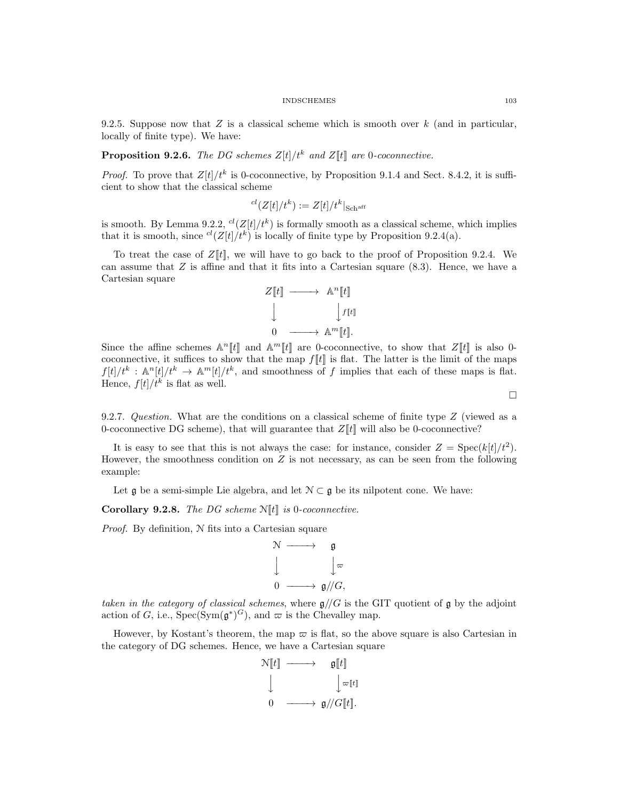9.2.5. Suppose now that  $Z$  is a classical scheme which is smooth over  $k$  (and in particular, locally of finite type). We have:

# **Proposition 9.2.6.** The DG schemes  $Z[t]/t^k$  and  $Z[t]$  are 0-coconnective.

*Proof.* To prove that  $Z[t]/t^k$  is 0-coconnective, by Proposition 9.1.4 and Sect. 8.4.2, it is sufficient to show that the classical scheme

$$
^{cl}(Z[t]/t^{k}):=Z[t]/t^{k}|_{\text{Sch}^{\operatorname{aff}}}
$$

is smooth. By Lemma 9.2.2,  ${}^{cl}(Z[t]/t^k)$  is formally smooth as a classical scheme, which implies that it is smooth, since  ${}^{cl}(Z[t]/t^k)$  is locally of finite type by Proposition 9.2.4(a).

To treat the case of  $Z[t]$ , we will have to go back to the proof of Proposition 9.2.4. We can assume that  $Z$  is affine and that it fits into a Cartesian square  $(8.3)$ . Hence, we have a Cartesian square

$$
Z[\![t]\!] \longrightarrow \mathbb{A}^n[\![t]\!]\n\downarrow \qquad \qquad \downarrow f[\![t]\!]\n\downarrow
$$
\n
$$
0 \longrightarrow \mathbb{A}^m[\![t]\!].
$$

Since the affine schemes  $\mathbb{A}^n[[t]]$  and  $\mathbb{A}^m[[t]]$  are 0-coconnective, to show that  $Z[[t]]$  is also 0coconnective, it suffices to show that the map  $f[[t]]$  is flat. The latter is the limit of the maps  $f[t]/t^k : \mathbb{A}^n[t]/t^k \to \mathbb{A}^m[t]/t^k$ , and smoothness of f implies that each of these maps is flat. Hence,  $f[t]/t^k$  is flat as well.

 $\Box$ 

9.2.7. Question. What are the conditions on a classical scheme of finite type Z (viewed as a 0-coconnective DG scheme), that will guarantee that  $Z[\![t]\!]$  will also be 0-coconnective?

It is easy to see that this is not always the case: for instance, consider  $Z = \text{Spec}(k[t]/t^2)$ . However, the smoothness condition on  $Z$  is not necessary, as can be seen from the following example:

Let  $\mathfrak g$  be a semi-simple Lie algebra, and let  $\mathcal N \subset \mathfrak g$  be its nilpotent cone. We have:

Corollary 9.2.8. The DG scheme  $N[[t]]$  is 0-coconnective.

Proof. By definition, N fits into a Cartesian square

$$
\begin{array}{ccc}\n\mathcal{N} & \longrightarrow & \mathfrak{g} \\
\downarrow & & \downarrow \varpi \\
0 & \longrightarrow & \mathfrak{g}/\!/G,\n\end{array}
$$

taken in the category of classical schemes, where  $g//G$  is the GIT quotient of g by the adjoint action of G, i.e.,  $Spec(Sym(\mathfrak{g}^*)^G)$ , and  $\varpi$  is the Chevalley map.

However, by Kostant's theorem, the map  $\varpi$  is flat, so the above square is also Cartesian in the category of DG schemes. Hence, we have a Cartesian square

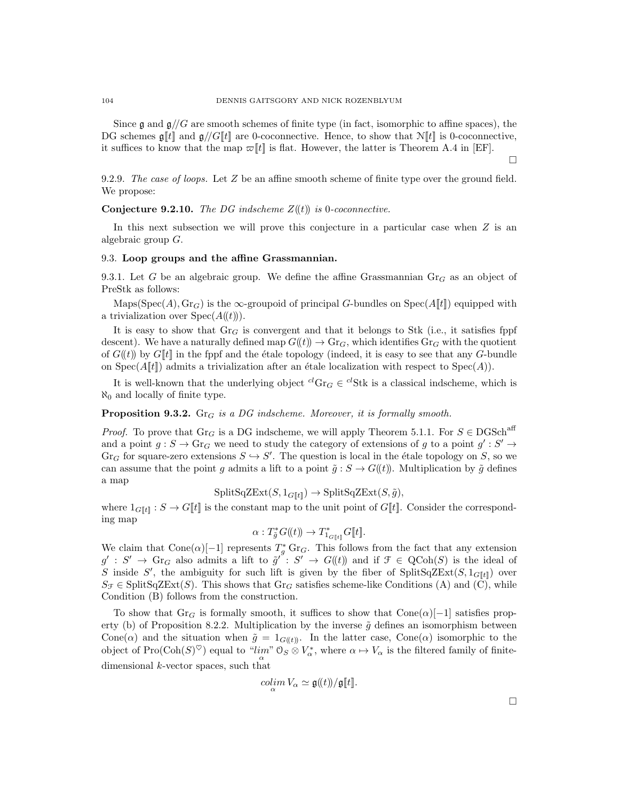Since  $\mathfrak g$  and  $\mathfrak g//G$  are smooth schemes of finite type (in fact, isomorphic to affine spaces), the DG schemes  $\mathfrak{g}[t]$  and  $\mathfrak{g}/G[t]$  are 0-coconnective. Hence, to show that  $\mathcal{N}[t]$  is 0-coconnective, it suffices to know that the map  $\varpi[[t]]$  is flat. However, the latter is Theorem A.4 in [EF].

9.2.9. The case of loops. Let  $Z$  be an affine smooth scheme of finite type over the ground field. We propose:

**Conjecture 9.2.10.** The DG indscheme  $Z(\ell t)$  is 0-coconnective.

In this next subsection we will prove this conjecture in a particular case when  $Z$  is an algebraic group G.

### 9.3. Loop groups and the affine Grassmannian.

9.3.1. Let G be an algebraic group. We define the affine Grassmannian  $\text{Gr}_G$  as an object of PreStk as follows:

Maps(Spec(A),  $\text{Gr}_G$ ) is the  $\infty$ -groupoid of principal G-bundles on Spec(A[t]) equipped with a trivialization over  $Spec(A(\mathcal{L}))$ .

It is easy to show that  $Gr_G$  is convergent and that it belongs to Stk (i.e., it satisfies fppf descent). We have a naturally defined map  $G(t) \to \text{Gr}_G$ , which identifies  $\text{Gr}_G$  with the quotient of  $G(\ell)$  by  $G[\ell]$  in the fppf and the étale topology (indeed, it is easy to see that any G-bundle on Spec $(A[[t]])$  admits a trivialization after an étale localization with respect to Spec $(A)[t]$ .

It is well-known that the underlying object  ${}^{cl}Gr_G \in {}^{cl}Stk$  is a classical indscheme, which is  $\aleph_0$  and locally of finite type.

# **Proposition 9.3.2.** Gr<sub>G</sub> is a DG indscheme. Moreover, it is formally smooth.

*Proof.* To prove that Gr<sub>G</sub> is a DG indscheme, we will apply Theorem 5.1.1. For  $S \in DGSch<sup>aff</sup>$ and a point  $g: S \to \text{Gr}_G$  we need to study the category of extensions of g to a point  $g': S' \to$  $\text{Gr}_G$  for square-zero extensions  $S \hookrightarrow S'$ . The question is local in the étale topology on S, so we can assume that the point g admits a lift to a point  $\tilde{g}: S \to G(\ell t)$ . Multiplication by  $\tilde{g}$  defines a map

 $\text{SplitSqZExt}(S, 1_{G[\![t]\!]} ) \rightarrow \text{SplitSqZExt}(S, \tilde{g}),$ 

where  $1_{G[\![t]\!]} : S \to G[\![t]\!]$  is the constant map to the unit point of  $G[\![t]\!]$ . Consider the corresponding map

$$
\alpha: T^*_{\tilde{g}}G(\!(t)\!) \to T^*_{1_{G[\![t]\!]} }G[\![t]\!].
$$

We claim that Cone $(\alpha)$ [-1] represents  $T_g^*$  Gr<sub>G</sub>. This follows from the fact that any extension  $g': S' \to \text{Gr}_G$  also admits a lift to  $\tilde{g}' : S' \to G(\text{t})$  and if  $\mathcal{F} \in \text{QCoh}(S)$  is the ideal of S inside S', the ambiguity for such lift is given by the fiber of SplitSqZExt(S,  $1_{G[[t]]}$ ) over  $S_f \in \text{SplitSqZExt}(S)$ . This shows that  $\text{Gr}_G$  satisfies scheme-like Conditions (A) and (C), while Condition (B) follows from the construction.

To show that Gr<sub>G</sub> is formally smooth, it suffices to show that Cone( $\alpha$ )[−1] satisfies property (b) of Proposition 8.2.2. Multiplication by the inverse  $\tilde{g}$  defines an isomorphism between Cone( $\alpha$ ) and the situation when  $\tilde{g} = 1_{G(\ell t)}$ . In the latter case, Cone( $\alpha$ ) isomorphic to the object of Pro( $\text{Coh}(S)^{\heartsuit}$ ) equal to " $\lim_{\alpha \to \infty} \mathfrak{O}_S \otimes V^*_{\alpha}$ , where  $\alpha \mapsto V_{\alpha}$  is the filtered family of finitedimensional  $k$ -vector spaces, such that

$$
\operatornamewithlimits{colim}_\alpha V_\alpha\simeq \mathfrak{g}(\!(t)\!)/\mathfrak{g}[\![t]\!].
$$

 $\Box$ 

 $\Box$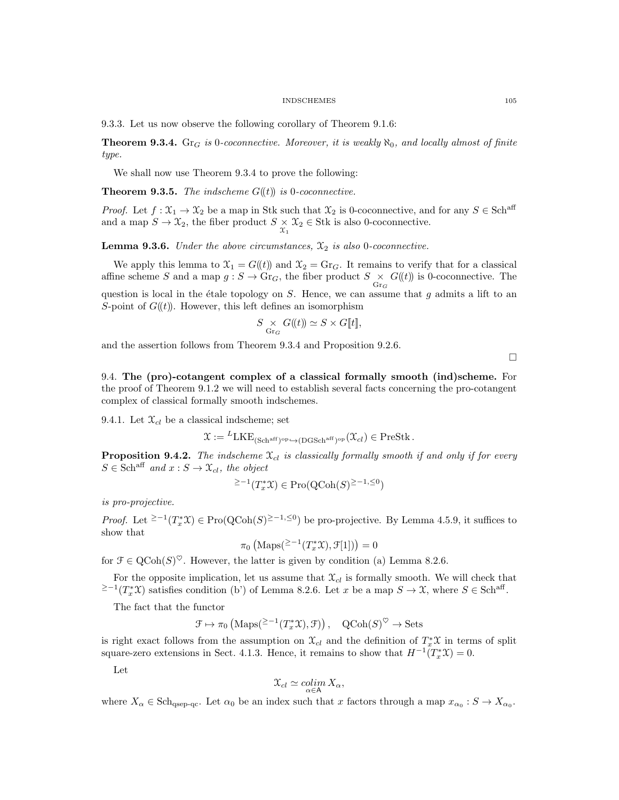9.3.3. Let us now observe the following corollary of Theorem 9.1.6:

**Theorem 9.3.4.** Gr<sub>G</sub> is 0-coconnective. Moreover, it is weakly  $\aleph_0$ , and locally almost of finite type.

We shall now use Theorem 9.3.4 to prove the following:

**Theorem 9.3.5.** The indscheme  $G(\ell t)$  is 0-coconnective.

*Proof.* Let  $f : \mathfrak{X}_1 \to \mathfrak{X}_2$  be a map in Stk such that  $\mathfrak{X}_2$  is 0-coconnective, and for any  $S \in \mathbf{Sch}^{\mathrm{aff}}$ and a map  $S \to \mathfrak{X}_2$ , the fiber product  $S \times \mathfrak{X}_2 \in \text{Stk}$  is also 0-coconnective.

**Lemma 9.3.6.** Under the above circumstances,  $\mathfrak{X}_2$  is also 0-coconnective.

We apply this lemma to  $\mathfrak{X}_1 = G(\mathfrak{t})$  and  $\mathfrak{X}_2 = \text{Gr}_G$ . It remains to verify that for a classical affine scheme S and a map  $g : S \to \text{Gr}_G$ , the fiber product  $S \times G(\ell)$  is 0-coconnective. The question is local in the étale topology on  $S$ . Hence, we can assume that  $g$  admits a lift to an S-point of  $G(\mathfrak{t})$ . However, this left defines an isomorphism

$$
S \underset{\text{Gr}_G}{\times} G(\!(t)\!) \simeq S \times G[\![t]\!],
$$

and the assertion follows from Theorem 9.3.4 and Proposition 9.2.6.

 $\Box$ 

9.4. The (pro)-cotangent complex of a classical formally smooth (ind)scheme. For the proof of Theorem 9.1.2 we will need to establish several facts concerning the pro-cotangent complex of classical formally smooth indschemes.

9.4.1. Let  $\mathfrak{X}_{cl}$  be a classical indscheme; set

$$
\mathfrak{X} := {}^{L}\mathrm{LKE}_{(\mathrm{Sch}^{\mathrm{aff}})^{\mathrm{op}} \hookrightarrow (\mathrm{DGSch}^{\mathrm{aff}})^{\mathrm{op}}}(\mathfrak{X}_{cl}) \in \mathrm{PreStk}\,.
$$

**Proposition 9.4.2.** The indscheme  $\mathfrak{X}_{cl}$  is classically formally smooth if and only if for every  $S \in \text{Sch}^{\text{aff}}$  and  $x : S \to \mathfrak{X}_{cl}$ , the object

$$
^{\geq -1}(T_x^*\mathfrak{X}) \in \mathrm{Pro}(\mathrm{QCoh}(S)^{\geq -1, \leq 0})
$$

is pro-projective.

*Proof.* Let <sup>≥-1</sup>( $T_x^*$ X) ∈ Pro(QCoh(S)<sup>≥-1,≤0</sup>) be pro-projective. By Lemma 4.5.9, it suffices to show that

$$
\pi_0\left(\text{Maps}(\geq -1(T_x^*\mathfrak{X}), \mathcal{F}[1])\right) = 0
$$

for  $\mathcal{F} \in \mathrm{QCoh}(S)^\heartsuit$ . However, the latter is given by condition (a) Lemma 8.2.6.

For the opposite implication, let us assume that  $\mathfrak{X}_{cl}$  is formally smooth. We will check that <sup>2-1</sup>( $T_x^*\mathfrak{X}$ ) satisfies condition (b') of Lemma 8.2.6. Let x be a map  $S \to \mathfrak{X}$ , where  $S \in \text{Sch}^{\text{aff}}$ .

The fact that the functor

$$
\mathcal{F} \mapsto \pi_0 \left( \text{Maps}^{2-1}(T_x^*\mathfrak{X}), \mathfrak{F} \right), \quad \text{QCoh}(S)^\heartsuit \to \text{Sets}
$$

is right exact follows from the assumption on  $\mathfrak{X}_{cl}$  and the definition of  $T_x^*\mathfrak{X}$  in terms of split square-zero extensions in Sect. 4.1.3. Hence, it remains to show that  $H^{-1}(T_x^*\mathfrak{X})=0$ .

Let

$$
\mathfrak{X}_{cl}\simeq \underset{\alpha\in\mathsf{A}}{\operatorname{colim}} X_{\alpha},
$$

where  $X_{\alpha} \in \text{Sch}_{qsep-qc}$ . Let  $\alpha_0$  be an index such that x factors through a map  $x_{\alpha_0} : S \to X_{\alpha_0}$ .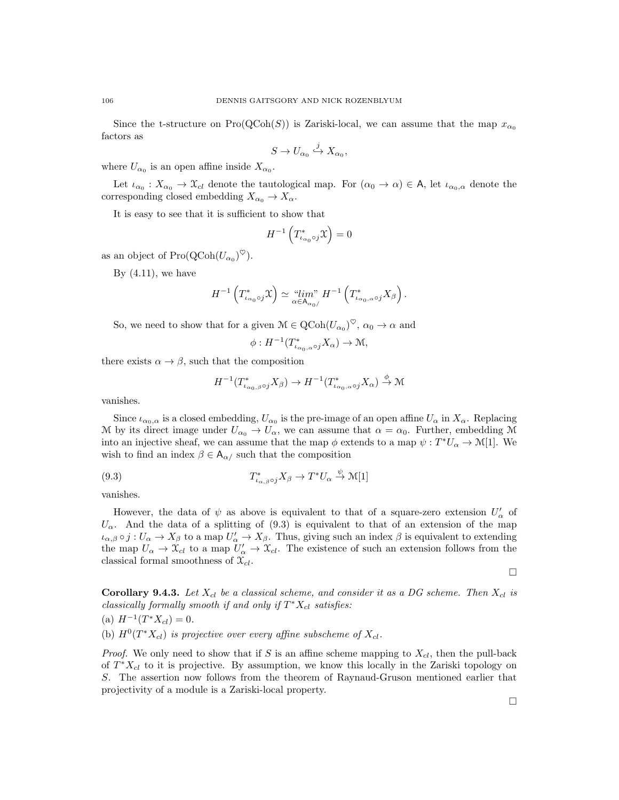Since the t-structure on  $Pro(QCoh(S))$  is Zariski-local, we can assume that the map  $x_{\alpha_0}$ factors as

$$
S \to U_{\alpha_0} \xrightarrow{j} X_{\alpha_0},
$$

where  $U_{\alpha_0}$  is an open affine inside  $X_{\alpha_0}$ .

Let  $\iota_{\alpha_0}: X_{\alpha_0} \to \mathfrak{X}_{cl}$  denote the tautological map. For  $(\alpha_0 \to \alpha) \in A$ , let  $\iota_{\alpha_0,\alpha}$  denote the corresponding closed embedding  $X_{\alpha_0} \to X_{\alpha}$ .

It is easy to see that it is sufficient to show that

$$
H^{-1}\left(T^*_{\iota_{\alpha_0}\circ j}\mathfrak{X}\right)=0
$$

as an object of  $\text{Pro}(\text{QCoh}(U_{\alpha_0})^{\heartsuit}).$ 

By  $(4.11)$ , we have

$$
H^{-1}\left(T_{\iota_{\alpha_0}\circ j}^*\mathfrak{X}\right)\simeq\lim_{\alpha\in A_{\alpha_0/}}H^{-1}\left(T_{\iota_{\alpha_0,\alpha}\circ j}^*X_{\beta}\right).
$$

So, we need to show that for a given  $\mathcal{M} \in \text{QCoh}(U_{\alpha_0})^{\heartsuit}$ ,  $\alpha_0 \to \alpha$  and

$$
\phi: H^{-1}(T^*_{\iota_{\alpha_0,\alpha}\circ j}X_\alpha)\to \mathcal{M},
$$

there exists  $\alpha \to \beta$ , such that the composition

$$
H^{-1}(T_{\iota_{\alpha_0,\beta}\circ j}^* X_\beta) \to H^{-1}(T_{\iota_{\alpha_0,\alpha}\circ j}^* X_\alpha) \stackrel{\phi}{\to} \mathcal{M}
$$

vanishes.

Since  $\iota_{\alpha_0,\alpha}$  is a closed embedding,  $U_{\alpha_0}$  is the pre-image of an open affine  $U_{\alpha}$  in  $X_{\alpha}$ . Replacing M by its direct image under  $U_{\alpha_0} \to U_{\alpha}$ , we can assume that  $\alpha = \alpha_0$ . Further, embedding M into an injective sheaf, we can assume that the map  $\phi$  extends to a map  $\psi: T^*U_{\alpha} \to \mathcal{M}[1]$ . We wish to find an index  $\beta \in A_{\alpha}$  such that the composition

(9.3) 
$$
T_{\iota_{\alpha,\beta}\circ j}^* X_{\beta} \to T^* U_{\alpha} \stackrel{\psi}{\to} \mathcal{M}[1]
$$

vanishes.

However, the data of  $\psi$  as above is equivalent to that of a square-zero extension  $U'_{\alpha}$  of  $U_{\alpha}$ . And the data of a splitting of (9.3) is equivalent to that of an extension of the map  $\iota_{\alpha,\beta} \circ j : U_{\alpha} \to X_{\beta}$  to a map  $U'_{\alpha} \to X_{\beta}$ . Thus, giving such an index  $\beta$  is equivalent to extending the map  $U_{\alpha} \to \mathfrak{X}_{cl}$  to a map  $U'_{\alpha} \to \mathfrak{X}_{cl}$ . The existence of such an extension follows from the classical formal smoothness of  $\mathfrak{X}_{cl}$ .

 $\Box$ 

**Corollary 9.4.3.** Let  $X_{cl}$  be a classical scheme, and consider it as a DG scheme. Then  $X_{cl}$  is classically formally smooth if and only if  $T^*X_{cl}$  satisfies:

(a)  $H^{-1}(T^*X_{cl})=0.$ 

(b)  $H^0(T^*X_{cl})$  is projective over every affine subscheme of  $X_{cl}$ .

*Proof.* We only need to show that if S is an affine scheme mapping to  $X_{cl}$ , then the pull-back of  $T^*X_{cl}$  to it is projective. By assumption, we know this locally in the Zariski topology on S. The assertion now follows from the theorem of Raynaud-Gruson mentioned earlier that projectivity of a module is a Zariski-local property.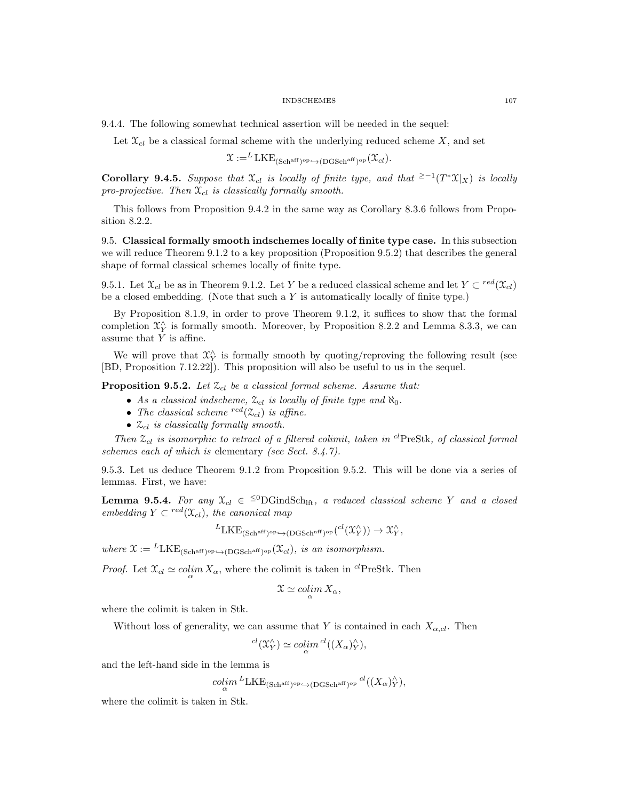9.4.4. The following somewhat technical assertion will be needed in the sequel:

Let  $\mathfrak{X}_{cl}$  be a classical formal scheme with the underlying reduced scheme X, and set

$$
\mathfrak{X} :=^{L} \text{LKE}_{(\text{Sch}^{\text{aff}})^{\text{op}} \hookrightarrow (\text{DGSch}^{\text{aff}})^{\text{op}}}(\mathfrak{X}_{cl}).
$$

**Corollary 9.4.5.** Suppose that  $\mathfrak{X}_{cl}$  is locally of finite type, and that  $\geq -1$  $(T^*\mathfrak{X}|_X)$  is locally pro-projective. Then  $\mathfrak{X}_{cl}$  is classically formally smooth.

This follows from Proposition 9.4.2 in the same way as Corollary 8.3.6 follows from Proposition 8.2.2.

9.5. Classical formally smooth indschemes locally of finite type case. In this subsection we will reduce Theorem 9.1.2 to a key proposition (Proposition 9.5.2) that describes the general shape of formal classical schemes locally of finite type.

9.5.1. Let  $\mathfrak{X}_{cl}$  be as in Theorem 9.1.2. Let Y be a reduced classical scheme and let  $Y \subset {}^{red}(\mathfrak{X}_{cl})$ be a closed embedding. (Note that such a  $Y$  is automatically locally of finite type.)

By Proposition 8.1.9, in order to prove Theorem 9.1.2, it suffices to show that the formal completion  $\mathfrak{X}_{Y}^{\wedge}$  is formally smooth. Moreover, by Proposition 8.2.2 and Lemma 8.3.3, we can assume that  $Y$  is affine.

We will prove that  $\mathfrak{X}^{\wedge}_Y$  is formally smooth by quoting/reproving the following result (see [BD, Proposition 7.12.22]). This proposition will also be useful to us in the sequel.

**Proposition 9.5.2.** Let  $\mathcal{Z}_{cl}$  be a classical formal scheme. Assume that:

- As a classical indscheme,  $\mathcal{Z}_{cl}$  is locally of finite type and  $\aleph_0$ .
- The classical scheme  $\frac{red(\mathcal{Z}_{cl})}{red(\mathcal{Z}_{cl})}$  is affine.
- $\mathcal{Z}_{cl}$  is classically formally smooth.

Then  $\mathfrak{Z}_{cl}$  is isomorphic to retract of a filtered colimit, taken in <sup>cl</sup>PreStk, of classical formal schemes each of which is elementary (see Sect. 8.4.7).

9.5.3. Let us deduce Theorem 9.1.2 from Proposition 9.5.2. This will be done via a series of lemmas. First, we have:

**Lemma 9.5.4.** For any  $\mathfrak{X}_{cl} \in {}^{\leq 0}DG$  ind Sch<sub>lft</sub>, a reduced classical scheme Y and a closed embedding  $Y \subset {}^{red}(\mathfrak{X}_{cl})$ , the canonical map

$$
{}^{L}LKE_{(Sch^{\mathrm{aff}})^{\mathrm{op}} \hookrightarrow (DGSch^{\mathrm{aff}})^{\mathrm{op}}} ({}^{cl}(\mathfrak{X}^{\wedge}_{Y})) \to \mathfrak{X}^{\wedge}_{Y},
$$

where  $\mathfrak{X} := {}^{L}LKE_{(Sch<sup>aff</sup>)^{op}} \rightarrow (DGSch<sup>aff</sup>)^{op}}(\mathfrak{X}_{cl})$ , is an isomorphism.

*Proof.* Let  $\mathcal{X}_{cl} \simeq \text{colim } X_{\alpha}$ , where the colimit is taken in <sup>cl</sup>PreStk. Then

$$
\mathfrak{X}\simeq \operatorname{colim}_{\alpha} X_{\alpha},
$$

where the colimit is taken in Stk.

Without loss of generality, we can assume that Y is contained in each  $X_{\alpha,cl}$ . Then

$$
{}^{cl}(\mathfrak{X}_Y^\wedge) \simeq \operatorname{colim}_\alpha {}^{cl}((X_\alpha)_Y^\wedge),
$$

and the left-hand side in the lemma is

 $\mathop{colim}\limits_{\alpha}^{L}\mathrm{LKE}_{(\mathrm{Sch}^{\mathrm{aff}})^{\mathrm{op}} \hookrightarrow (\mathrm{DGSch}^{\mathrm{aff}})^{\mathrm{op}}}\mathop{cl}((X_{\alpha})_{Y}^{\wedge}),$ 

where the colimit is taken in Stk.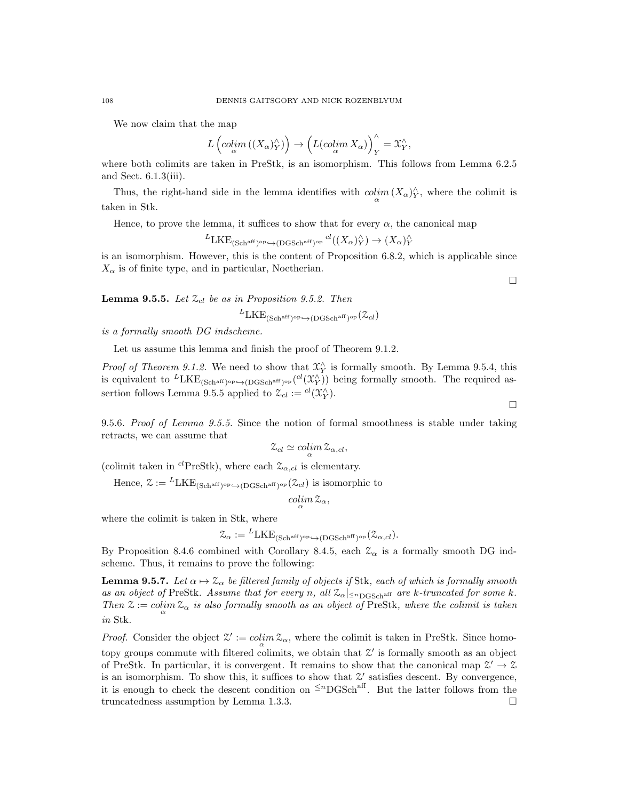We now claim that the map

$$
L\left(\mathop{colim}_\alpha \left((X_\alpha)_Y^{\wedge}\right)\right)\to \left(L(\mathop{colim}_\alpha X_\alpha)\right)_Y^{\wedge}=\mathfrak{X}_Y^{\wedge},
$$

where both colimits are taken in PreStk, is an isomorphism. This follows from Lemma 6.2.5 and Sect. 6.1.3(iii).

Thus, the right-hand side in the lemma identifies with  $\operatorname{colim}_{\alpha}(X_{\alpha})_Y^{\wedge}$ , where the colimit is taken in Stk.

Hence, to prove the lemma, it suffices to show that for every  $\alpha$ , the canonical map

 ${}^L \text{LKE}_{(\text{Sch}^{\text{aff}})^{\text{op}} \hookrightarrow (\text{DGSch}^{\text{aff}})^{\text{op}}} \xrightarrow{cl} ((X_{\alpha})_Y^{\wedge}) \to (X_{\alpha})_Y^{\wedge}$ 

is an isomorphism. However, this is the content of Proposition 6.8.2, which is applicable since  $X_{\alpha}$  is of finite type, and in particular, Noetherian.

**Lemma 9.5.5.** Let  $\mathcal{Z}_{cl}$  be as in Proposition 9.5.2. Then

 ${}^{L} \text{LKE}_{\text{(Schaff)}}$ op $\leftrightarrow$ (DGSch<sup>aff</sup>)op $(\mathcal{Z}_{cl})$ 

is a formally smooth DG indscheme.

Let us assume this lemma and finish the proof of Theorem 9.1.2.

*Proof of Theorem 9.1.2.* We need to show that  $\mathcal{X}_Y^{\wedge}$  is formally smooth. By Lemma 9.5.4, this is equivalent to  ${}^L LKE_{(Schaff)op \hookrightarrow (DGSchaff)op} ({}^{cl}(\mathfrak{X}_Y^{\wedge}))$  being formally smooth. The required assertion follows Lemma 9.5.5 applied to  $\mathcal{Z}_{cl} := {}^{cl}(\mathfrak{X}^{\wedge}_Y)$ .

9.5.6. Proof of Lemma 9.5.5. Since the notion of formal smoothness is stable under taking retracts, we can assume that

$$
\mathcal{Z}_{cl} \simeq \operatorname{colim}_{\alpha} \mathcal{Z}_{\alpha,cl},
$$

(colimit taken in <sup>cl</sup>PreStk), where each  $\mathcal{Z}_{\alpha,cl}$  is elementary.

Hence,  $\mathfrak{X} := {}^{L}LKE_{(Sch<sup>aff</sup>)^{op}} \hookrightarrow (DGSch<sup>aff</sup>)^{op}} (\mathfrak{X}_{cl})$  is isomorphic to

$$
\operatornamewithlimits{colim}_\alpha {\mathfrak Z}_\alpha,
$$

where the colimit is taken in Stk, where

$$
\mathcal{Z}_{\alpha} := {}^{L}LKE_{(Sch^{aff})^{op} \hookrightarrow (DGSch^{aff})^{op}}(\mathcal{Z}_{\alpha,cl}).
$$

By Proposition 8.4.6 combined with Corollary 8.4.5, each  $\mathcal{Z}_{\alpha}$  is a formally smooth DG indscheme. Thus, it remains to prove the following:

**Lemma 9.5.7.** Let  $\alpha \mapsto \mathcal{Z}_{\alpha}$  be filtered family of objects if Stk, each of which is formally smooth as an object of PreStk. Assume that for every n, all  $\mathcal{Z}_{\alpha}|_{\leq n}$  and  $\alpha$  is a reference k. Then  $\mathfrak{X} := \operatornamewithlimits{colim}_{\alpha} \mathfrak{X}_{\alpha}$  is also formally smooth as an object of PreStk, where the colimit is taken in Stk.

*Proof.* Consider the object  $\mathcal{Z}' := \operatorname{colim}_{\alpha} \mathcal{Z}_{\alpha}$ , where the colimit is taken in PreStk. Since homotopy groups commute with filtered colimits, we obtain that  $\mathcal{Z}'$  is formally smooth as an object of PreStk. In particular, it is convergent. It remains to show that the canonical map  $\mathcal{Z}' \to \mathcal{Z}$ is an isomorphism. To show this, it suffices to show that  $\mathcal{Z}'$  satisfies descent. By convergence, it is enough to check the descent condition on  $\leq^n$ DGSch<sup>aff</sup>. But the latter follows from the truncatedness assumption by Lemma 1.3.3.

 $\Box$ 

 $\Box$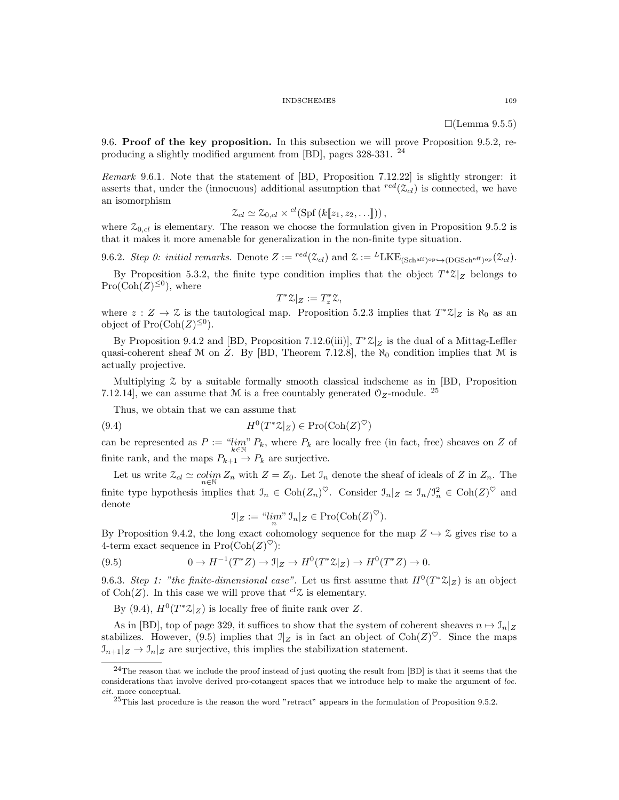#### INDSCHEMES 109

 $\Box$ (Lemma 9.5.5)

9.6. Proof of the key proposition. In this subsection we will prove Proposition 9.5.2, reproducing a slightly modified argument from [BD], pages 328-331. <sup>24</sup>

Remark 9.6.1. Note that the statement of [BD, Proposition 7.12.22] is slightly stronger: it asserts that, under the (innocuous) additional assumption that  $\frac{red(\mathcal{Z}_{cl})}{\mathcal{Z}_{cl}}$  is connected, we have an isomorphism

$$
\mathcal{Z}_{cl} \simeq \mathcal{Z}_{0,cl} \times {}^{cl}(\mathrm{Spf}\left(k[\![z_1,z_2,\ldots]\!]\right)),
$$

where  $\mathcal{Z}_{0,cl}$  is elementary. The reason we choose the formulation given in Proposition 9.5.2 is that it makes it more amenable for generalization in the non-finite type situation.

9.6.2. Step 0: initial remarks. Denote  $Z := {}^{red}(\mathcal{Z}_{cl})$  and  $\mathcal{Z} := {}^{L}LKE_{(Sch<sup>aff})^{op} \hookrightarrow (DGSch<sup>aff})^{op}(\mathcal{Z}_{cl})</sup></sup>$ .

By Proposition 5.3.2, the finite type condition implies that the object  $T^*\mathcal{Z}|_Z$  belongs to  $Pro(Coh(Z)^{\leq 0}),$  where

$$
T^*\mathcal{Z}|_Z := T_z^*\mathcal{Z},
$$

where  $z: Z \to \mathcal{Z}$  is the tautological map. Proposition 5.2.3 implies that  $T^* \mathcal{Z}|_Z$  is  $\aleph_0$  as an object of  $\text{Pro}(\text{Coh}(Z)^{\leq 0}).$ 

By Proposition 9.4.2 and [BD, Proposition 7.12.6(iii)],  $T^*\mathcal{Z}|_Z$  is the dual of a Mittag-Leffler quasi-coherent sheaf M on Z. By [BD, Theorem 7.12.8], the  $\aleph_0$  condition implies that M is actually projective.

Multiplying Z by a suitable formally smooth classical indscheme as in [BD, Proposition 7.12.14], we can assume that M is a free countably generated  $\mathcal{O}_Z$ -module. <sup>25</sup>

Thus, we obtain that we can assume that

(9.4) 
$$
H^0(T^*\mathcal{Z}|_Z) \in \mathrm{Pro}(\mathrm{Coh}(Z)^\heartsuit)
$$

can be represented as  $P := \lim_{k \in \mathbb{N}} P_k$ , where  $P_k$  are locally free (in fact, free) sheaves on Z of finite rank, and the maps  $P_{k+1} \to P_k$  are surjective.

Let us write  $\mathcal{Z}_{cl} \simeq \operatorname{colim}_{n \in \mathbb{N}} Z_n$  with  $Z = Z_0$ . Let  $\mathcal{I}_n$  denote the sheaf of ideals of Z in  $Z_n$ . The finite type hypothesis implies that  $\mathcal{I}_n \in \text{Coh}(Z_n)^\heartsuit$ . Consider  $\mathcal{I}_n|_Z \simeq \mathcal{I}_n/\mathcal{I}_n^2 \in \text{Coh}(Z)^\heartsuit$  and denote

$$
\mathfrak{I}|_Z := \mathfrak{N}^m_n \mathfrak{I}_n|_Z \in \mathrm{Pro}(\mathrm{Coh}(Z)^\heartsuit).
$$

By Proposition 9.4.2, the long exact cohomology sequence for the map  $Z \hookrightarrow \mathcal{Z}$  gives rise to a 4-term exact sequence in  $\text{Pro}(\text{Coh}(Z)^{\heartsuit})$ :

(9.5) 
$$
0 \to H^{-1}(T^*Z) \to \mathbb{I}|_Z \to H^0(T^*\mathbb{Z}|_Z) \to H^0(T^*Z) \to 0.
$$

9.6.3. Step 1: "the finite-dimensional case". Let us first assume that  $H^0(T^*\mathbb{Z}|_Z)$  is an object of Coh(Z). In this case we will prove that  ${}^{cl}Z$  is elementary.

By (9.4),  $H^0(T^*\mathcal{Z}|_Z)$  is locally free of finite rank over Z.

As in [BD], top of page 329, it suffices to show that the system of coherent sheaves  $n \mapsto \mathcal{I}_n|_Z$ stabilizes. However, (9.5) implies that  $\mathbb{I}_Z$  is in fact an object of  $\text{Coh}(Z)^\heartsuit$ . Since the maps  $\mathcal{I}_{n+1}|_Z \to \mathcal{I}_n|_Z$  are surjective, this implies the stabilization statement.

 $^{24}$ The reason that we include the proof instead of just quoting the result from [BD] is that it seems that the considerations that involve derived pro-cotangent spaces that we introduce help to make the argument of loc. cit. more conceptual.

 $^{25}$ This last procedure is the reason the word "retract" appears in the formulation of Proposition 9.5.2.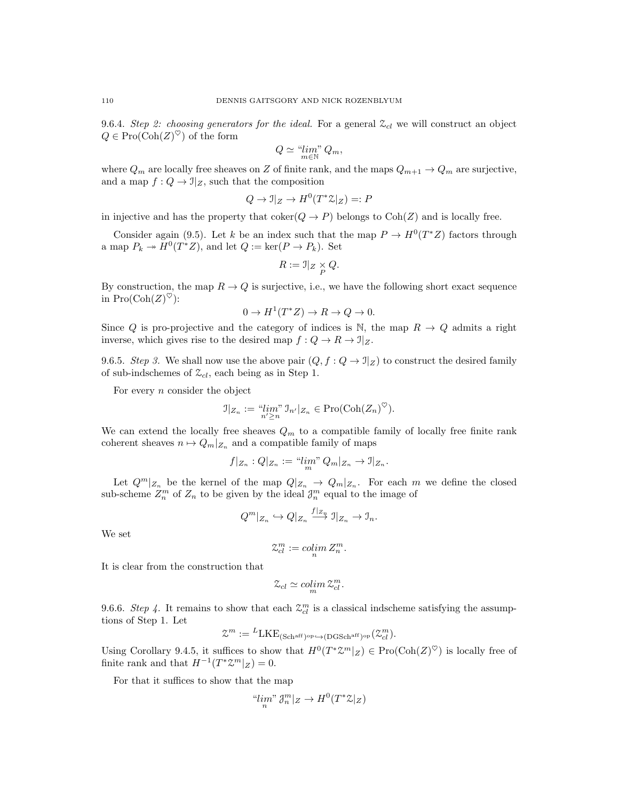9.6.4. Step 2: choosing generators for the ideal. For a general  $\mathcal{Z}_{cl}$  we will construct an object  $Q \in \mathrm{Pro}(\mathrm{Coh}(Z)^\heartsuit)$  of the form

$$
Q \simeq \lim_{m \in \mathbb{N}} Q_m,
$$

where  $Q_m$  are locally free sheaves on Z of finite rank, and the maps  $Q_{m+1} \to Q_m$  are surjective, and a map  $f: Q \to \mathcal{I}|_Z$ , such that the composition

$$
Q \to \mathcal{I}|_Z \to H^0(T^*\mathcal{Z}|_Z) =: P
$$

in injective and has the property that  $\mathrm{coker}(Q \to P)$  belongs to  $\mathrm{Coh}(Z)$  and is locally free.

Consider again (9.5). Let k be an index such that the map  $P \to H^0(T^*Z)$  factors through a map  $P_k \to H^0(T^*Z)$ , and let  $Q := \text{ker}(P \to P_k)$ . Set

$$
R:=\mathbb{I}|_Z\times\underset{P}{\times}Q.
$$

By construction, the map  $R \to Q$  is surjective, i.e., we have the following short exact sequence in  $\text{Pro}(\text{Coh}(Z)^{\heartsuit})$ :

$$
0 \to H^1(T^*Z) \to R \to Q \to 0.
$$

Since Q is pro-projective and the category of indices is N, the map  $R \to Q$  admits a right inverse, which gives rise to the desired map  $f: Q \to R \to \mathbb{I}|_Z$ .

9.6.5. Step 3. We shall now use the above pair  $(Q, f: Q \to \mathcal{I}|_Z)$  to construct the desired family of sub-indschemes of  $\mathcal{Z}_{cl}$ , each being as in Step 1.

For every  $n$  consider the object

$$
\mathfrak{I}|_{Z_n} := \lim_{n' \ge n} \mathfrak{I}_{n'}|_{Z_n} \in \mathrm{Pro}(\mathrm{Coh}(Z_n)^\heartsuit).
$$

We can extend the locally free sheaves  $Q_m$  to a compatible family of locally free finite rank coherent sheaves  $n \mapsto Q_m|_{Z_n}$  and a compatible family of maps

$$
f|_{Z_n}:Q|_{Z_n}:=\lim_m{}^{\hspace{-0.5mm}n}Q_m|_{Z_n}\to\mathfrak I|_{Z_n}.
$$

Let  $Q^m|_{Z_n}$  be the kernel of the map  $Q|_{Z_n} \to Q_m|_{Z_n}$ . For each m we define the closed sub-scheme  $Z_n^m$  of  $Z_n$  to be given by the ideal  $\mathcal{J}_n^m$  equal to the image of

$$
Q^m|_{Z_n} \hookrightarrow Q|_{Z_n} \xrightarrow{f|_{Z_n}} \mathfrak{I}|_{Z_n} \to \mathfrak{I}_n.
$$

We set

$$
\mathcal{Z}_{cl}^m := \operatornamewithlimits{colim}_n Z_n^m.
$$

It is clear from the construction that

$$
\mathcal{Z}_{cl} \simeq \operatorname{colim}_{m} \mathcal{Z}_{cl}^{m}.
$$

9.6.6. Step 4. It remains to show that each  $\mathcal{Z}_{cl}^{m}$  is a classical indscheme satisfying the assumptions of Step 1. Let

$$
\mathcal{Z}^m := {}^L \text{LKE}_{(\text{Sch}^{\text{aff}})^{\text{op}} \leftrightarrow (\text{DGSch}^{\text{aff}})^{\text{op}}}(\mathcal{Z}^m_{cl}).
$$

Using Corollary 9.4.5, it suffices to show that  $H^0(T^*\mathcal{Z}^m|_Z) \in \text{Pro}(\text{Coh}(Z)^\heartsuit)$  is locally free of finite rank and that  $H^{-1}(T^*\mathcal{Z}^m|_Z)=0$ .

For that it suffices to show that the map

"
$$
\lim_{n}
$$
"  $\mathcal{J}_{n}^{m}|_{Z} \to H^{0}(T^{*}\mathcal{Z}|_{Z})$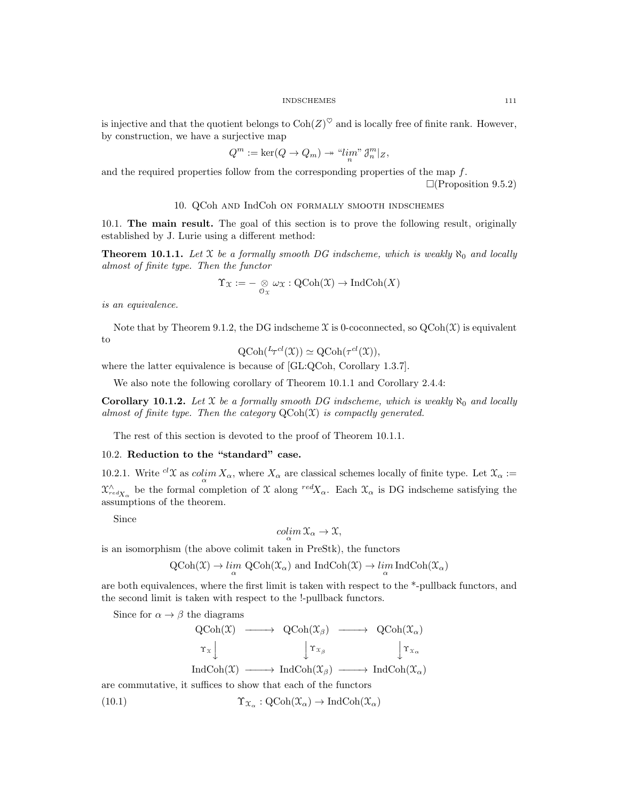### INDSCHEMES 111

is injective and that the quotient belongs to  $\text{Coh}(Z)^{\heartsuit}$  and is locally free of finite rank. However, by construction, we have a surjective map

$$
Q^m := \ker(Q \to Q_m) \twoheadrightarrow \left\langle \lim_n v \, \mathcal{J}_n^m \right|_Z,
$$

and the required properties follow from the corresponding properties of the map  $f$ .  $\Box$ (Proposition 9.5.2)

## 10. QCoh and IndCoh on formally smooth indschemes

10.1. The main result. The goal of this section is to prove the following result, originally established by J. Lurie using a different method:

**Theorem 10.1.1.** Let X be a formally smooth DG indscheme, which is weakly  $\aleph_0$  and locally almost of finite type. Then the functor

$$
\Upsilon_{\mathfrak{X}} := -\underset{\mathfrak{O}_{\mathfrak{X}}}{\otimes} \omega_{\mathfrak{X}} : \text{QCoh}(\mathfrak{X}) \to \text{IndCoh}(X)
$$

is an equivalence.

Note that by Theorem 9.1.2, the DG indscheme  $\mathfrak X$  is 0-coconnected, so  $QCoh(\mathfrak X)$  is equivalent to

$$
\mathrm{QCoh}(\,^{L}\tau^{cl}(\mathfrak{X})) \simeq \mathrm{QCoh}(\tau^{cl}(\mathfrak{X})),
$$

where the latter equivalence is because of [GL:QCoh, Corollary 1.3.7].

We also note the following corollary of Theorem 10.1.1 and Corollary 2.4.4:

**Corollary 10.1.2.** Let X be a formally smooth DG indscheme, which is weakly  $\aleph_0$  and locally almost of finite type. Then the category  $QCoh(\mathfrak{X})$  is compactly generated.

The rest of this section is devoted to the proof of Theorem 10.1.1.

### 10.2. Reduction to the "standard" case.

10.2.1. Write  ${}^{cl}\mathfrak{X}$  as  $\mathop{colim}\limits_{\alpha} X_{\alpha}$ , where  $X_{\alpha}$  are classical schemes locally of finite type. Let  $\mathfrak{X}_{\alpha} :=$  $\chi_{redX_{\alpha}}^{\wedge}$  be the formal completion of X along  $redX_{\alpha}$ . Each  $\chi_{\alpha}$  is DG indscheme satisfying the assumptions of the theorem.

Since

$$
\operatornamewithlimits{colim}_\alpha \mathfrak{X}_\alpha \to \mathfrak{X},
$$

is an isomorphism (the above colimit taken in PreStk), the functors

 $\operatorname{QCoh}(\mathfrak X) \to \lim_{\alpha} \operatorname{QCoh}(\mathfrak X_{\alpha})$  and  $\operatorname{IndCoh}(\mathfrak X) \to \lim_{\alpha} \operatorname{IndCoh}(\mathfrak X_{\alpha})$ 

are both equivalences, where the first limit is taken with respect to the \*-pullback functors, and the second limit is taken with respect to the !-pullback functors.

Since for  $\alpha \to \beta$  the diagrams

$$
\begin{array}{ccc}\n\text{QCoh}(\mathfrak{X}) & \longrightarrow & \text{QCoh}(\mathfrak{X}_{\beta}) & \longrightarrow & \text{QCoh}(\mathfrak{X}_{\alpha}) \\
\uparrow \mathfrak{x}_{x} & \downarrow \mathfrak{x}_{\beta} & \downarrow \mathfrak{x}_{\alpha} \\
\text{IndCoh}(\mathfrak{X}) & \longrightarrow & \text{IndCoh}(\mathfrak{X}_{\beta}) & \longrightarrow & \text{IndCoh}(\mathfrak{X}_{\alpha})\n\end{array}
$$

are commutative, it suffices to show that each of the functors

 $(10.1)$  $\Upsilon_{\mathfrak{X}_{\alpha}}: \mathrm{QCoh}(\mathfrak{X}_{\alpha}) \to \mathrm{IndCoh}(\mathfrak{X}_{\alpha})$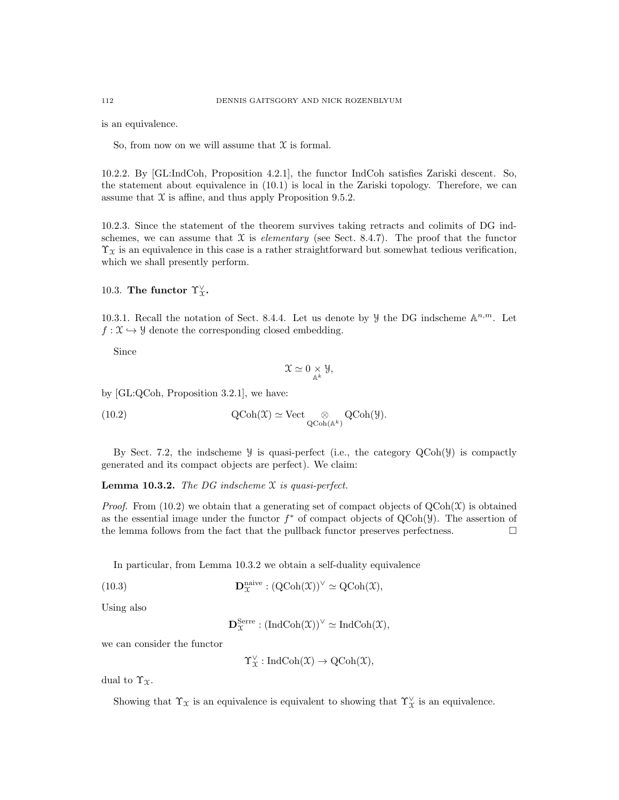is an equivalence.

So, from now on we will assume that  $X$  is formal.

10.2.2. By [GL:IndCoh, Proposition 4.2.1], the functor IndCoh satisfies Zariski descent. So, the statement about equivalence in (10.1) is local in the Zariski topology. Therefore, we can assume that  $X$  is affine, and thus apply Proposition 9.5.2.

10.2.3. Since the statement of the theorem survives taking retracts and colimits of DG indschemes, we can assume that  $X$  is *elementary* (see Sect. 8.4.7). The proof that the functor  $\Upsilon_{\mathcal{X}}$  is an equivalence in this case is a rather straightforward but somewhat tedious verification, which we shall presently perform.

# 10.3. The functor  $\Upsilon_{\mathfrak{X}}^{\vee}$ .

10.3.1. Recall the notation of Sect. 8.4.4. Let us denote by  $\mathcal{Y}$  the DG indscheme  $\mathbb{A}^{n,m}$ . Let  $f: \mathfrak{X} \hookrightarrow \mathcal{Y}$  denote the corresponding closed embedding.

Since

$$
\mathfrak{X} \simeq 0 \underset{\mathbb{A}^k}{\times} \mathcal{Y},
$$

by [GL:QCoh, Proposition 3.2.1], we have:

(10.2) 
$$
\mathrm{QCoh}(\mathfrak{X}) \simeq \mathrm{Vect} \underset{\mathrm{QCoh}(\mathbb{A}^k)}{\otimes} \mathrm{QCoh}(\mathcal{Y}).
$$

By Sect. 7.2, the indscheme  $\mathcal Y$  is quasi-perfect (i.e., the category  $\text{QCoh}(\mathcal Y)$  is compactly generated and its compact objects are perfect). We claim:

**Lemma 10.3.2.** The DG indscheme  $\mathfrak X$  is quasi-perfect.

*Proof.* From (10.2) we obtain that a generating set of compact objects of  $QCoh(\mathcal{X})$  is obtained as the essential image under the functor  $f^*$  of compact objects of  $QCoh(\mathcal{Y})$ . The assertion of the lemma follows from the fact that the pullback functor preserves perfectness.  $\Box$ 

In particular, from Lemma 10.3.2 we obtain a self-duality equivalence

(10.3)  $\mathbf{D}_{\mathcal{X}}^{\text{naive}} : (\text{QCoh}(\mathcal{X}))^{\vee} \simeq \text{QCoh}(\mathcal{X}),$ 

Using also

$$
\mathbf{D}_{\mathfrak{X}}^{\mathrm{Serre}} : (\mathrm{IndCoh}(\mathfrak{X}))^{\vee} \simeq \mathrm{IndCoh}(\mathfrak{X}),
$$

we can consider the functor

 $\Upsilon_{\mathfrak{X}}^{\vee}:\text{IndCoh}(\mathfrak{X})\to \text{QCoh}(\mathfrak{X}),$ 

dual to  $\Upsilon_{\mathfrak{X}}$ .

Showing that  $\Upsilon_{\mathcal{X}}$  is an equivalence is equivalent to showing that  $\Upsilon_{\mathcal{X}}^{\vee}$  is an equivalence.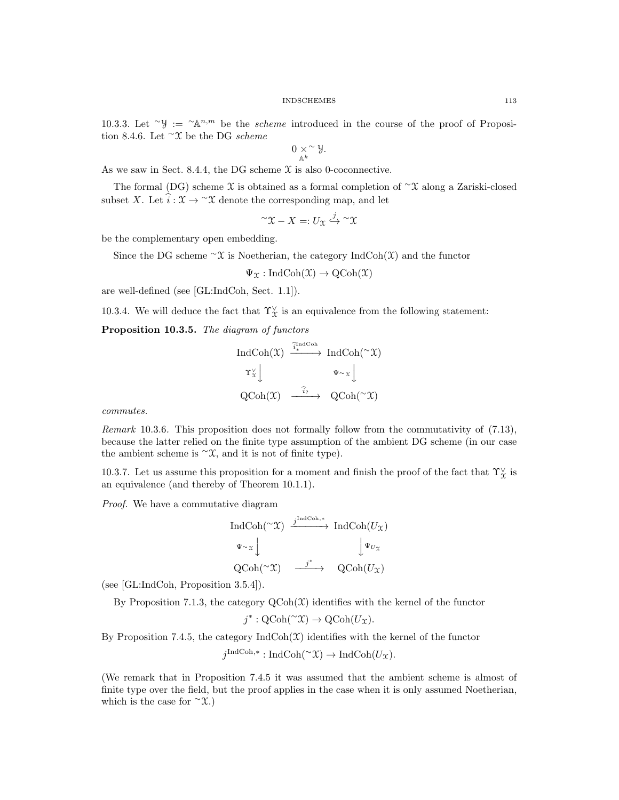10.3.3. Let ~ $\mathcal{Y} := \mathcal{X}^{n,m}$  be the *scheme* introduced in the course of the proof of Proposition 8.4.6. Let <sup>∼</sup>X be the DG scheme

$$
0 \underset{\mathbb{A}^k}{\times} \mathcal{Y}.
$$

As we saw in Sect. 8.4.4, the DG scheme  $\mathfrak X$  is also 0-coconnective.

The formal (DG) scheme X is obtained as a formal completion of  $\gamma$ X along a Zariski-closed subset X. Let  $\hat{i} : \mathfrak{X} \to \hat{\mathfrak{X}}$  denote the corresponding map, and let

$$
\char 94 \widetilde{\;} X-X=:U_{\mathfrak{X}}\stackrel{j}{\hookrightarrow}\char 94 \widetilde{\;} X
$$

be the complementary open embedding.

Since the DG scheme  $\sim$ X is Noetherian, the category IndCoh(X) and the functor

$$
\Psi_{\mathfrak{X}}: \mathrm{IndCoh}(\mathfrak{X}) \to \mathrm{QCoh}(\mathfrak{X})
$$

are well-defined (see [GL:IndCoh, Sect. 1.1]).

10.3.4. We will deduce the fact that  $\Upsilon^{\vee}_{\mathfrak{X}}$  is an equivalence from the following statement:

### Proposition 10.3.5. The diagram of functors

$$
\begin{array}{ccc}\n\text{IndCoh}(\mathfrak{X}) & \xrightarrow{\widetilde{i}_{\ast}^{\text{IndCoh}}} \text{IndCoh}(\sim \mathfrak{X}) \\
\uparrow \chi \downarrow & \downarrow \downarrow \\
\text{QCoh}(\mathfrak{X}) & \xrightarrow{\widehat{i}_{?}} \text{QCoh}(\sim \mathfrak{X})\n\end{array}
$$

commutes.

Remark 10.3.6. This proposition does not formally follow from the commutativity of (7.13), because the latter relied on the finite type assumption of the ambient DG scheme (in our case the ambient scheme is  $\sim$ X, and it is not of finite type).

10.3.7. Let us assume this proposition for a moment and finish the proof of the fact that  $\Upsilon^{\vee}_x$  is an equivalence (and thereby of Theorem 10.1.1).

Proof. We have a commutative diagram

$$
\operatorname{IndCoh}(\sim \mathfrak{X}) \xrightarrow{j^{\operatorname{IndCoh},*}} \operatorname{IndCoh}(U_{\mathfrak{X}})
$$
  
\n
$$
\Psi \sim x \downarrow \qquad \qquad \downarrow \Psi_{U_{\mathfrak{X}}}
$$
  
\n
$$
\operatorname{QCoh}(\sim \mathfrak{X}) \xrightarrow{j^{*}} \operatorname{QCoh}(U_{\mathfrak{X}})
$$

(see [GL:IndCoh, Proposition 3.5.4]).

By Proposition 7.1.3, the category  $Q\text{Coh}(\mathcal{X})$  identifies with the kernel of the functor

$$
j^*:\text{QCoh}(\text{Y})\to \text{QCoh}(U_{\mathfrak{X}}).
$$

By Proposition 7.4.5, the category  $\text{IndCoh}(\mathfrak{X})$  identifies with the kernel of the functor

 $j^{\text{IndCoh},*}: \text{IndCoh}(\sim \mathfrak{X}) \to \text{IndCoh}(U_{\mathfrak{X}}).$ 

(We remark that in Proposition 7.4.5 it was assumed that the ambient scheme is almost of finite type over the field, but the proof applies in the case when it is only assumed Noetherian, which is the case for  $\sim$  X.)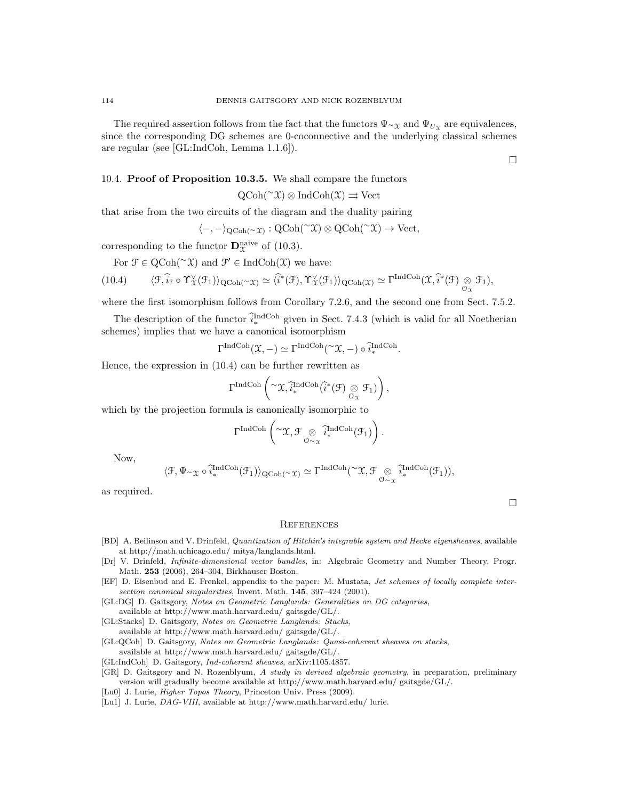## 10.4. Proof of Proposition 10.3.5. We shall compare the functors

$$
QCoh(\sim \mathfrak{X}) \otimes IndCoh(\mathfrak{X}) \rightrightarrows Vect
$$

that arise from the two circuits of the diagram and the duality pairing

$$
\langle -, -\rangle_{\mathrm{QCoh}(\sim \mathfrak{X})} : \mathrm{QCoh}(\sim \mathfrak{X}) \otimes \mathrm{QCoh}(\sim \mathfrak{X}) \to \mathrm{Vect},
$$

corresponding to the functor  $\mathbf{D}_{\mathcal{X}}^{\text{naive}}$  of (10.3).

For  $\mathcal{F} \in \mathrm{QCoh}(\sim \mathfrak{X})$  and  $\mathcal{F}' \in \mathrm{IndCoh}(\mathfrak{X})$  we have:

$$
(10.4) \qquad \langle \mathfrak{F}, \widehat{i}_{?}\circ \Upsilon_{\mathfrak{X}}^{\vee}(\mathfrak{F}_{1}) \rangle_{\mathrm{QCoh}(^\sim\mathfrak{X})}\simeq \langle \widehat{i}^{*}(\mathfrak{F}), \Upsilon_{\mathfrak{X}}^{\vee}(\mathfrak{F}_{1}) \rangle_{\mathrm{QCoh}(\mathfrak{X})}\simeq \Gamma^{IndCoh}(\mathfrak{X}, \widehat{i}^{*}(\mathfrak{F})\underset{\mathfrak{O}_{\mathfrak{X}}}{\otimes}\mathfrak{F}_{1}),
$$

where the first isomorphism follows from Corollary 7.2.6, and the second one from Sect. 7.5.2.

The description of the functor  $\hat{i}^{\text{IndCoh}}_{*}$  given in Sect. 7.4.3 (which is valid for all Noetherian schemes) implies that we have a canonical isomorphism

$$
\Gamma^{\operatorname{IndCoh}}(\mathfrak X, -) \simeq \Gamma^{\operatorname{IndCoh}}(\ulcorner \mathfrak X, -) \circ \widetilde{i}_*^{\operatorname{IndCoh}}.
$$

Hence, the expression in (10.4) can be further rewritten as

$$
\Gamma^{\operatorname{IndCoh}}\left(\text{``}\mathfrak{X},\widehat{i}_*^{\operatorname{IndCoh}}(\widehat{i}^*(\mathfrak{F})\underset{\mathcal{O}_{\mathfrak{X}}}{\otimes}\mathfrak{F}_1)\right),
$$

which by the projection formula is canonically isomorphic to

$$
\Gamma^{\operatorname{IndCoh}}\left({}^\sim\! \mathfrak{X}, \mathcal{F} \underset{\mathcal{O} \sim \mathfrak{X}}{\otimes} \widehat{i}_*^{\operatorname{IndCoh}}(\mathcal{F}_1)\right).
$$

Now,

$$
\langle \mathcal{F}, \Psi \sim_{\mathfrak{X}} \circ \widehat{i}_*^{\operatorname{IndCoh}}(\mathcal{F}_1) \rangle_{\operatorname{QCoh}(\simeq \mathfrak{X})} \simeq \Gamma^{\operatorname{IndCoh}}(\simeq \mathfrak{X}, \mathcal{F} \underset{\mathcal{O} \sim_{\mathfrak{X}}} \otimes \widehat{i}_*^{\operatorname{IndCoh}}(\mathcal{F}_1)),
$$

as required.

 $\Box$ 

### **REFERENCES**

- [BD] A. Beilinson and V. Drinfeld, *Quantization of Hitchin's integrable system and Hecke eigensheaves*, available at http://math.uchicago.edu/ mitya/langlands.html.
- [Dr] V. Drinfeld, Infinite-dimensional vector bundles, in: Algebraic Geometry and Number Theory, Progr. Math. 253 (2006), 264–304, Birkhauser Boston.
- [EF] D. Eisenbud and E. Frenkel, appendix to the paper: M. Mustata, Jet schemes of locally complete intersection canonical singularities, Invent. Math. 145, 397-424 (2001).

[GL:DG] D. Gaitsgory, Notes on Geometric Langlands: Generalities on DG categories, available at http://www.math.harvard.edu/ gaitsgde/GL/.

[GL:Stacks] D. Gaitsgory, Notes on Geometric Langlands: Stacks,

available at http://www.math.harvard.edu/ gaitsgde/GL/.

[GL:QCoh] D. Gaitsgory, Notes on Geometric Langlands: Quasi-coherent sheaves on stacks,

available at http://www.math.harvard.edu/ gaitsgde/GL/.

[GL:IndCoh] D. Gaitsgory, Ind-coherent sheaves, arXiv:1105.4857.

[GR] D. Gaitsgory and N. Rozenblyum, A study in derived algebraic geometry, in preparation, preliminary version will gradually become available at http://www.math.harvard.edu/ gaitsgde/GL/.

[Lu0] J. Lurie, Higher Topos Theory, Princeton Univ. Press (2009).

[Lu1] J. Lurie, DAG-VIII, available at http://www.math.harvard.edu/ lurie.